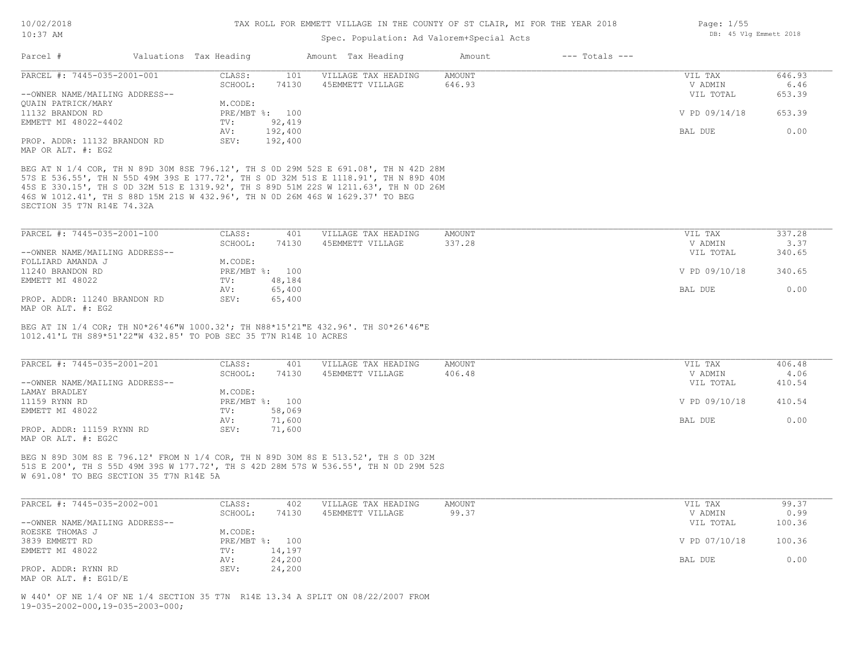## Spec. Population: Ad Valorem+Special Acts

| Parcel #                                           | Valuations Tax Heading |                | Amount Tax Heading  | Amount | $---$ Totals $---$ |               |        |
|----------------------------------------------------|------------------------|----------------|---------------------|--------|--------------------|---------------|--------|
| PARCEL #: 7445-035-2001-001                        | CLASS:                 | 101            | VILLAGE TAX HEADING | AMOUNT |                    | VIL TAX       | 646.93 |
|                                                    | SCHOOL:                | 74130          | 45EMMETT VILLAGE    | 646.93 |                    | V ADMIN       | 6.46   |
| --OWNER NAME/MAILING ADDRESS--                     |                        |                |                     |        |                    | VIL TOTAL     | 653.39 |
| QUAIN PATRICK/MARY                                 | M.CODE:                |                |                     |        |                    |               |        |
| 11132 BRANDON RD                                   |                        | PRE/MBT %: 100 |                     |        |                    | V PD 09/14/18 | 653.39 |
| EMMETT MI 48022-4402                               | TV:                    | 92,419         |                     |        |                    |               |        |
|                                                    | AV:                    | 192,400        |                     |        |                    | BAL DUE       | 0.00   |
| PROP. ADDR: 11132 BRANDON RD<br>MAP OR ALT. #: EG2 | SEV:                   | 192,400        |                     |        |                    |               |        |

SECTION 35 T7N R14E 74.32A 46S W 1012.41', TH S 88D 15M 21S W 432.96', TH N 0D 26M 46S W 1629.37' TO BEG 45S E 330.15', TH S 0D 32M 51S E 1319.92', TH S 89D 51M 22S W 1211.63', TH N 0D 26M 57S E 536.55', TH N 55D 49M 39S E 177.72', TH S 0D 32M 51S E 1118.91', TH N 89D 40M BEG AT N 1/4 COR, TH N 89D 30M 8SE 796.12', TH S 0D 29M 52S E 691.08', TH N 42D 28M

| PARCEL #: 7445-035-2001-100    | CLASS:  | 401            | VILLAGE TAX HEADING | AMOUNT | VIL TAX       | 337.28 |
|--------------------------------|---------|----------------|---------------------|--------|---------------|--------|
|                                | SCHOOL: | 74130          | 45EMMETT VILLAGE    | 337.28 | V ADMIN       | 3.37   |
| --OWNER NAME/MAILING ADDRESS-- |         |                |                     |        | VIL TOTAL     | 340.65 |
| FOLLIARD AMANDA J              | M.CODE: |                |                     |        |               |        |
| 11240 BRANDON RD               |         | PRE/MBT %: 100 |                     |        | V PD 09/10/18 | 340.65 |
| EMMETT MI 48022                | TV:     | 48,184         |                     |        |               |        |
|                                | AV:     | 65,400         |                     |        | BAL DUE       | 0.00   |
| PROP. ADDR: 11240 BRANDON RD   | SEV:    | 65,400         |                     |        |               |        |
|                                |         |                |                     |        |               |        |

MAP OR ALT. #: EG2

1012.41'L TH S89\*51'22"W 432.85' TO POB SEC 35 T7N R14E 10 ACRES BEG AT IN 1/4 COR; TH N0\*26'46"W 1000.32'; TH N88\*15'21"E 432.96'. TH S0\*26'46"E

| PARCEL #: 7445-035-2001-201                      | CLASS:  | 401            | VILLAGE TAX HEADING | AMOUNT | VIL TAX       | 406.48 |
|--------------------------------------------------|---------|----------------|---------------------|--------|---------------|--------|
|                                                  | SCHOOL: | 74130          | 45EMMETT VILLAGE    | 406.48 | V ADMIN       | 4.06   |
| --OWNER NAME/MAILING ADDRESS--                   |         |                |                     |        | VIL TOTAL     | 410.54 |
| LAMAY BRADLEY                                    | M.CODE: |                |                     |        |               |        |
| 11159 RYNN RD                                    |         | PRE/MBT %: 100 |                     |        | V PD 09/10/18 | 410.54 |
| EMMETT MI 48022                                  | TV:     | 58,069         |                     |        |               |        |
|                                                  | AV:     | 71,600         |                     |        | BAL DUE       | 0.00   |
| PROP. ADDR: 11159 RYNN RD<br>MAP OR ALT. #: EG2C | SEV:    | 71,600         |                     |        |               |        |

W 691.08' TO BEG SECTION 35 T7N R14E 5A 51S E 200', TH S 55D 49M 39S W 177.72', TH S 42D 28M 57S W 536.55', TH N 0D 29M 52S BEG N 89D 30M 8S E 796.12' FROM N 1/4 COR, TH N 89D 30M 8S E 513.52', TH S 0D 32M

| PARCEL #: 7445-035-2002-001    | CLASS:  | 402            | VILLAGE TAX HEADING | AMOUNT | VIL TAX       | 99.37  |
|--------------------------------|---------|----------------|---------------------|--------|---------------|--------|
|                                | SCHOOL: | 74130          | 45EMMETT VILLAGE    | 99.37  | V ADMIN       | 0.99   |
| --OWNER NAME/MAILING ADDRESS-- |         |                |                     |        | VIL TOTAL     | 100.36 |
| ROESKE THOMAS J                | M.CODE: |                |                     |        |               |        |
| 3839 EMMETT RD                 |         | PRE/MBT %: 100 |                     |        | V PD 07/10/18 | 100.36 |
| EMMETT MI 48022                | TV:     | 14,197         |                     |        |               |        |
|                                | AV:     | 24,200         |                     |        | BAL DUE       | 0.00   |
| PROP. ADDR: RYNN RD            | SEV:    | 24,200         |                     |        |               |        |
| MAP OR ALT. $\#$ : EG1D/E      |         |                |                     |        |               |        |

19-035-2002-000,19-035-2003-000; W 440' OF NE 1/4 OF NE 1/4 SECTION 35 T7N R14E 13.34 A SPLIT ON 08/22/2007 FROM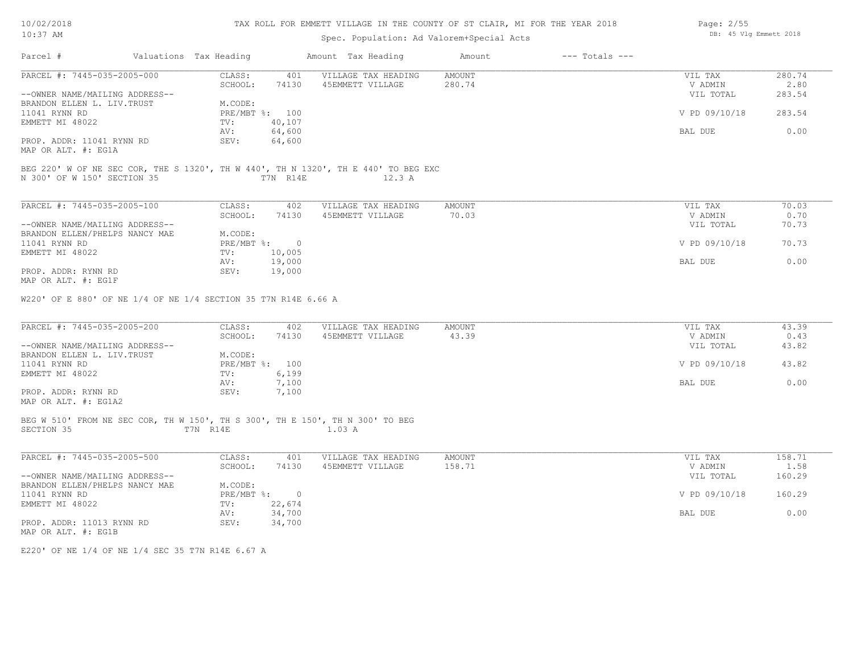| 10/02/2018 |  |
|------------|--|
| 10:37      |  |

MAP OR ALT. #: EG1F

#### TAX ROLL FOR EMMETT VILLAGE IN T

## Spec. Populatio

| 10/02/2018<br>$10:37$ AM                                                           |                        |                | TAX ROLL FOR EMMETT VILLAGE IN THE COUNTY OF ST CLAIR, MI FOR THE YEAR 2018<br>Spec. Population: Ad Valorem+Special Acts | Page: $2/55$<br>DB: 45 Vlg Emmett 2018 |                    |               |        |
|------------------------------------------------------------------------------------|------------------------|----------------|--------------------------------------------------------------------------------------------------------------------------|----------------------------------------|--------------------|---------------|--------|
| Parcel #                                                                           | Valuations Tax Heading |                | Amount Tax Heading                                                                                                       | Amount                                 | $---$ Totals $---$ |               |        |
| PARCEL #: 7445-035-2005-000                                                        | CLASS:                 | 401            | VILLAGE TAX HEADING                                                                                                      | AMOUNT                                 |                    | VIL TAX       | 280.74 |
|                                                                                    | SCHOOL:                | 74130          | 45EMMETT VILLAGE                                                                                                         | 280.74                                 |                    | V ADMIN       | 2.80   |
| --OWNER NAME/MAILING ADDRESS--                                                     |                        |                |                                                                                                                          |                                        |                    | VIL TOTAL     | 283.54 |
| BRANDON ELLEN L. LIV. TRUST                                                        | M.CODE:                |                |                                                                                                                          |                                        |                    |               |        |
| 11041 RYNN RD                                                                      |                        | PRE/MBT %: 100 |                                                                                                                          |                                        |                    | V PD 09/10/18 | 283.54 |
| EMMETT MI 48022                                                                    | TV:                    | 40,107         |                                                                                                                          |                                        |                    |               |        |
|                                                                                    | AV:                    | 64,600         |                                                                                                                          |                                        |                    | BAL DUE       | 0.00   |
| PROP. ADDR: 11041 RYNN RD                                                          | SEV:                   | 64,600         |                                                                                                                          |                                        |                    |               |        |
| MAP OR ALT. #: EG1A                                                                |                        |                |                                                                                                                          |                                        |                    |               |        |
| BEG 220' W OF NE SEC COR, THE S 1320', TH W 440', TH N 1320', TH E 440' TO BEG EXC |                        |                |                                                                                                                          |                                        |                    |               |        |
| N 300' OF W 150' SECTION 35                                                        |                        | T7N R14E       | 12.3A                                                                                                                    |                                        |                    |               |        |
|                                                                                    |                        |                |                                                                                                                          |                                        |                    |               |        |
|                                                                                    |                        |                |                                                                                                                          |                                        |                    |               |        |
| PARCEL #: 7445-035-2005-100                                                        | CLASS:                 | 402            | VILLAGE TAX HEADING                                                                                                      | AMOUNT                                 |                    | VIL TAX       | 70.03  |
|                                                                                    | SCHOOL:                | 74130          | 45EMMETT VILLAGE                                                                                                         | 70.03                                  |                    | V ADMIN       | 0.70   |
| --OWNER NAME/MAILING ADDRESS--                                                     |                        |                |                                                                                                                          |                                        |                    | VIL TOTAL     | 70.73  |
| BRANDON ELLEN/PHELPS NANCY MAE                                                     | M.CODE:                |                |                                                                                                                          |                                        |                    |               |        |
| 11041 RYNN RD                                                                      | $PRE/MBT$ %:           | $\overline{0}$ |                                                                                                                          |                                        |                    | V PD 09/10/18 | 70.73  |
| EMMETT MI 48022                                                                    | TV:                    | 10,005         |                                                                                                                          |                                        |                    |               |        |

W220' OF E 880' OF NE 1/4 OF NE 1/4 SECTION 35 T7N R14E 6.66 A

PROP. ADDR: RYNN RD SEV: 19,000

| PARCEL #: 7445-035-2005-200    | CLASS:         | 402   | VILLAGE TAX HEADING | AMOUNT | VIL TAX       | 43.39 |
|--------------------------------|----------------|-------|---------------------|--------|---------------|-------|
|                                | SCHOOL:        | 74130 | 45EMMETT VILLAGE    | 43.39  | V ADMIN       | 0.43  |
| --OWNER NAME/MAILING ADDRESS-- |                |       |                     |        | VIL TOTAL     | 43.82 |
| BRANDON ELLEN L. LIV. TRUST    | M.CODE:        |       |                     |        |               |       |
| 11041 RYNN RD                  | PRE/MBT %: 100 |       |                     |        | V PD 09/10/18 | 43.82 |
| EMMETT MI 48022                | TV:            | 6,199 |                     |        |               |       |
|                                | AV:            | 7,100 |                     |        | BAL DUE       | 0.00  |
| PROP. ADDR: RYNN RD            | SEV:           | 7,100 |                     |        |               |       |
| MAP OR ALT. #: EG1A2           |                |       |                     |        |               |       |

#### SECTION 35 T7N R14E 1.03 A BEG W 510' FROM NE SEC COR, TH W 150', TH S 300', TH E 150', TH N 300' TO BEG

| PARCEL #: 7445-035-2005-500    | CLASS:       | 401      | VILLAGE TAX HEADING | AMOUNT | VIL TAX       | 158.71 |
|--------------------------------|--------------|----------|---------------------|--------|---------------|--------|
|                                | SCHOOL:      | 74130    | 45EMMETT VILLAGE    | 158.71 | V ADMIN       | 1.58   |
| --OWNER NAME/MAILING ADDRESS-- |              |          |                     |        | VIL TOTAL     | 160.29 |
| BRANDON ELLEN/PHELPS NANCY MAE | M.CODE:      |          |                     |        |               |        |
| 11041 RYNN RD                  | $PRE/MBT$ %: | $\Omega$ |                     |        | V PD 09/10/18 | 160.29 |
| EMMETT MI 48022                | TV:          | 22,674   |                     |        |               |        |
|                                | AV:          | 34,700   |                     |        | BAL DUE       | 0.00   |
| PROP. ADDR: 11013 RYNN RD      | SEV:         | 34,700   |                     |        |               |        |
| MAP OR ALT. #: EG1B            |              |          |                     |        |               |        |

E220' OF NE 1/4 OF NE 1/4 SEC 35 T7N R14E 6.67 A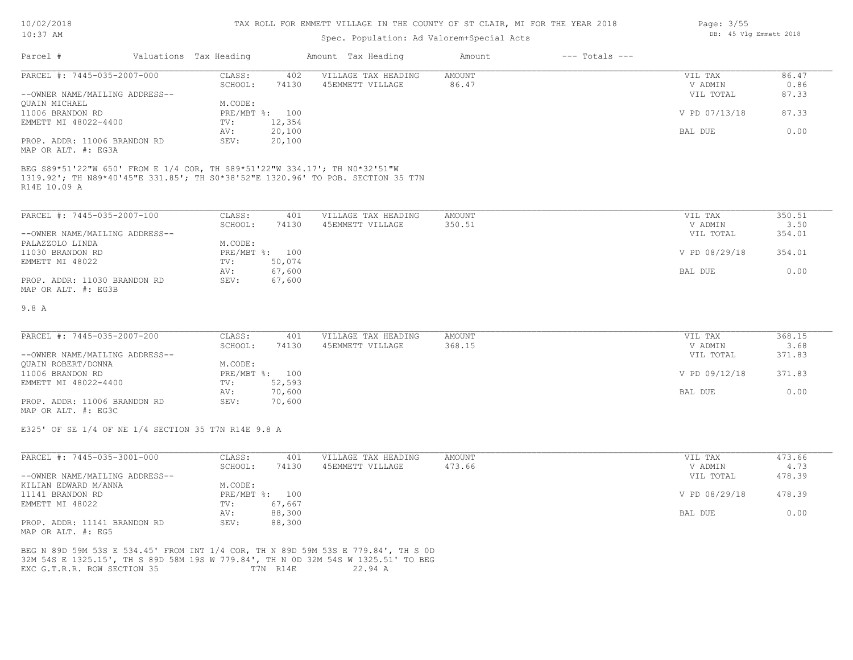#### TAX ROLL FOR EMMETT VILLAGE IN THE COUNTY OF ST CLAIR, MI FOR THE YEAR 2018

# Spec. Population: Ad Valorem+Special Acts

| Parcel #                       | Valuations Tax Heading |        | Amount Tax Heading  | Amount | $---$ Totals $---$ |               |       |
|--------------------------------|------------------------|--------|---------------------|--------|--------------------|---------------|-------|
| PARCEL #: 7445-035-2007-000    | CLASS:                 | 402    | VILLAGE TAX HEADING | AMOUNT |                    | VIL TAX       | 86.47 |
|                                | SCHOOL:                | 74130  | 45EMMETT VILLAGE    | 86.47  |                    | V ADMIN       | 0.86  |
| --OWNER NAME/MAILING ADDRESS-- |                        |        |                     |        |                    | VIL TOTAL     | 87.33 |
| OUAIN MICHAEL                  | M.CODE:                |        |                     |        |                    |               |       |
| 11006 BRANDON RD               | PRE/MBT %: 100         |        |                     |        |                    | V PD 07/13/18 | 87.33 |
| EMMETT MI 48022-4400           | TV:                    | 12,354 |                     |        |                    |               |       |
|                                | AV:                    | 20,100 |                     |        |                    | BAL DUE       | 0.00  |
| PROP. ADDR: 11006 BRANDON RD   | SEV:                   | 20,100 |                     |        |                    |               |       |
| MAP OR ALT. #: EG3A            |                        |        |                     |        |                    |               |       |

R14E 10.09 A 1319.92'; TH N89\*40'45"E 331.85'; TH S0\*38'52"E 1320.96' TO POB. SECTION 35 T7N BEG S89\*51'22"W 650' FROM E 1/4 COR, TH S89\*51'22"W 334.17'; TH N0\*32'51"W

| PARCEL #: 7445-035-2007-100    | CLASS:  | 401            | VILLAGE TAX HEADING | AMOUNT | VIL TAX       | 350.51 |
|--------------------------------|---------|----------------|---------------------|--------|---------------|--------|
|                                | SCHOOL: | 74130          | 45EMMETT VILLAGE    | 350.51 | V ADMIN       | 3.50   |
| --OWNER NAME/MAILING ADDRESS-- |         |                |                     |        | VIL TOTAL     | 354.01 |
| PALAZZOLO LINDA                | M.CODE: |                |                     |        |               |        |
| 11030 BRANDON RD               |         | PRE/MBT %: 100 |                     |        | V PD 08/29/18 | 354.01 |
| EMMETT MI 48022                | TV:     | 50,074         |                     |        |               |        |
|                                | AV:     | 67,600         |                     |        | BAL DUE       | 0.00   |
| PROP. ADDR: 11030 BRANDON RD   | SEV:    | 67,600         |                     |        |               |        |
| MAP OR ALT. #: EG3B            |         |                |                     |        |               |        |

#### 9.8 A

| PARCEL #: 7445-035-2007-200    | CLASS:         | 401    | VILLAGE TAX HEADING | AMOUNT | VIL TAX       | 368.15 |
|--------------------------------|----------------|--------|---------------------|--------|---------------|--------|
|                                | SCHOOL:        | 74130  | 45EMMETT VILLAGE    | 368.15 | V ADMIN       | 3.68   |
| --OWNER NAME/MAILING ADDRESS-- |                |        |                     |        | VIL TOTAL     | 371.83 |
| QUAIN ROBERT/DONNA             | M.CODE:        |        |                     |        |               |        |
| 11006 BRANDON RD               | PRE/MBT %: 100 |        |                     |        | V PD 09/12/18 | 371.83 |
| EMMETT MI 48022-4400           | TV:            | 52,593 |                     |        |               |        |
|                                | AV:            | 70,600 |                     |        | BAL DUE       | 0.00   |
| PROP. ADDR: 11006 BRANDON RD   | SEV:           | 70,600 |                     |        |               |        |

MAP OR ALT. #: EG3C

E325' OF SE 1/4 OF NE 1/4 SECTION 35 T7N R14E 9.8 A

| PARCEL #: 7445-035-3001-000    | CLASS:     | 401    | VILLAGE TAX HEADING | AMOUNT | VIL TAX       | 473.66 |
|--------------------------------|------------|--------|---------------------|--------|---------------|--------|
|                                | SCHOOL:    | 74130  | 45EMMETT VILLAGE    | 473.66 | V ADMIN       | 4.73   |
| --OWNER NAME/MAILING ADDRESS-- |            |        |                     |        | VIL TOTAL     | 478.39 |
| KILIAN EDWARD M/ANNA           | M.CODE:    |        |                     |        |               |        |
| 11141 BRANDON RD               | PRE/MBT %: | 100    |                     |        | V PD 08/29/18 | 478.39 |
| EMMETT MI 48022                | TV:        | 67,667 |                     |        |               |        |
|                                | AV:        | 88,300 |                     |        | BAL DUE       | 0.00   |
| PROP. ADDR: 11141 BRANDON RD   | SEV:       | 88,300 |                     |        |               |        |
| MAP OR ALT. #: EG5             |            |        |                     |        |               |        |

EXC G.T.R.R. ROW SECTION 35 T7N R14E 22.94 A 32M 54S E 1325.15', TH S 89D 58M 19S W 779.84', TH N 0D 32M 54S W 1325.51' TO BEG BEG N 89D 59M 53S E 534.45' FROM INT 1/4 COR, TH N 89D 59M 53S E 779.84', TH S 0D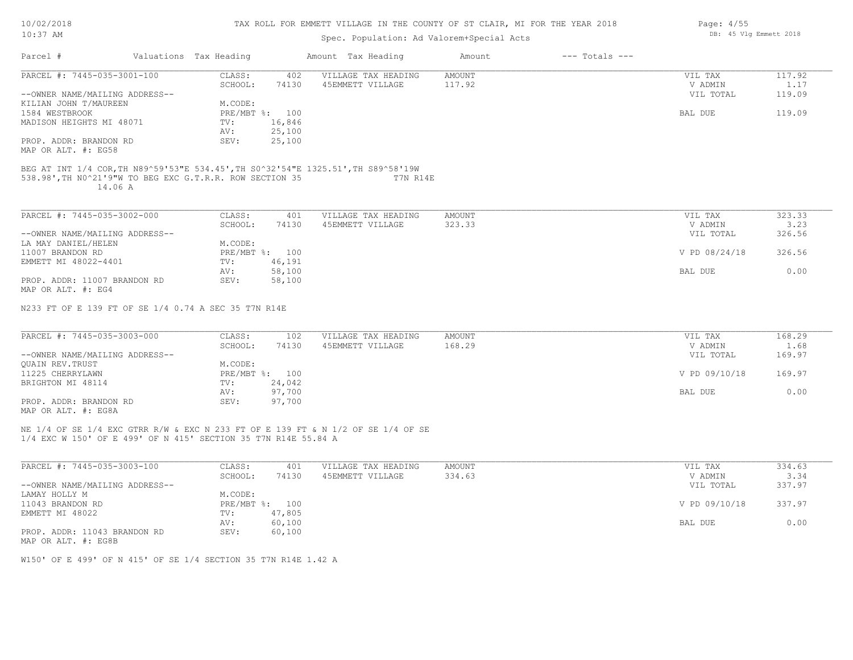| 10/02/2018 |  |
|------------|--|
|            |  |

# Spec. Population: Ad Valorem+Special Acts

|                                                                                                                                                          |                        | Spec. Population: Ad Valorem+Special Acts |                              |               |        |
|----------------------------------------------------------------------------------------------------------------------------------------------------------|------------------------|-------------------------------------------|------------------------------|---------------|--------|
| Parcel #                                                                                                                                                 | Valuations Tax Heading | Amount Tax Heading                        | $---$ Totals $---$<br>Amount |               |        |
| PARCEL #: 7445-035-3001-100                                                                                                                              | CLASS:<br>402          | VILLAGE TAX HEADING                       | AMOUNT                       | VIL TAX       | 117.92 |
|                                                                                                                                                          | SCHOOL:<br>74130       | 45EMMETT VILLAGE                          | 117.92                       | V ADMIN       | 1.17   |
| --OWNER NAME/MAILING ADDRESS--                                                                                                                           |                        |                                           |                              | VIL TOTAL     | 119.09 |
| KILIAN JOHN T/MAUREEN                                                                                                                                    | M.CODE:                |                                           |                              |               |        |
| 1584 WESTBROOK                                                                                                                                           | PRE/MBT %: 100         |                                           |                              | BAL DUE       | 119.09 |
| MADISON HEIGHTS MI 48071                                                                                                                                 | 16,846<br>TV:          |                                           |                              |               |        |
|                                                                                                                                                          | 25,100<br>AV:          |                                           |                              |               |        |
| PROP. ADDR: BRANDON RD                                                                                                                                   | SEV:<br>25,100         |                                           |                              |               |        |
| MAP OR ALT. #: EG58                                                                                                                                      |                        |                                           |                              |               |        |
|                                                                                                                                                          |                        |                                           |                              |               |        |
| BEG AT INT 1/4 COR, TH N89^59'53"E 534.45', TH S0^32'54"E 1325.51', TH S89^58'19W<br>538.98', TH NO^21'9"W TO BEG EXC G.T.R.R. ROW SECTION 35<br>14.06 A |                        | T7N R14E                                  |                              |               |        |
|                                                                                                                                                          |                        |                                           |                              |               |        |
| PARCEL #: 7445-035-3002-000                                                                                                                              | CLASS:<br>401          | VILLAGE TAX HEADING                       | <b>AMOUNT</b>                | VIL TAX       | 323.33 |
|                                                                                                                                                          | SCHOOL:<br>74130       | 45EMMETT VILLAGE                          | 323.33                       | V ADMIN       | 3.23   |
| --OWNER NAME/MAILING ADDRESS--                                                                                                                           |                        |                                           |                              | VIL TOTAL     | 326.56 |
| LA MAY DANIEL/HELEN                                                                                                                                      | M.CODE:                |                                           |                              |               |        |
| 11007 BRANDON RD                                                                                                                                         | PRE/MBT %: 100         |                                           |                              | V PD 08/24/18 | 326.56 |
| EMMETT MI 48022-4401                                                                                                                                     | TV:<br>46,191          |                                           |                              |               |        |
|                                                                                                                                                          | 58,100<br>AV:          |                                           |                              | BAL DUE       | 0.00   |
| PROP. ADDR: 11007 BRANDON RD                                                                                                                             | 58,100<br>SEV:         |                                           |                              |               |        |
| MAP OR ALT. #: EG4<br>N233 FT OF E 139 FT OF SE 1/4 0.74 A SEC 35 T7N R14E                                                                               |                        |                                           |                              |               |        |
|                                                                                                                                                          |                        |                                           |                              |               |        |
| PARCEL #: 7445-035-3003-000                                                                                                                              | CLASS:<br>102          | VILLAGE TAX HEADING                       | <b>AMOUNT</b>                | VIL TAX       | 168.29 |
|                                                                                                                                                          | SCHOOL:<br>74130       | 45EMMETT VILLAGE                          | 168.29                       | V ADMIN       | 1.68   |
| --OWNER NAME/MAILING ADDRESS--                                                                                                                           |                        |                                           |                              | VIL TOTAL     | 169.97 |
| <b>OUAIN REV. TRUST</b>                                                                                                                                  | M.CODE:                |                                           |                              |               |        |
| 11225 CHERRYLAWN                                                                                                                                         | PRE/MBT %: 100         |                                           |                              | V PD 09/10/18 | 169.97 |
| BRIGHTON MI 48114                                                                                                                                        | 24,042<br>TV:          |                                           |                              |               |        |
|                                                                                                                                                          | AV:<br>97,700          |                                           |                              | BAL DUE       | 0.00   |
| PROP. ADDR: BRANDON RD                                                                                                                                   | 97,700<br>SEV:         |                                           |                              |               |        |
| MAP OR ALT. #: EG8A                                                                                                                                      |                        |                                           |                              |               |        |
|                                                                                                                                                          |                        |                                           |                              |               |        |
| NE 1/4 OF SE 1/4 EXC GTRR R/W & EXC N 233 FT OF E 139 FT & N 1/2 OF SE 1/4 OF SE                                                                         |                        |                                           |                              |               |        |
| 1/4 EXC W 150' OF E 499' OF N 415' SECTION 35 T7N R14E 55.84 A                                                                                           |                        |                                           |                              |               |        |
|                                                                                                                                                          |                        |                                           |                              |               |        |
| PARCEL #: 7445-035-3003-100                                                                                                                              | CLASS:<br>401          | VILLAGE TAX HEADING                       | <b>AMOUNT</b>                | VIL TAX       | 334.63 |
|                                                                                                                                                          | SCHOOL:<br>74130       | 45EMMETT VILLAGE                          | 334.63                       | V ADMIN       | 3.34   |
| --OWNER NAME/MAILING ADDRESS--                                                                                                                           |                        |                                           |                              | VIL TOTAL     | 337.97 |
| LAMAY HOLLY M                                                                                                                                            | M.CODE:                |                                           |                              |               |        |
| 11043 BRANDON RD                                                                                                                                         | PRE/MBT %: 100         |                                           |                              | V PD 09/10/18 | 337.97 |
|                                                                                                                                                          | 47,805                 |                                           |                              |               |        |
| EMMETT MI 48022                                                                                                                                          | TV:                    |                                           |                              |               | 0.00   |
|                                                                                                                                                          | AV:<br>60,100          |                                           |                              | BAL DUE       |        |
| PROP. ADDR: 11043 BRANDON RD                                                                                                                             | SEV:<br>60,100         |                                           |                              |               |        |

MAP OR ALT. #: EG8B

W150' OF E 499' OF N 415' OF SE 1/4 SECTION 35 T7N R14E 1.42 A

Page: 4/55 DB: 45 Vlg Emmett 2018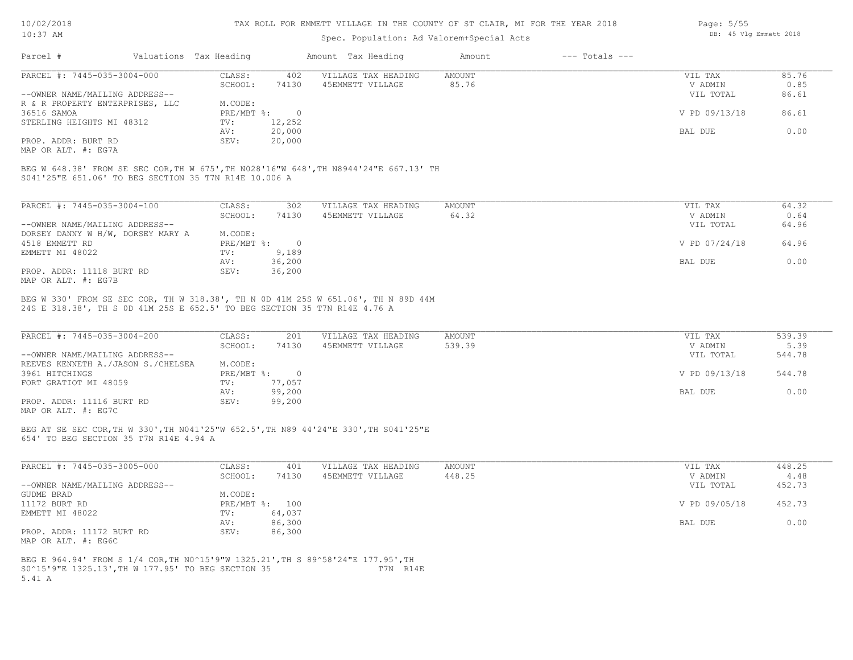# Spec. Population: Ad Valorem+Special Acts

| Parcel #                        | Valuations Tax Heading |        | Amount Tax Heading  | Amount | $---$ Totals $---$ |               |       |
|---------------------------------|------------------------|--------|---------------------|--------|--------------------|---------------|-------|
| PARCEL #: 7445-035-3004-000     | CLASS:                 | 402    | VILLAGE TAX HEADING | AMOUNT |                    | VIL TAX       | 85.76 |
|                                 | SCHOOL:                | 74130  | 45EMMETT VILLAGE    | 85.76  |                    | V ADMIN       | 0.85  |
| --OWNER NAME/MAILING ADDRESS--  |                        |        |                     |        |                    | VIL TOTAL     | 86.61 |
| R & R PROPERTY ENTERPRISES, LLC | M.CODE:                |        |                     |        |                    |               |       |
| 36516 SAMOA                     | $PRE/MBT$ %:           |        |                     |        |                    | V PD 09/13/18 | 86.61 |
| STERLING HEIGHTS MI 48312       | TV:                    | 12,252 |                     |        |                    |               |       |
|                                 | AV:                    | 20,000 |                     |        |                    | BAL DUE       | 0.00  |
| PROP. ADDR: BURT RD             | SEV:                   | 20,000 |                     |        |                    |               |       |
|                                 |                        |        |                     |        |                    |               |       |

MAP OR ALT. #: EG7A

S041'25"E 651.06' TO BEG SECTION 35 T7N R14E 10.006 A BEG W 648.38' FROM SE SEC COR,TH W 675',TH N028'16"W 648',TH N8944'24"E 667.13' TH

| PARCEL #: 7445-035-3004-100       | CLASS:     | 302    | VILLAGE TAX HEADING | AMOUNT | VIL TAX       | 64.32 |
|-----------------------------------|------------|--------|---------------------|--------|---------------|-------|
|                                   | SCHOOL:    | 74130  | 45EMMETT VILLAGE    | 64.32  | V ADMIN       | 0.64  |
| --OWNER NAME/MAILING ADDRESS--    |            |        |                     |        | VIL TOTAL     | 64.96 |
| DORSEY DANNY W H/W, DORSEY MARY A | M.CODE:    |        |                     |        |               |       |
| 4518 EMMETT RD                    | PRE/MBT %: |        |                     |        | V PD 07/24/18 | 64.96 |
| EMMETT MI 48022                   | TV:        | 9,189  |                     |        |               |       |
|                                   | AV:        | 36,200 |                     |        | BAL DUE       | 0.00  |
| PROP. ADDR: 11118 BURT RD         | SEV:       | 36,200 |                     |        |               |       |
| MAP OR ALT. #: EG7B               |            |        |                     |        |               |       |

24S E 318.38', TH S 0D 41M 25S E 652.5' TO BEG SECTION 35 T7N R14E 4.76 A BEG W 330' FROM SE SEC COR, TH W 318.38', TH N 0D 41M 25S W 651.06', TH N 89D 44M

| PARCEL #: 7445-035-3004-200        | CLASS:     | 201    | VILLAGE TAX HEADING | AMOUNT | VIL TAX       | 539.39 |
|------------------------------------|------------|--------|---------------------|--------|---------------|--------|
|                                    | SCHOOL:    | 74130  | 45EMMETT VILLAGE    | 539.39 | V ADMIN       | 5.39   |
| --OWNER NAME/MAILING ADDRESS--     |            |        |                     |        | VIL TOTAL     | 544.78 |
| REEVES KENNETH A./JASON S./CHELSEA | M.CODE:    |        |                     |        |               |        |
| 3961 HITCHINGS                     | PRE/MBT %: |        |                     |        | V PD 09/13/18 | 544.78 |
| FORT GRATIOT MI 48059              | TV:        | 77,057 |                     |        |               |        |
|                                    | AV:        | 99,200 |                     |        | BAL DUE       | 0.00   |
| PROP. ADDR: 11116 BURT RD          | SEV:       | 99,200 |                     |        |               |        |
|                                    |            |        |                     |        |               |        |

MAP OR ALT. #: EG7C

654' TO BEG SECTION 35 T7N R14E 4.94 A BEG AT SE SEC COR,TH W 330',TH N041'25"W 652.5',TH N89 44'24"E 330',TH S041'25"E

| PARCEL #: 7445-035-3005-000    | CLASS:     | 401    | VILLAGE TAX HEADING | AMOUNT | VIL TAX       | 448.25 |
|--------------------------------|------------|--------|---------------------|--------|---------------|--------|
|                                | SCHOOL:    | 74130  | 45EMMETT VILLAGE    | 448.25 | V ADMIN       | 4.48   |
| --OWNER NAME/MAILING ADDRESS-- |            |        |                     |        | VIL TOTAL     | 452.73 |
| GUDME BRAD                     | M.CODE:    |        |                     |        |               |        |
| 11172 BURT RD                  | PRE/MBT %: | 100    |                     |        | V PD 09/05/18 | 452.73 |
| EMMETT MI 48022                | TV:        | 64,037 |                     |        |               |        |
|                                | AV:        | 86,300 |                     |        | BAL DUE       | 0.00   |
| PROP. ADDR: 11172 BURT RD      | SEV:       | 86,300 |                     |        |               |        |
| MAP OR ALT. #: EG6C            |            |        |                     |        |               |        |
|                                |            |        |                     |        |               |        |

 $\mathcal{L}_\mathcal{L} = \mathcal{L}_\mathcal{L} = \mathcal{L}_\mathcal{L} = \mathcal{L}_\mathcal{L} = \mathcal{L}_\mathcal{L} = \mathcal{L}_\mathcal{L} = \mathcal{L}_\mathcal{L} = \mathcal{L}_\mathcal{L} = \mathcal{L}_\mathcal{L} = \mathcal{L}_\mathcal{L} = \mathcal{L}_\mathcal{L} = \mathcal{L}_\mathcal{L} = \mathcal{L}_\mathcal{L} = \mathcal{L}_\mathcal{L} = \mathcal{L}_\mathcal{L} = \mathcal{L}_\mathcal{L} = \mathcal{L}_\mathcal{L}$ 

5.41 A S0^15'9"E 1325.13',TH W 177.95' TO BEG SECTION 35 T7N R14E BEG E 964.94' FROM S 1/4 COR,TH N0^15'9"W 1325.21',TH S 89^58'24"E 177.95',TH

Page: 5/55 DB: 45 Vlg Emmett 2018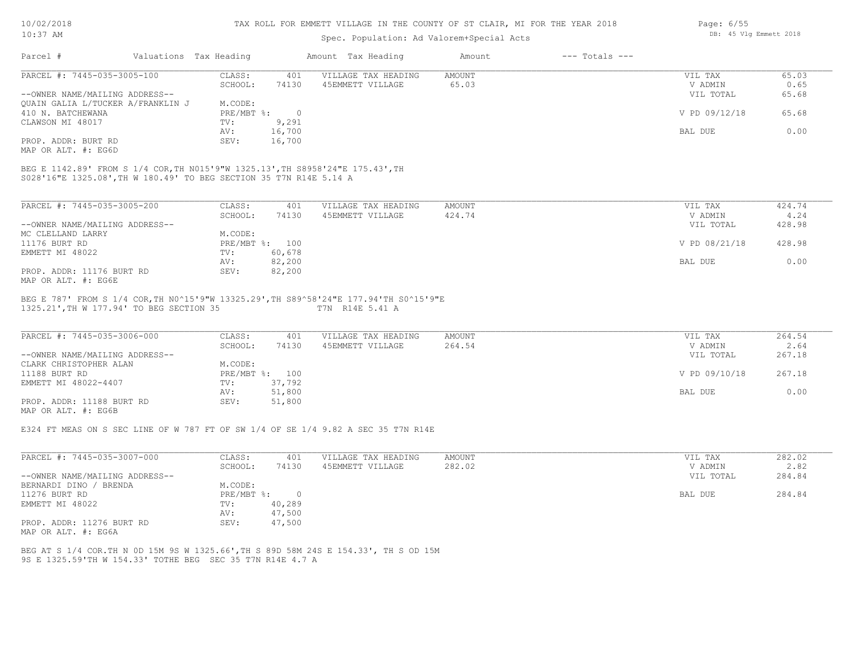| 10/02/2018 |  |
|------------|--|
| $10:37$ AM |  |

# Spec. Population: Ad Valorem+Special Acts

|                                                                                                                                                      |                                | OPCC. LOPULUCLON. NU VULOLOM OPCCLUL NCCO |                              |               |        |
|------------------------------------------------------------------------------------------------------------------------------------------------------|--------------------------------|-------------------------------------------|------------------------------|---------------|--------|
| Parcel #                                                                                                                                             | Valuations Tax Heading         | Amount Tax Heading                        | $---$ Totals $---$<br>Amount |               |        |
| PARCEL #: 7445-035-3005-100                                                                                                                          | CLASS:<br>401                  | VILLAGE TAX HEADING                       | <b>AMOUNT</b>                | VIL TAX       | 65.03  |
|                                                                                                                                                      | 74130<br>SCHOOL:               | 45EMMETT VILLAGE                          | 65.03                        | V ADMIN       | 0.65   |
| --OWNER NAME/MAILING ADDRESS--                                                                                                                       |                                |                                           |                              | VIL TOTAL     | 65.68  |
| QUAIN GALIA L/TUCKER A/FRANKLIN J                                                                                                                    | M.CODE:                        |                                           |                              |               |        |
| 410 N. BATCHEWANA                                                                                                                                    | $PRE/MBT$ %:<br>$\overline{0}$ |                                           |                              | V PD 09/12/18 | 65.68  |
|                                                                                                                                                      |                                |                                           |                              |               |        |
| CLAWSON MI 48017                                                                                                                                     | 9,291<br>TV:                   |                                           |                              |               |        |
|                                                                                                                                                      | 16,700<br>AV:                  |                                           |                              | BAL DUE       | 0.00   |
| PROP. ADDR: BURT RD                                                                                                                                  | 16,700<br>SEV:                 |                                           |                              |               |        |
| MAP OR ALT. #: EG6D                                                                                                                                  |                                |                                           |                              |               |        |
| BEG E 1142.89' FROM S 1/4 COR, TH N015'9"W 1325.13', TH S8958'24"E 175.43', TH<br>S028'16"E 1325.08', TH W 180.49' TO BEG SECTION 35 T7N R14E 5.14 A |                                |                                           |                              |               |        |
| PARCEL #: 7445-035-3005-200                                                                                                                          | CLASS:<br>401                  | VILLAGE TAX HEADING                       | <b>AMOUNT</b>                | VIL TAX       | 424.74 |
|                                                                                                                                                      | SCHOOL:<br>74130               | 45EMMETT VILLAGE                          | 424.74                       | V ADMIN       | 4.24   |
| --OWNER NAME/MAILING ADDRESS--                                                                                                                       |                                |                                           |                              | VIL TOTAL     | 428.98 |
| MC CLELLAND LARRY                                                                                                                                    | M.CODE:                        |                                           |                              |               |        |
| 11176 BURT RD                                                                                                                                        | PRE/MBT %: 100                 |                                           |                              | V PD 08/21/18 | 428.98 |
| EMMETT MI 48022                                                                                                                                      | 60,678<br>TV:                  |                                           |                              |               |        |
|                                                                                                                                                      | 82,200<br>AV:                  |                                           |                              | BAL DUE       | 0.00   |
| PROP. ADDR: 11176 BURT RD<br>MAP OR ALT. #: EG6E                                                                                                     | SEV:<br>82,200                 |                                           |                              |               |        |
| BEG E 787' FROM S 1/4 COR, TH N0^15'9"W 13325.29', TH S89^58'24"E 177.94'TH S0^15'9"E<br>1325.21', TH W 177.94' TO BEG SECTION 35                    |                                | T7N R14E 5.41 A                           |                              |               |        |
| PARCEL #: 7445-035-3006-000                                                                                                                          | CLASS:<br>401                  | VILLAGE TAX HEADING                       | AMOUNT                       | VIL TAX       | 264.54 |
|                                                                                                                                                      | 74130<br>SCHOOL:               | 45EMMETT VILLAGE                          | 264.54                       | V ADMIN       | 2.64   |
| --OWNER NAME/MAILING ADDRESS--                                                                                                                       |                                |                                           |                              | VIL TOTAL     | 267.18 |
| CLARK CHRISTOPHER ALAN                                                                                                                               | M.CODE:                        |                                           |                              |               |        |
| 11188 BURT RD                                                                                                                                        | PRE/MBT %: 100                 |                                           |                              | V PD 09/10/18 | 267.18 |
| EMMETT MI 48022-4407                                                                                                                                 | 37,792<br>TV:                  |                                           |                              |               |        |
|                                                                                                                                                      | 51,800<br>AV:                  |                                           |                              | BAL DUE       | 0.00   |
| PROP. ADDR: 11188 BURT RD                                                                                                                            | SEV:                           |                                           |                              |               |        |
|                                                                                                                                                      | 51,800                         |                                           |                              |               |        |
| MAP OR ALT. #: EG6B                                                                                                                                  |                                |                                           |                              |               |        |
| E324 FT MEAS ON S SEC LINE OF W 787 FT OF SW 1/4 OF SE 1/4 9.82 A SEC 35 T7N R14E                                                                    |                                |                                           |                              |               |        |
|                                                                                                                                                      |                                |                                           |                              |               |        |
| PARCEL #: 7445-035-3007-000                                                                                                                          | CLASS:<br>401                  | VILLAGE TAX HEADING                       | <b>AMOUNT</b>                | VIL TAX       | 282.02 |

| PARULL #: 744J-03J-3007-000    | - CCATA                   | 4 U L  | ATTANG TAV UPANTIMA | <b>AMOON L</b> | VIL IAA   | 202.UZ |
|--------------------------------|---------------------------|--------|---------------------|----------------|-----------|--------|
|                                | SCHOOL:                   | 74130  | 45EMMETT VILLAGE    | 282.02         | V ADMIN   | 2.82   |
| --OWNER NAME/MAILING ADDRESS-- |                           |        |                     |                | VIL TOTAL | 284.84 |
| BERNARDI DINO / BRENDA         | M.CODE:                   |        |                     |                |           |        |
| 11276 BURT RD                  | $PRE/MBT$ $\frac{1}{6}$ : |        |                     |                | BAL DUE   | 284.84 |
| EMMETT MI 48022                | TV:                       | 40,289 |                     |                |           |        |
|                                | AV:                       | 47,500 |                     |                |           |        |
| PROP. ADDR: 11276 BURT RD      | SEV:                      | 47,500 |                     |                |           |        |
| MAP OR ALT. #: EG6A            |                           |        |                     |                |           |        |

9S E 1325.59'TH W 154.33' TOTHE BEG SEC 35 T7N R14E 4.7 A BEG AT S 1/4 COR.TH N 0D 15M 9S W 1325.66',TH S 89D 58M 24S E 154.33', TH S OD 15M Page: 6/55 DB: 45 Vlg Emmett 2018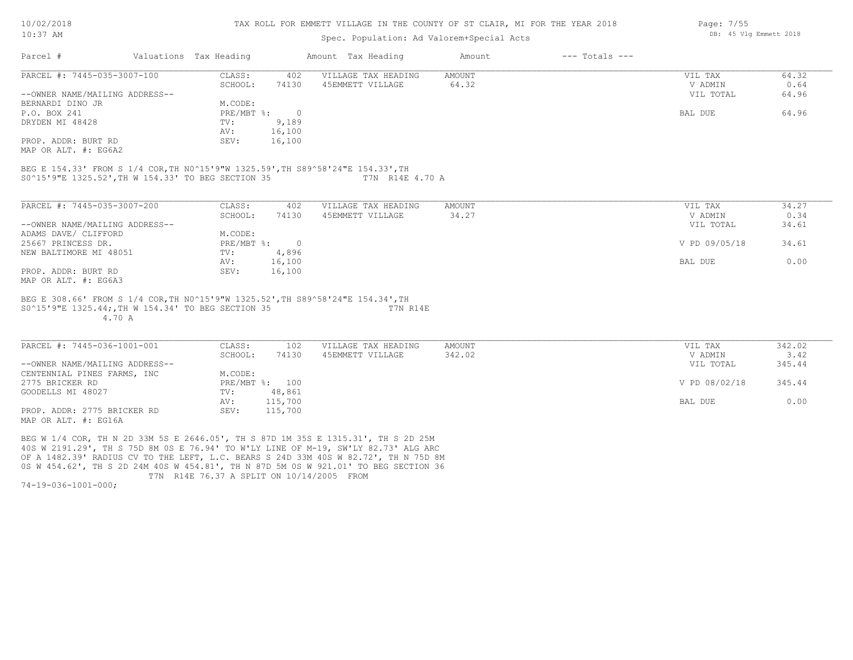#### TAX ROLL FOR EMMETT VILLAGE IN THE COUNTY OF ST CLAIR, MI FOR THE YEAR 2018

## Spec. Population: Ad Valorem+Special Acts

| Parcel #                       | Valuations Tax Heading |        | Amount Tax Heading  | Amount | $---$ Totals $---$ |           |       |
|--------------------------------|------------------------|--------|---------------------|--------|--------------------|-----------|-------|
| PARCEL #: 7445-035-3007-100    | CLASS:                 | 402    | VILLAGE TAX HEADING | AMOUNT |                    | VIL TAX   | 64.32 |
|                                | SCHOOL:                | 74130  | 45EMMETT VILLAGE    | 64.32  |                    | V ADMIN   | 0.64  |
| --OWNER NAME/MAILING ADDRESS-- |                        |        |                     |        |                    | VIL TOTAL | 64.96 |
| BERNARDI DINO JR               | M.CODE:                |        |                     |        |                    |           |       |
| P.O. BOX 241                   | PRE/MBT %:             |        |                     |        |                    | BAL DUE   | 64.96 |
| DRYDEN MI 48428                | TV:                    | 9,189  |                     |        |                    |           |       |
|                                | AV:                    | 16,100 |                     |        |                    |           |       |
| PROP. ADDR: BURT RD            | SEV:                   | 16,100 |                     |        |                    |           |       |
| MAP OR ALT. #: EG6A2           |                        |        |                     |        |                    |           |       |

S0^15'9"E 1325.52',TH W 154.33' TO BEG SECTION 35 T7N R14E 4.70 A BEG E 154.33' FROM S 1/4 COR,TH N0^15'9"W 1325.59',TH S89^58'24"E 154.33',TH

| PARCEL #: 7445-035-3007-200    | CLASS:     | 402    | VILLAGE TAX HEADING | AMOUNT | 34.27<br>VIL TAX       |
|--------------------------------|------------|--------|---------------------|--------|------------------------|
|                                | SCHOOL:    | 74130  | 45EMMETT VILLAGE    | 34.27  | 0.34<br>V ADMIN        |
| --OWNER NAME/MAILING ADDRESS-- |            |        |                     |        | 34.61<br>VIL TOTAL     |
| ADAMS DAVE/ CLIFFORD           | M.CODE:    |        |                     |        |                        |
| 25667 PRINCESS DR.             | PRE/MBT %: | $\cap$ |                     |        | V PD 09/05/18<br>34.61 |
| NEW BALTIMORE MI 48051         | TV:        | 4,896  |                     |        |                        |
|                                | AV:        | 16,100 |                     |        | 0.00<br>BAL DUE        |
| PROP. ADDR: BURT RD            | SEV:       | 16,100 |                     |        |                        |
| MAP OR ALT. #: EG6A3           |            |        |                     |        |                        |

 4.70 A S0^15'9"E 1325.44;,TH W 154.34' TO BEG SECTION 35 T7N R14E BEG E 308.66' FROM S 1/4 COR,TH N0^15'9"W 1325.52',TH S89^58'24"E 154.34',TH

| PARCEL #: 7445-036-1001-001    | CLASS:  | 102            | VILLAGE TAX HEADING | AMOUNT | VIL TAX       | 342.02 |
|--------------------------------|---------|----------------|---------------------|--------|---------------|--------|
|                                | SCHOOL: | 74130          | 45EMMETT VILLAGE    | 342.02 | V ADMIN       | 3.42   |
| --OWNER NAME/MAILING ADDRESS-- |         |                |                     |        | VIL TOTAL     | 345.44 |
| CENTENNIAL PINES FARMS, INC    | M.CODE: |                |                     |        |               |        |
| 2775 BRICKER RD                |         | PRE/MBT %: 100 |                     |        | V PD 08/02/18 | 345.44 |
| GOODELLS MI 48027              | TV:     | 48,861         |                     |        |               |        |
|                                | AV:     | 115,700        |                     |        | BAL DUE       | 0.00   |
| PROP. ADDR: 2775 BRICKER RD    | SEV:    | 115,700        |                     |        |               |        |
| MAP OR ALT. #: EG16A           |         |                |                     |        |               |        |

 T7N R14E 76.37 A SPLIT ON 10/14/2005 FROM 0S W 454.62', TH S 2D 24M 40S W 454.81', TH N 87D 5M 0S W 921.01' TO BEG SECTION 36 OF A 1482.39' RADIUS CV TO THE LEFT, L.C. BEARS S 24D 33M 40S W 82.72', TH N 75D 8M 40S W 2191.29', TH S 75D 8M 0S E 76.94' TO W'LY LINE OF M-19, SW'LY 82.73' ALG ARC BEG W 1/4 COR, TH N 2D 33M 5S E 2646.05', TH S 87D 1M 35S E 1315.31', TH S 2D 25M

74-19-036-1001-000;

Page: 7/55 DB: 45 Vlg Emmett 2018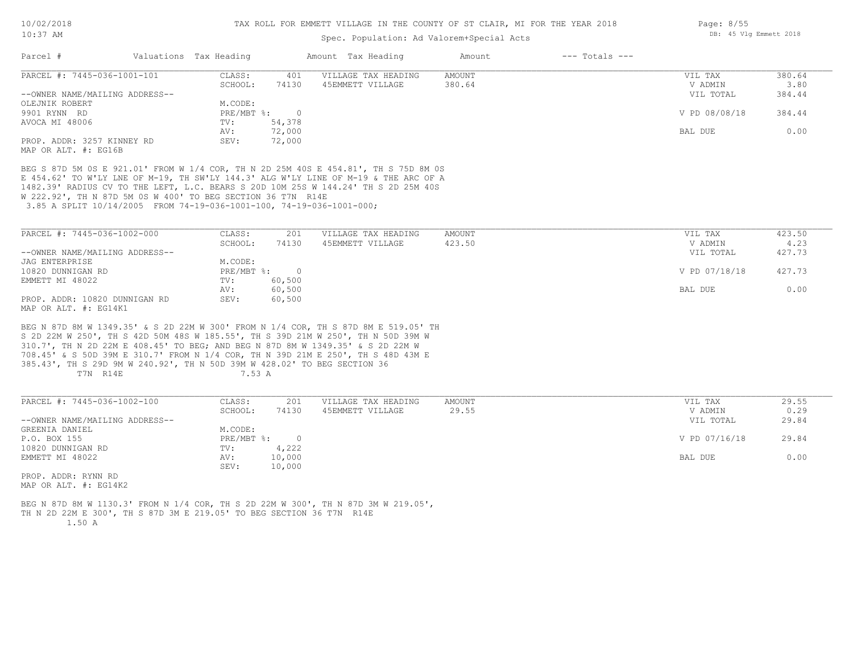## Spec. Population: Ad Valorem+Special Acts

| Parcel #                       | Valuations Tax Heading |        | Amount Tax Heading  | Amount | $---$ Totals $---$ |               |        |
|--------------------------------|------------------------|--------|---------------------|--------|--------------------|---------------|--------|
| PARCEL #: 7445-036-1001-101    | CLASS:                 | 401    | VILLAGE TAX HEADING | AMOUNT |                    | VIL TAX       | 380.64 |
|                                | SCHOOL:                | 74130  | 45EMMETT VILLAGE    | 380.64 |                    | V ADMIN       | 3.80   |
| --OWNER NAME/MAILING ADDRESS-- |                        |        |                     |        |                    | VIL TOTAL     | 384.44 |
| OLEJNIK ROBERT                 | M.CODE:                |        |                     |        |                    |               |        |
| 9901 RYNN RD                   | PRE/MBT %:             |        |                     |        |                    | V PD 08/08/18 | 384.44 |
| AVOCA MI 48006                 | TV:                    | 54,378 |                     |        |                    |               |        |
|                                | AV:                    | 72,000 |                     |        |                    | BAL DUE       | 0.00   |
| PROP. ADDR: 3257 KINNEY RD     | SEV:                   | 72,000 |                     |        |                    |               |        |
| MAP OR ALT. #: EG16B           |                        |        |                     |        |                    |               |        |

 3.85 A SPLIT 10/14/2005 FROM 74-19-036-1001-100, 74-19-036-1001-000; W 222.92', TH N 87D 5M 0S W 400' TO BEG SECTION 36 T7N R14E 1482.39' RADIUS CV TO THE LEFT, L.C. BEARS S 20D 10M 25S W 144.24' TH S 2D 25M 40S E 454.62' TO W'LY LNE OF M-19, TH SW'LY 144.3' ALG W'LY LINE OF M-19 & THE ARC OF A BEG S 87D 5M 0S E 921.01' FROM W 1/4 COR, TH N 2D 25M 40S E 454.81', TH S 75D 8M 0S

| PARCEL #: 7445-036-1002-000    | CLASS:       | 201    | VILLAGE TAX HEADING | AMOUNT | VIL TAX       | 423.50 |
|--------------------------------|--------------|--------|---------------------|--------|---------------|--------|
|                                | SCHOOL:      | 74130  | 45EMMETT VILLAGE    | 423.50 | V ADMIN       | 4.23   |
| --OWNER NAME/MAILING ADDRESS-- |              |        |                     |        | VIL TOTAL     | 427.73 |
| JAG ENTERPRISE                 | M.CODE:      |        |                     |        |               |        |
| 10820 DUNNIGAN RD              | $PRE/MBT$ %: |        |                     |        | V PD 07/18/18 | 427.73 |
| EMMETT MI 48022                | TV:          | 60,500 |                     |        |               |        |
|                                | AV:          | 60,500 |                     |        | BAL DUE       | 0.00   |
| PROP. ADDR: 10820 DUNNIGAN RD  | SEV:         | 60,500 |                     |        |               |        |
| MAP OR ALT. #: EG14K1          |              |        |                     |        |               |        |

T7N R14E 7.53 A 385.43', TH S 29D 9M W 240.92', TH N 50D 39M W 428.02' TO BEG SECTION 36 708.45' & S 50D 39M E 310.7' FROM N 1/4 COR, TH N 39D 21M E 250', TH S 48D 43M E 310.7', TH N 2D 22M E 408.45' TO BEG; AND BEG N 87D 8M W 1349.35' & S 2D 22M W S 2D 22M W 250', TH S 42D 50M 48S W 185.55', TH S 39D 21M W 250', TH N 50D 39M W BEG N 87D 8M W 1349.35' & S 2D 22M W 300' FROM N 1/4 COR, TH S 87D 8M E 519.05' TH

| PARCEL #: 7445-036-1002-100    | CLASS:     | 201    | VILLAGE TAX HEADING | AMOUNT | VIL TAX       | 29.55 |
|--------------------------------|------------|--------|---------------------|--------|---------------|-------|
|                                | SCHOOL:    | 74130  | 45EMMETT VILLAGE    | 29.55  | V ADMIN       | 0.29  |
| --OWNER NAME/MAILING ADDRESS-- |            |        |                     |        | VIL TOTAL     | 29.84 |
| GREENIA DANIEL                 | M.CODE:    |        |                     |        |               |       |
| P.O. BOX 155                   | PRE/MBT %: | $\cap$ |                     |        | V PD 07/16/18 | 29.84 |
| 10820 DUNNIGAN RD              | TV:        | 4,222  |                     |        |               |       |
| EMMETT MI 48022                | AV:        | 10,000 |                     |        | BAL DUE       | 0.00  |
|                                | SEV:       | 10,000 |                     |        |               |       |
| PROP. ADDR: RYNN RD            |            |        |                     |        |               |       |

MAP OR ALT. #: EG14K2

 1.50 A TH N 2D 22M E 300', TH S 87D 3M E 219.05' TO BEG SECTION 36 T7N R14E BEG N 87D 8M W 1130.3' FROM N 1/4 COR, TH S 2D 22M W 300', TH N 87D 3M W 219.05', Page: 8/55 DB: 45 Vlg Emmett 2018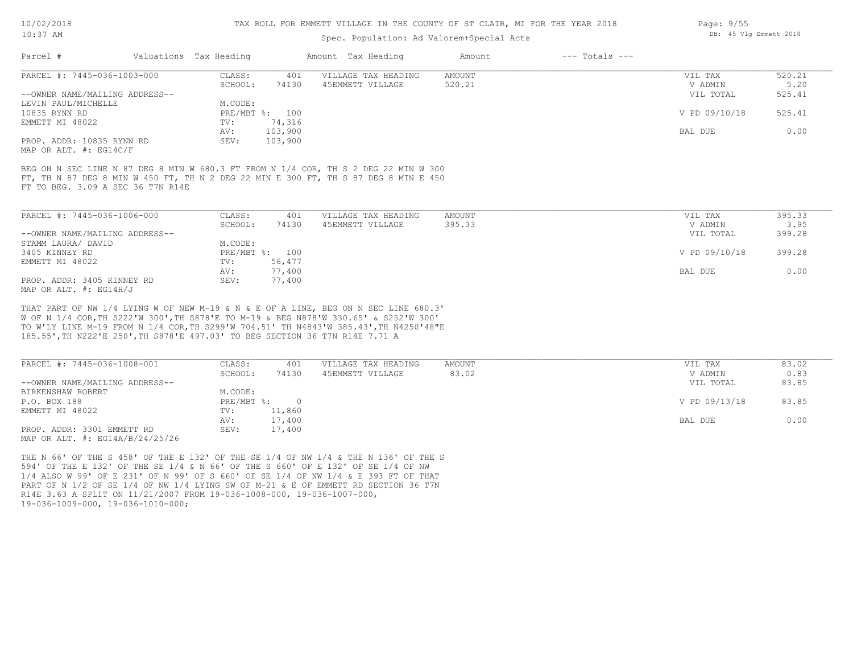# Spec. Population: Ad Valorem+Special Acts

| Parcel #                       | Valuations Tax Heading |                | Amount Tax Heading  | Amount | $---$ Totals $---$ |               |        |
|--------------------------------|------------------------|----------------|---------------------|--------|--------------------|---------------|--------|
| PARCEL #: 7445-036-1003-000    | CLASS:                 | 401            | VILLAGE TAX HEADING | AMOUNT |                    | VIL TAX       | 520.21 |
|                                | SCHOOL:                | 74130          | 45EMMETT VILLAGE    | 520.21 |                    | V ADMIN       | 5.20   |
| --OWNER NAME/MAILING ADDRESS-- |                        |                |                     |        |                    | VIL TOTAL     | 525.41 |
| LEVIN PAUL/MICHELLE            | M.CODE:                |                |                     |        |                    |               |        |
| 10835 RYNN RD                  |                        | PRE/MBT %: 100 |                     |        |                    | V PD 09/10/18 | 525.41 |
| EMMETT MI 48022                | TV:                    | 74,316         |                     |        |                    |               |        |
|                                | AV:                    | 103,900        |                     |        |                    | BAL DUE       | 0.00   |
| PROP. ADDR: 10835 RYNN RD      | SEV:                   | 103,900        |                     |        |                    |               |        |
| MAP OR ALT. #: EG14C/F         |                        |                |                     |        |                    |               |        |
|                                |                        |                |                     |        |                    |               |        |

FT TO BEG. 3.09 A SEC 36 T7N R14E FT, TH N 87 DEG 8 MIN W 450 FT, TH N 2 DEG 22 MIN E 300 FT, TH S 87 DEG 8 MIN E 450 BEG ON N SEC LINE N 87 DEG 8 MIN W 680.3 FT FROM N 1/4 COR, TH S 2 DEG 22 MIN W 300

| PARCEL #: 7445-036-1006-000    | CLASS:  | 401            | VILLAGE TAX HEADING | AMOUNT | VIL TAX       | 395.33 |
|--------------------------------|---------|----------------|---------------------|--------|---------------|--------|
|                                | SCHOOL: | 74130          | 45EMMETT VILLAGE    | 395.33 | V ADMIN       | 3.95   |
| --OWNER NAME/MAILING ADDRESS-- |         |                |                     |        | VIL TOTAL     | 399.28 |
| STAMM LAURA/ DAVID             | M.CODE: |                |                     |        |               |        |
| 3405 KINNEY RD                 |         | PRE/MBT %: 100 |                     |        | V PD 09/10/18 | 399.28 |
| EMMETT MI 48022                | TV:     | 56,477         |                     |        |               |        |
|                                | AV:     | 77,400         |                     |        | BAL DUE       | 0.00   |
| PROP. ADDR: 3405 KINNEY RD     | SEV:    | 77,400         |                     |        |               |        |
| MAP OR ALT. $\#$ : EG14H/J     |         |                |                     |        |               |        |

185.55',TH N222'E 250',TH S878'E 497.03' TO BEG SECTION 36 T7N R14E 7.71 A TO W'LY LINE M-19 FROM N 1/4 COR,TH S299'W 704.51' TH N4843'W 385.43',TH N4250'48"E W OF N 1/4 COR,TH S222'W 300',TH S878'E TO M-19 & BEG N878'W 330.65' & S252'W 300' THAT PART OF NW 1/4 LYING W OF NEW M-19 & N & E OF A LINE, BEG ON N SEC LINE 680.3'

| PARCEL #: 7445-036-1008-001         | CLASS:     | 401    | VILLAGE TAX HEADING | AMOUNT | VIL TAX       | 83.02 |
|-------------------------------------|------------|--------|---------------------|--------|---------------|-------|
|                                     | SCHOOL:    | 74130  | 45EMMETT VILLAGE    | 83.02  | V ADMIN       | 0.83  |
| --OWNER NAME/MAILING ADDRESS--      |            |        |                     |        | VIL TOTAL     | 83.85 |
| BIRKENSHAW ROBERT                   | M.CODE:    |        |                     |        |               |       |
| P.O. BOX 188                        | PRE/MBT %: |        |                     |        | V PD 09/13/18 | 83.85 |
| EMMETT MI 48022                     | TV:        | 11,860 |                     |        |               |       |
|                                     | AV:        | 17,400 |                     |        | BAL DUE       | 0.00  |
| PROP. ADDR: 3301 EMMETT RD          | SEV:       | 17,400 |                     |        |               |       |
| MAP OR ALT. $\#$ : EG14A/B/24/25/26 |            |        |                     |        |               |       |

19-036-1009-000, 19-036-1010-000; R14E 3.63 A SPLIT ON 11/21/2007 FROM 19-036-1008-000, 19-036-1007-000, PART OF N 1/2 OF SE 1/4 OF NW 1/4 LYING SW OF M-21 & E OF EMMETT RD SECTION 36 T7N 1/4 ALSO W 99' OF E 231' OF N 99' OF S 660' OF SE 1/4 OF NW 1/4 & E 393 FT OF THAT 594' OF THE E 132' OF THE SE 1/4 & N 66' OF THE S 660' OF E 132' OF SE 1/4 OF NW THE N 66' OF THE S 458' OF THE E 132' OF THE SE 1/4 OF NW 1/4 & THE N 136' OF THE S Page: 9/55 DB: 45 Vlg Emmett 2018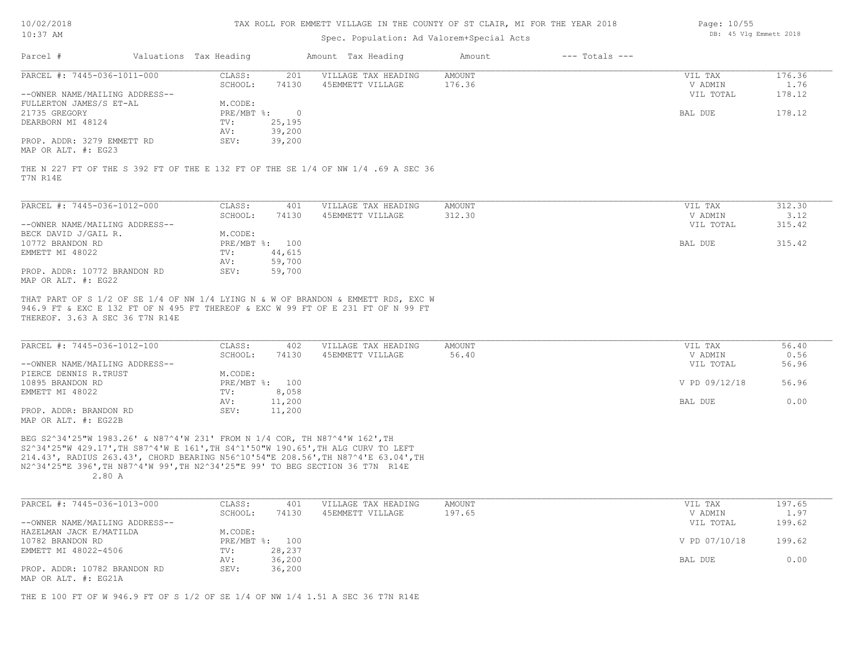| 10/02/2018 |  |
|------------|--|
| $10:37$ AM |  |

#### Spec. Population: Ad Valorem+Special Acts

| Page: 10/55 |  |                        |  |
|-------------|--|------------------------|--|
|             |  | DB: 45 Vlg Emmett 2018 |  |

| Parcel #                        | Valuations Tax Heading |                | Amount Tax Heading                                                                                                                                                    | Amount                  | $---$ Totals $---$ |                    |                |
|---------------------------------|------------------------|----------------|-----------------------------------------------------------------------------------------------------------------------------------------------------------------------|-------------------------|--------------------|--------------------|----------------|
| PARCEL #: 7445-036-1011-000     | CLASS:                 | 201            | VILLAGE TAX HEADING                                                                                                                                                   | <b>AMOUNT</b>           |                    | VIL TAX            | 176.36         |
|                                 | SCHOOL:                | 74130          | 45EMMETT VILLAGE                                                                                                                                                      | 176.36                  |                    | V ADMIN            | 1.76           |
| --OWNER NAME/MAILING ADDRESS--  |                        |                |                                                                                                                                                                       |                         |                    | VIL TOTAL          | 178.12         |
| FULLERTON JAMES/S ET-AL         | M.CODE:                |                |                                                                                                                                                                       |                         |                    |                    |                |
| 21735 GREGORY                   | PRE/MBT %:             | $\overline{0}$ |                                                                                                                                                                       |                         |                    | <b>BAL DUE</b>     | 178.12         |
| DEARBORN MI 48124               | TV:                    | 25,195         |                                                                                                                                                                       |                         |                    |                    |                |
|                                 | AV:                    | 39,200         |                                                                                                                                                                       |                         |                    |                    |                |
| PROP. ADDR: 3279 EMMETT RD      | SEV:                   | 39,200         |                                                                                                                                                                       |                         |                    |                    |                |
| MAP OR ALT. #: EG23             |                        |                |                                                                                                                                                                       |                         |                    |                    |                |
| PARCEL #: 7445-036-1012-000     | CLASS:<br>SCHOOL:      | 401<br>74130   | VILLAGE TAX HEADING<br>45EMMETT VILLAGE                                                                                                                               | <b>AMOUNT</b><br>312.30 |                    | VIL TAX<br>V ADMIN | 312.30<br>3.12 |
| --OWNER NAME/MAILING ADDRESS--  |                        |                |                                                                                                                                                                       |                         |                    | VIL TOTAL          | 315.42         |
| BECK DAVID J/GAIL R.            | M.CODE:                |                |                                                                                                                                                                       |                         |                    |                    |                |
| 10772 BRANDON RD                | PRE/MBT %:             | 100            |                                                                                                                                                                       |                         |                    | <b>BAL DUE</b>     | 315.42         |
| EMMETT MI 48022                 | TV:                    | 44,615         |                                                                                                                                                                       |                         |                    |                    |                |
|                                 | AV:                    | 59,700         |                                                                                                                                                                       |                         |                    |                    |                |
| PROP. ADDR: 10772 BRANDON RD    | SEV:                   | 59,700         |                                                                                                                                                                       |                         |                    |                    |                |
| MAP OR ALT. #: EG22             |                        |                |                                                                                                                                                                       |                         |                    |                    |                |
|                                 |                        |                |                                                                                                                                                                       |                         |                    |                    |                |
| THEREOF. 3.63 A SEC 36 T7N R14E |                        |                | THAT PART OF S 1/2 OF SE 1/4 OF NW 1/4 LYING N & W OF BRANDON & EMMETT RDS, EXC W<br>946.9 FT & EXC E 132 FT OF N 495 FT THEREOF & EXC W 99 FT OF E 231 FT OF N 99 FT |                         |                    |                    |                |
|                                 |                        |                |                                                                                                                                                                       |                         |                    |                    |                |
| PARCEL #: 7445-036-1012-100     | CLASS:                 | 402            | VILLAGE TAX HEADING                                                                                                                                                   | <b>AMOUNT</b>           |                    | VIL TAX            | 56.40          |

| PARCEL #: 7445-036-1012-100    | CLASS:       | 402    | VILLAGE TAX HEADING | AMOUNT | VIL TAX       | 56.40 |
|--------------------------------|--------------|--------|---------------------|--------|---------------|-------|
|                                | SCHOOL:      | 74130  | 45EMMETT VILLAGE    | 56.40  | V ADMIN       | 0.56  |
| --OWNER NAME/MAILING ADDRESS-- |              |        |                     |        | VIL TOTAL     | 56.96 |
| PIERCE DENNIS R.TRUST          | M.CODE:      |        |                     |        |               |       |
| 10895 BRANDON RD               | $PRE/MBT$ %: | 100    |                     |        | V PD 09/12/18 | 56.96 |
| EMMETT MI 48022                | TV:          | 8,058  |                     |        |               |       |
|                                | AV:          | 11,200 |                     |        | BAL DUE       | 0.00  |
| PROP. ADDR: BRANDON RD         | SEV:         | 11,200 |                     |        |               |       |
| $MAD$ $CD$ $ATM$ $L$ , $DCOOD$ |              |        |                     |        |               |       |

MAP OR ALT. #: EG22B

 2.80 A N2^34'25"E 396',TH N87^4'W 99',TH N2^34'25"E 99' TO BEG SECTION 36 T7N R14E 214.43', RADIUS 263.43', CHORD BEARING N56^10'54"E 208.56',TH N87^4'E 63.04',TH S2^34'25"W 429.17',TH S87^4'W E 161',TH S4^1'50"W 190.65',TH ALG CURV TO LEFT BEG S2^34'25"W 1983.26' & N87^4'W 231' FROM N 1/4 COR, TH N87^4'W 162',TH

| PARCEL #: 7445-036-1013-000                                | CLASS:  | 401            | VILLAGE TAX HEADING | AMOUNT | VIL TAX       | 197.65 |
|------------------------------------------------------------|---------|----------------|---------------------|--------|---------------|--------|
|                                                            | SCHOOL: | 74130          | 45EMMETT VILLAGE    | 197.65 | V ADMIN       | 1.97   |
| --OWNER NAME/MAILING ADDRESS--                             |         |                |                     |        | VIL TOTAL     | 199.62 |
| HAZELMAN JACK E/MATILDA                                    | M.CODE: |                |                     |        |               |        |
| 10782 BRANDON RD                                           |         | PRE/MBT %: 100 |                     |        | V PD 07/10/18 | 199.62 |
| EMMETT MI 48022-4506                                       | TV:     | 28,237         |                     |        |               |        |
|                                                            | AV:     | 36,200         |                     |        | BAL DUE       | 0.00   |
| PROP. ADDR: 10782 BRANDON RD<br>MAD OD ATTL $\#$ . FC 21 A | SEV:    | 36,200         |                     |        |               |        |

MAP OR ALT. #: EG21A

THE E 100 FT OF W 946.9 FT OF S 1/2 OF SE 1/4 OF NW 1/4 1.51 A SEC 36 T7N R14E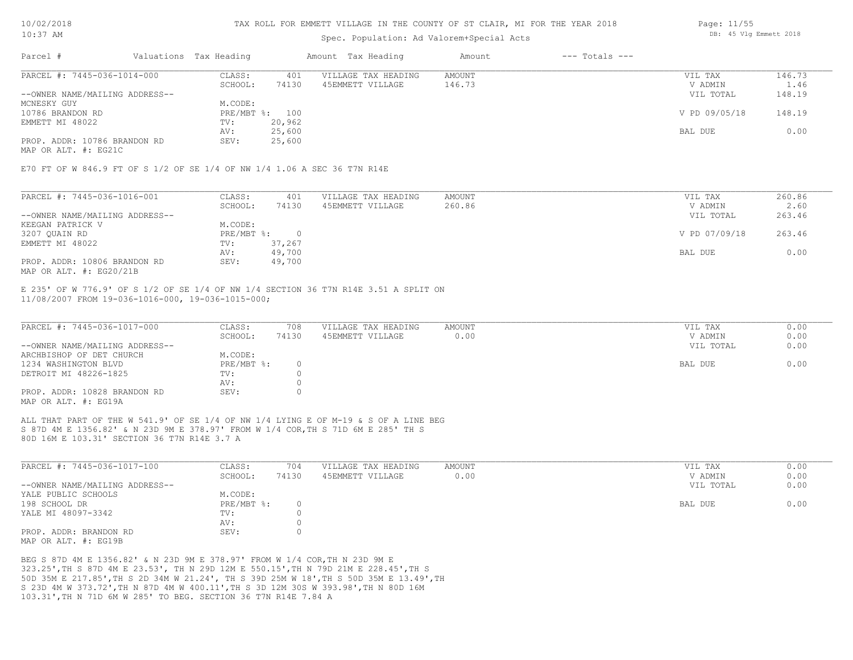# Spec. Population: Ad Valorem+Special Acts

| Parcel #                       | Valuations Tax Heading |        | Amount Tax Heading  | Amount | $---$ Totals $---$ |               |        |
|--------------------------------|------------------------|--------|---------------------|--------|--------------------|---------------|--------|
| PARCEL #: 7445-036-1014-000    | CLASS:                 | 401    | VILLAGE TAX HEADING | AMOUNT |                    | VIL TAX       | 146.73 |
|                                | SCHOOL:                | 74130  | 45EMMETT VILLAGE    | 146.73 |                    | V ADMIN       | 1.46   |
| --OWNER NAME/MAILING ADDRESS-- |                        |        |                     |        |                    | VIL TOTAL     | 148.19 |
| MCNESKY GUY                    | M.CODE:                |        |                     |        |                    |               |        |
| 10786 BRANDON RD               | PRE/MBT %: 100         |        |                     |        |                    | V PD 09/05/18 | 148.19 |
| EMMETT MI 48022                | TV:                    | 20,962 |                     |        |                    |               |        |
|                                | AV:                    | 25,600 |                     |        |                    | BAL DUE       | 0.00   |
| PROP. ADDR: 10786 BRANDON RD   | SEV:                   | 25,600 |                     |        |                    |               |        |

MAP OR ALT. #: EG21C

E70 FT OF W 846.9 FT OF S 1/2 OF SE 1/4 OF NW 1/4 1.06 A SEC 36 T7N R14E

| PARCEL #: 7445-036-1016-001    | CLASS:     | 401    | VILLAGE TAX HEADING | AMOUNT | VIL TAX       | 260.86 |
|--------------------------------|------------|--------|---------------------|--------|---------------|--------|
|                                | SCHOOL:    | 74130  | 45EMMETT VILLAGE    | 260.86 | V ADMIN       | 2.60   |
| --OWNER NAME/MAILING ADDRESS-- |            |        |                     |        | VIL TOTAL     | 263.46 |
| KEEGAN PATRICK V               | M.CODE:    |        |                     |        |               |        |
| 3207 QUAIN RD                  | PRE/MBT %: |        |                     |        | V PD 07/09/18 | 263.46 |
| EMMETT MI 48022                | TV:        | 37,267 |                     |        |               |        |
|                                | AV:        | 49,700 |                     |        | BAL DUE       | 0.00   |
| PROP. ADDR: 10806 BRANDON RD   | SEV:       | 49,700 |                     |        |               |        |
| MAP OR ALT. $\#$ : EG20/21B    |            |        |                     |        |               |        |

11/08/2007 FROM 19-036-1016-000, 19-036-1015-000; E 235' OF W 776.9' OF S 1/2 OF SE 1/4 OF NW 1/4 SECTION 36 T7N R14E 3.51 A SPLIT ON

| PARCEL #: 7445-036-1017-000    | CLASS:     | 708   | VILLAGE TAX HEADING | AMOUNT | VIL TAX   | 0.00 |
|--------------------------------|------------|-------|---------------------|--------|-----------|------|
|                                | SCHOOL:    | 74130 | 45EMMETT VILLAGE    | 0.00   | V ADMIN   | 0.00 |
| --OWNER NAME/MAILING ADDRESS-- |            |       |                     |        | VIL TOTAL | 0.00 |
| ARCHBISHOP OF DET CHURCH       | M.CODE:    |       |                     |        |           |      |
| 1234 WASHINGTON BLVD           | PRE/MBT %: |       |                     |        | BAL DUE   | 0.00 |
| DETROIT MI 48226-1825          | TV:        |       |                     |        |           |      |
|                                | AV:        |       |                     |        |           |      |
| PROP. ADDR: 10828 BRANDON RD   | SEV:       |       |                     |        |           |      |
| MAP OR ALT. #: EG19A           |            |       |                     |        |           |      |

80D 16M E 103.31' SECTION 36 T7N R14E 3.7 A S 87D 4M E 1356.82' & N 23D 9M E 378.97' FROM W 1/4 COR,TH S 71D 6M E 285' TH S ALL THAT PART OF THE W 541.9' OF SE 1/4 OF NW 1/4 LYING E OF M-19 & S OF A LINE BEG

| PARCEL #: 7445-036-1017-100    | CLASS:       | 704   | VILLAGE TAX HEADING | AMOUNT | VIL TAX   | 0.00 |
|--------------------------------|--------------|-------|---------------------|--------|-----------|------|
|                                | SCHOOL:      | 74130 | 45EMMETT VILLAGE    | 0.00   | V ADMIN   | 0.00 |
| --OWNER NAME/MAILING ADDRESS-- |              |       |                     |        | VIL TOTAL | 0.00 |
| YALE PUBLIC SCHOOLS            | M.CODE:      |       |                     |        |           |      |
| 198 SCHOOL DR                  | $PRE/MBT$ %: |       |                     |        | BAL DUE   | 0.00 |
| YALE MI 48097-3342             | TV:          |       |                     |        |           |      |
|                                | AV:          |       |                     |        |           |      |
| PROP. ADDR: BRANDON RD         | SEV:         |       |                     |        |           |      |
| MAP OR ALT, #: EG19B           |              |       |                     |        |           |      |

103.31',TH N 71D 6M W 285' TO BEG. SECTION 36 T7N R14E 7.84 A S 23D 4M W 373.72',TH N 87D 4M W 400.11',TH S 3D 12M 30S W 393.98',TH N 80D 16M 50D 35M E 217.85',TH S 2D 34M W 21.24', TH S 39D 25M W 18',TH S 50D 35M E 13.49',TH 323.25',TH S 87D 4M E 23.53', TH N 29D 12M E 550.15',TH N 79D 21M E 228.45',TH S BEG S 87D 4M E 1356.82' & N 23D 9M E 378.97' FROM W 1/4 COR,TH N 23D 9M E

Page: 11/55 DB: 45 Vlg Emmett 2018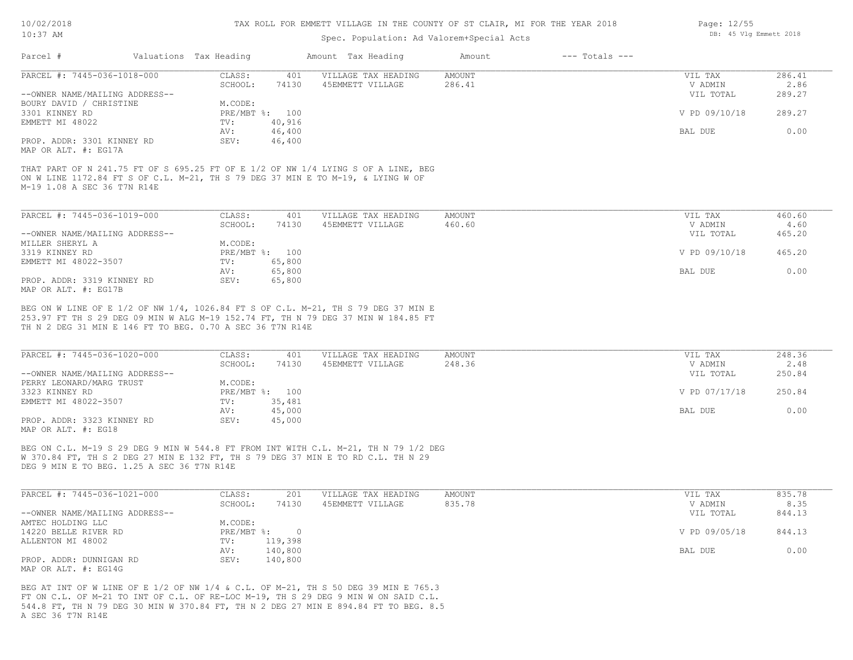# Spec. Population: Ad Valorem+Special Acts

| Parcel #                       | Valuations Tax Heading |                | Amount Tax Heading  | Amount | $---$ Totals $---$ |               |        |
|--------------------------------|------------------------|----------------|---------------------|--------|--------------------|---------------|--------|
| PARCEL #: 7445-036-1018-000    | CLASS:                 | 401            | VILLAGE TAX HEADING | AMOUNT |                    | VIL TAX       | 286.41 |
|                                | SCHOOL:                | 74130          | 45EMMETT VILLAGE    | 286.41 |                    | V ADMIN       | 2.86   |
| --OWNER NAME/MAILING ADDRESS-- |                        |                |                     |        |                    | VIL TOTAL     | 289.27 |
| BOURY DAVID / CHRISTINE        | M.CODE:                |                |                     |        |                    |               |        |
| 3301 KINNEY RD                 |                        | PRE/MBT %: 100 |                     |        |                    | V PD 09/10/18 | 289.27 |
| EMMETT MI 48022                | TV:                    | 40,916         |                     |        |                    |               |        |
|                                | AV:                    | 46,400         |                     |        |                    | BAL DUE       | 0.00   |
| PROP. ADDR: 3301 KINNEY RD     | SEV:                   | 46,400         |                     |        |                    |               |        |
|                                |                        |                |                     |        |                    |               |        |

MAP OR ALT. #: EG17A

M-19 1.08 A SEC 36 T7N R14E ON W LINE 1172.84 FT S OF C.L. M-21, TH S 79 DEG 37 MIN E TO M-19, & LYING W OF THAT PART OF N 241.75 FT OF S 695.25 FT OF E 1/2 OF NW 1/4 LYING S OF A LINE, BEG

| PARCEL #: 7445-036-1019-000    | CLASS:  | 401            | VILLAGE TAX HEADING | AMOUNT | VIL TAX       | 460.60 |
|--------------------------------|---------|----------------|---------------------|--------|---------------|--------|
|                                | SCHOOL: | 74130          | 45EMMETT VILLAGE    | 460.60 | V ADMIN       | 4.60   |
| --OWNER NAME/MAILING ADDRESS-- |         |                |                     |        | VIL TOTAL     | 465.20 |
| MILLER SHERYL A                | M.CODE: |                |                     |        |               |        |
| 3319 KINNEY RD                 |         | PRE/MBT %: 100 |                     |        | V PD 09/10/18 | 465.20 |
| EMMETT MI 48022-3507           | TV:     | 65,800         |                     |        |               |        |
|                                | AV:     | 65,800         |                     |        | BAL DUE       | 0.00   |
| PROP. ADDR: 3319 KINNEY RD     | SEV:    | 65,800         |                     |        |               |        |
| MAP OR ALT. #: EG17B           |         |                |                     |        |               |        |

TH N 2 DEG 31 MIN E 146 FT TO BEG. 0.70 A SEC 36 T7N R14E 253.97 FT TH S 29 DEG 09 MIN W ALG M-19 152.74 FT, TH N 79 DEG 37 MIN W 184.85 FT BEG ON W LINE OF E 1/2 OF NW 1/4, 1026.84 FT S OF C.L. M-21, TH S 79 DEG 37 MIN E

| PARCEL #: 7445-036-1020-000    | CLASS:  | 401            | VILLAGE TAX HEADING | AMOUNT | VIL TAX       | 248.36 |
|--------------------------------|---------|----------------|---------------------|--------|---------------|--------|
|                                | SCHOOL: | 74130          | 45EMMETT VILLAGE    | 248.36 | V ADMIN       | 2.48   |
| --OWNER NAME/MAILING ADDRESS-- |         |                |                     |        | VIL TOTAL     | 250.84 |
| PERRY LEONARD/MARG TRUST       | M.CODE: |                |                     |        |               |        |
| 3323 KINNEY RD                 |         | PRE/MBT %: 100 |                     |        | V PD 07/17/18 | 250.84 |
| EMMETT MI 48022-3507           | TV:     | 35,481         |                     |        |               |        |
|                                | AV:     | 45,000         |                     |        | BAL DUE       | 0.00   |
| PROP. ADDR: 3323 KINNEY RD     | SEV:    | 45,000         |                     |        |               |        |
| MAP OR ALT. #: EG18            |         |                |                     |        |               |        |

BEG ON C.L. M-19 S 29 DEG 9 MIN W 544.8 FT FROM INT WITH C.L. M-21, TH N 79 1/2 DEG

DEG 9 MIN E TO BEG. 1.25 A SEC 36 T7N R14E W 370.84 FT, TH S 2 DEG 27 MIN E 132 FT, TH S 79 DEG 37 MIN E TO RD C.L. TH N 29

| PARCEL #: 7445-036-1021-000    | CLASS:     | 201     | VILLAGE TAX HEADING | AMOUNT | VIL TAX       | 835.78 |
|--------------------------------|------------|---------|---------------------|--------|---------------|--------|
|                                | SCHOOL:    | 74130   | 45EMMETT VILLAGE    | 835.78 | V ADMIN       | 8.35   |
| --OWNER NAME/MAILING ADDRESS-- |            |         |                     |        | VIL TOTAL     | 844.13 |
| AMTEC HOLDING LLC              | M.CODE:    |         |                     |        |               |        |
| 14220 BELLE RIVER RD           | PRE/MBT %: |         |                     |        | V PD 09/05/18 | 844.13 |
| ALLENTON MI 48002              | TV:        | 119,398 |                     |        |               |        |
|                                | AV:        | 140,800 |                     |        | BAL DUE       | 0.00   |
| PROP. ADDR: DUNNIGAN RD        | SEV:       | 140,800 |                     |        |               |        |
| MAP OR ALT. $\#$ : EG14G       |            |         |                     |        |               |        |

A SEC 36 T7N R14E 544.8 FT, TH N 79 DEG 30 MIN W 370.84 FT, TH N 2 DEG 27 MIN E 894.84 FT TO BEG. 8.5 FT ON C.L. OF M-21 TO INT OF C.L. OF RE-LOC M-19, TH S 29 DEG 9 MIN W ON SAID C.L. BEG AT INT OF W LINE OF E 1/2 OF NW 1/4 & C.L. OF M-21, TH S 50 DEG 39 MIN E 765.3

Page: 12/55 DB: 45 Vlg Emmett 2018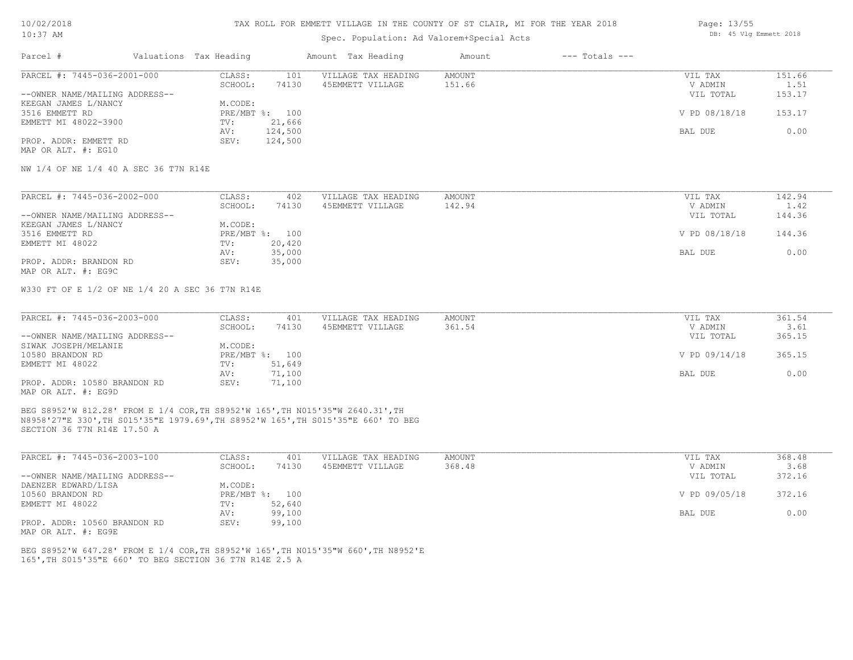#### TAX ROLL FOR EMMETT VILLAGE IN THE COUNTY OF ST CLAIR, MI FOR THE YEAR 2018

## Spec. Population: Ad Valorem+Special Acts

| Page: 13/55 |  |                        |  |
|-------------|--|------------------------|--|
|             |  | DB: 45 Vlg Emmett 2018 |  |

| Parcel #                       | Valuations Tax Heading |                | Amount Tax Heading  | Amount | $---$ Totals $---$ |               |        |
|--------------------------------|------------------------|----------------|---------------------|--------|--------------------|---------------|--------|
| PARCEL #: 7445-036-2001-000    | CLASS:                 | 101            | VILLAGE TAX HEADING | AMOUNT |                    | VIL TAX       | 151.66 |
|                                | SCHOOL:                | 74130          | 45EMMETT VILLAGE    | 151.66 |                    | V ADMIN       | 1.51   |
| --OWNER NAME/MAILING ADDRESS-- |                        |                |                     |        |                    | VIL TOTAL     | 153.17 |
| KEEGAN JAMES L/NANCY           | M.CODE:                |                |                     |        |                    |               |        |
| 3516 EMMETT RD                 |                        | PRE/MBT %: 100 |                     |        |                    | V PD 08/18/18 | 153.17 |
| EMMETT MI 48022-3900           | TV:                    | 21,666         |                     |        |                    |               |        |
|                                | AV:                    | 124,500        |                     |        |                    | BAL DUE       | 0.00   |
| PROP. ADDR: EMMETT RD          | SEV:                   | 124,500        |                     |        |                    |               |        |
| MAP OR ALT. #: EG10            |                        |                |                     |        |                    |               |        |

NW 1/4 OF NE 1/4 40 A SEC 36 T7N R14E

| PARCEL #: 7445-036-2002-000    | CLASS:  | 402            | VILLAGE TAX HEADING | AMOUNT | VIL TAX       | 142.94 |
|--------------------------------|---------|----------------|---------------------|--------|---------------|--------|
|                                | SCHOOL: | 74130          | 45EMMETT VILLAGE    | 142.94 | V ADMIN       | 1.42   |
| --OWNER NAME/MAILING ADDRESS-- |         |                |                     |        | VIL TOTAL     | 144.36 |
| KEEGAN JAMES L/NANCY           | M.CODE: |                |                     |        |               |        |
| 3516 EMMETT RD                 |         | PRE/MBT %: 100 |                     |        | V PD 08/18/18 | 144.36 |
| EMMETT MI 48022                | TV:     | 20,420         |                     |        |               |        |
|                                | AV:     | 35,000         |                     |        | BAL DUE       | 0.00   |
| PROP. ADDR: BRANDON RD         | SEV:    | 35,000         |                     |        |               |        |
| MAP OR ALT. #: EG9C            |         |                |                     |        |               |        |

W330 FT OF E 1/2 OF NE 1/4 20 A SEC 36 T7N R14E

| PARCEL #: 7445-036-2003-000    | CLASS:  | 401            | VILLAGE TAX HEADING | AMOUNT | VIL TAX       | 361.54 |
|--------------------------------|---------|----------------|---------------------|--------|---------------|--------|
|                                | SCHOOL: | 74130          | 45EMMETT VILLAGE    | 361.54 | V ADMIN       | 3.61   |
| --OWNER NAME/MAILING ADDRESS-- |         |                |                     |        | VIL TOTAL     | 365.15 |
| SIWAK JOSEPH/MELANIE           | M.CODE: |                |                     |        |               |        |
| 10580 BRANDON RD               |         | PRE/MBT %: 100 |                     |        | V PD 09/14/18 | 365.15 |
| EMMETT MI 48022                | TV:     | 51,649         |                     |        |               |        |
|                                | AV:     | 71,100         |                     |        | BAL DUE       | 0.00   |
| PROP. ADDR: 10580 BRANDON RD   | SEV:    | 71,100         |                     |        |               |        |
| MAP OR ALT. #: EG9D            |         |                |                     |        |               |        |

SECTION 36 T7N R14E 17.50 A N8958'27"E 330',TH S015'35"E 1979.69',TH S8952'W 165',TH S015'35"E 660' TO BEG BEG S8952'W 812.28' FROM E 1/4 COR,TH S8952'W 165',TH N015'35"W 2640.31',TH

| PARCEL #: 7445-036-2003-100    | CLASS:  | 401            | VILLAGE TAX HEADING | AMOUNT | VIL TAX       | 368.48 |
|--------------------------------|---------|----------------|---------------------|--------|---------------|--------|
|                                | SCHOOL: | 74130          | 45EMMETT VILLAGE    | 368.48 | V ADMIN       | 3.68   |
| --OWNER NAME/MAILING ADDRESS-- |         |                |                     |        | VIL TOTAL     | 372.16 |
| DAENZER EDWARD/LISA            | M.CODE: |                |                     |        |               |        |
| 10560 BRANDON RD               |         | PRE/MBT %: 100 |                     |        | V PD 09/05/18 | 372.16 |
| EMMETT MI 48022                | TV:     | 52,640         |                     |        |               |        |
|                                | AV:     | 99,100         |                     |        | BAL DUE       | 0.00   |
| PROP. ADDR: 10560 BRANDON RD   | SEV:    | 99,100         |                     |        |               |        |

MAP OR ALT. #: EG9E

165',TH S015'35"E 660' TO BEG SECTION 36 T7N R14E 2.5 A BEG S8952'W 647.28' FROM E 1/4 COR,TH S8952'W 165',TH N015'35"W 660',TH N8952'E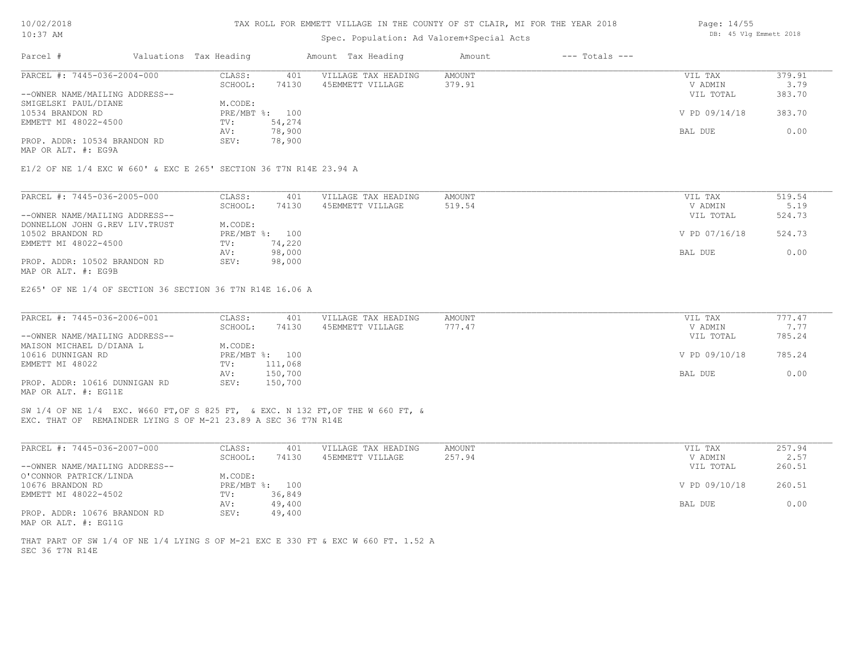| 10/02/2018 |  |
|------------|--|
|            |  |

## Spec. Population: Ad Valorem+Special Acts

| Parcel #                                                           | Valuations Tax Heading |                | Amount Tax Heading  | Amount | $---$ Totals $---$ |               |        |
|--------------------------------------------------------------------|------------------------|----------------|---------------------|--------|--------------------|---------------|--------|
| PARCEL #: 7445-036-2004-000                                        | CLASS:                 | 401            | VILLAGE TAX HEADING | AMOUNT |                    | VIL TAX       | 379.91 |
|                                                                    | SCHOOL:                | 74130          | 45EMMETT VILLAGE    | 379.91 |                    | V ADMIN       | 3.79   |
| --OWNER NAME/MAILING ADDRESS--                                     |                        |                |                     |        |                    | VIL TOTAL     | 383.70 |
| SMIGELSKI PAUL/DIANE                                               | M.CODE:                |                |                     |        |                    |               |        |
| 10534 BRANDON RD                                                   |                        | PRE/MBT %: 100 |                     |        |                    | V PD 09/14/18 | 383.70 |
| EMMETT MI 48022-4500                                               | TV:                    | 54,274         |                     |        |                    |               |        |
|                                                                    | AV:                    | 78,900         |                     |        |                    | BAL DUE       | 0.00   |
| PROP. ADDR: 10534 BRANDON RD                                       | SEV:                   | 78,900         |                     |        |                    |               |        |
| MAP OR ALT. #: EG9A                                                |                        |                |                     |        |                    |               |        |
| E1/2 OF NE 1/4 EXC W 660' & EXC E 265' SECTION 36 T7N R14E 23.94 A |                        |                |                     |        |                    |               |        |
| PARCEL #: 7445-036-2005-000                                        | CLASS:                 | 401            | VILLAGE TAX HEADING | AMOUNT |                    | VIL TAX       | 519.54 |
|                                                                    | SCHOOL:                | 74130          | 45EMMETT VILLAGE    | 519.54 |                    | V ADMIN       | 5.19   |
| --OWNER NAME/MAILING ADDRESS--                                     |                        |                |                     |        |                    | VIL TOTAL     | 524.73 |
| DONNELLON JOHN G.REV LIV. TRUST                                    | M.CODE:                |                |                     |        |                    |               |        |
|                                                                    |                        | 100            |                     |        |                    | V PD 07/16/18 |        |
| 10502 BRANDON RD                                                   | $PRE/MBT$ %:           |                |                     |        |                    |               | 524.73 |

MAP OR ALT. #: EG9B PROP. ADDR: 10502 BRANDON RD SEV: 98,000 AV: 98,000 BAL DUE 0.00 EMMETT MI 48022-4500 TV: 74,220<br>AV: 98,000

E265' OF NE 1/4 OF SECTION 36 SECTION 36 T7N R14E 16.06 A

| PARCEL #: 7445-036-2006-001    | CLASS:       | 401     | VILLAGE TAX HEADING | AMOUNT | VIL TAX       | 777.47 |  |
|--------------------------------|--------------|---------|---------------------|--------|---------------|--------|--|
|                                | SCHOOL:      | 74130   | 45EMMETT VILLAGE    | 777.47 | V ADMIN       | 7.77   |  |
| --OWNER NAME/MAILING ADDRESS-- |              |         |                     |        | VIL TOTAL     | 785.24 |  |
| MAISON MICHAEL D/DIANA L       | M.CODE:      |         |                     |        |               |        |  |
| 10616 DUNNIGAN RD              | $PRE/MBT$ %: | 100     |                     |        | V PD 09/10/18 | 785.24 |  |
| EMMETT MI 48022                | TV:          | 111,068 |                     |        |               |        |  |
|                                | AV:          | 150,700 |                     |        | BAL DUE       | 0.00   |  |
| PROP. ADDR: 10616 DUNNIGAN RD  | SEV:         | 150,700 |                     |        |               |        |  |
| MAP OR ALT. #: EG11E           |              |         |                     |        |               |        |  |

 $\mathcal{L}_\mathcal{L} = \mathcal{L}_\mathcal{L} = \mathcal{L}_\mathcal{L} = \mathcal{L}_\mathcal{L} = \mathcal{L}_\mathcal{L} = \mathcal{L}_\mathcal{L} = \mathcal{L}_\mathcal{L} = \mathcal{L}_\mathcal{L} = \mathcal{L}_\mathcal{L} = \mathcal{L}_\mathcal{L} = \mathcal{L}_\mathcal{L} = \mathcal{L}_\mathcal{L} = \mathcal{L}_\mathcal{L} = \mathcal{L}_\mathcal{L} = \mathcal{L}_\mathcal{L} = \mathcal{L}_\mathcal{L} = \mathcal{L}_\mathcal{L}$ 

EXC. THAT OF REMAINDER LYING S OF M-21 23.89 A SEC 36 T7N R14E SW 1/4 OF NE 1/4 EXC. W660 FT,OF S 825 FT, & EXC. N 132 FT,OF THE W 660 FT, &

| PARCEL #: 7445-036-2007-000    | CLASS:  | 401            | VILLAGE TAX HEADING | AMOUNT | VIL TAX       | 257.94 |
|--------------------------------|---------|----------------|---------------------|--------|---------------|--------|
|                                | SCHOOL: | 74130          | 45EMMETT VILLAGE    | 257.94 | V ADMIN       | 2.57   |
| --OWNER NAME/MAILING ADDRESS-- |         |                |                     |        | VIL TOTAL     | 260.51 |
| O'CONNOR PATRICK/LINDA         | M.CODE: |                |                     |        |               |        |
| 10676 BRANDON RD               |         | PRE/MBT %: 100 |                     |        | V PD 09/10/18 | 260.51 |
| EMMETT MI 48022-4502           | TV:     | 36,849         |                     |        |               |        |
|                                | AV:     | 49,400         |                     |        | BAL DUE       | 0.00   |
| PROP. ADDR: 10676 BRANDON RD   | SEV:    | 49,400         |                     |        |               |        |
| MAP OR ALT. #: EG11G           |         |                |                     |        |               |        |

SEC 36 T7N R14E THAT PART OF SW 1/4 OF NE 1/4 LYING S OF M-21 EXC E 330 FT & EXC W 660 FT. 1.52 A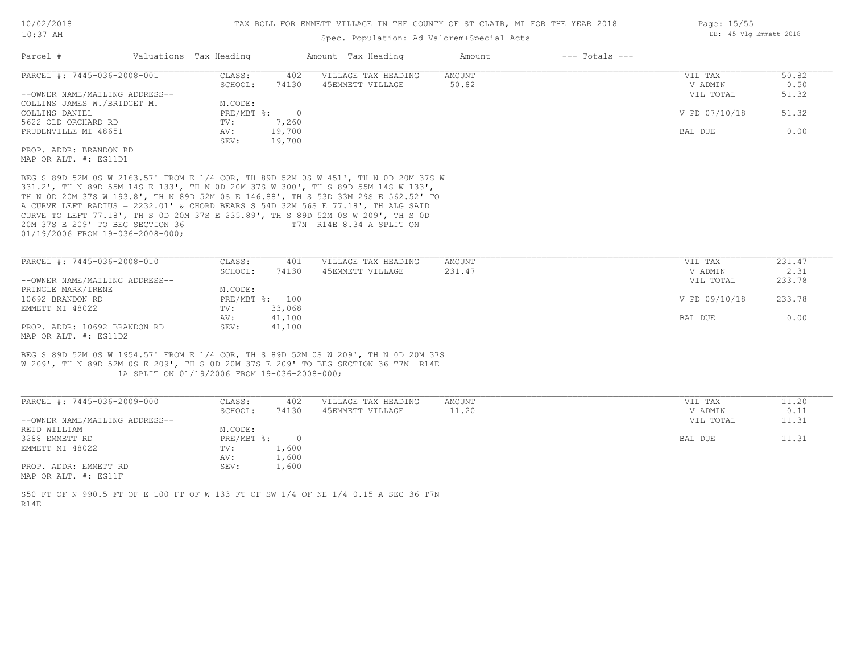## Spec. Population: Ad Valorem+Special Acts

| Parcel #                       | Valuations Tax Heading |        | Amount Tax Heading  | Amount | $---$ Totals $---$ |               |       |
|--------------------------------|------------------------|--------|---------------------|--------|--------------------|---------------|-------|
| PARCEL #: 7445-036-2008-001    | CLASS:                 | 402    | VILLAGE TAX HEADING | AMOUNT |                    | VIL TAX       | 50.82 |
|                                | SCHOOL:                | 74130  | 45EMMETT VILLAGE    | 50.82  |                    | V ADMIN       | 0.50  |
| --OWNER NAME/MAILING ADDRESS-- |                        |        |                     |        |                    | VIL TOTAL     | 51.32 |
| COLLINS JAMES W./BRIDGET M.    | M.CODE:                |        |                     |        |                    |               |       |
| COLLINS DANIEL                 | PRE/MBT %:             |        |                     |        |                    | V PD 07/10/18 | 51.32 |
| 5622 OLD ORCHARD RD            | TV:                    | 7,260  |                     |        |                    |               |       |
| PRUDENVILLE MI 48651           | AV:                    | 19,700 |                     |        |                    | BAL DUE       | 0.00  |
|                                | SEV:                   | 19,700 |                     |        |                    |               |       |
| PROP. ADDR: BRANDON RD         |                        |        |                     |        |                    |               |       |
| MAP OR ALT. #: EG11D1          |                        |        |                     |        |                    |               |       |
|                                |                        |        |                     |        |                    |               |       |

01/19/2006 FROM 19-036-2008-000; 20M 37S E 209' TO BEG SECTION 36 T7N R14E 8.34 A SPLIT ON CURVE TO LEFT 77.18', TH S 0D 20M 37S E 235.89', TH S 89D 52M 0S W 209', TH S 0D A CURVE LEFT RADIUS = 2232.01' & CHORD BEARS S 54D 32M 56S E 77.18', TH ALG SAID TH N 0D 20M 37S W 193.8', TH N 89D 52M 0S E 146.88', TH S 53D 33M 29S E 562.52' TO 331.2', TH N 89D 55M 14S E 133', TH N 0D 20M 37S W 300', TH S 89D 55M 14S W 133', BEG S 89D 52M 0S W 2163.57' FROM E 1/4 COR, TH 89D 52M 0S W 451', TH N 0D 20M 37S W

| PARCEL #: 7445-036-2008-010    | CLASS:  | 401            | VILLAGE TAX HEADING | AMOUNT | VIL TAX       | 231.47 |
|--------------------------------|---------|----------------|---------------------|--------|---------------|--------|
|                                | SCHOOL: | 74130          | 45EMMETT VILLAGE    | 231.47 | V ADMIN       | 2.31   |
| --OWNER NAME/MAILING ADDRESS-- |         |                |                     |        | VIL TOTAL     | 233.78 |
| PRINGLE MARK/IRENE             | M.CODE: |                |                     |        |               |        |
| 10692 BRANDON RD               |         | PRE/MBT %: 100 |                     |        | V PD 09/10/18 | 233.78 |
| EMMETT MI 48022                | TV:     | 33,068         |                     |        |               |        |
|                                | AV:     | 41,100         |                     |        | BAL DUE       | 0.00   |
| PROP. ADDR: 10692 BRANDON RD   | SEV:    | 41,100         |                     |        |               |        |
| MAP OR ALT. $\#$ : EG11D2      |         |                |                     |        |               |        |

 1A SPLIT ON 01/19/2006 FROM 19-036-2008-000; W 209', TH N 89D 52M 0S E 209', TH S 0D 20M 37S E 209' TO BEG SECTION 36 T7N R14E BEG S 89D 52M 0S W 1954.57' FROM E 1/4 COR, TH S 89D 52M 0S W 209', TH N 0D 20M 37S

| PARCEL #: 7445-036-2009-000    | CLASS:       | 402   | VILLAGE TAX HEADING | AMOUNT | VIL TAX   | 11.20 |
|--------------------------------|--------------|-------|---------------------|--------|-----------|-------|
|                                | SCHOOL:      | 74130 | 45EMMETT VILLAGE    | 11.20  | V ADMIN   | 0.11  |
| --OWNER NAME/MAILING ADDRESS-- |              |       |                     |        | VIL TOTAL | 11.31 |
| REID WILLIAM                   | M.CODE:      |       |                     |        |           |       |
| 3288 EMMETT RD                 | $PRE/MBT$ %: |       |                     |        | BAL DUE   | 11.31 |
| EMMETT MI 48022                | TV:          | 1,600 |                     |        |           |       |
|                                | AV:          | 1,600 |                     |        |           |       |
| PROP. ADDR: EMMETT RD          | SEV:         | 1,600 |                     |        |           |       |
| MAP OR ALT. #: EG11F           |              |       |                     |        |           |       |

R14E S50 FT OF N 990.5 FT OF E 100 FT OF W 133 FT OF SW 1/4 OF NE 1/4 0.15 A SEC 36 T7N Page: 15/55 DB: 45 Vlg Emmett 2018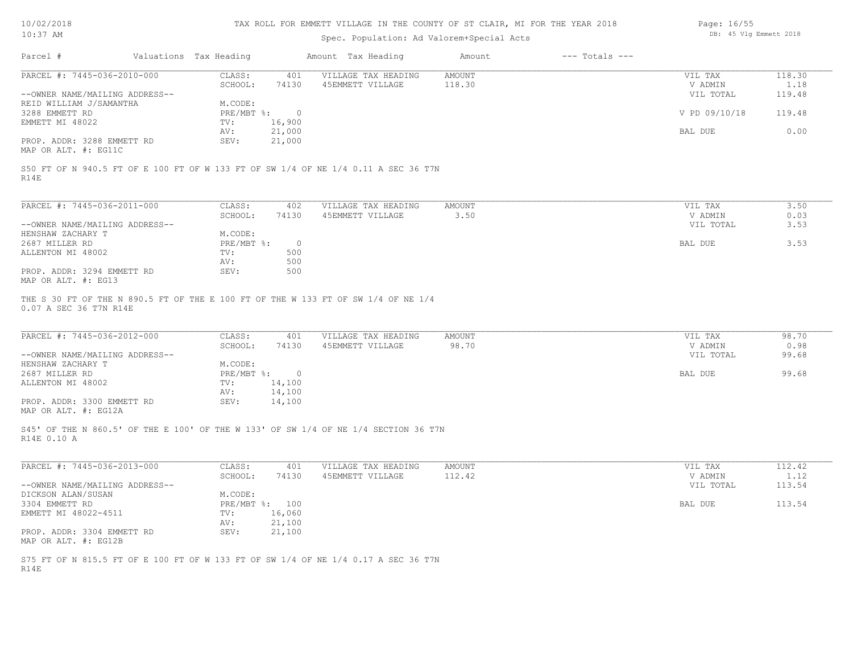| 10/02/2018 |  |
|------------|--|
| $10:37$ AM |  |

# Spec. Population: Ad Valorem+Special Acts

| Page: 16/55 |  |                        |  |
|-------------|--|------------------------|--|
|             |  | DB: 45 Vlg Emmett 2018 |  |

| SCHOOL:<br>74130<br>45EMMETT VILLAGE<br>118.30<br>V ADMIN<br>VIL TOTAL<br>M.CODE:<br>PRE/MBT %:<br>V PD 09/10/18<br>$\overline{0}$<br>EMMETT MI 48022<br>16,900<br>TV:<br>21,000<br>0.00<br>AV:<br>BAL DUE<br>PROP. ADDR: 3288 EMMETT RD<br>SEV:<br>21,000<br>S50 FT OF N 940.5 FT OF E 100 FT OF W 133 FT OF SW 1/4 OF NE 1/4 0.11 A SEC 36 T7N<br>PARCEL #: 7445-036-2011-000<br>CLASS:<br>VILLAGE TAX HEADING<br><b>AMOUNT</b><br>VIL TAX<br>3.50<br>402<br>3.50<br>SCHOOL:<br>74130<br>45EMMETT VILLAGE<br>V ADMIN<br>0.03<br>VIL TOTAL<br>M.CODE:<br>PRE/MBT %:<br>$\circ$<br>BAL DUE<br>TV:<br>500<br>AV:<br>500<br>PROP. ADDR: 3294 EMMETT RD<br>SEV:<br>500<br>MAP OR ALT. #: EG13<br>THE S 30 FT OF THE N 890.5 FT OF THE E 100 FT OF THE W 133 FT OF SW 1/4 OF NE 1/4<br>0.07 A SEC 36 T7N R14E<br>CLASS:<br>401<br>VILLAGE TAX HEADING<br><b>AMOUNT</b><br>VIL TAX<br>45EMMETT VILLAGE<br>98.70<br>V ADMIN<br>SCHOOL:<br>74130<br>VIL TOTAL<br>M.CODE:<br>PRE/MBT %: 0<br>BAL DUE<br>TV:<br>14,100<br>14,100<br>AV:<br>SEV:<br>14,100<br>S45' OF THE N 860.5' OF THE E 100' OF THE W 133' OF SW 1/4 OF NE 1/4 SECTION 36 T7N<br>CLASS:<br>401<br>VILLAGE TAX HEADING<br><b>AMOUNT</b><br>VIL TAX<br>45EMMETT VILLAGE<br>112.42<br>SCHOOL:<br>74130<br>V ADMIN<br>VIL TOTAL<br>M.CODE:<br>PRE/MBT %: 100<br>BAL DUE<br>16,060<br>TV: | PARCEL #: 7445-036-2010-000                                                                                                                                     |               |                     |               |         |                |
|------------------------------------------------------------------------------------------------------------------------------------------------------------------------------------------------------------------------------------------------------------------------------------------------------------------------------------------------------------------------------------------------------------------------------------------------------------------------------------------------------------------------------------------------------------------------------------------------------------------------------------------------------------------------------------------------------------------------------------------------------------------------------------------------------------------------------------------------------------------------------------------------------------------------------------------------------------------------------------------------------------------------------------------------------------------------------------------------------------------------------------------------------------------------------------------------------------------------------------------------------------------------------------------------------------------------------------------------|-----------------------------------------------------------------------------------------------------------------------------------------------------------------|---------------|---------------------|---------------|---------|----------------|
|                                                                                                                                                                                                                                                                                                                                                                                                                                                                                                                                                                                                                                                                                                                                                                                                                                                                                                                                                                                                                                                                                                                                                                                                                                                                                                                                                |                                                                                                                                                                 | CLASS:<br>401 | VILLAGE TAX HEADING | <b>AMOUNT</b> | VIL TAX | 118.30<br>1.18 |
|                                                                                                                                                                                                                                                                                                                                                                                                                                                                                                                                                                                                                                                                                                                                                                                                                                                                                                                                                                                                                                                                                                                                                                                                                                                                                                                                                | --OWNER NAME/MAILING ADDRESS--                                                                                                                                  |               |                     |               |         | 119.48         |
|                                                                                                                                                                                                                                                                                                                                                                                                                                                                                                                                                                                                                                                                                                                                                                                                                                                                                                                                                                                                                                                                                                                                                                                                                                                                                                                                                | REID WILLIAM J/SAMANTHA                                                                                                                                         |               |                     |               |         |                |
|                                                                                                                                                                                                                                                                                                                                                                                                                                                                                                                                                                                                                                                                                                                                                                                                                                                                                                                                                                                                                                                                                                                                                                                                                                                                                                                                                | 3288 EMMETT RD                                                                                                                                                  |               |                     |               |         | 119.48         |
|                                                                                                                                                                                                                                                                                                                                                                                                                                                                                                                                                                                                                                                                                                                                                                                                                                                                                                                                                                                                                                                                                                                                                                                                                                                                                                                                                |                                                                                                                                                                 |               |                     |               |         |                |
|                                                                                                                                                                                                                                                                                                                                                                                                                                                                                                                                                                                                                                                                                                                                                                                                                                                                                                                                                                                                                                                                                                                                                                                                                                                                                                                                                |                                                                                                                                                                 |               |                     |               |         |                |
|                                                                                                                                                                                                                                                                                                                                                                                                                                                                                                                                                                                                                                                                                                                                                                                                                                                                                                                                                                                                                                                                                                                                                                                                                                                                                                                                                | MAP OR ALT. #: EG11C                                                                                                                                            |               |                     |               |         |                |
|                                                                                                                                                                                                                                                                                                                                                                                                                                                                                                                                                                                                                                                                                                                                                                                                                                                                                                                                                                                                                                                                                                                                                                                                                                                                                                                                                | R14E                                                                                                                                                            |               |                     |               |         |                |
|                                                                                                                                                                                                                                                                                                                                                                                                                                                                                                                                                                                                                                                                                                                                                                                                                                                                                                                                                                                                                                                                                                                                                                                                                                                                                                                                                |                                                                                                                                                                 |               |                     |               |         |                |
|                                                                                                                                                                                                                                                                                                                                                                                                                                                                                                                                                                                                                                                                                                                                                                                                                                                                                                                                                                                                                                                                                                                                                                                                                                                                                                                                                |                                                                                                                                                                 |               |                     |               |         |                |
|                                                                                                                                                                                                                                                                                                                                                                                                                                                                                                                                                                                                                                                                                                                                                                                                                                                                                                                                                                                                                                                                                                                                                                                                                                                                                                                                                | --OWNER NAME/MAILING ADDRESS--                                                                                                                                  |               |                     |               |         | 3.53           |
|                                                                                                                                                                                                                                                                                                                                                                                                                                                                                                                                                                                                                                                                                                                                                                                                                                                                                                                                                                                                                                                                                                                                                                                                                                                                                                                                                | HENSHAW ZACHARY T                                                                                                                                               |               |                     |               |         |                |
|                                                                                                                                                                                                                                                                                                                                                                                                                                                                                                                                                                                                                                                                                                                                                                                                                                                                                                                                                                                                                                                                                                                                                                                                                                                                                                                                                | 2687 MILLER RD                                                                                                                                                  |               |                     |               |         | 3.53           |
|                                                                                                                                                                                                                                                                                                                                                                                                                                                                                                                                                                                                                                                                                                                                                                                                                                                                                                                                                                                                                                                                                                                                                                                                                                                                                                                                                | ALLENTON MI 48002                                                                                                                                               |               |                     |               |         |                |
|                                                                                                                                                                                                                                                                                                                                                                                                                                                                                                                                                                                                                                                                                                                                                                                                                                                                                                                                                                                                                                                                                                                                                                                                                                                                                                                                                |                                                                                                                                                                 |               |                     |               |         |                |
|                                                                                                                                                                                                                                                                                                                                                                                                                                                                                                                                                                                                                                                                                                                                                                                                                                                                                                                                                                                                                                                                                                                                                                                                                                                                                                                                                |                                                                                                                                                                 |               |                     |               |         |                |
|                                                                                                                                                                                                                                                                                                                                                                                                                                                                                                                                                                                                                                                                                                                                                                                                                                                                                                                                                                                                                                                                                                                                                                                                                                                                                                                                                | PARCEL #: 7445-036-2012-000                                                                                                                                     |               |                     |               |         | 98.70          |
|                                                                                                                                                                                                                                                                                                                                                                                                                                                                                                                                                                                                                                                                                                                                                                                                                                                                                                                                                                                                                                                                                                                                                                                                                                                                                                                                                |                                                                                                                                                                 |               |                     |               |         | 0.98<br>99.68  |
|                                                                                                                                                                                                                                                                                                                                                                                                                                                                                                                                                                                                                                                                                                                                                                                                                                                                                                                                                                                                                                                                                                                                                                                                                                                                                                                                                |                                                                                                                                                                 |               |                     |               |         | 99.68          |
|                                                                                                                                                                                                                                                                                                                                                                                                                                                                                                                                                                                                                                                                                                                                                                                                                                                                                                                                                                                                                                                                                                                                                                                                                                                                                                                                                |                                                                                                                                                                 |               |                     |               |         |                |
|                                                                                                                                                                                                                                                                                                                                                                                                                                                                                                                                                                                                                                                                                                                                                                                                                                                                                                                                                                                                                                                                                                                                                                                                                                                                                                                                                |                                                                                                                                                                 |               |                     |               |         |                |
|                                                                                                                                                                                                                                                                                                                                                                                                                                                                                                                                                                                                                                                                                                                                                                                                                                                                                                                                                                                                                                                                                                                                                                                                                                                                                                                                                |                                                                                                                                                                 |               |                     |               |         |                |
|                                                                                                                                                                                                                                                                                                                                                                                                                                                                                                                                                                                                                                                                                                                                                                                                                                                                                                                                                                                                                                                                                                                                                                                                                                                                                                                                                | --OWNER NAME/MAILING ADDRESS--<br>HENSHAW ZACHARY T<br>2687 MILLER RD<br>ALLENTON MI 48002<br>PROP. ADDR: 3300 EMMETT RD<br>MAP OR ALT. #: EG12A<br>R14E 0.10 A |               |                     |               |         |                |
|                                                                                                                                                                                                                                                                                                                                                                                                                                                                                                                                                                                                                                                                                                                                                                                                                                                                                                                                                                                                                                                                                                                                                                                                                                                                                                                                                |                                                                                                                                                                 |               |                     |               |         | 112.42<br>1.12 |
|                                                                                                                                                                                                                                                                                                                                                                                                                                                                                                                                                                                                                                                                                                                                                                                                                                                                                                                                                                                                                                                                                                                                                                                                                                                                                                                                                |                                                                                                                                                                 |               |                     |               |         | 113.54         |
|                                                                                                                                                                                                                                                                                                                                                                                                                                                                                                                                                                                                                                                                                                                                                                                                                                                                                                                                                                                                                                                                                                                                                                                                                                                                                                                                                |                                                                                                                                                                 |               |                     |               |         |                |
|                                                                                                                                                                                                                                                                                                                                                                                                                                                                                                                                                                                                                                                                                                                                                                                                                                                                                                                                                                                                                                                                                                                                                                                                                                                                                                                                                |                                                                                                                                                                 |               |                     |               |         | 113.54         |
| SEV:<br>21,100                                                                                                                                                                                                                                                                                                                                                                                                                                                                                                                                                                                                                                                                                                                                                                                                                                                                                                                                                                                                                                                                                                                                                                                                                                                                                                                                 | PARCEL #: 7445-036-2013-000<br>--OWNER NAME/MAILING ADDRESS--<br>DICKSON ALAN/SUSAN<br>3304 EMMETT RD<br>EMMETT MI 48022-4511                                   |               |                     |               |         |                |
| MAP OR ALT. #: EG12B                                                                                                                                                                                                                                                                                                                                                                                                                                                                                                                                                                                                                                                                                                                                                                                                                                                                                                                                                                                                                                                                                                                                                                                                                                                                                                                           | PROP. ADDR: 3304 EMMETT RD                                                                                                                                      | 21,100<br>AV: |                     |               |         |                |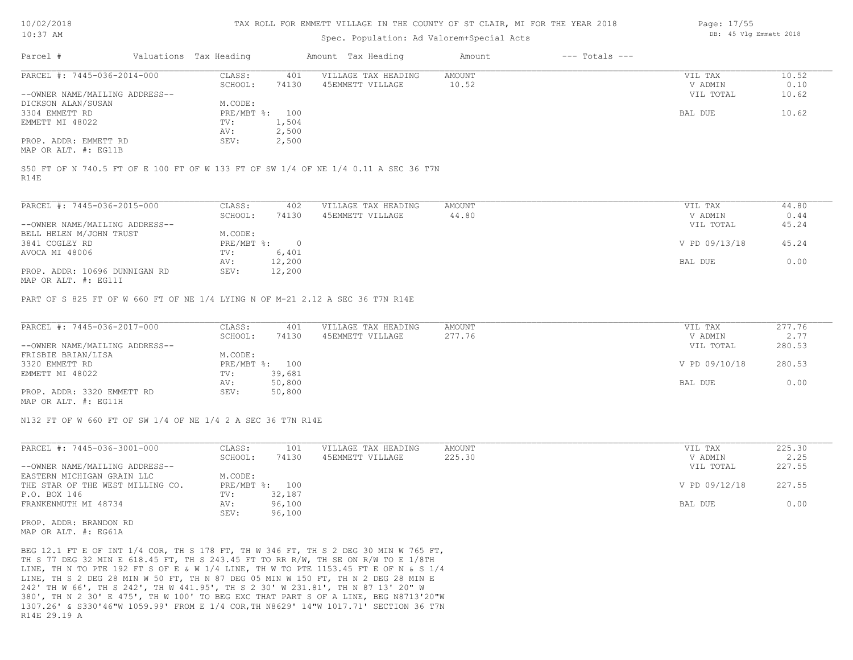#### TAX ROLL FOR EMMETT VILLAGE IN THE COUNTY OF ST CLAIR, MI FOR THE YEAR 2018

# Spec. Population: Ad Valorem+Special Acts

| Parcel #                       | Valuations Tax Heading |       | Amount Tax Heading  | Amount | $---$ Totals $---$ |           |       |
|--------------------------------|------------------------|-------|---------------------|--------|--------------------|-----------|-------|
| PARCEL #: 7445-036-2014-000    | CLASS:                 | 401   | VILLAGE TAX HEADING | AMOUNT |                    | VIL TAX   | 10.52 |
|                                | SCHOOL:                | 74130 | 45EMMETT VILLAGE    | 10.52  |                    | V ADMIN   | 0.10  |
| --OWNER NAME/MAILING ADDRESS-- |                        |       |                     |        |                    | VIL TOTAL | 10.62 |
| DICKSON ALAN/SUSAN             | M.CODE:                |       |                     |        |                    |           |       |
| 3304 EMMETT RD                 | PRE/MBT %: 100         |       |                     |        |                    | BAL DUE   | 10.62 |
| EMMETT MI 48022                | TV:                    | 1,504 |                     |        |                    |           |       |
|                                | AV:                    | 2,500 |                     |        |                    |           |       |
| PROP. ADDR: EMMETT RD          | SEV:                   | 2,500 |                     |        |                    |           |       |
| MAP OR ALT. #: EG11B           |                        |       |                     |        |                    |           |       |

R14E S50 FT OF N 740.5 FT OF E 100 FT OF W 133 FT OF SW 1/4 OF NE 1/4 0.11 A SEC 36 T7N

| PARCEL #: 7445-036-2015-000    | CLASS:     | 402    | VILLAGE TAX HEADING | AMOUNT | VIL TAX       | 44.80 |
|--------------------------------|------------|--------|---------------------|--------|---------------|-------|
|                                | SCHOOL:    | 74130  | 45EMMETT VILLAGE    | 44.80  | V ADMIN       | 0.44  |
| --OWNER NAME/MAILING ADDRESS-- |            |        |                     |        | VIL TOTAL     | 45.24 |
| BELL HELEN M/JOHN TRUST        | M.CODE:    |        |                     |        |               |       |
| 3841 COGLEY RD                 | PRE/MBT %: |        |                     |        | V PD 09/13/18 | 45.24 |
| AVOCA MI 48006                 | TV:        | 6,401  |                     |        |               |       |
|                                | AV:        | 12,200 |                     |        | BAL DUE       | 0.00  |
| PROP. ADDR: 10696 DUNNIGAN RD  | SEV:       | 12,200 |                     |        |               |       |
| $\frac{1}{2}$                  |            |        |                     |        |               |       |

MAP OR ALT. #: EG11I

PART OF S 825 FT OF W 660 FT OF NE 1/4 LYING N OF M-21 2.12 A SEC 36 T7N R14E

| PARCEL #: 7445-036-2017-000    | CLASS:  | 401            | VILLAGE TAX HEADING | AMOUNT | VIL TAX       | 277.76 |
|--------------------------------|---------|----------------|---------------------|--------|---------------|--------|
|                                | SCHOOL: | 74130          | 45EMMETT VILLAGE    | 277.76 | V ADMIN       | 2.77   |
| --OWNER NAME/MAILING ADDRESS-- |         |                |                     |        | VIL TOTAL     | 280.53 |
| FRISBIE BRIAN/LISA             | M.CODE: |                |                     |        |               |        |
| 3320 EMMETT RD                 |         | PRE/MBT %: 100 |                     |        | V PD 09/10/18 | 280.53 |
| EMMETT MI 48022                | TV:     | 39,681         |                     |        |               |        |
|                                | AV:     | 50,800         |                     |        | BAL DUE       | 0.00   |
| PROP. ADDR: 3320 EMMETT RD     | SEV:    | 50,800         |                     |        |               |        |
| MAP OR ALT. #: EG11H           |         |                |                     |        |               |        |

N132 FT OF W 660 FT OF SW 1/4 OF NE 1/4 2 A SEC 36 T7N R14E

| PARCEL #: 7445-036-3001-000      | CLASS:         | 101    | VILLAGE TAX HEADING | AMOUNT | VIL TAX       | 225.30 |
|----------------------------------|----------------|--------|---------------------|--------|---------------|--------|
|                                  | SCHOOL:        | 74130  | 45EMMETT VILLAGE    | 225.30 | V ADMIN       | 2.25   |
| --OWNER NAME/MAILING ADDRESS--   |                |        |                     |        | VIL TOTAL     | 227.55 |
| EASTERN MICHIGAN GRAIN LLC       | M.CODE:        |        |                     |        |               |        |
| THE STAR OF THE WEST MILLING CO. | PRE/MBT %: 100 |        |                     |        | V PD 09/12/18 | 227.55 |
| P.O. BOX 146                     | TV:            | 32,187 |                     |        |               |        |
| FRANKENMUTH MI 48734             | AV:            | 96,100 |                     |        | BAL DUE       | 0.00   |
|                                  | SEV:           | 96,100 |                     |        |               |        |

MAP OR ALT. #: EG61A PROP. ADDR: BRANDON RD

R14E 29.19 A 1307.26' & S330'46"W 1059.99' FROM E 1/4 COR,TH N8629' 14"W 1017.71' SECTION 36 T7N 380', TH N 2 30' E 475', TH W 100' TO BEG EXC THAT PART S OF A LINE, BEG N8713'20"W 242' TH W 66', TH S 242', TH W 441.95', TH S 2 30' W 231.81', TH N 87 13' 20" W LINE, TH S 2 DEG 28 MIN W 50 FT, TH N 87 DEG 05 MIN W 150 FT, TH N 2 DEG 28 MIN E LINE, TH N TO PTE 192 FT S OF E & W 1/4 LINE, TH W TO PTE 1153.45 FT E OF N & S 1/4 TH S 77 DEG 32 MIN E 618.45 FT, TH S 243.45 FT TO RR R/W, TH SE ON R/W TO E 1/8TH BEG 12.1 FT E OF INT 1/4 COR, TH S 178 FT, TH W 346 FT, TH S 2 DEG 30 MIN W 765 FT, Page: 17/55 DB: 45 Vlg Emmett 2018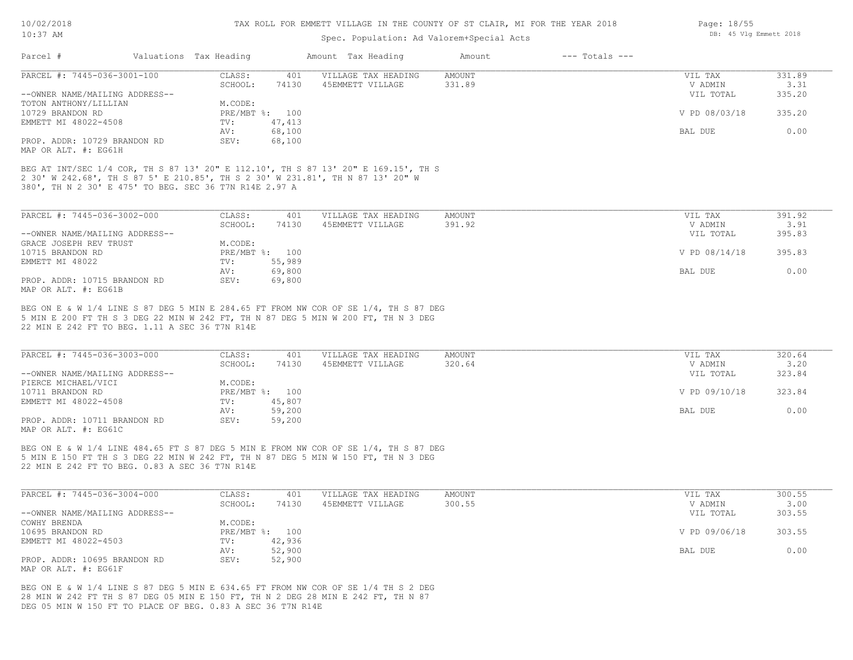| Parcel #<br>Valuations Tax Heading                                                                                                                                                                                                                                                                                                                                                                                                                                                                                                                                                                                                                                           |                                   |                                         |                  |                    |                                 |                          |
|------------------------------------------------------------------------------------------------------------------------------------------------------------------------------------------------------------------------------------------------------------------------------------------------------------------------------------------------------------------------------------------------------------------------------------------------------------------------------------------------------------------------------------------------------------------------------------------------------------------------------------------------------------------------------|-----------------------------------|-----------------------------------------|------------------|--------------------|---------------------------------|--------------------------|
|                                                                                                                                                                                                                                                                                                                                                                                                                                                                                                                                                                                                                                                                              |                                   | Amount Tax Heading                      | Amount           | $---$ Totals $---$ |                                 |                          |
| PARCEL #: 7445-036-3001-100                                                                                                                                                                                                                                                                                                                                                                                                                                                                                                                                                                                                                                                  | CLASS:<br>401                     | VILLAGE TAX HEADING                     | AMOUNT           |                    | VIL TAX                         | 331.89                   |
|                                                                                                                                                                                                                                                                                                                                                                                                                                                                                                                                                                                                                                                                              | SCHOOL:<br>74130                  | 45EMMETT VILLAGE                        | 331.89           |                    | V ADMIN                         | 3.31                     |
| --OWNER NAME/MAILING ADDRESS--                                                                                                                                                                                                                                                                                                                                                                                                                                                                                                                                                                                                                                               |                                   |                                         |                  |                    | VIL TOTAL                       | 335.20                   |
| TOTON ANTHONY/LILLIAN                                                                                                                                                                                                                                                                                                                                                                                                                                                                                                                                                                                                                                                        | M.CODE:                           |                                         |                  |                    |                                 |                          |
| 10729 BRANDON RD                                                                                                                                                                                                                                                                                                                                                                                                                                                                                                                                                                                                                                                             | PRE/MBT %: 100                    |                                         |                  |                    | V PD 08/03/18                   | 335.20                   |
| EMMETT MI 48022-4508                                                                                                                                                                                                                                                                                                                                                                                                                                                                                                                                                                                                                                                         | 47,413<br>TV:                     |                                         |                  |                    |                                 |                          |
|                                                                                                                                                                                                                                                                                                                                                                                                                                                                                                                                                                                                                                                                              | 68,100<br>AV:                     |                                         |                  |                    | BAL DUE                         | 0.00                     |
| PROP. ADDR: 10729 BRANDON RD<br>MAP OR ALT. #: EG61H                                                                                                                                                                                                                                                                                                                                                                                                                                                                                                                                                                                                                         | SEV:<br>68,100                    |                                         |                  |                    |                                 |                          |
| BEG AT INT/SEC 1/4 COR, TH S 87 13' 20" E 112.10', TH S 87 13' 20" E 169.15', TH S<br>2 30' W 242.68', TH S 87 5' E 210.85', TH S 2 30' W 231.81', TH N 87 13' 20" W<br>380', TH N 2 30' E 475' TO BEG. SEC 36 T7N R14E 2.97 A                                                                                                                                                                                                                                                                                                                                                                                                                                               |                                   |                                         |                  |                    |                                 |                          |
| PARCEL #: 7445-036-3002-000                                                                                                                                                                                                                                                                                                                                                                                                                                                                                                                                                                                                                                                  | CLASS:<br>401                     | VILLAGE TAX HEADING                     | AMOUNT           |                    | VIL TAX                         | 391.92                   |
|                                                                                                                                                                                                                                                                                                                                                                                                                                                                                                                                                                                                                                                                              | 74130<br>SCHOOL:                  | 45EMMETT VILLAGE                        | 391.92           |                    | V ADMIN                         | 3.91                     |
| --OWNER NAME/MAILING ADDRESS--                                                                                                                                                                                                                                                                                                                                                                                                                                                                                                                                                                                                                                               |                                   |                                         |                  |                    | VIL TOTAL                       | 395.83                   |
| GRACE JOSEPH REV TRUST                                                                                                                                                                                                                                                                                                                                                                                                                                                                                                                                                                                                                                                       | M.CODE:                           |                                         |                  |                    |                                 |                          |
| 10715 BRANDON RD                                                                                                                                                                                                                                                                                                                                                                                                                                                                                                                                                                                                                                                             | PRE/MBT %: 100                    |                                         |                  |                    | V PD 08/14/18                   | 395.83                   |
| EMMETT MI 48022                                                                                                                                                                                                                                                                                                                                                                                                                                                                                                                                                                                                                                                              | 55,989<br>TV:                     |                                         |                  |                    |                                 |                          |
|                                                                                                                                                                                                                                                                                                                                                                                                                                                                                                                                                                                                                                                                              | 69,800<br>AV:                     |                                         |                  |                    | BAL DUE                         | 0.00                     |
| PROP. ADDR: 10715 BRANDON RD                                                                                                                                                                                                                                                                                                                                                                                                                                                                                                                                                                                                                                                 | SEV:<br>69,800                    |                                         |                  |                    |                                 |                          |
|                                                                                                                                                                                                                                                                                                                                                                                                                                                                                                                                                                                                                                                                              |                                   |                                         |                  |                    |                                 |                          |
|                                                                                                                                                                                                                                                                                                                                                                                                                                                                                                                                                                                                                                                                              |                                   |                                         |                  |                    |                                 |                          |
|                                                                                                                                                                                                                                                                                                                                                                                                                                                                                                                                                                                                                                                                              | CLASS:<br>401<br>SCHOOL:<br>74130 | VILLAGE TAX HEADING<br>45EMMETT VILLAGE | AMOUNT<br>320.64 |                    | VIL TAX<br>V ADMIN<br>VIL TOTAL | 320.64<br>3.20<br>323.84 |
|                                                                                                                                                                                                                                                                                                                                                                                                                                                                                                                                                                                                                                                                              | M.CODE:                           |                                         |                  |                    |                                 |                          |
|                                                                                                                                                                                                                                                                                                                                                                                                                                                                                                                                                                                                                                                                              | PRE/MBT %: 100                    |                                         |                  |                    | V PD 09/10/18                   | 323.84                   |
|                                                                                                                                                                                                                                                                                                                                                                                                                                                                                                                                                                                                                                                                              | 45,807<br>$\texttt{TV}$ :         |                                         |                  |                    |                                 |                          |
|                                                                                                                                                                                                                                                                                                                                                                                                                                                                                                                                                                                                                                                                              | 59,200<br>AV:                     |                                         |                  |                    | BAL DUE                         | 0.00                     |
|                                                                                                                                                                                                                                                                                                                                                                                                                                                                                                                                                                                                                                                                              | 59,200<br>SEV:                    |                                         |                  |                    |                                 |                          |
| MAP OR ALT. #: EG61B<br>BEG ON E & W 1/4 LINE S 87 DEG 5 MIN E 284.65 FT FROM NW COR OF SE 1/4, TH S 87 DEG<br>5 MIN E 200 FT TH S 3 DEG 22 MIN W 242 FT, TH N 87 DEG 5 MIN W 200 FT, TH N 3 DEG<br>22 MIN E 242 FT TO BEG. 1.11 A SEC 36 T7N R14E<br>PARCEL #: 7445-036-3003-000<br>--OWNER NAME/MAILING ADDRESS--<br>PIERCE MICHAEL/VICI<br>10711 BRANDON RD<br>EMMETT MI 48022-4508<br>PROP. ADDR: 10711 BRANDON RD<br>MAP OR ALT. #: EG61C<br>BEG ON E & W 1/4 LINE 484.65 FT S 87 DEG 5 MIN E FROM NW COR OF SE 1/4, TH S 87 DEG<br>5 MIN E 150 FT TH S 3 DEG 22 MIN W 242 FT, TH N 87 DEG 5 MIN W 150 FT, TH N 3 DEG<br>22 MIN E 242 FT TO BEG. 0.83 A SEC 36 T7N R14E |                                   |                                         |                  |                    |                                 |                          |
|                                                                                                                                                                                                                                                                                                                                                                                                                                                                                                                                                                                                                                                                              | CLASS:<br>401<br>SCHOOL:<br>74130 | VILLAGE TAX HEADING<br>45EMMETT VILLAGE | AMOUNT<br>300.55 |                    | VIL TAX<br>V ADMIN              | 300.55<br>3.00           |
|                                                                                                                                                                                                                                                                                                                                                                                                                                                                                                                                                                                                                                                                              |                                   |                                         |                  |                    | VIL TOTAL                       | 303.55                   |
|                                                                                                                                                                                                                                                                                                                                                                                                                                                                                                                                                                                                                                                                              | M.CODE:                           |                                         |                  |                    |                                 |                          |
|                                                                                                                                                                                                                                                                                                                                                                                                                                                                                                                                                                                                                                                                              | PRE/MBT %: 100                    |                                         |                  |                    | V PD 09/06/18                   | 303.55                   |
|                                                                                                                                                                                                                                                                                                                                                                                                                                                                                                                                                                                                                                                                              | 42,936<br>$\texttt{TV}$ :         |                                         |                  |                    |                                 |                          |
| PARCEL #: 7445-036-3004-000<br>--OWNER NAME/MAILING ADDRESS--<br>COWHY BRENDA<br>10695 BRANDON RD<br>EMMETT MI 48022-4503                                                                                                                                                                                                                                                                                                                                                                                                                                                                                                                                                    | 52,900<br>AV:                     |                                         |                  |                    | BAL DUE                         | 0.00                     |
| PROP. ADDR: 10695 BRANDON RD<br>MAP OR ALT. #: EG61F                                                                                                                                                                                                                                                                                                                                                                                                                                                                                                                                                                                                                         | SEV:<br>52,900                    |                                         |                  |                    |                                 |                          |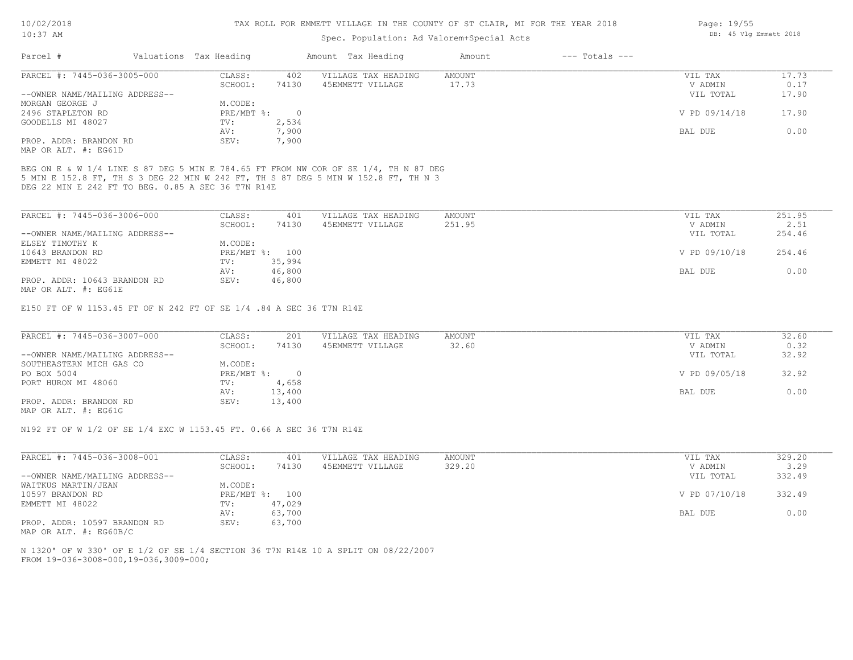#### Spec. Population: Ad Valorem+Special Acts

| Parcel #                       | Valuations Tax Heading |       | Amount Tax Heading  | Amount | $---$ Totals $---$ |               |       |
|--------------------------------|------------------------|-------|---------------------|--------|--------------------|---------------|-------|
| PARCEL #: 7445-036-3005-000    | CLASS:                 | 402   | VILLAGE TAX HEADING | AMOUNT |                    | VIL TAX       | 17.73 |
|                                | SCHOOL:                | 74130 | 45EMMETT VILLAGE    | 17.73  |                    | V ADMIN       | 0.17  |
| --OWNER NAME/MAILING ADDRESS-- |                        |       |                     |        |                    | VIL TOTAL     | 17.90 |
| MORGAN GEORGE J                | M.CODE:                |       |                     |        |                    |               |       |
| 2496 STAPLETON RD              | $PRE/MBT$ %:           |       |                     |        |                    | V PD 09/14/18 | 17.90 |
| GOODELLS MI 48027              | TV:                    | 2,534 |                     |        |                    |               |       |
|                                | AV:                    | 7,900 |                     |        |                    | BAL DUE       | 0.00  |
| PROP. ADDR: BRANDON RD         | SEV:                   | 7,900 |                     |        |                    |               |       |
| MAP OR ALT. #: EG61D           |                        |       |                     |        |                    |               |       |

DEG 22 MIN E 242 FT TO BEG. 0.85 A SEC 36 T7N R14E 5 MIN E 152.8 FT, TH S 3 DEG 22 MIN W 242 FT, TH S 87 DEG 5 MIN W 152.8 FT, TH N 3 BEG ON E & W 1/4 LINE S 87 DEG 5 MIN E 784.65 FT FROM NW COR OF SE 1/4, TH N 87 DEG

| PARCEL #: 7445-036-3006-000    | CLASS:  | 401            | VILLAGE TAX HEADING | AMOUNT | VIL TAX       | 251.95 |
|--------------------------------|---------|----------------|---------------------|--------|---------------|--------|
|                                | SCHOOL: | 74130          | 45EMMETT VILLAGE    | 251.95 | V ADMIN       | 2.51   |
| --OWNER NAME/MAILING ADDRESS-- |         |                |                     |        | VIL TOTAL     | 254.46 |
| ELSEY TIMOTHY K                | M.CODE: |                |                     |        |               |        |
| 10643 BRANDON RD               |         | PRE/MBT %: 100 |                     |        | V PD 09/10/18 | 254.46 |
| EMMETT MI 48022                | TV:     | 35,994         |                     |        |               |        |
|                                | AV:     | 46,800         |                     |        | BAL DUE       | 0.00   |
| PROP. ADDR: 10643 BRANDON RD   | SEV:    | 46,800         |                     |        |               |        |
| MAP OR ALT. #: EG61E           |         |                |                     |        |               |        |

E150 FT OF W 1153.45 FT OF N 242 FT OF SE 1/4 .84 A SEC 36 T7N R14E

| PARCEL #: 7445-036-3007-000    | CLASS:     | 201    | VILLAGE TAX HEADING | AMOUNT | VIL TAX       | 32.60 |
|--------------------------------|------------|--------|---------------------|--------|---------------|-------|
|                                | SCHOOL:    | 74130  | 45EMMETT VILLAGE    | 32.60  | V ADMIN       | 0.32  |
| --OWNER NAME/MAILING ADDRESS-- |            |        |                     |        | VIL TOTAL     | 32.92 |
| SOUTHEASTERN MICH GAS CO       | M.CODE:    |        |                     |        |               |       |
| PO BOX 5004                    | PRE/MBT %: |        |                     |        | V PD 09/05/18 | 32.92 |
| PORT HURON MI 48060            | TV:        | 4,658  |                     |        |               |       |
|                                | AV:        | 13,400 |                     |        | BAL DUE       | 0.00  |
| PROP. ADDR: BRANDON RD         | SEV:       | 13,400 |                     |        |               |       |
| MAP OR ALT. #: EG61G           |            |        |                     |        |               |       |

N192 FT OF W 1/2 OF SE 1/4 EXC W 1153.45 FT. 0.66 A SEC 36 T7N R14E

| PARCEL #: 7445-036-3008-001    | CLASS:       | 401    | VILLAGE TAX HEADING | AMOUNT | VIL TAX       | 329.20 |
|--------------------------------|--------------|--------|---------------------|--------|---------------|--------|
|                                | SCHOOL:      | 74130  | 45EMMETT VILLAGE    | 329.20 | V ADMIN       | 3.29   |
| --OWNER NAME/MAILING ADDRESS-- |              |        |                     |        | VIL TOTAL     | 332.49 |
| WAITKUS MARTIN/JEAN            | M.CODE:      |        |                     |        |               |        |
| 10597 BRANDON RD               | $PRE/MBT$ %: | 100    |                     |        | V PD 07/10/18 | 332.49 |
| EMMETT MI 48022                | TV:          | 47,029 |                     |        |               |        |
|                                | AV:          | 63,700 |                     |        | BAL DUE       | 0.00   |
| PROP. ADDR: 10597 BRANDON RD   | SEV:         | 63,700 |                     |        |               |        |

MAP OR ALT. #: EG60B/C

FROM 19-036-3008-000,19-036,3009-000; N 1320' OF W 330' OF E 1/2 OF SE 1/4 SECTION 36 T7N R14E 10 A SPLIT ON 08/22/2007 Page: 19/55 DB: 45 Vlg Emmett 2018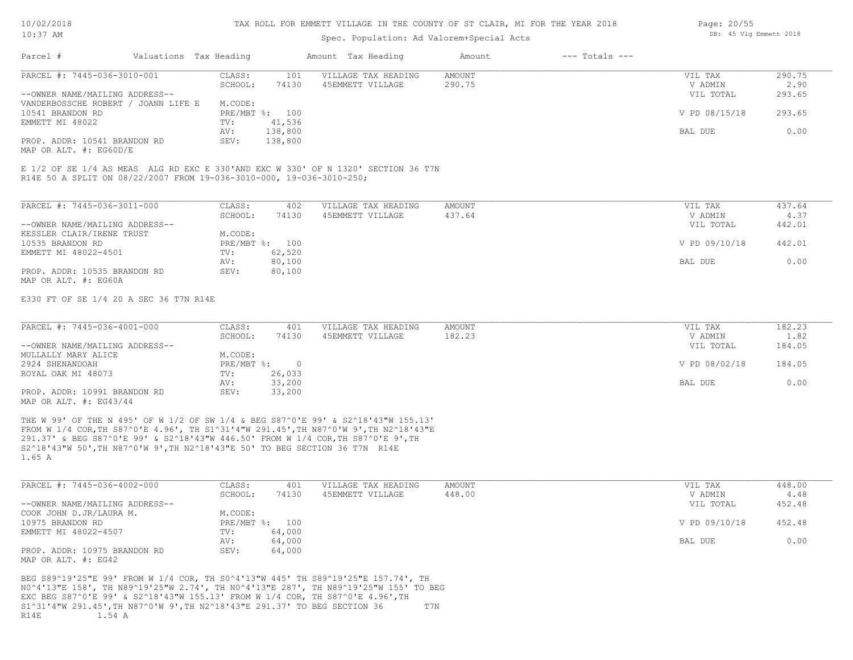## Spec. Population: Ad Valorem+Special Acts

| Page: 20/55 |  |                        |  |
|-------------|--|------------------------|--|
|             |  | DB: 45 Vlg Emmett 2018 |  |

| Parcel #                            | Valuations Tax Heading |                | Amount Tax Heading  | Amount | $---$ Totals $---$ |               |        |
|-------------------------------------|------------------------|----------------|---------------------|--------|--------------------|---------------|--------|
| PARCEL #: 7445-036-3010-001         | CLASS:                 | 101            | VILLAGE TAX HEADING | AMOUNT |                    | VIL TAX       | 290.75 |
|                                     | SCHOOL:                | 74130          | 45EMMETT VILLAGE    | 290.75 |                    | V ADMIN       | 2.90   |
| --OWNER NAME/MAILING ADDRESS--      |                        |                |                     |        |                    | VIL TOTAL     | 293.65 |
| VANDERBOSSCHE ROBERT / JOANN LIFE E | M.CODE:                |                |                     |        |                    |               |        |
| 10541 BRANDON RD                    |                        | PRE/MBT %: 100 |                     |        |                    | V PD 08/15/18 | 293.65 |
| EMMETT MI 48022                     | TV:                    | 41,536         |                     |        |                    |               |        |
|                                     | AV:                    | 138,800        |                     |        |                    | BAL DUE       | 0.00   |
| PROP. ADDR: 10541 BRANDON RD        | SEV:                   | 138,800        |                     |        |                    |               |        |
| MAP OR ALT. #: EG60D/E              |                        |                |                     |        |                    |               |        |
|                                     |                        |                |                     |        |                    |               |        |

R14E 50 A SPLIT ON 08/22/2007 FROM 19-036-3010-000, 19-036-3010-250; E 1/2 OF SE 1/4 AS MEAS ALG RD EXC E 330'AND EXC W 330' OF N 1320' SECTION 36 T7N

| PARCEL #: 7445-036-3011-000    | CLASS:       | 402    | VILLAGE TAX HEADING | AMOUNT | VIL TAX       | 437.64 |
|--------------------------------|--------------|--------|---------------------|--------|---------------|--------|
|                                | SCHOOL:      | 74130  | 45EMMETT VILLAGE    | 437.64 | V ADMIN       | 4.37   |
| --OWNER NAME/MAILING ADDRESS-- |              |        |                     |        | VIL TOTAL     | 442.01 |
| KESSLER CLAIR/IRENE TRUST      | M.CODE:      |        |                     |        |               |        |
| 10535 BRANDON RD               | $PRE/MBT$ %: | 100    |                     |        | V PD 09/10/18 | 442.01 |
| EMMETT MI 48022-4501           | TV:          | 62,520 |                     |        |               |        |
|                                | AV:          | 80,100 |                     |        | BAL DUE       | 0.00   |
| PROP. ADDR: 10535 BRANDON RD   | SEV:         | 80,100 |                     |        |               |        |
| MAP OR ALT. #: EG60A           |              |        |                     |        |               |        |

E330 FT OF SE 1/4 20 A SEC 36 T7N R14E

| PARCEL #: 7445-036-4001-000    | CLASS:     | 401    | VILLAGE TAX HEADING | AMOUNT | VIL TAX       | 182.23 |
|--------------------------------|------------|--------|---------------------|--------|---------------|--------|
|                                | SCHOOL:    | 74130  | 45EMMETT VILLAGE    | 182.23 | V ADMIN       | 1.82   |
| --OWNER NAME/MAILING ADDRESS-- |            |        |                     |        | VIL TOTAL     | 184.05 |
| MULLALLY MARY ALICE            | M.CODE:    |        |                     |        |               |        |
| 2924 SHENANDOAH                | PRE/MBT %: |        |                     |        | V PD 08/02/18 | 184.05 |
| ROYAL OAK MI 48073             | TV:        | 26,033 |                     |        |               |        |
|                                | AV:        | 33,200 |                     |        | BAL DUE       | 0.00   |
| PROP. ADDR: 10991 BRANDON RD   | SEV:       | 33,200 |                     |        |               |        |
| MAP OR ALT. $\#$ : EG43/44     |            |        |                     |        |               |        |

1.65 A S2^18'43"W 50',TH N87^0'W 9',TH N2^18'43"E 50' TO BEG SECTION 36 T7N R14E 291.37' & BEG S87^0'E 99' & S2^18'43"W 446.50' FROM W 1/4 COR,TH S87^0'E 9',TH FROM W 1/4 COR,TH S87^0'E 4.96', TH S1^31'4"W 291.45',TH N87^0'W 9',TH N2^18'43"E THE W 99' OF THE N 495' OF W 1/2 OF SW 1/4 & BEG S87^0'E 99' & S2^18'43"W 155.13'

| PARCEL #: 7445-036-4002-000    | CLASS:  | 401            | VILLAGE TAX HEADING | AMOUNT | VIL TAX       | 448.00 |
|--------------------------------|---------|----------------|---------------------|--------|---------------|--------|
|                                | SCHOOL: | 74130          | 45EMMETT VILLAGE    | 448.00 | V ADMIN       | 4.48   |
| --OWNER NAME/MAILING ADDRESS-- |         |                |                     |        | VIL TOTAL     | 452.48 |
| COOK JOHN D.JR/LAURA M.        | M.CODE: |                |                     |        |               |        |
| 10975 BRANDON RD               |         | PRE/MBT %: 100 |                     |        | V PD 09/10/18 | 452.48 |
| EMMETT MI 48022-4507           | TV:     | 64,000         |                     |        |               |        |
|                                | AV:     | 64,000         |                     |        | BAL DUE       | 0.00   |
| PROP. ADDR: 10975 BRANDON RD   | SEV:    | 64,000         |                     |        |               |        |
| MAP OR ALT. #: EG42            |         |                |                     |        |               |        |

R14E 1.54 A S1^31'4"W 291.45',TH N87^0'W 9',TH N2^18'43"E 291.37' TO BEG SECTION 36 T7N EXC BEG S87^0'E 99' & S2^18'43"W 155.13' FROM W 1/4 COR, TH S87^0'E 4.96',TH N0^4'13"E 158', TH N89^19'25"W 2.74', TH N0^4'13"E 287', TH N89^19'25"W 155' TO BEG BEG S89^19'25"E 99' FROM W 1/4 COR, TH S0^4'13"W 445' TH S89^19'25"E 157.74', TH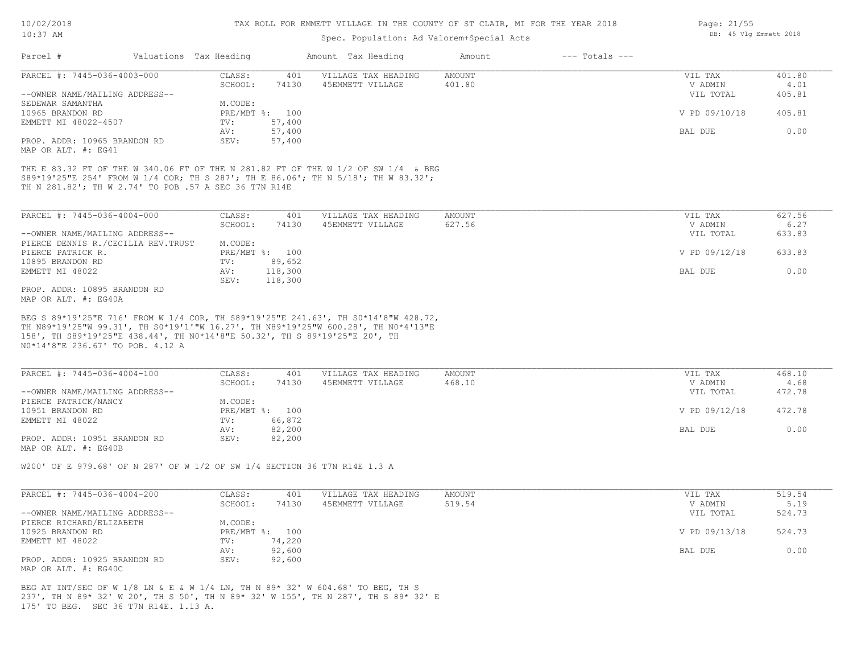| 10/02/2018 |      |
|------------|------|
| 1 ∩ • २ 7  | 71 M |

| TO: 37 HM                                                                                                                                                                                                                                                                                 |                           | Spec. Population: Ad Valorem+Special Acts |                              | DD. IN ATH DIMMELL CATO |        |
|-------------------------------------------------------------------------------------------------------------------------------------------------------------------------------------------------------------------------------------------------------------------------------------------|---------------------------|-------------------------------------------|------------------------------|-------------------------|--------|
| Parcel #                                                                                                                                                                                                                                                                                  | Valuations Tax Heading    | Amount Tax Heading                        | $---$ Totals $---$<br>Amount |                         |        |
| PARCEL #: 7445-036-4003-000                                                                                                                                                                                                                                                               | CLASS:<br>401             | VILLAGE TAX HEADING                       | AMOUNT                       | VIL TAX                 | 401.80 |
|                                                                                                                                                                                                                                                                                           | 74130<br>SCHOOL:          | 45EMMETT VILLAGE                          | 401.80                       | V ADMIN                 | 4.01   |
| --OWNER NAME/MAILING ADDRESS--                                                                                                                                                                                                                                                            |                           |                                           |                              | VIL TOTAL               | 405.81 |
| SEDEWAR SAMANTHA                                                                                                                                                                                                                                                                          | M.CODE:                   |                                           |                              |                         |        |
| 10965 BRANDON RD                                                                                                                                                                                                                                                                          | PRE/MBT %: 100            |                                           |                              | V PD 09/10/18           | 405.81 |
| EMMETT MI 48022-4507                                                                                                                                                                                                                                                                      | TV:<br>57,400             |                                           |                              |                         |        |
|                                                                                                                                                                                                                                                                                           | 57,400<br>AV:             |                                           |                              | BAL DUE                 | 0.00   |
| PROP. ADDR: 10965 BRANDON RD                                                                                                                                                                                                                                                              | 57,400<br>SEV:            |                                           |                              |                         |        |
| MAP OR ALT. #: EG41                                                                                                                                                                                                                                                                       |                           |                                           |                              |                         |        |
| THE E 83.32 FT OF THE W 340.06 FT OF THE N 281.82 FT OF THE W 1/2 OF SW 1/4 & BEG<br>S89*19'25"E 254' FROM W 1/4 COR; TH S 287'; TH E 86.06'; TH N 5/18'; TH W 83.32';<br>TH N 281.82'; TH W 2.74' TO POB .57 A SEC 36 T7N R14E                                                           |                           |                                           |                              |                         |        |
| PARCEL #: 7445-036-4004-000                                                                                                                                                                                                                                                               | CLASS:<br>401             | VILLAGE TAX HEADING                       | AMOUNT                       | VIL TAX                 | 627.56 |
|                                                                                                                                                                                                                                                                                           | SCHOOL:<br>74130          | 45EMMETT VILLAGE                          | 627.56                       | V ADMIN                 | 6.27   |
| --OWNER NAME/MAILING ADDRESS--                                                                                                                                                                                                                                                            |                           |                                           |                              | VIL TOTAL               | 633.83 |
|                                                                                                                                                                                                                                                                                           | M.CODE:                   |                                           |                              |                         |        |
| PIERCE DENNIS R./CECILIA REV.TRUST                                                                                                                                                                                                                                                        |                           |                                           |                              |                         |        |
| PIERCE PATRICK R.                                                                                                                                                                                                                                                                         | PRE/MBT %: 100            |                                           |                              | V PD 09/12/18           | 633.83 |
| 10895 BRANDON RD                                                                                                                                                                                                                                                                          | 89,652<br>TV:             |                                           |                              |                         |        |
| EMMETT MI 48022                                                                                                                                                                                                                                                                           | 118,300<br>AV:            |                                           |                              | BAL DUE                 | 0.00   |
| PROP. ADDR: 10895 BRANDON RD<br>MAP OR ALT. #: EG40A                                                                                                                                                                                                                                      | 118,300<br>SEV:           |                                           |                              |                         |        |
| BEG S 89*19'25"E 716' FROM W 1/4 COR, TH S89*19'25"E 241.63', TH S0*14'8"W 428.72,<br>TH N89*19'25"W 99.31', TH SO*19'1'"W 16.27', TH N89*19'25"W 600.28', TH NO*4'13"E<br>158', TH S89*19'25"E 438.44', TH NO*14'8"E 50.32', TH S 89*19'25"E 20', TH<br>N0*14'8"E 236.67' TO POB. 4.12 A |                           |                                           |                              |                         |        |
| PARCEL #: 7445-036-4004-100                                                                                                                                                                                                                                                               | CLASS:<br>401             | VILLAGE TAX HEADING                       | <b>AMOUNT</b>                | VIL TAX                 | 468.10 |
|                                                                                                                                                                                                                                                                                           | SCHOOL:<br>74130          | 45EMMETT VILLAGE                          | 468.10                       | V ADMIN                 | 4.68   |
| --OWNER NAME/MAILING ADDRESS--                                                                                                                                                                                                                                                            |                           |                                           |                              | VIL TOTAL               | 472.78 |
| PIERCE PATRICK/NANCY                                                                                                                                                                                                                                                                      | M.CODE:                   |                                           |                              |                         |        |
| 10951 BRANDON RD                                                                                                                                                                                                                                                                          | PRE/MBT %: 100            |                                           |                              | V PD 09/12/18           | 472.78 |
| EMMETT MI 48022                                                                                                                                                                                                                                                                           | 66,872<br>TV:             |                                           |                              |                         |        |
|                                                                                                                                                                                                                                                                                           | 82,200<br>AV:             |                                           |                              | BAL DUE                 | 0.00   |
| PROP. ADDR: 10951 BRANDON RD<br>MAP OR ALT. #: EG40B                                                                                                                                                                                                                                      | SEV:<br>82,200            |                                           |                              |                         |        |
| W200' OF E 979.68' OF N 287' OF W 1/2 OF SW 1/4 SECTION 36 T7N R14E 1.3 A                                                                                                                                                                                                                 |                           |                                           |                              |                         |        |
|                                                                                                                                                                                                                                                                                           |                           |                                           |                              |                         |        |
| PARCEL #: 7445-036-4004-200                                                                                                                                                                                                                                                               | CLASS:<br>401             | VILLAGE TAX HEADING                       | <b>AMOUNT</b>                | VIL TAX                 | 519.54 |
|                                                                                                                                                                                                                                                                                           | 74130<br>SCHOOL:          | 45EMMETT VILLAGE                          | 519.54                       | V ADMIN                 | 5.19   |
| --OWNER NAME/MAILING ADDRESS--                                                                                                                                                                                                                                                            |                           |                                           |                              | VIL TOTAL               | 524.73 |
| PIERCE RICHARD/ELIZABETH                                                                                                                                                                                                                                                                  | M.CODE:                   |                                           |                              |                         |        |
| 10925 BRANDON RD                                                                                                                                                                                                                                                                          | PRE/MBT %: 100            |                                           |                              | V PD 09/13/18           | 524.73 |
| EMMETT MI 48022                                                                                                                                                                                                                                                                           | 74,220<br>$\texttt{TV}$ : |                                           |                              |                         |        |
|                                                                                                                                                                                                                                                                                           | 92,600<br>AV:             |                                           |                              | BAL DUE                 | 0.00   |
|                                                                                                                                                                                                                                                                                           |                           |                                           |                              |                         |        |
| PROP. ADDR: 10925 BRANDON RD                                                                                                                                                                                                                                                              | SEV:<br>92,600            |                                           |                              |                         |        |
| MAP OR ALT. #: EG40C                                                                                                                                                                                                                                                                      |                           |                                           |                              |                         |        |

175' TO BEG. SEC 36 T7N R14E. 1.13 A. 237', TH N 89\* 32' W 20', TH S 50', TH N 89\* 32' W 155', TH N 287', TH S 89\* 32' E BEG AT INT/SEC OF W 1/8 LN & E & W 1/4 LN, TH N 89\* 32' W 604.68' TO BEG, TH S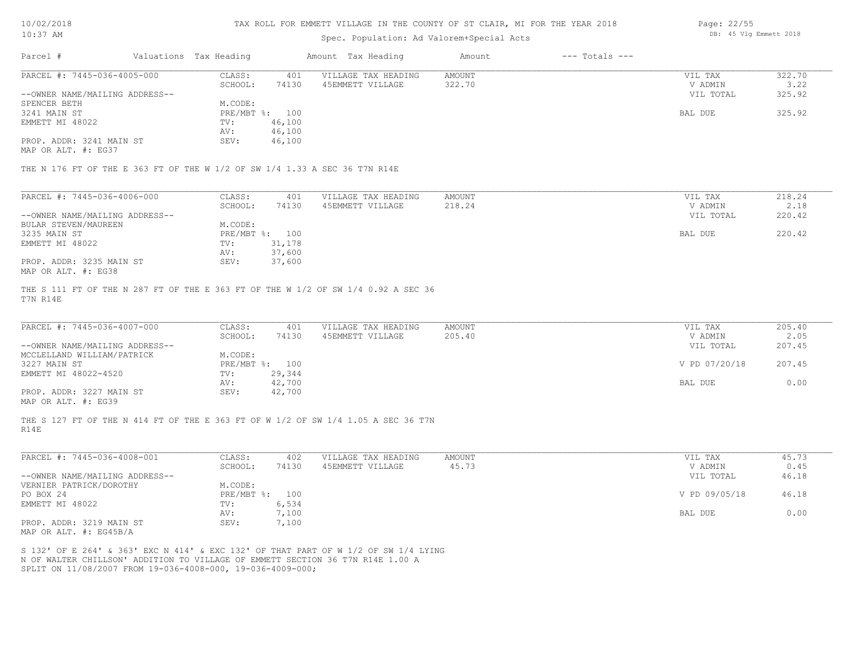| 10/02/2018 |  |
|------------|--|
|            |  |

#### Spec. Population: Ad Valorem+Special Acts

| Page: 22/55 |  |                        |  |
|-------------|--|------------------------|--|
|             |  | DB: 45 Vlg Emmett 2018 |  |

| Parcel #                       | Valuations Tax Heading |        | Amount Tax Heading  | Amount | $---$ Totals $---$ |           |        |
|--------------------------------|------------------------|--------|---------------------|--------|--------------------|-----------|--------|
| PARCEL #: 7445-036-4005-000    | CLASS:                 | 401    | VILLAGE TAX HEADING | AMOUNT |                    | VIL TAX   | 322.70 |
|                                | SCHOOL:                | 74130  | 45EMMETT VILLAGE    | 322.70 |                    | V ADMIN   | 3.22   |
| --OWNER NAME/MAILING ADDRESS-- |                        |        |                     |        |                    | VIL TOTAL | 325.92 |
| SPENCER BETH                   | M.CODE:                |        |                     |        |                    |           |        |
| 3241 MAIN ST                   | PRE/MBT %: 100         |        |                     |        |                    | BAL DUE   | 325.92 |
| EMMETT MI 48022                | TV:                    | 46,100 |                     |        |                    |           |        |
|                                | AV:                    | 46,100 |                     |        |                    |           |        |
| PROP. ADDR: 3241 MAIN ST       | SEV:                   | 46,100 |                     |        |                    |           |        |

MAP OR ALT. #: EG37

THE N 176 FT OF THE E 363 FT OF THE W 1/2 OF SW 1/4 1.33 A SEC 36 T7N R14E

| PARCEL #: 7445-036-4006-000    | CLASS:  | 401            | VILLAGE TAX HEADING | AMOUNT | VIL TAX   | 218.24 |
|--------------------------------|---------|----------------|---------------------|--------|-----------|--------|
|                                | SCHOOL: | 74130          | 45EMMETT VILLAGE    | 218.24 | V ADMIN   | 2.18   |
| --OWNER NAME/MAILING ADDRESS-- |         |                |                     |        | VIL TOTAL | 220.42 |
| BULAR STEVEN/MAUREEN           | M.CODE: |                |                     |        |           |        |
| 3235 MAIN ST                   |         | PRE/MBT %: 100 |                     |        | BAL DUE   | 220.42 |
| EMMETT MI 48022                | TV:     | 31,178         |                     |        |           |        |
|                                | AV:     | 37,600         |                     |        |           |        |
| PROP. ADDR: 3235 MAIN ST       | SEV:    | 37,600         |                     |        |           |        |
| MAP OR ALT. #: EG38            |         |                |                     |        |           |        |

T7N R14E THE S 111 FT OF THE N 287 FT OF THE E 363 FT OF THE W 1/2 OF SW 1/4 0.92 A SEC 36

| PARCEL #: 7445-036-4007-000                           | CLASS:         | 401    | VILLAGE TAX HEADING | AMOUNT | VIL TAX       | 205.40 |
|-------------------------------------------------------|----------------|--------|---------------------|--------|---------------|--------|
|                                                       | SCHOOL:        | 74130  | 45EMMETT VILLAGE    | 205.40 | V ADMIN       | 2.05   |
| --OWNER NAME/MAILING ADDRESS--                        |                |        |                     |        | VIL TOTAL     | 207.45 |
| MCCLELLAND WILLIAM/PATRICK                            | M.CODE:        |        |                     |        |               |        |
| 3227 MAIN ST                                          | PRE/MBT %: 100 |        |                     |        | V PD 07/20/18 | 207.45 |
| EMMETT MI 48022-4520                                  | TV:            | 29,344 |                     |        |               |        |
|                                                       | AV:            | 42,700 |                     |        | BAL DUE       | 0.00   |
| PROP. ADDR: 3227 MAIN ST                              | SEV:           | 42,700 |                     |        |               |        |
| $\cdots$ $\cdots$ $\cdots$ $\cdots$ $\cdots$ $\cdots$ |                |        |                     |        |               |        |

MAP OR ALT. #: EG39

R14E THE S 127 FT OF THE N 414 FT OF THE E 363 FT OF W 1/2 OF SW 1/4 1.05 A SEC 36 T7N

| CLASS:  | 402   | VILLAGE TAX HEADING | AMOUNT | VIL TAX       | 45.73 |
|---------|-------|---------------------|--------|---------------|-------|
| SCHOOL: | 74130 | 45EMMETT VILLAGE    | 45.73  | V ADMIN       | 0.45  |
|         |       |                     |        | VIL TOTAL     | 46.18 |
| M.CODE: |       |                     |        |               |       |
|         | 100   |                     |        | V PD 09/05/18 | 46.18 |
| TV:     | 6,534 |                     |        |               |       |
| AV:     | 7,100 |                     |        | BAL DUE       | 0.00  |
| SEV:    | 1,100 |                     |        |               |       |
|         |       | PRE/MBT %:          |        |               |       |

MAP OR ALT. #: EG45B/A

SPLIT ON 11/08/2007 FROM 19-036-4008-000, 19-036-4009-000; N OF WALTER CHILLSON' ADDITION TO VILLAGE OF EMMETT SECTION 36 T7N R14E 1.00 A S 132' OF E 264' & 363' EXC N 414' & EXC 132' OF THAT PART OF W 1/2 OF SW 1/4 LYING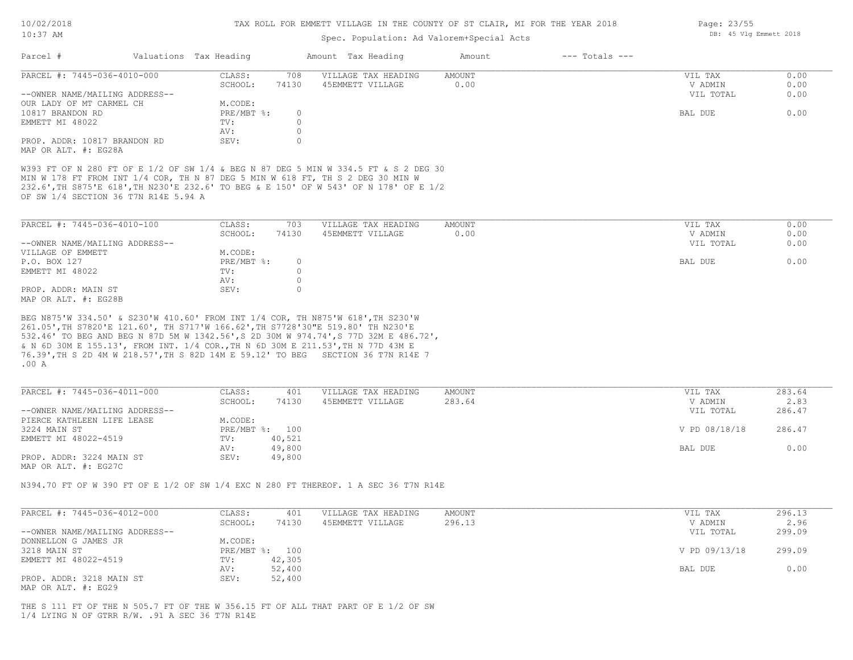| 10/02/2018 |  |
|------------|--|
| $10:37$ AM |  |

Page: 23/55

DB: 45 Vlg Emmett 2018

# Spec. Population: Ad Valorem+Special Acts

| Parcel #                                                                                                                                                                                                                                                                                               | Valuations Tax Heading |                  | Amount Tax Heading  | Amount        | $---$ Totals $---$ |                      |              |
|--------------------------------------------------------------------------------------------------------------------------------------------------------------------------------------------------------------------------------------------------------------------------------------------------------|------------------------|------------------|---------------------|---------------|--------------------|----------------------|--------------|
| PARCEL #: 7445-036-4010-000                                                                                                                                                                                                                                                                            | CLASS:                 | 708              | VILLAGE TAX HEADING | <b>AMOUNT</b> |                    | VIL TAX              | 0.00         |
| --OWNER NAME/MAILING ADDRESS--                                                                                                                                                                                                                                                                         | SCHOOL:                | 74130            | 45EMMETT VILLAGE    | 0.00          |                    | V ADMIN<br>VIL TOTAL | 0.00<br>0.00 |
| OUR LADY OF MT CARMEL CH                                                                                                                                                                                                                                                                               | M.CODE:                |                  |                     |               |                    |                      |              |
| 10817 BRANDON RD                                                                                                                                                                                                                                                                                       | PRE/MBT %:             | $\circ$          |                     |               |                    | BAL DUE              | 0.00         |
| EMMETT MI 48022                                                                                                                                                                                                                                                                                        | TV:                    | $\circ$          |                     |               |                    |                      |              |
|                                                                                                                                                                                                                                                                                                        | AV:                    | $\circ$          |                     |               |                    |                      |              |
| PROP. ADDR: 10817 BRANDON RD                                                                                                                                                                                                                                                                           | SEV:                   | $\circ$          |                     |               |                    |                      |              |
| MAP OR ALT. #: EG28A                                                                                                                                                                                                                                                                                   |                        |                  |                     |               |                    |                      |              |
| W393 FT OF N 280 FT OF E 1/2 OF SW 1/4 & BEG N 87 DEG 5 MIN W 334.5 FT & S 2 DEG 30<br>MIN W 178 FT FROM INT 1/4 COR, TH N 87 DEG 5 MIN W 618 FT, TH S 2 DEG 30 MIN W<br>232.6', TH S875'E 618', TH N230'E 232.6' TO BEG & E 150' OF W 543' OF N 178' OF E 1/2<br>OF SW 1/4 SECTION 36 T7N R14E 5.94 A |                        |                  |                     |               |                    |                      |              |
| PARCEL #: 7445-036-4010-100                                                                                                                                                                                                                                                                            | CLASS:                 | 703              | VILLAGE TAX HEADING | AMOUNT        |                    | VIL TAX              | 0.00         |
|                                                                                                                                                                                                                                                                                                        | SCHOOL:                | 74130            | 45EMMETT VILLAGE    | 0.00          |                    | V ADMIN              | 0.00         |
| --OWNER NAME/MAILING ADDRESS--                                                                                                                                                                                                                                                                         |                        |                  |                     |               |                    | VIL TOTAL            | 0.00         |
| VILLAGE OF EMMETT                                                                                                                                                                                                                                                                                      | M.CODE:                |                  |                     |               |                    |                      |              |
| P.O. BOX 127                                                                                                                                                                                                                                                                                           | PRE/MBT %:             | $\circ$          |                     |               |                    | BAL DUE              | 0.00         |
| EMMETT MI 48022                                                                                                                                                                                                                                                                                        | TV:                    | $\circ$          |                     |               |                    |                      |              |
|                                                                                                                                                                                                                                                                                                        | AV:                    | $\circ$          |                     |               |                    |                      |              |
| PROP. ADDR: MAIN ST                                                                                                                                                                                                                                                                                    | SEV:                   | $\circ$          |                     |               |                    |                      |              |
| MAP OR ALT. #: EG28B                                                                                                                                                                                                                                                                                   |                        |                  |                     |               |                    |                      |              |
| 76.39', TH S 2D 4M W 218.57', TH S 82D 14M E 59.12' TO BEG SECTION 36 T7N R14E 7<br>$.00\,$ A                                                                                                                                                                                                          |                        |                  |                     |               |                    |                      |              |
| PARCEL #: 7445-036-4011-000                                                                                                                                                                                                                                                                            | CLASS:                 | 401              | VILLAGE TAX HEADING | AMOUNT        |                    | VIL TAX              | 283.64       |
|                                                                                                                                                                                                                                                                                                        | SCHOOL:                | 74130            | 45EMMETT VILLAGE    | 283.64        |                    | V ADMIN              | 2.83         |
| --OWNER NAME/MAILING ADDRESS--                                                                                                                                                                                                                                                                         |                        |                  |                     |               |                    | VIL TOTAL            | 286.47       |
| PIERCE KATHLEEN LIFE LEASE                                                                                                                                                                                                                                                                             | M.CODE:                |                  |                     |               |                    |                      |              |
| 3224 MAIN ST                                                                                                                                                                                                                                                                                           |                        | PRE/MBT %: 100   |                     |               |                    | V PD 08/18/18        | 286.47       |
| EMMETT MI 48022-4519                                                                                                                                                                                                                                                                                   | TV:                    | 40,521           |                     |               |                    |                      |              |
| PROP. ADDR: 3224 MAIN ST                                                                                                                                                                                                                                                                               | AV:<br>SEV:            | 49,800<br>49,800 |                     |               |                    | BAL DUE              | 0.00         |
| MAP OR ALT. #: EG27C                                                                                                                                                                                                                                                                                   |                        |                  |                     |               |                    |                      |              |
|                                                                                                                                                                                                                                                                                                        |                        |                  |                     |               |                    |                      |              |
| N394.70 FT OF W 390 FT OF E 1/2 OF SW 1/4 EXC N 280 FT THEREOF. 1 A SEC 36 T7N R14E                                                                                                                                                                                                                    |                        |                  |                     |               |                    |                      |              |
|                                                                                                                                                                                                                                                                                                        |                        |                  |                     |               |                    |                      |              |
| PARCEL #: 7445-036-4012-000                                                                                                                                                                                                                                                                            | CLASS:                 | 401              | VILLAGE TAX HEADING | AMOUNT        |                    | VIL TAX              | 296.13       |
|                                                                                                                                                                                                                                                                                                        | SCHOOL:                | 74130            | 45EMMETT VILLAGE    | 296.13        |                    | V ADMIN              | 2.96         |
| --OWNER NAME/MAILING ADDRESS--                                                                                                                                                                                                                                                                         |                        |                  |                     |               |                    | VIL TOTAL            | 299.09       |
| DONNELLON G JAMES JR                                                                                                                                                                                                                                                                                   | M.CODE:                |                  |                     |               |                    |                      |              |
| 3218 MAIN ST                                                                                                                                                                                                                                                                                           |                        | PRE/MBT %: 100   |                     |               |                    | V PD 09/13/18        | 299.09       |
| EMMETT MI 48022-4519                                                                                                                                                                                                                                                                                   | $\text{TV}$ :          | 42,305           |                     |               |                    |                      |              |
|                                                                                                                                                                                                                                                                                                        | AV:                    | 52,400           |                     |               |                    | BAL DUE              | 0.00         |
| PROP. ADDR: 3218 MAIN ST<br>MAP OR ALT. #: EG29                                                                                                                                                                                                                                                        | SEV:                   | 52,400           |                     |               |                    |                      |              |
|                                                                                                                                                                                                                                                                                                        |                        |                  |                     |               |                    |                      |              |
| THE S 111 FT OF THE N 505.7 FT OF THE W 356.15 FT OF ALL THAT PART OF E 1/2 OF SW                                                                                                                                                                                                                      |                        |                  |                     |               |                    |                      |              |
| 1/4 LYING N OF GTRR R/W. . 91 A SEC 36 T7N R14E                                                                                                                                                                                                                                                        |                        |                  |                     |               |                    |                      |              |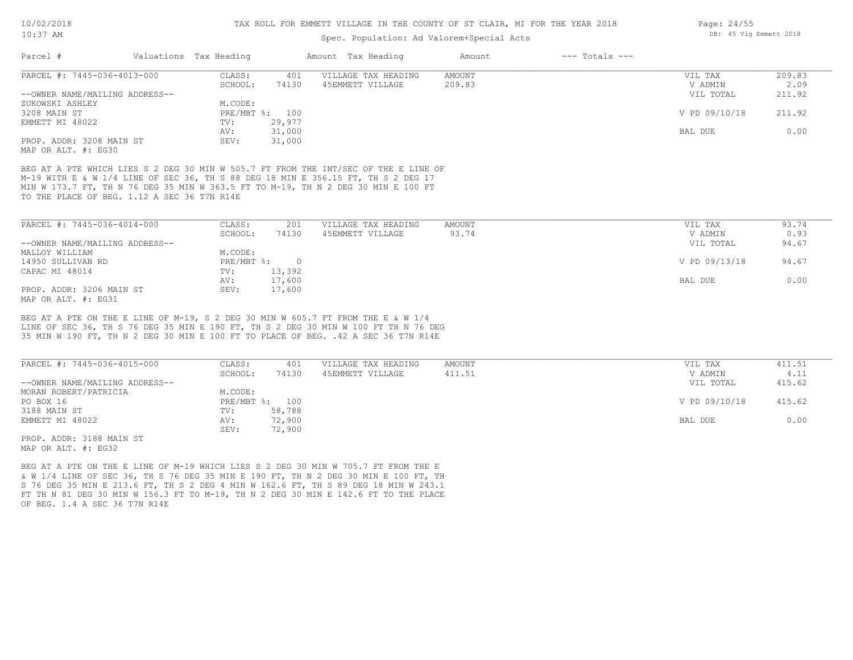# Spec. Population: Ad Valorem+Special Acts

| Parcel #                       | Valuations Tax Heading |                | Amount Tax Heading  | Amount | $---$ Totals $---$ |               |        |
|--------------------------------|------------------------|----------------|---------------------|--------|--------------------|---------------|--------|
| PARCEL #: 7445-036-4013-000    | CLASS:                 | 401            | VILLAGE TAX HEADING | AMOUNT |                    | VIL TAX       | 209.83 |
|                                | SCHOOL:                | 74130          | 45EMMETT VILLAGE    | 209.83 |                    | V ADMIN       | 2.09   |
| --OWNER NAME/MAILING ADDRESS-- |                        |                |                     |        |                    | VIL TOTAL     | 211.92 |
| ZUKOWSKI ASHLEY                | M.CODE:                |                |                     |        |                    |               |        |
| 3208 MAIN ST                   |                        | PRE/MBT %: 100 |                     |        |                    | V PD 09/10/18 | 211.92 |
| EMMETT MI 48022                | TV:                    | 29,977         |                     |        |                    |               |        |
|                                | AV:                    | 31,000         |                     |        |                    | BAL DUE       | 0.00   |
| PROP. ADDR: 3208 MAIN ST       | SEV:                   | 31,000         |                     |        |                    |               |        |
| MAP OR ALT. #: EG30            |                        |                |                     |        |                    |               |        |

TO THE PLACE OF BEG. 1.12 A SEC 36 T7N R14E MIN W 173.7 FT, TH N 76 DEG 35 MIN W 363.5 FT TO M-19, TH N 2 DEG 30 MIN E 100 FT M-19 WITH E & W 1/4 LINE OF SEC 36, TH S 88 DEG 18 MIN E 356.15 FT, TH S 2 DEG 17 BEG AT A PTE WHICH LIES S 2 DEG 30 MIN W 505.7 FT FROM THE INT/SEC OF THE E LINE OF

| PARCEL #: 7445-036-4014-000    | CLASS:     | 201    | VILLAGE TAX HEADING | AMOUNT | VIL TAX       | 93.74 |
|--------------------------------|------------|--------|---------------------|--------|---------------|-------|
|                                | SCHOOL:    | 74130  | 45EMMETT VILLAGE    | 93.74  | V ADMIN       | 0.93  |
| --OWNER NAME/MAILING ADDRESS-- |            |        |                     |        | VIL TOTAL     | 94.67 |
| MALLOY WILLIAM                 | M.CODE:    |        |                     |        |               |       |
| 14950 SULLIVAN RD              | PRE/MBT %: | $\cap$ |                     |        | V PD 09/13/18 | 94.67 |
| CAPAC MI 48014                 | TV:        | 13,392 |                     |        |               |       |
|                                | AV:        | 17,600 |                     |        | BAL DUE       | 0.00  |
| PROP. ADDR: 3206 MAIN ST       | SEV:       | 17,600 |                     |        |               |       |
| MAP OR ALT. #: EG31            |            |        |                     |        |               |       |

35 MIN W 190 FT, TH N 2 DEG 30 MIN E 100 FT TO PLACE OF BEG. .42 A SEC 36 T7N R14E LINE OF SEC 36, TH S 76 DEG 35 MIN E 190 FT, TH S 2 DEG 30 MIN W 100 FT TH N 76 DEG BEG AT A PTE ON THE E LINE OF M-19, S 2 DEG 30 MIN W 605.7 FT FROM THE E & W 1/4

| PARCEL #: 7445-036-4015-000    | CLASS:         | 401    | VILLAGE TAX HEADING | AMOUNT | VIL TAX       | 411.51 |
|--------------------------------|----------------|--------|---------------------|--------|---------------|--------|
|                                | SCHOOL:        | 74130  | 45EMMETT VILLAGE    | 411.51 | V ADMIN       | 4.11   |
| --OWNER NAME/MAILING ADDRESS-- |                |        |                     |        | VIL TOTAL     | 415.62 |
| MORAN ROBERT/PATRICIA          | M.CODE:        |        |                     |        |               |        |
| PO BOX 16                      | PRE/MBT %: 100 |        |                     |        | V PD 09/10/18 | 415.62 |
| 3188 MAIN ST                   | TV:            | 58,788 |                     |        |               |        |
| EMMETT MI 48022                | AV:            | 72,900 |                     |        | BAL DUE       | 0.00   |
|                                | SEV:           | 72,900 |                     |        |               |        |
| PROP. ADDR: 3188 MAIN ST       |                |        |                     |        |               |        |

MAP OR ALT. #: EG32

OF BEG. 1.4 A SEC 36 T7N R14E FT TH N 81 DEG 30 MIN W 156.3 FT TO M-19, TH N 2 DEG 30 MIN E 142.6 FT TO THE PLACE S 76 DEG 35 MIN E 213.6 FT, TH S 2 DEG 4 MIN W 162.6 FT, TH S 89 DEG 18 MIN W 243.1 & W 1/4 LINE OF SEC 36, TH S 76 DEG 35 MIN E 190 FT, TH N 2 DEG 30 MIN E 100 FT, TH BEG AT A PTE ON THE E LINE OF M-19 WHICH LIES S 2 DEG 30 MIN W 705.7 FT FROM THE E

Page: 24/55 DB: 45 Vlg Emmett 2018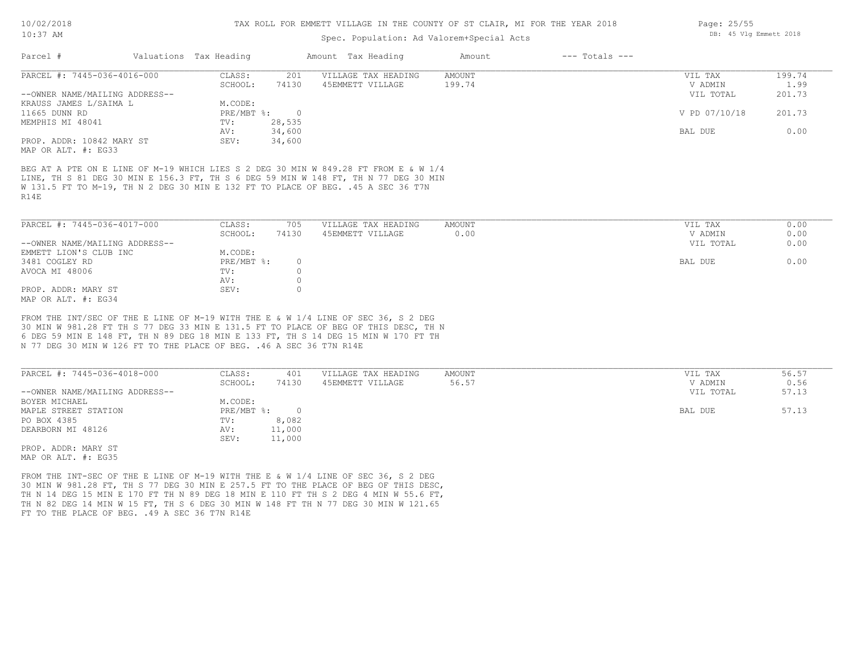# Spec. Population: Ad Valorem+Special Acts

|                                                  |         |                        |                     | Amount             | $---$ Totals $---$ |               |        |
|--------------------------------------------------|---------|------------------------|---------------------|--------------------|--------------------|---------------|--------|
| PARCEL #: 7445-036-4016-000                      | CLASS:  | 201                    | VILLAGE TAX HEADING | AMOUNT             |                    | VIL TAX       | 199.74 |
|                                                  | SCHOOL: | 74130                  | 45EMMETT VILLAGE    | 199.74             |                    | V ADMIN       | 1.99   |
| --OWNER NAME/MAILING ADDRESS--                   |         |                        |                     |                    |                    | VIL TOTAL     | 201.73 |
| KRAUSS JAMES L/SAIMA L                           | M.CODE: |                        |                     |                    |                    |               |        |
|                                                  |         |                        |                     |                    |                    | V PD 07/10/18 | 201.73 |
|                                                  | TV:     | 28,535                 |                     |                    |                    |               |        |
|                                                  | AV:     | 34,600                 |                     |                    |                    | BAL DUE       | 0.00   |
| PROP. ADDR: 10842 MARY ST<br>MAP OR ALT. #: EG33 | SEV:    | 34,600                 |                     |                    |                    |               |        |
|                                                  |         | Valuations Tax Heading | $PRE/MBT$ %:        | Amount Tax Heading |                    |               |        |

R14E W 131.5 FT TO M-19, TH N 2 DEG 30 MIN E 132 FT TO PLACE OF BEG. .45 A SEC 36 T7N LINE, TH S 81 DEG 30 MIN E 156.3 FT, TH S 6 DEG 59 MIN W 148 FT, TH N 77 DEG 30 MIN BEG AT A PTE ON E LINE OF M-19 WHICH LIES S 2 DEG 30 MIN W 849.28 FT FROM E & W 1/4

| PARCEL #: 7445-036-4017-000    | CLASS:     | 705   | VILLAGE TAX HEADING | AMOUNT | VIL TAX   | 0.00 |
|--------------------------------|------------|-------|---------------------|--------|-----------|------|
|                                | SCHOOL:    | 74130 | 45EMMETT VILLAGE    | 0.00   | V ADMIN   | 0.00 |
| --OWNER NAME/MAILING ADDRESS-- |            |       |                     |        | VIL TOTAL | 0.00 |
| EMMETT LION'S CLUB INC         | M.CODE:    |       |                     |        |           |      |
| 3481 COGLEY RD                 | PRE/MBT %: |       |                     |        | BAL DUE   | 0.00 |
| AVOCA MI 48006                 | TV:        |       |                     |        |           |      |
|                                | AV:        |       |                     |        |           |      |
| PROP. ADDR: MARY ST            | SEV:       |       |                     |        |           |      |
| MAP OR ALT. #: EG34            |            |       |                     |        |           |      |

N 77 DEG 30 MIN W 126 FT TO THE PLACE OF BEG. .46 A SEC 36 T7N R14E 6 DEG 59 MIN E 148 FT, TH N 89 DEG 18 MIN E 133 FT, TH S 14 DEG 15 MIN W 170 FT TH 30 MIN W 981.28 FT TH S 77 DEG 33 MIN E 131.5 FT TO PLACE OF BEG OF THIS DESC, TH N FROM THE INT/SEC OF THE E LINE OF M-19 WITH THE E & W 1/4 LINE OF SEC 36, S 2 DEG

| PARCEL #: 7445-036-4018-000    | CLASS:     | 401    | VILLAGE TAX HEADING | AMOUNT | VIL TAX   | 56.57 |
|--------------------------------|------------|--------|---------------------|--------|-----------|-------|
|                                | SCHOOL:    | 74130  | 45EMMETT VILLAGE    | 56.57  | V ADMIN   | 0.56  |
| --OWNER NAME/MAILING ADDRESS-- |            |        |                     |        | VIL TOTAL | 57.13 |
| BOYER MICHAEL                  | M.CODE:    |        |                     |        |           |       |
| MAPLE STREET STATION           | PRE/MBT %: |        |                     |        | BAL DUE   | 57.13 |
| PO BOX 4385                    | TV:        | 8,082  |                     |        |           |       |
| DEARBORN MI 48126              | AV:        | 11,000 |                     |        |           |       |
|                                | SEV:       | 11,000 |                     |        |           |       |
| PROP. ADDR: MARY ST            |            |        |                     |        |           |       |

MAP OR ALT. #: EG35

FT TO THE PLACE OF BEG. . 49 A SEC 36 T7N R14E TH N 82 DEG 14 MIN W 15 FT, TH S 6 DEG 30 MIN W 148 FT TH N 77 DEG 30 MIN W 121.65 TH N 14 DEG 15 MIN E 170 FT TH N 89 DEG 18 MIN E 110 FT TH S 2 DEG 4 MIN W 55.6 FT, 30 MIN W 981.28 FT, TH S 77 DEG 30 MIN E 257.5 FT TO THE PLACE OF BEG OF THIS DESC, FROM THE INT-SEC OF THE E LINE OF M-19 WITH THE E & W 1/4 LINE OF SEC 36, S 2 DEG

Page: 25/55 DB: 45 Vlg Emmett 2018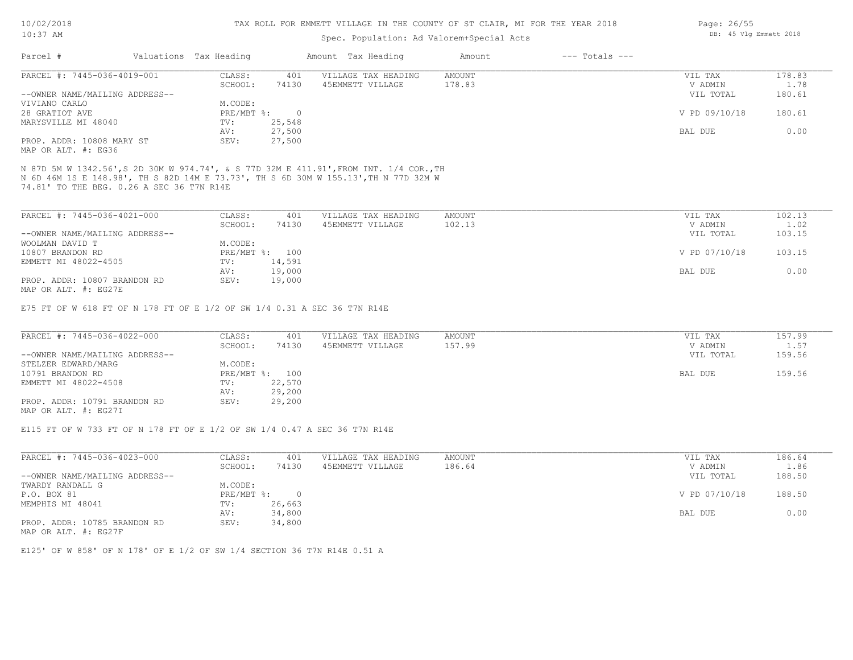#### TAX ROLL FOR EMMETT VILLAGE IN THE COUNTY OF ST CLAIR, MI FOR THE YEAR 2018

# Spec. Population: Ad Valorem+Special Acts

| Parcel #                       | Valuations Tax Heading |        | Amount Tax Heading  | Amount | $---$ Totals $---$ |               |        |
|--------------------------------|------------------------|--------|---------------------|--------|--------------------|---------------|--------|
| PARCEL #: 7445-036-4019-001    | CLASS:                 | 401    | VILLAGE TAX HEADING | AMOUNT |                    | VIL TAX       | 178.83 |
|                                | SCHOOL:                | 74130  | 45EMMETT VILLAGE    | 178.83 |                    | V ADMIN       | 1.78   |
| --OWNER NAME/MAILING ADDRESS-- |                        |        |                     |        |                    | VIL TOTAL     | 180.61 |
| VIVIANO CARLO                  | M.CODE:                |        |                     |        |                    |               |        |
| 28 GRATIOT AVE                 | $PRE/MBT$ %:           |        |                     |        |                    | V PD 09/10/18 | 180.61 |
| MARYSVILLE MI 48040            | TV:                    | 25,548 |                     |        |                    |               |        |
|                                | AV:                    | 27,500 |                     |        |                    | BAL DUE       | 0.00   |
| PROP. ADDR: 10808 MARY ST      | SEV:                   | 27,500 |                     |        |                    |               |        |
|                                |                        |        |                     |        |                    |               |        |

MAP OR ALT. #: EG36

74.81' TO THE BEG. 0.26 A SEC 36 T7N R14E N 6D 46M 1S E 148.98', TH S 82D 14M E 73.73', TH S 6D 30M W 155.13',TH N 77D 32M W N 87D 5M W 1342.56',S 2D 30M W 974.74', & S 77D 32M E 411.91',FROM INT. 1/4 COR.,TH

| PARCEL #: 7445-036-4021-000    | CLASS:  | 401            | VILLAGE TAX HEADING | AMOUNT | VIL TAX       | 102.13 |
|--------------------------------|---------|----------------|---------------------|--------|---------------|--------|
|                                | SCHOOL: | 74130          | 45EMMETT VILLAGE    | 102.13 | V ADMIN       | 1.02   |
| --OWNER NAME/MAILING ADDRESS-- |         |                |                     |        | VIL TOTAL     | 103.15 |
| WOOLMAN DAVID T                | M.CODE: |                |                     |        |               |        |
| 10807 BRANDON RD               |         | PRE/MBT %: 100 |                     |        | V PD 07/10/18 | 103.15 |
| EMMETT MI 48022-4505           | TV:     | 14,591         |                     |        |               |        |
|                                | AV:     | 19,000         |                     |        | BAL DUE       | 0.00   |
| PROP. ADDR: 10807 BRANDON RD   | SEV:    | 19,000         |                     |        |               |        |
| MAP OR ALT. #: EG27E           |         |                |                     |        |               |        |

E75 FT OF W 618 FT OF N 178 FT OF E 1/2 OF SW 1/4 0.31 A SEC 36 T7N R14E

| PARCEL #: 7445-036-4022-000    | CLASS:  | 401            | VILLAGE TAX HEADING | AMOUNT | VIL TAX   | 157.99     |
|--------------------------------|---------|----------------|---------------------|--------|-----------|------------|
|                                | SCHOOL: | 74130          | 45EMMETT VILLAGE    | 157.99 | V ADMIN   | $\pm 0.57$ |
| --OWNER NAME/MAILING ADDRESS-- |         |                |                     |        | VIL TOTAL | 159.56     |
| STELZER EDWARD/MARG            | M.CODE: |                |                     |        |           |            |
| 10791 BRANDON RD               |         | PRE/MBT %: 100 |                     |        | BAL DUE   | 159.56     |
| EMMETT MI 48022-4508           | TV:     | 22,570         |                     |        |           |            |
|                                | AV:     | 29,200         |                     |        |           |            |
| PROP. ADDR: 10791 BRANDON RD   | SEV:    | 29,200         |                     |        |           |            |
| MAP OR ALT. #: EG27I           |         |                |                     |        |           |            |

E115 FT OF W 733 FT OF N 178 FT OF E 1/2 OF SW 1/4 0.47 A SEC 36 T7N R14E

| PARCEL #: 7445-036-4023-000    | CLASS:     | 401    | VILLAGE TAX HEADING | AMOUNT | VIL TAX       | 186.64 |
|--------------------------------|------------|--------|---------------------|--------|---------------|--------|
|                                | SCHOOL:    | 74130  | 45EMMETT VILLAGE    | 186.64 | V ADMIN       | 1.86   |
| --OWNER NAME/MAILING ADDRESS-- |            |        |                     |        | VIL TOTAL     | 188.50 |
| TWARDY RANDALL G               | M.CODE:    |        |                     |        |               |        |
| P.O. BOX 81                    | PRE/MBT %: |        |                     |        | V PD 07/10/18 | 188.50 |
| MEMPHIS MI 48041               | TV:        | 26,663 |                     |        |               |        |
|                                | AV:        | 34,800 |                     |        | BAL DUE       | 0.00   |
| PROP. ADDR: 10785 BRANDON RD   | SEV:       | 34,800 |                     |        |               |        |

MAP OR ALT. #: EG27F

E125' OF W 858' OF N 178' OF E 1/2 OF SW 1/4 SECTION 36 T7N R14E 0.51 A

Page: 26/55 DB: 45 Vlg Emmett 2018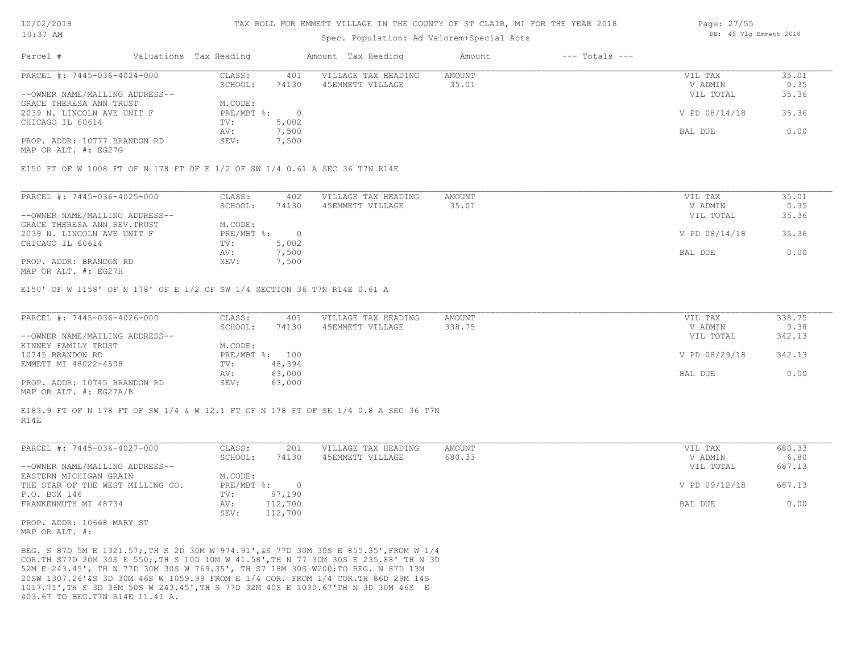# Spec. Population: Ad Valorem+Special Acts

| Parcel #                       | Valuations Tax Heading |       | Amount Tax Heading  | Amount | $---$ Totals $---$ |               |       |
|--------------------------------|------------------------|-------|---------------------|--------|--------------------|---------------|-------|
| PARCEL #: 7445-036-4024-000    | CLASS:                 | 401   | VILLAGE TAX HEADING | AMOUNT |                    | VIL TAX       | 35.01 |
|                                | SCHOOL:                | 74130 | 45EMMETT VILLAGE    | 35.01  |                    | V ADMIN       | 0.35  |
| --OWNER NAME/MAILING ADDRESS-- |                        |       |                     |        |                    | VIL TOTAL     | 35.36 |
| GRACE THERESA ANN TRUST        | M.CODE:                |       |                     |        |                    |               |       |
| 2039 N. LINCOLN AVE UNIT F     | PRE/MBT %:             |       |                     |        |                    | V PD 08/14/18 | 35.36 |
| CHICAGO IL 60614               | TV:                    | 5,002 |                     |        |                    |               |       |
|                                | AV:                    | 7,500 |                     |        |                    | BAL DUE       | 0.00  |
| PROP. ADDR: 10777 BRANDON RD   | SEV:                   | 7,500 |                     |        |                    |               |       |

MAP OR ALT. #: EG27G

#### E150 FT OF W 1008 FT OF N 178 FT OF E 1/2 OF SW 1/4 0.61 A SEC 36 T7N R14E

| PARCEL #: 7445-036-4025-000    | CLASS:     | 402   | VILLAGE TAX HEADING | AMOUNT | VIL TAX       | 35.01 |
|--------------------------------|------------|-------|---------------------|--------|---------------|-------|
|                                | SCHOOL:    | 74130 | 45EMMETT VILLAGE    | 35.01  | V ADMIN       | 0.35  |
| --OWNER NAME/MAILING ADDRESS-- |            |       |                     |        | VIL TOTAL     | 35.36 |
| GRACE THERESA ANN REV. TRUST   | M.CODE:    |       |                     |        |               |       |
| 2039 N. LINCOLN AVE UNIT F     | PRE/MBT %: |       |                     |        | V PD 08/14/18 | 35.36 |
| CHICAGO IL 60614               | TV:        | 5,002 |                     |        |               |       |
|                                | AV:        | 7,500 |                     |        | BAL DUE       | 0.00  |
| PROP. ADDR: BRANDON RD         | SEV:       | 1,500 |                     |        |               |       |
|                                |            |       |                     |        |               |       |

MAP OR ALT. #: EG27H

E150' OF W 1158' OF N 178' OF E 1/2 OF SW 1/4 SECTION 36 T7N R14E 0.61 A

| PARCEL #: 7445-036-4026-000    | CLASS:  | 401            | VILLAGE TAX HEADING | AMOUNT | VIL TAX       | 338.75 |
|--------------------------------|---------|----------------|---------------------|--------|---------------|--------|
|                                | SCHOOL: | 74130          | 45EMMETT VILLAGE    | 338.75 | V ADMIN       | 3.38   |
| --OWNER NAME/MAILING ADDRESS-- |         |                |                     |        | VIL TOTAL     | 342.13 |
| KINNEY FAMILY TRUST            | M.CODE: |                |                     |        |               |        |
| 10745 BRANDON RD               |         | PRE/MBT %: 100 |                     |        | V PD 08/29/18 | 342.13 |
| EMMETT MI 48022-4508           | TV:     | 48,394         |                     |        |               |        |
|                                | AV:     | 63,000         |                     |        | BAL DUE       | 0.00   |
| PROP. ADDR: 10745 BRANDON RD   | SEV:    | 63,000         |                     |        |               |        |
| $\frac{1}{2}$                  |         |                |                     |        |               |        |

MAP OR ALT. #: EG27A/B

#### R14E E183.9 FT OF N 178 FT OF SW 1/4 & W 12.1 FT OF N 178 FT OF SE 1/4 0.8 A SEC 36 T7N

| PARCEL #: 7445-036-4027-000      | CLASS:     | 201     | VILLAGE TAX HEADING | AMOUNT | VIL TAX       | 680.33 |
|----------------------------------|------------|---------|---------------------|--------|---------------|--------|
|                                  | SCHOOL:    | 74130   | 45EMMETT VILLAGE    | 680.33 | V ADMIN       | 6.80   |
| --OWNER NAME/MAILING ADDRESS--   |            |         |                     |        | VIL TOTAL     | 687.13 |
| EASTERN MICHIGAN GRAIN           | M.CODE:    |         |                     |        |               |        |
| THE STAR OF THE WEST MILLING CO. | PRE/MBT %: |         |                     |        | V PD 09/12/18 | 687.13 |
| P.O. BOX 146                     | TV:        | 97,190  |                     |        |               |        |
| FRANKENMUTH MI 48734             | AV:        | 112,700 |                     |        | BAL DUE       | 0.00   |
|                                  | SEV:       | 112,700 |                     |        |               |        |
|                                  |            |         |                     |        |               |        |

MAP OR ALT. #: PROP. ADDR: 10668 MARY ST

403.67 TO BEG.T7N R14E 11.41 A. 1017.71',TH S 3D 36M 50S W 243.45',TH S 77D 32M 40S E 1030.67'TH N 3D 30M 46S E 20SW 1307.26'&S 3D 30M 46S W 1059.99 FROM E 1/4 COR. FROM 1/4 COR.TH 86D 29M 14S 52M E 243.45', TH N 77D 30M 30S W 769.35', TH S7 18M 30S W200;TO BEG. N 87D 13M COR.TH S77D 30M 30S E 550;,TH S 10D 10M W 41.58',TH N 77 30M 30S E 235.88' TH N 3D BEG. S 87D 5M E 1321.57;,TH S 2D 30M W 974.91',&S 77D 30M 30S E 855.35',FROM W 1/4 Page: 27/55 DB: 45 Vlg Emmett 2018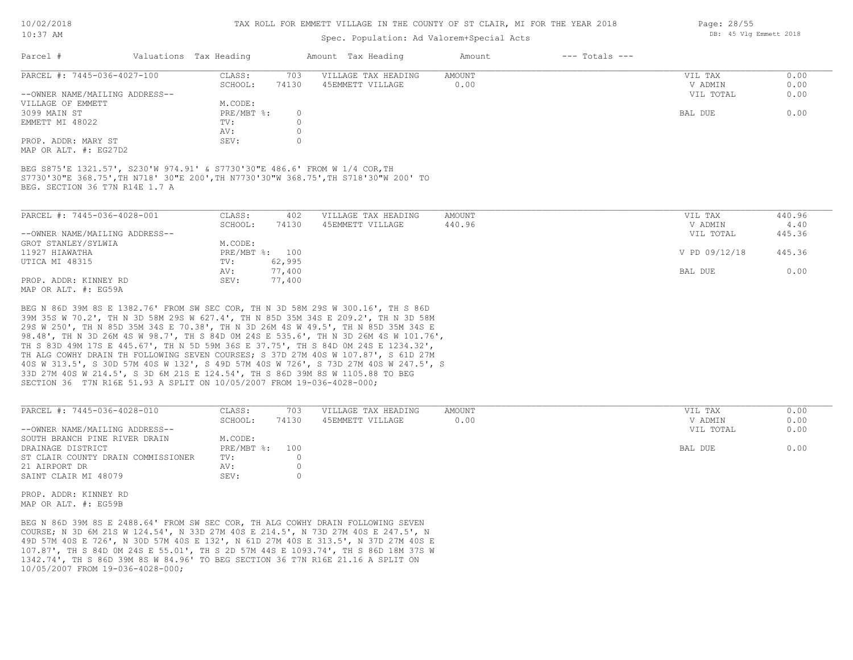#### TAX ROLL FOR EMMETT VILLAGE IN THE COUNTY OF ST CLAIR, MI FOR THE YEAR 2018

# Spec. Population: Ad Valorem+Special Acts

| VIL TAX   | 0.00               |
|-----------|--------------------|
| V ADMIN   | 0.00               |
| VIL TOTAL | 0.00               |
|           |                    |
| BAL DUE   | 0.00               |
|           |                    |
|           |                    |
|           |                    |
|           | $---$ Totals $---$ |

MAP OR ALT. #: EG27D2

BEG. SECTION 36 T7N R14E 1.7 A S7730'30"E 368.75',TH N718' 30"E 200',TH N7730'30"W 368.75',TH S718'30"W 200' TO BEG S875'E 1321.57', S230'W 974.91' & S7730'30"E 486.6' FROM W 1/4 COR,TH

| PARCEL #: 7445-036-4028-001                                      | CLASS:         | 402    | VILLAGE TAX HEADING | AMOUNT | VIL TAX       | 440.96 |
|------------------------------------------------------------------|----------------|--------|---------------------|--------|---------------|--------|
|                                                                  | SCHOOL:        | 74130  | 45EMMETT VILLAGE    | 440.96 | V ADMIN       | 4.40   |
| --OWNER NAME/MAILING ADDRESS--                                   |                |        |                     |        | VIL TOTAL     | 445.36 |
| GROT STANLEY/SYLWIA                                              | M.CODE:        |        |                     |        |               |        |
| 11927 HIAWATHA                                                   | PRE/MBT %: 100 |        |                     |        | V PD 09/12/18 | 445.36 |
| UTICA MI 48315                                                   | TV:            | 62,995 |                     |        |               |        |
|                                                                  | AV:            | 77,400 |                     |        | BAL DUE       | 0.00   |
| PROP. ADDR: KINNEY RD                                            | SEV:           | 77,400 |                     |        |               |        |
| $M \land D$ $\land D \land T$ $m$ $\#$ , $D \land E \land \land$ |                |        |                     |        |               |        |

MAP OR ALT. #: EG59A

SECTION 36 T7N R16E 51.93 A SPLIT ON 10/05/2007 FROM 19-036-4028-000; 33D 27M 40S W 214.5', S 3D 6M 21S E 124.54', TH S 86D 39M 8S W 1105.88 TO BEG 40S W 313.5', S 30D 57M 40S W 132', S 49D 57M 40S W 726', S 73D 27M 40S W 247.5', S TH ALG COWHY DRAIN TH FOLLOWING SEVEN COURSES; S 37D 27M 40S W 107.87', S 61D 27M TH S 83D 49M 17S E 445.67', TH N 5D 59M 36S E 37.75', TH S 84D 0M 24S E 1234.32', 98.48', TH N 3D 26M 4S W 98.7', TH S 84D 0M 24S E 535.6', TH N 3D 26M 4S W 101.76', 29S W 250', TH N 85D 35M 34S E 70.38', TH N 3D 26M 4S W 49.5', TH N 85D 35M 34S E 39M 35S W 70.2', TH N 3D 58M 29S W 627.4', TH N 85D 35M 34S E 209.2', TH N 3D 58M BEG N 86D 39M 8S E 1382.76' FROM SW SEC COR, TH N 3D 58M 29S W 300.16', TH S 86D

| PARCEL #: 7445-036-4028-010        | CLASS:       | 703   | VILLAGE TAX HEADING | AMOUNT | VIL TAX   | 0.00 |
|------------------------------------|--------------|-------|---------------------|--------|-----------|------|
|                                    | SCHOOL:      | 74130 | 45EMMETT VILLAGE    | 0.00   | V ADMIN   | 0.00 |
| --OWNER NAME/MAILING ADDRESS--     |              |       |                     |        | VIL TOTAL | 0.00 |
| SOUTH BRANCH PINE RIVER DRAIN      | M.CODE:      |       |                     |        |           |      |
| DRAINAGE DISTRICT                  | $PRE/MBT$ %: | 100   |                     |        | BAL DUE   | 0.00 |
| ST CLAIR COUNTY DRAIN COMMISSIONER | TV:          |       |                     |        |           |      |
| 21 AIRPORT DR                      | AV:          |       |                     |        |           |      |
| SAINT CLAIR MI 48079               | SEV:         |       |                     |        |           |      |
|                                    |              |       |                     |        |           |      |

 $\mathcal{L}_\mathcal{L} = \mathcal{L}_\mathcal{L} = \mathcal{L}_\mathcal{L} = \mathcal{L}_\mathcal{L} = \mathcal{L}_\mathcal{L} = \mathcal{L}_\mathcal{L} = \mathcal{L}_\mathcal{L} = \mathcal{L}_\mathcal{L} = \mathcal{L}_\mathcal{L} = \mathcal{L}_\mathcal{L} = \mathcal{L}_\mathcal{L} = \mathcal{L}_\mathcal{L} = \mathcal{L}_\mathcal{L} = \mathcal{L}_\mathcal{L} = \mathcal{L}_\mathcal{L} = \mathcal{L}_\mathcal{L} = \mathcal{L}_\mathcal{L}$ 

MAP OR ALT. #: EG59B PROP. ADDR: KINNEY RD

10/05/2007 FROM 19-036-4028-000; 1342.74', TH S 86D 39M 8S W 84.96' TO BEG SECTION 36 T7N R16E 21.16 A SPLIT ON 107.87', TH S 84D 0M 24S E 55.01', TH S 2D 57M 44S E 1093.74', TH S 86D 18M 37S W 49D 57M 40S E 726', N 30D 57M 40S E 132', N 61D 27M 40S E 313.5', N 37D 27M 40S E COURSE; N 3D 6M 21S W 124.54', N 33D 27M 40S E 214.5', N 73D 27M 40S E 247.5', N BEG N 86D 39M 8S E 2488.64' FROM SW SEC COR, TH ALG COWHY DRAIN FOLLOWING SEVEN

Page: 28/55 DB: 45 Vlg Emmett 2018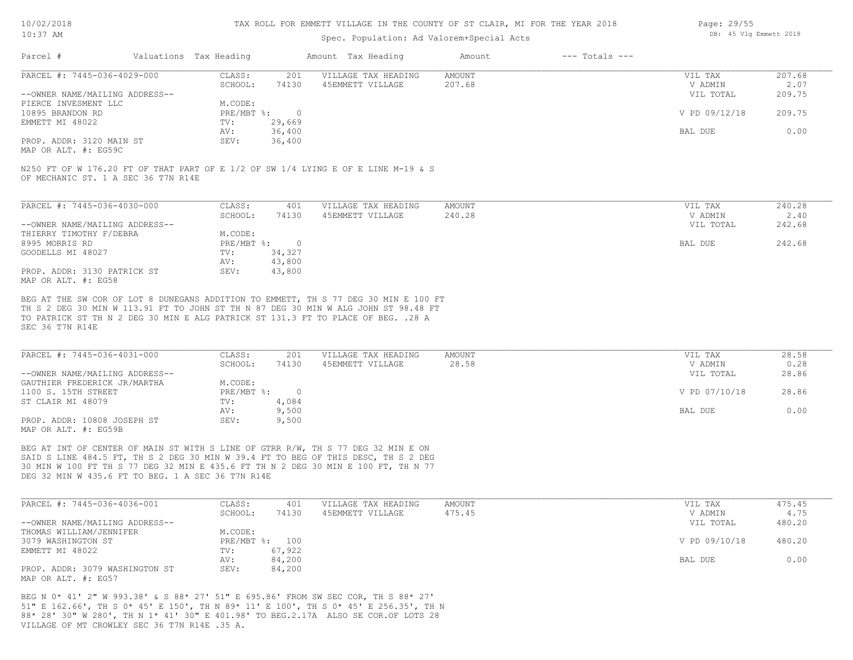#### TAX ROLL FOR EMMETT VILLAGE IN THE COUNTY OF ST CLAIR, MI FOR THE YEAR 2018

# Spec. Population: Ad Valorem+Special Acts

| Page: 29/55 |  |                        |  |
|-------------|--|------------------------|--|
|             |  | DB: 45 Vlg Emmett 2018 |  |

| Parcel #                                              | Valuations Tax Heading |        | Amount Tax Heading  | Amount | $---$ Totals $---$ |               |        |
|-------------------------------------------------------|------------------------|--------|---------------------|--------|--------------------|---------------|--------|
| PARCEL #: 7445-036-4029-000                           | CLASS:                 | 201    | VILLAGE TAX HEADING | AMOUNT |                    | VIL TAX       | 207.68 |
|                                                       | SCHOOL:                | 74130  | 45EMMETT VILLAGE    | 207.68 |                    | V ADMIN       | 2.07   |
| --OWNER NAME/MAILING ADDRESS--                        |                        |        |                     |        |                    | VIL TOTAL     | 209.75 |
| PIERCE INVESMENT LLC                                  | M.CODE:                |        |                     |        |                    |               |        |
| 10895 BRANDON RD                                      | PRE/MBT %:             |        |                     |        |                    | V PD 09/12/18 | 209.75 |
| EMMETT MI 48022                                       | TV:                    | 29,669 |                     |        |                    |               |        |
|                                                       | AV:                    | 36,400 |                     |        |                    | BAL DUE       | 0.00   |
| PROP. ADDR: 3120 MAIN ST                              | SEV:                   | 36,400 |                     |        |                    |               |        |
| $\cdots$ $\cdots$ $\cdots$ $\cdots$ $\cdots$ $\cdots$ |                        |        |                     |        |                    |               |        |

MAP OR ALT. #: EG59C

OF MECHANIC ST. 1 A SEC 36 T7N R14E N250 FT OF W 176.20 FT OF THAT PART OF E 1/2 OF SW 1/4 LYING E OF E LINE M-19 & S

| PARCEL #: 7445-036-4030-000    | CLASS:     | 401    | VILLAGE TAX HEADING | AMOUNT | VIL TAX   | 240.28 |
|--------------------------------|------------|--------|---------------------|--------|-----------|--------|
|                                | SCHOOL:    | 74130  | 45EMMETT VILLAGE    | 240.28 | V ADMIN   | 2.40   |
| --OWNER NAME/MAILING ADDRESS-- |            |        |                     |        | VIL TOTAL | 242.68 |
| THIERRY TIMOTHY F/DEBRA        | M.CODE:    |        |                     |        |           |        |
| 8995 MORRIS RD                 | PRE/MBT %: | $\Box$ |                     |        | BAL DUE   | 242.68 |
| GOODELLS MI 48027              | TV:        | 34,327 |                     |        |           |        |
|                                | AV:        | 43,800 |                     |        |           |        |
| PROP. ADDR: 3130 PATRICK ST    | SEV:       | 43,800 |                     |        |           |        |
| MAP OR ALT. #: EG58            |            |        |                     |        |           |        |

SEC 36 T7N R14E TO PATRICK ST TH N 2 DEG 30 MIN E ALG PATRICK ST 131.3 FT TO PLACE OF BEG. .28 A TH S 2 DEG 30 MIN W 113.91 FT TO JOHN ST TH N 87 DEG 30 MIN W ALG JOHN ST 98.48 FT BEG AT THE SW COR OF LOT 8 DUNEGANS ADDITION TO EMMETT, TH S 77 DEG 30 MIN E 100 FT

| PARCEL #: 7445-036-4031-000    | CLASS:     | 201   | VILLAGE TAX HEADING | AMOUNT | VIL TAX       | 28.58 |
|--------------------------------|------------|-------|---------------------|--------|---------------|-------|
|                                | SCHOOL:    | 74130 | 45EMMETT VILLAGE    | 28.58  | V ADMIN       | 0.28  |
| --OWNER NAME/MAILING ADDRESS-- |            |       |                     |        | VIL TOTAL     | 28.86 |
| GAUTHIER FREDERICK JR/MARTHA   | M.CODE:    |       |                     |        |               |       |
| 1100 S. 15TH STREET            | PRE/MBT %: |       |                     |        | V PD 07/10/18 | 28.86 |
| ST CLAIR MI 48079              | TV:        | 4,084 |                     |        |               |       |
|                                | AV:        | 9,500 |                     |        | BAL DUE       | 0.00  |
| PROP. ADDR: 10808 JOSEPH ST    | SEV:       | 9,500 |                     |        |               |       |
| MAP OR ALT. #: EG59B           |            |       |                     |        |               |       |

DEG 32 MIN W 435.6 FT TO BEG. 1 A SEC 36 T7N R14E 30 MIN W 100 FT TH S 77 DEG 32 MIN E 435.6 FT TH N 2 DEG 30 MIN E 100 FT, TH N 77 SAID S LINE 484.5 FT, TH S 2 DEG 30 MIN W 39.4 FT TO BEG OF THIS DESC, TH S 2 DEG BEG AT INT OF CENTER OF MAIN ST WITH S LINE OF GTRR R/W, TH S 77 DEG 32 MIN E ON

| PARCEL #: 7445-036-4036-001    | CLASS:  | 401            | VILLAGE TAX HEADING | AMOUNT | VIL TAX       | 475.45 |
|--------------------------------|---------|----------------|---------------------|--------|---------------|--------|
|                                | SCHOOL: | 74130          | 45EMMETT VILLAGE    | 475.45 | V ADMIN       | 4.75   |
| --OWNER NAME/MAILING ADDRESS-- |         |                |                     |        | VIL TOTAL     | 480.20 |
| THOMAS WILLIAM/JENNIFER        | M.CODE: |                |                     |        |               |        |
| 3079 WASHINGTON ST             |         | PRE/MBT %: 100 |                     |        | V PD 09/10/18 | 480.20 |
| EMMETT MI 48022                | TV:     | 67,922         |                     |        |               |        |
|                                | AV:     | 84,200         |                     |        | BAL DUE       | 0.00   |
| PROP. ADDR: 3079 WASHINGTON ST | SEV:    | 84,200         |                     |        |               |        |
| MAP OR ALT. #: EG57            |         |                |                     |        |               |        |

VILLAGE OF MT CROWLEY SEC 36 T7N R14E .35 A. 88\* 28' 30" W 280', TH N 1\* 41' 30" E 401.98' TO BEG.2.17A ALSO SE COR.OF LOTS 28 51" E 162.66', TH S 0\* 45' E 150', TH N 89\* 11' E 100', TH S 0\* 45' E 256.35', TH N BEG N 0\* 41' 2" W 993.38' & S 88\* 27' 51" E 695.86' FROM SW SEC COR, TH S 88\* 27'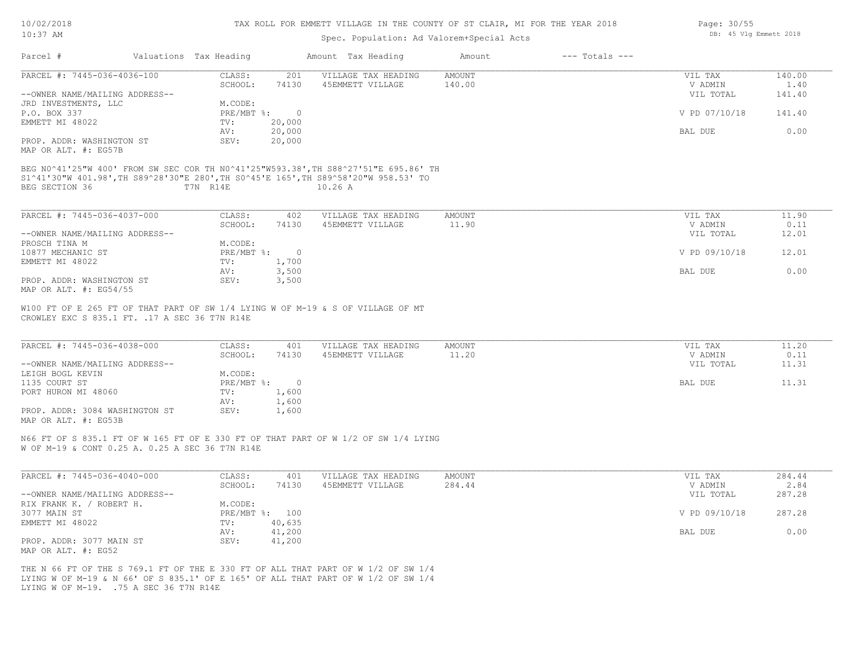| 10/02/2018 |  |
|------------|--|
| $10:37$ AM |  |

# Spec. Population: Ad Valorem+Special Acts

| Page: 30/55            |  |
|------------------------|--|
| DB: 45 Vlg Emmett 2018 |  |

| PARCEL #: 7445-036-4036-100<br>AMOUNT<br>140.00<br>CLASS:<br>201<br>VILLAGE TAX HEADING<br>VIL TAX<br>1.40<br>SCHOOL:<br>74130<br>45EMMETT VILLAGE<br>140.00<br>V ADMIN<br>--OWNER NAME/MAILING ADDRESS--<br>VIL TOTAL<br>141.40<br>M.CODE:<br>P.O. BOX 337<br>PRE/MBT %: 0<br>V PD 07/10/18<br>141.40<br>EMMETT MI 48022<br>TV:<br>20,000<br>20,000<br>BAL DUE<br>0.00<br>AV:<br>PROP. ADDR: WASHINGTON ST<br>SEV:<br>20,000<br>BEG N0^41'25"W 400' FROM SW SEC COR TH N0^41'25"W593.38', TH S88^27'51"E 695.86' TH<br>S1^41'30"W 401.98', TH S89^28'30"E 280', TH S0^45'E 165', TH S89^58'20"W 958.53' TO<br>BEG SECTION 36<br>T7N R14E<br>10.26A<br>PARCEL #: 7445-036-4037-000<br>CLASS:<br>402<br>VILLAGE TAX HEADING<br><b>AMOUNT</b><br>VIL TAX<br>11.90<br>SCHOOL:<br>74130<br>45EMMETT VILLAGE<br>11.90<br>V ADMIN<br>0.11<br>VIL TOTAL<br>12.01<br>--OWNER NAME/MAILING ADDRESS--<br>M.CODE:<br>PRE/MBT %:<br>V PD 09/10/18<br>12.01<br>$\overline{0}$<br>1,700<br>TV:<br>3,500<br>0.00<br>AV:<br>BAL DUE<br>PROP. ADDR: WASHINGTON ST<br>SEV:<br>3,500<br>MAP OR ALT. #: EG54/55<br>W100 FT OF E 265 FT OF THAT PART OF SW 1/4 LYING W OF M-19 & S OF VILLAGE OF MT<br>CROWLEY EXC S 835.1 FT. . 17 A SEC 36 T7N R14E<br>PARCEL #: 7445-036-4038-000<br>CLASS:<br>VILLAGE TAX HEADING<br><b>AMOUNT</b><br>401<br>VIL TAX<br>11.20<br>11.20<br>0.11<br>SCHOOL:<br>74130<br>45EMMETT VILLAGE<br>V ADMIN<br>--OWNER NAME/MAILING ADDRESS--<br>VIL TOTAL<br>11.31<br>M.CODE:<br>$PRE/MBT$ %:<br>$\overline{0}$<br>11.31<br>BAL DUE<br>1,600<br>TV:<br>AV:<br>1,600<br>PROP. ADDR: 3084 WASHINGTON ST<br>SEV:<br>1,600<br>N66 FT OF S 835.1 FT OF W 165 FT OF E 330 FT OF THAT PART OF W 1/2 OF SW 1/4 LYING<br>W OF M-19 & CONT 0.25 A. 0.25 A SEC 36 T7N R14E<br>PARCEL #: 7445-036-4040-000<br>CLASS:<br>401<br>VILLAGE TAX HEADING<br><b>AMOUNT</b><br>284.44<br>VIL TAX<br>2.84<br>SCHOOL:<br>74130<br>45EMMETT VILLAGE<br>284.44<br>V ADMIN<br>--OWNER NAME/MAILING ADDRESS--<br>VIL TOTAL<br>287.28<br>RIX FRANK K. / ROBERT H.<br>M.CODE:<br>PRE/MBT %: 100<br>V PD 09/10/18<br>287.28<br>40,635<br>TV:<br>41,200<br>0.00<br>AV:<br>BAL DUE<br>PROP. ADDR: 3077 MAIN ST<br>SEV:<br>41,200<br>MAP OR ALT. #: EG52 | Parcel #             | Valuations Tax Heading | Amount Tax Heading | Amount | $---$ Totals $---$ |  |
|--------------------------------------------------------------------------------------------------------------------------------------------------------------------------------------------------------------------------------------------------------------------------------------------------------------------------------------------------------------------------------------------------------------------------------------------------------------------------------------------------------------------------------------------------------------------------------------------------------------------------------------------------------------------------------------------------------------------------------------------------------------------------------------------------------------------------------------------------------------------------------------------------------------------------------------------------------------------------------------------------------------------------------------------------------------------------------------------------------------------------------------------------------------------------------------------------------------------------------------------------------------------------------------------------------------------------------------------------------------------------------------------------------------------------------------------------------------------------------------------------------------------------------------------------------------------------------------------------------------------------------------------------------------------------------------------------------------------------------------------------------------------------------------------------------------------------------------------------------------------------------------------------------------------------------------------------------------------------------------------------------------------------------------------------------------------------------------------------------------------------------------------------------------------------------------------------------------------------------|----------------------|------------------------|--------------------|--------|--------------------|--|
|                                                                                                                                                                                                                                                                                                                                                                                                                                                                                                                                                                                                                                                                                                                                                                                                                                                                                                                                                                                                                                                                                                                                                                                                                                                                                                                                                                                                                                                                                                                                                                                                                                                                                                                                                                                                                                                                                                                                                                                                                                                                                                                                                                                                                                |                      |                        |                    |        |                    |  |
|                                                                                                                                                                                                                                                                                                                                                                                                                                                                                                                                                                                                                                                                                                                                                                                                                                                                                                                                                                                                                                                                                                                                                                                                                                                                                                                                                                                                                                                                                                                                                                                                                                                                                                                                                                                                                                                                                                                                                                                                                                                                                                                                                                                                                                |                      |                        |                    |        |                    |  |
|                                                                                                                                                                                                                                                                                                                                                                                                                                                                                                                                                                                                                                                                                                                                                                                                                                                                                                                                                                                                                                                                                                                                                                                                                                                                                                                                                                                                                                                                                                                                                                                                                                                                                                                                                                                                                                                                                                                                                                                                                                                                                                                                                                                                                                | JRD INVESTMENTS, LLC |                        |                    |        |                    |  |
|                                                                                                                                                                                                                                                                                                                                                                                                                                                                                                                                                                                                                                                                                                                                                                                                                                                                                                                                                                                                                                                                                                                                                                                                                                                                                                                                                                                                                                                                                                                                                                                                                                                                                                                                                                                                                                                                                                                                                                                                                                                                                                                                                                                                                                |                      |                        |                    |        |                    |  |
|                                                                                                                                                                                                                                                                                                                                                                                                                                                                                                                                                                                                                                                                                                                                                                                                                                                                                                                                                                                                                                                                                                                                                                                                                                                                                                                                                                                                                                                                                                                                                                                                                                                                                                                                                                                                                                                                                                                                                                                                                                                                                                                                                                                                                                |                      |                        |                    |        |                    |  |
|                                                                                                                                                                                                                                                                                                                                                                                                                                                                                                                                                                                                                                                                                                                                                                                                                                                                                                                                                                                                                                                                                                                                                                                                                                                                                                                                                                                                                                                                                                                                                                                                                                                                                                                                                                                                                                                                                                                                                                                                                                                                                                                                                                                                                                | MAP OR ALT. #: EG57B |                        |                    |        |                    |  |
|                                                                                                                                                                                                                                                                                                                                                                                                                                                                                                                                                                                                                                                                                                                                                                                                                                                                                                                                                                                                                                                                                                                                                                                                                                                                                                                                                                                                                                                                                                                                                                                                                                                                                                                                                                                                                                                                                                                                                                                                                                                                                                                                                                                                                                |                      |                        |                    |        |                    |  |
|                                                                                                                                                                                                                                                                                                                                                                                                                                                                                                                                                                                                                                                                                                                                                                                                                                                                                                                                                                                                                                                                                                                                                                                                                                                                                                                                                                                                                                                                                                                                                                                                                                                                                                                                                                                                                                                                                                                                                                                                                                                                                                                                                                                                                                |                      |                        |                    |        |                    |  |
|                                                                                                                                                                                                                                                                                                                                                                                                                                                                                                                                                                                                                                                                                                                                                                                                                                                                                                                                                                                                                                                                                                                                                                                                                                                                                                                                                                                                                                                                                                                                                                                                                                                                                                                                                                                                                                                                                                                                                                                                                                                                                                                                                                                                                                |                      |                        |                    |        |                    |  |
|                                                                                                                                                                                                                                                                                                                                                                                                                                                                                                                                                                                                                                                                                                                                                                                                                                                                                                                                                                                                                                                                                                                                                                                                                                                                                                                                                                                                                                                                                                                                                                                                                                                                                                                                                                                                                                                                                                                                                                                                                                                                                                                                                                                                                                |                      |                        |                    |        |                    |  |
|                                                                                                                                                                                                                                                                                                                                                                                                                                                                                                                                                                                                                                                                                                                                                                                                                                                                                                                                                                                                                                                                                                                                                                                                                                                                                                                                                                                                                                                                                                                                                                                                                                                                                                                                                                                                                                                                                                                                                                                                                                                                                                                                                                                                                                |                      |                        |                    |        |                    |  |
|                                                                                                                                                                                                                                                                                                                                                                                                                                                                                                                                                                                                                                                                                                                                                                                                                                                                                                                                                                                                                                                                                                                                                                                                                                                                                                                                                                                                                                                                                                                                                                                                                                                                                                                                                                                                                                                                                                                                                                                                                                                                                                                                                                                                                                |                      |                        |                    |        |                    |  |
|                                                                                                                                                                                                                                                                                                                                                                                                                                                                                                                                                                                                                                                                                                                                                                                                                                                                                                                                                                                                                                                                                                                                                                                                                                                                                                                                                                                                                                                                                                                                                                                                                                                                                                                                                                                                                                                                                                                                                                                                                                                                                                                                                                                                                                | PROSCH TINA M        |                        |                    |        |                    |  |
|                                                                                                                                                                                                                                                                                                                                                                                                                                                                                                                                                                                                                                                                                                                                                                                                                                                                                                                                                                                                                                                                                                                                                                                                                                                                                                                                                                                                                                                                                                                                                                                                                                                                                                                                                                                                                                                                                                                                                                                                                                                                                                                                                                                                                                | 10877 MECHANIC ST    |                        |                    |        |                    |  |
|                                                                                                                                                                                                                                                                                                                                                                                                                                                                                                                                                                                                                                                                                                                                                                                                                                                                                                                                                                                                                                                                                                                                                                                                                                                                                                                                                                                                                                                                                                                                                                                                                                                                                                                                                                                                                                                                                                                                                                                                                                                                                                                                                                                                                                | EMMETT MI 48022      |                        |                    |        |                    |  |
|                                                                                                                                                                                                                                                                                                                                                                                                                                                                                                                                                                                                                                                                                                                                                                                                                                                                                                                                                                                                                                                                                                                                                                                                                                                                                                                                                                                                                                                                                                                                                                                                                                                                                                                                                                                                                                                                                                                                                                                                                                                                                                                                                                                                                                |                      |                        |                    |        |                    |  |
|                                                                                                                                                                                                                                                                                                                                                                                                                                                                                                                                                                                                                                                                                                                                                                                                                                                                                                                                                                                                                                                                                                                                                                                                                                                                                                                                                                                                                                                                                                                                                                                                                                                                                                                                                                                                                                                                                                                                                                                                                                                                                                                                                                                                                                |                      |                        |                    |        |                    |  |
|                                                                                                                                                                                                                                                                                                                                                                                                                                                                                                                                                                                                                                                                                                                                                                                                                                                                                                                                                                                                                                                                                                                                                                                                                                                                                                                                                                                                                                                                                                                                                                                                                                                                                                                                                                                                                                                                                                                                                                                                                                                                                                                                                                                                                                |                      |                        |                    |        |                    |  |
|                                                                                                                                                                                                                                                                                                                                                                                                                                                                                                                                                                                                                                                                                                                                                                                                                                                                                                                                                                                                                                                                                                                                                                                                                                                                                                                                                                                                                                                                                                                                                                                                                                                                                                                                                                                                                                                                                                                                                                                                                                                                                                                                                                                                                                |                      |                        |                    |        |                    |  |
|                                                                                                                                                                                                                                                                                                                                                                                                                                                                                                                                                                                                                                                                                                                                                                                                                                                                                                                                                                                                                                                                                                                                                                                                                                                                                                                                                                                                                                                                                                                                                                                                                                                                                                                                                                                                                                                                                                                                                                                                                                                                                                                                                                                                                                |                      |                        |                    |        |                    |  |
|                                                                                                                                                                                                                                                                                                                                                                                                                                                                                                                                                                                                                                                                                                                                                                                                                                                                                                                                                                                                                                                                                                                                                                                                                                                                                                                                                                                                                                                                                                                                                                                                                                                                                                                                                                                                                                                                                                                                                                                                                                                                                                                                                                                                                                | LEIGH BOGL KEVIN     |                        |                    |        |                    |  |
|                                                                                                                                                                                                                                                                                                                                                                                                                                                                                                                                                                                                                                                                                                                                                                                                                                                                                                                                                                                                                                                                                                                                                                                                                                                                                                                                                                                                                                                                                                                                                                                                                                                                                                                                                                                                                                                                                                                                                                                                                                                                                                                                                                                                                                | 1135 COURT ST        |                        |                    |        |                    |  |
|                                                                                                                                                                                                                                                                                                                                                                                                                                                                                                                                                                                                                                                                                                                                                                                                                                                                                                                                                                                                                                                                                                                                                                                                                                                                                                                                                                                                                                                                                                                                                                                                                                                                                                                                                                                                                                                                                                                                                                                                                                                                                                                                                                                                                                | PORT HURON MI 48060  |                        |                    |        |                    |  |
|                                                                                                                                                                                                                                                                                                                                                                                                                                                                                                                                                                                                                                                                                                                                                                                                                                                                                                                                                                                                                                                                                                                                                                                                                                                                                                                                                                                                                                                                                                                                                                                                                                                                                                                                                                                                                                                                                                                                                                                                                                                                                                                                                                                                                                |                      |                        |                    |        |                    |  |
|                                                                                                                                                                                                                                                                                                                                                                                                                                                                                                                                                                                                                                                                                                                                                                                                                                                                                                                                                                                                                                                                                                                                                                                                                                                                                                                                                                                                                                                                                                                                                                                                                                                                                                                                                                                                                                                                                                                                                                                                                                                                                                                                                                                                                                | MAP OR ALT. #: EG53B |                        |                    |        |                    |  |
|                                                                                                                                                                                                                                                                                                                                                                                                                                                                                                                                                                                                                                                                                                                                                                                                                                                                                                                                                                                                                                                                                                                                                                                                                                                                                                                                                                                                                                                                                                                                                                                                                                                                                                                                                                                                                                                                                                                                                                                                                                                                                                                                                                                                                                |                      |                        |                    |        |                    |  |
|                                                                                                                                                                                                                                                                                                                                                                                                                                                                                                                                                                                                                                                                                                                                                                                                                                                                                                                                                                                                                                                                                                                                                                                                                                                                                                                                                                                                                                                                                                                                                                                                                                                                                                                                                                                                                                                                                                                                                                                                                                                                                                                                                                                                                                |                      |                        |                    |        |                    |  |
|                                                                                                                                                                                                                                                                                                                                                                                                                                                                                                                                                                                                                                                                                                                                                                                                                                                                                                                                                                                                                                                                                                                                                                                                                                                                                                                                                                                                                                                                                                                                                                                                                                                                                                                                                                                                                                                                                                                                                                                                                                                                                                                                                                                                                                |                      |                        |                    |        |                    |  |
|                                                                                                                                                                                                                                                                                                                                                                                                                                                                                                                                                                                                                                                                                                                                                                                                                                                                                                                                                                                                                                                                                                                                                                                                                                                                                                                                                                                                                                                                                                                                                                                                                                                                                                                                                                                                                                                                                                                                                                                                                                                                                                                                                                                                                                |                      |                        |                    |        |                    |  |
|                                                                                                                                                                                                                                                                                                                                                                                                                                                                                                                                                                                                                                                                                                                                                                                                                                                                                                                                                                                                                                                                                                                                                                                                                                                                                                                                                                                                                                                                                                                                                                                                                                                                                                                                                                                                                                                                                                                                                                                                                                                                                                                                                                                                                                |                      |                        |                    |        |                    |  |
|                                                                                                                                                                                                                                                                                                                                                                                                                                                                                                                                                                                                                                                                                                                                                                                                                                                                                                                                                                                                                                                                                                                                                                                                                                                                                                                                                                                                                                                                                                                                                                                                                                                                                                                                                                                                                                                                                                                                                                                                                                                                                                                                                                                                                                |                      |                        |                    |        |                    |  |
|                                                                                                                                                                                                                                                                                                                                                                                                                                                                                                                                                                                                                                                                                                                                                                                                                                                                                                                                                                                                                                                                                                                                                                                                                                                                                                                                                                                                                                                                                                                                                                                                                                                                                                                                                                                                                                                                                                                                                                                                                                                                                                                                                                                                                                |                      |                        |                    |        |                    |  |
|                                                                                                                                                                                                                                                                                                                                                                                                                                                                                                                                                                                                                                                                                                                                                                                                                                                                                                                                                                                                                                                                                                                                                                                                                                                                                                                                                                                                                                                                                                                                                                                                                                                                                                                                                                                                                                                                                                                                                                                                                                                                                                                                                                                                                                | 3077 MAIN ST         |                        |                    |        |                    |  |
|                                                                                                                                                                                                                                                                                                                                                                                                                                                                                                                                                                                                                                                                                                                                                                                                                                                                                                                                                                                                                                                                                                                                                                                                                                                                                                                                                                                                                                                                                                                                                                                                                                                                                                                                                                                                                                                                                                                                                                                                                                                                                                                                                                                                                                | EMMETT MI 48022      |                        |                    |        |                    |  |

LYING W OF M-19. .75 A SEC 36 T7N R14E LYING W OF M-19 & N 66' OF S 835.1' OF E 165' OF ALL THAT PART OF W 1/2 OF SW 1/4 THE N 66 FT OF THE S 769.1 FT OF THE E 330 FT OF ALL THAT PART OF W 1/2 OF SW 1/4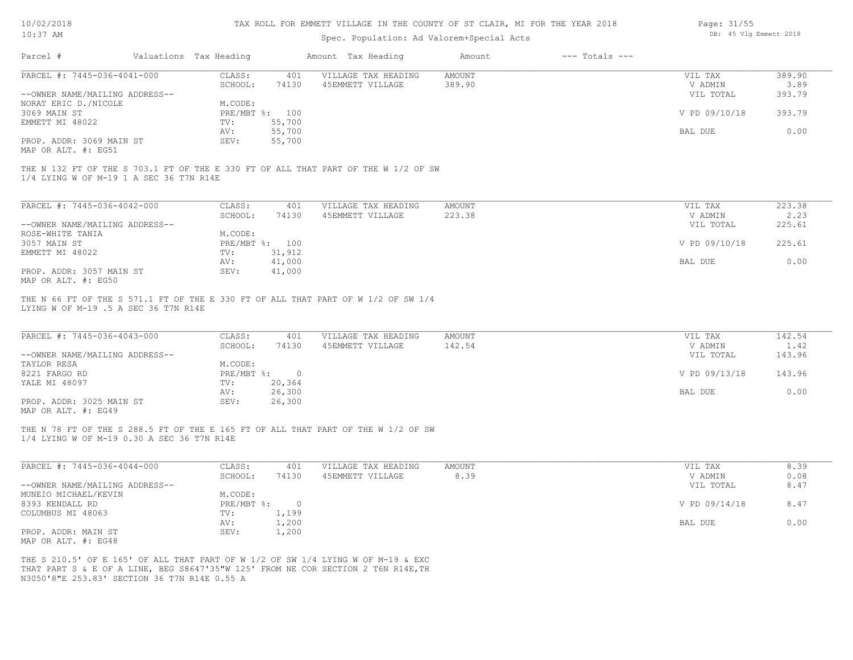| 10/02/2018 |  |
|------------|--|
| $10:37$ AM |  |

Spec. Population: Ad Valorem+Special Acts

| Page: 31/55 |  |                        |  |
|-------------|--|------------------------|--|
|             |  | DB: 45 Vlg Emmett 2018 |  |

| Parcel #                                                                                      | Valuations Tax Heading                       |                                | Amount Tax Heading                                                                                                                                                    | Amount                  | $---$ Totals $---$ |                                                  |                                    |
|-----------------------------------------------------------------------------------------------|----------------------------------------------|--------------------------------|-----------------------------------------------------------------------------------------------------------------------------------------------------------------------|-------------------------|--------------------|--------------------------------------------------|------------------------------------|
| PARCEL #: 7445-036-4041-000                                                                   | CLASS:                                       | 401                            | VILLAGE TAX HEADING                                                                                                                                                   | <b>AMOUNT</b>           |                    | VIL TAX                                          | 389.90                             |
|                                                                                               | SCHOOL:                                      | 74130                          | 45EMMETT VILLAGE                                                                                                                                                      | 389.90                  |                    | V ADMIN                                          | 3.89                               |
| --OWNER NAME/MAILING ADDRESS--                                                                |                                              |                                |                                                                                                                                                                       |                         |                    | VIL TOTAL                                        | 393.79                             |
| NORAT ERIC D./NICOLE                                                                          | M.CODE:                                      |                                |                                                                                                                                                                       |                         |                    |                                                  |                                    |
| 3069 MAIN ST                                                                                  |                                              | PRE/MBT %: 100                 |                                                                                                                                                                       |                         |                    | V PD 09/10/18                                    | 393.79                             |
| EMMETT MI 48022                                                                               | TV:                                          | 55,700                         |                                                                                                                                                                       |                         |                    |                                                  |                                    |
|                                                                                               | AV:                                          | 55,700                         |                                                                                                                                                                       |                         |                    | BAL DUE                                          | 0.00                               |
| PROP. ADDR: 3069 MAIN ST<br>MAP OR ALT. #: EG51                                               | SEV:                                         | 55,700                         |                                                                                                                                                                       |                         |                    |                                                  |                                    |
| 1/4 LYING W OF M-19 1 A SEC 36 T7N R14E                                                       |                                              |                                | THE N 132 FT OF THE S 703.1 FT OF THE E 330 FT OF ALL THAT PART OF THE W 1/2 OF SW                                                                                    |                         |                    |                                                  |                                    |
| PARCEL #: 7445-036-4042-000                                                                   | CLASS:                                       | 401                            | VILLAGE TAX HEADING                                                                                                                                                   | AMOUNT                  |                    | VIL TAX                                          | 223.38                             |
|                                                                                               | SCHOOL:                                      | 74130                          | 45EMMETT VILLAGE                                                                                                                                                      | 223.38                  |                    | V ADMIN                                          | 2.23                               |
| --OWNER NAME/MAILING ADDRESS--                                                                |                                              |                                |                                                                                                                                                                       |                         |                    | VIL TOTAL                                        | 225.61                             |
| ROSE-WHITE TANIA                                                                              | M.CODE:                                      |                                |                                                                                                                                                                       |                         |                    |                                                  |                                    |
| 3057 MAIN ST                                                                                  |                                              | PRE/MBT %: 100                 |                                                                                                                                                                       |                         |                    | V PD 09/10/18                                    | 225.61                             |
| EMMETT MI 48022                                                                               | TV:                                          | 31,912                         |                                                                                                                                                                       |                         |                    |                                                  |                                    |
|                                                                                               | AV:                                          | 41,000                         |                                                                                                                                                                       |                         |                    | BAL DUE                                          | 0.00                               |
| PROP. ADDR: 3057 MAIN ST<br>MAP OR ALT. #: EG50                                               | SEV:                                         | 41,000                         |                                                                                                                                                                       |                         |                    |                                                  |                                    |
| PARCEL #: 7445-036-4043-000<br>--OWNER NAME/MAILING ADDRESS--<br>TAYLOR RESA<br>8221 FARGO RD | CLASS:<br>SCHOOL:<br>M.CODE:<br>$PRE/MBT$ %: | 401<br>74130<br>$\overline{0}$ | VILLAGE TAX HEADING<br>45EMMETT VILLAGE                                                                                                                               | <b>AMOUNT</b><br>142.54 |                    | VIL TAX<br>V ADMIN<br>VIL TOTAL<br>V PD 09/13/18 | 142.54<br>1.42<br>143.96<br>143.96 |
| YALE MI 48097                                                                                 | TV:                                          | 20,364                         |                                                                                                                                                                       |                         |                    |                                                  |                                    |
|                                                                                               | AV:                                          | 26,300                         |                                                                                                                                                                       |                         |                    | BAL DUE                                          | 0.00                               |
| PROP. ADDR: 3025 MAIN ST<br>MAP OR ALT. #: EG49                                               | SEV:                                         | 26,300                         |                                                                                                                                                                       |                         |                    |                                                  |                                    |
| 1/4 LYING W OF M-19 0.30 A SEC 36 T7N R14E                                                    |                                              |                                | THE N 78 FT OF THE S 288.5 FT OF THE E 165 FT OF ALL THAT PART OF THE W 1/2 OF SW                                                                                     |                         |                    |                                                  |                                    |
| PARCEL #: 7445-036-4044-000                                                                   | CLASS:<br>SCHOOL:                            | 401<br>74130                   | VILLAGE TAX HEADING<br>45EMMETT VILLAGE                                                                                                                               | <b>AMOUNT</b><br>8.39   |                    | VIL TAX<br>V ADMIN                               | 8.39<br>0.08                       |
| --OWNER NAME/MAILING ADDRESS--                                                                |                                              |                                |                                                                                                                                                                       |                         |                    | VIL TOTAL                                        | 8.47                               |
| MUNEIO MICHAEL/KEVIN                                                                          | M.CODE:                                      |                                |                                                                                                                                                                       |                         |                    |                                                  |                                    |
| 8393 KENDALL RD                                                                               |                                              | PRE/MBT %: 0                   |                                                                                                                                                                       |                         |                    | V PD 09/14/18                                    | 8.47                               |
| COLUMBUS MI 48063                                                                             | TV:                                          | 1,199                          |                                                                                                                                                                       |                         |                    |                                                  |                                    |
|                                                                                               | AV:                                          | 1,200                          |                                                                                                                                                                       |                         |                    | BAL DUE                                          | 0.00                               |
| PROP. ADDR: MAIN ST<br>MAP OR ALT. #: EG48                                                    | SEV:                                         | 1,200                          |                                                                                                                                                                       |                         |                    |                                                  |                                    |
| N3050'8"E 253.83' SECTION 36 T7N R14E 0.55 A                                                  |                                              |                                | THE S 210.5' OF E 165' OF ALL THAT PART OF W 1/2 OF SW 1/4 LYING W OF M-19 & EXC<br>THAT PART S & E OF A LINE, BEG S8647'35"W 125' FROM NE COR SECTION 2 T6N R14E, TH |                         |                    |                                                  |                                    |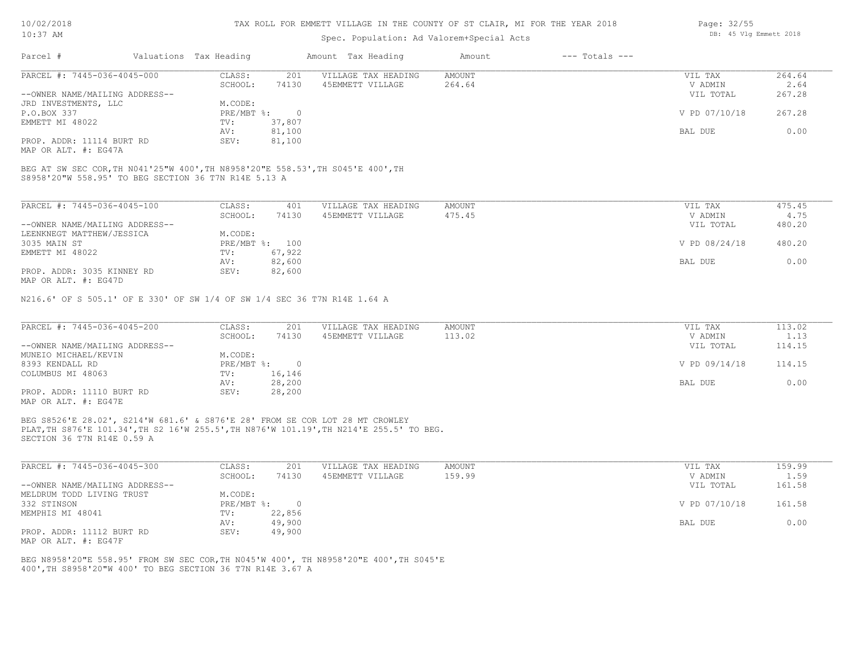#### TAX ROLL FOR EMMETT VILLAGE IN THE COUNTY OF ST CLAIR, MI FOR THE YEAR 2018

## Spec. Population: Ad Valorem+Special Acts

| Parcel #                       | Valuations Tax Heading |        | Amount Tax Heading  | Amount | $---$ Totals $---$ |               |        |
|--------------------------------|------------------------|--------|---------------------|--------|--------------------|---------------|--------|
| PARCEL #: 7445-036-4045-000    | CLASS:                 | 201    | VILLAGE TAX HEADING | AMOUNT |                    | VIL TAX       | 264.64 |
|                                | SCHOOL:                | 74130  | 45EMMETT VILLAGE    | 264.64 |                    | V ADMIN       | 2.64   |
| --OWNER NAME/MAILING ADDRESS-- |                        |        |                     |        |                    | VIL TOTAL     | 267.28 |
| JRD INVESTMENTS, LLC           | M.CODE:                |        |                     |        |                    |               |        |
| P.O.BOX 337                    | PRE/MBT %:             |        |                     |        |                    | V PD 07/10/18 | 267.28 |
| EMMETT MI 48022                | TV:                    | 37,807 |                     |        |                    |               |        |
|                                | AV:                    | 81,100 |                     |        |                    | BAL DUE       | 0.00   |
| PROP. ADDR: 11114 BURT RD      | SEV:                   | 81,100 |                     |        |                    |               |        |

MAP OR ALT. #: EG47A

S8958'20"W 558.95' TO BEG SECTION 36 T7N R14E 5.13 A BEG AT SW SEC COR,TH N041'25"W 400',TH N8958'20"E 558.53',TH S045'E 400',TH

| PARCEL #: 7445-036-4045-100                           | CLASS:     | 401    | VILLAGE TAX HEADING | AMOUNT | VIL TAX       | 475.45 |
|-------------------------------------------------------|------------|--------|---------------------|--------|---------------|--------|
|                                                       | SCHOOL:    | 74130  | 45EMMETT VILLAGE    | 475.45 | V ADMIN       | 4.75   |
| --OWNER NAME/MAILING ADDRESS--                        |            |        |                     |        | VIL TOTAL     | 480.20 |
| LEENKNEGT MATTHEW/JESSICA                             | M.CODE:    |        |                     |        |               |        |
| 3035 MAIN ST                                          | PRE/MBT %: | 100    |                     |        | V PD 08/24/18 | 480.20 |
| EMMETT MI 48022                                       | TV:        | 67,922 |                     |        |               |        |
|                                                       | AV:        | 82,600 |                     |        | BAL DUE       | 0.00   |
| PROP. ADDR: 3035 KINNEY RD                            | SEV:       | 82,600 |                     |        |               |        |
| $\cdots$ $\cdots$ $\cdots$ $\cdots$ $\cdots$ $\cdots$ |            |        |                     |        |               |        |

MAP OR ALT. #: EG47D

N216.6' OF S 505.1' OF E 330' OF SW 1/4 OF SW 1/4 SEC 36 T7N R14E 1.64 A

| PARCEL #: 7445-036-4045-200    | CLASS:     | 201    | VILLAGE TAX HEADING | AMOUNT | VIL TAX       | 113.02 |
|--------------------------------|------------|--------|---------------------|--------|---------------|--------|
|                                | SCHOOL:    | 74130  | 45EMMETT VILLAGE    | 113.02 | V ADMIN       | 1.13   |
| --OWNER NAME/MAILING ADDRESS-- |            |        |                     |        | VIL TOTAL     | 114.15 |
| MUNEIO MICHAEL/KEVIN           | M.CODE:    |        |                     |        |               |        |
| 8393 KENDALL RD                | PRE/MBT %: |        |                     |        | V PD 09/14/18 | 114.15 |
| COLUMBUS MI 48063              | TV:        | 16,146 |                     |        |               |        |
|                                | AV:        | 28,200 |                     |        | BAL DUE       | 0.00   |
| PROP. ADDR: 11110 BURT RD      | SEV:       | 28,200 |                     |        |               |        |
| MAP OR ALT. #: EG47E           |            |        |                     |        |               |        |

SECTION 36 T7N R14E 0.59 A PLAT,TH S876'E 101.34',TH S2 16'W 255.5',TH N876'W 101.19',TH N214'E 255.5' TO BEG. BEG S8526'E 28.02', S214'W 681.6' & S876'E 28' FROM SE COR LOT 28 MT CROWLEY

| PARCEL #: 7445-036-4045-300    | CLASS:       | 201    | VILLAGE TAX HEADING | AMOUNT | VIL TAX       | 159.99 |
|--------------------------------|--------------|--------|---------------------|--------|---------------|--------|
|                                | SCHOOL:      | 74130  | 45EMMETT VILLAGE    | 159.99 | V ADMIN       | 1.59   |
| --OWNER NAME/MAILING ADDRESS-- |              |        |                     |        | VIL TOTAL     | 161.58 |
| MELDRUM TODD LIVING TRUST      | M.CODE:      |        |                     |        |               |        |
| 332 STINSON                    | $PRE/MBT$ %: |        |                     |        | V PD 07/10/18 | 161.58 |
| MEMPHIS MI 48041               | TV:          | 22,856 |                     |        |               |        |
|                                | AV:          | 49,900 |                     |        | BAL DUE       | 0.00   |
| PROP. ADDR: 11112 BURT RD      | SEV:         | 49,900 |                     |        |               |        |
| MAP OR ALT. #: EG47F           |              |        |                     |        |               |        |

400',TH S8958'20"W 400' TO BEG SECTION 36 T7N R14E 3.67 A BEG N8958'20"E 558.95' FROM SW SEC COR,TH N045'W 400', TH N8958'20"E 400',TH S045'E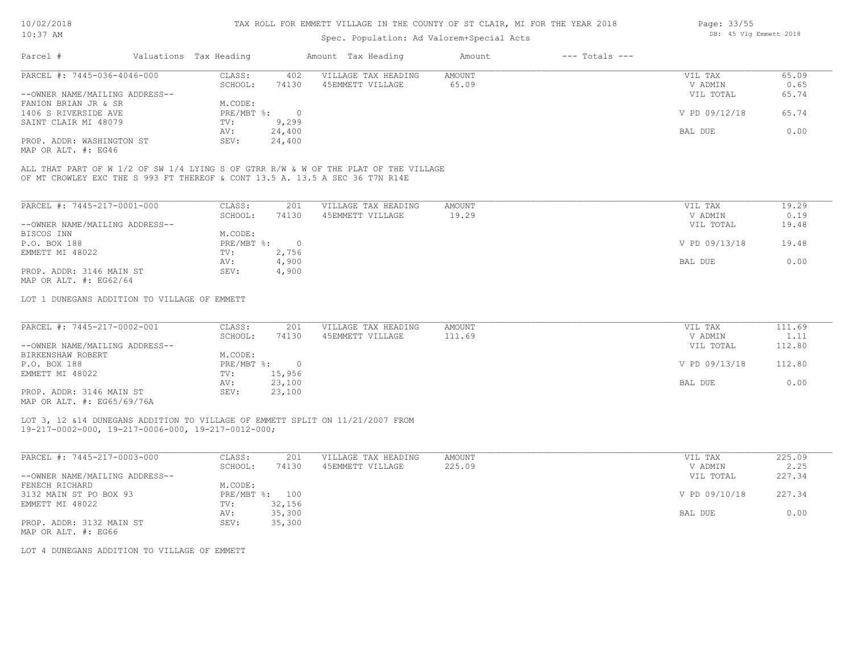## Spec. Population: Ad Valorem+Special Acts

| Parcel #                       | Valuations Tax Heading |        | Amount Tax Heading  | Amount | $---$ Totals $---$ |               |       |
|--------------------------------|------------------------|--------|---------------------|--------|--------------------|---------------|-------|
| PARCEL #: 7445-036-4046-000    | CLASS:                 | 402    | VILLAGE TAX HEADING | AMOUNT |                    | VIL TAX       | 65.09 |
|                                | SCHOOL:                | 74130  | 45EMMETT VILLAGE    | 65.09  |                    | V ADMIN       | 0.65  |
| --OWNER NAME/MAILING ADDRESS-- |                        |        |                     |        |                    | VIL TOTAL     | 65.74 |
| FANION BRIAN JR & SR           | M.CODE:                |        |                     |        |                    |               |       |
| 1406 S RIVERSIDE AVE           | PRE/MBT %:             |        |                     |        |                    | V PD 09/12/18 | 65.74 |
| SAINT CLAIR MI 48079           | TV:                    | 9,299  |                     |        |                    |               |       |
|                                | AV:                    | 24,400 |                     |        |                    | BAL DUE       | 0.00  |
| PROP. ADDR: WASHINGTON ST      | SEV:                   | 24,400 |                     |        |                    |               |       |

MAP OR ALT. #: EG46

OF MT CROWLEY EXC THE S 993 FT THEREOF & CONT 13.5 A. 13.5 A SEC 36 T7N R14E ALL THAT PART OF W 1/2 OF SW 1/4 LYING S OF GTRR R/W & W OF THE PLAT OF THE VILLAGE

| PARCEL #: 7445-217-0001-000    | CLASS:     | 201   | VILLAGE TAX HEADING | AMOUNT | 19.29<br>VIL TAX       |
|--------------------------------|------------|-------|---------------------|--------|------------------------|
|                                | SCHOOL:    | 74130 | 45EMMETT VILLAGE    | 19.29  | 0.19<br>V ADMIN        |
| --OWNER NAME/MAILING ADDRESS-- |            |       |                     |        | 19.48<br>VIL TOTAL     |
| BISCOS INN                     | M.CODE:    |       |                     |        |                        |
| P.O. BOX 188                   | PRE/MBT %: |       |                     |        | V PD 09/13/18<br>19.48 |
| EMMETT MI 48022                | TV:        | 2,756 |                     |        |                        |
|                                | AV:        | 4,900 |                     |        | 0.00<br>BAL DUE        |
| PROP. ADDR: 3146 MAIN ST       | SEV:       | 4,900 |                     |        |                        |
| MAP OR ALT. $\#$ : EG62/64     |            |       |                     |        |                        |

LOT 1 DUNEGANS ADDITION TO VILLAGE OF EMMETT

| PARCEL #: 7445-217-0002-001    | CLASS:     | 201    | VILLAGE TAX HEADING | AMOUNT | VIL TAX       | 111.69 |
|--------------------------------|------------|--------|---------------------|--------|---------------|--------|
|                                | SCHOOL:    | 74130  | 45EMMETT VILLAGE    | 111.69 | V ADMIN       | 1.11   |
| --OWNER NAME/MAILING ADDRESS-- |            |        |                     |        | VIL TOTAL     | 112.80 |
| BIRKENSHAW ROBERT              | M.CODE:    |        |                     |        |               |        |
| P.O. BOX 188                   | PRE/MBT %: |        |                     |        | V PD 09/13/18 | 112.80 |
| EMMETT MI 48022                | TV:        | 15,956 |                     |        |               |        |
|                                | AV:        | 23,100 |                     |        | BAL DUE       | 0.00   |
| PROP. ADDR: 3146 MAIN ST       | SEV:       | 23,100 |                     |        |               |        |
| $\frac{1}{2}$                  |            |        |                     |        |               |        |

MAP OR ALT. #: EG65/69/76A

#### 19-217-0002-000, 19-217-0006-000, 19-217-0012-000; LOT 3, 12 &14 DUNEGANS ADDITION TO VILLAGE OF EMMETT SPLIT ON 11/21/2007 FROM

| PARCEL #: 7445-217-0003-000    | CLASS:     | 201    | VILLAGE TAX HEADING | AMOUNT | VIL TAX       | 225.09 |
|--------------------------------|------------|--------|---------------------|--------|---------------|--------|
|                                | SCHOOL:    | 74130  | 45EMMETT VILLAGE    | 225.09 | V ADMIN       | 2.25   |
| --OWNER NAME/MAILING ADDRESS-- |            |        |                     |        | VIL TOTAL     | 227.34 |
| FENECH RICHARD                 | M.CODE:    |        |                     |        |               |        |
| 3132 MAIN ST PO BOX 93         | PRE/MBT %: | 100    |                     |        | V PD 09/10/18 | 227.34 |
| EMMETT MI 48022                | TV:        | 32,156 |                     |        |               |        |
|                                | AV:        | 35,300 |                     |        | BAL DUE       | 0.00   |
| PROP. ADDR: 3132 MAIN ST       | SEV:       | 35,300 |                     |        |               |        |
|                                |            |        |                     |        |               |        |

MAP OR ALT. #: EG66

LOT 4 DUNEGANS ADDITION TO VILLAGE OF EMMETT

Page: 33/55 DB: 45 Vlg Emmett 2018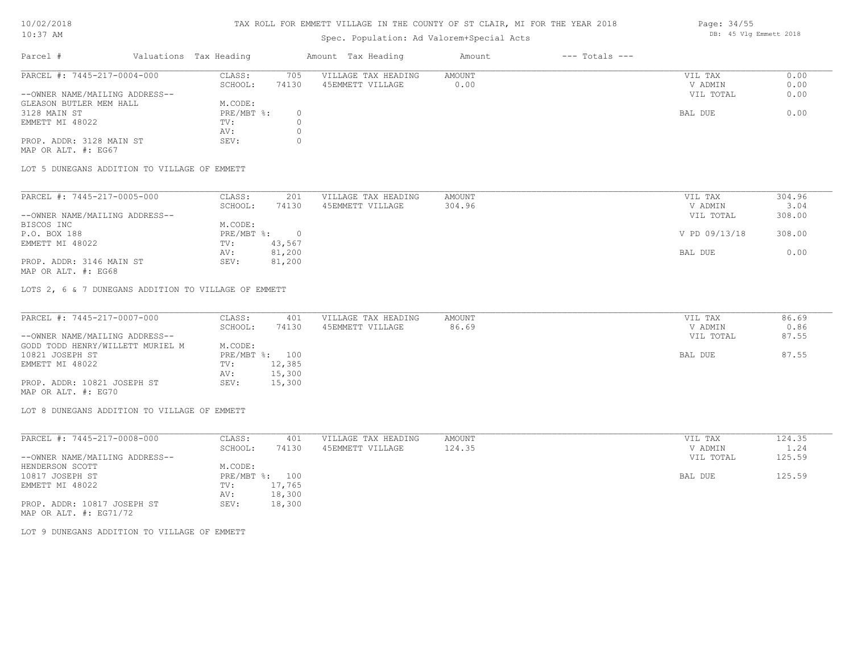# TAX ROLL FOR EMMETT VILLAGE IN THE COUNTY OF ST CLAIR, MI FOR THE YEAR 2018

# Spec. Population: Ad Valorem+Special Acts

| Parcel #                       | Valuations Tax Heading | Amount Tax Heading |                     | Amount | $---$ Totals $---$ |           |      |  |
|--------------------------------|------------------------|--------------------|---------------------|--------|--------------------|-----------|------|--|
| PARCEL #: 7445-217-0004-000    | CLASS:                 | 705                | VILLAGE TAX HEADING | AMOUNT |                    | VIL TAX   | 0.00 |  |
|                                | SCHOOL:                | 74130              | 45EMMETT VILLAGE    | 0.00   |                    | V ADMIN   | 0.00 |  |
| --OWNER NAME/MAILING ADDRESS-- |                        |                    |                     |        |                    | VIL TOTAL | 0.00 |  |
| GLEASON BUTLER MEM HALL        | M.CODE:                |                    |                     |        |                    |           |      |  |
| 3128 MAIN ST                   | PRE/MBT %:             |                    |                     |        |                    | BAL DUE   | 0.00 |  |
| EMMETT MI 48022                | TV:                    |                    |                     |        |                    |           |      |  |
|                                | AV:                    |                    |                     |        |                    |           |      |  |
| PROP. ADDR: 3128 MAIN ST       | SEV:                   |                    |                     |        |                    |           |      |  |
|                                |                        |                    |                     |        |                    |           |      |  |

MAP OR ALT. #: EG67

LOT 5 DUNEGANS ADDITION TO VILLAGE OF EMMETT

| PARCEL #: 7445-217-0005-000    | CLASS:     | 201    | VILLAGE TAX HEADING | AMOUNT | VIL TAX       | 304.96 |
|--------------------------------|------------|--------|---------------------|--------|---------------|--------|
|                                | SCHOOL:    | 74130  | 45EMMETT VILLAGE    | 304.96 | V ADMIN       | 3.04   |
| --OWNER NAME/MAILING ADDRESS-- |            |        |                     |        | VIL TOTAL     | 308.00 |
| BISCOS INC                     | M.CODE:    |        |                     |        |               |        |
| P.O. BOX 188                   | PRE/MBT %: |        |                     |        | V PD 09/13/18 | 308.00 |
| EMMETT MI 48022                | TV:        | 43,567 |                     |        |               |        |
|                                | AV:        | 81,200 |                     |        | BAL DUE       | 0.00   |
| PROP. ADDR: 3146 MAIN ST       | SEV:       | 81,200 |                     |        |               |        |
|                                |            |        |                     |        |               |        |

MAP OR ALT. #: EG68

LOTS 2, 6 & 7 DUNEGANS ADDITION TO VILLAGE OF EMMETT

| PARCEL #: 7445-217-0007-000      | CLASS:  | 401            | VILLAGE TAX HEADING | AMOUNT | VIL TAX   | 86.69 |
|----------------------------------|---------|----------------|---------------------|--------|-----------|-------|
|                                  | SCHOOL: | 74130          | 45EMMETT VILLAGE    | 86.69  | V ADMIN   | 0.86  |
| --OWNER NAME/MAILING ADDRESS--   |         |                |                     |        | VIL TOTAL | 87.55 |
| GODD TODD HENRY/WILLETT MURIEL M | M.CODE: |                |                     |        |           |       |
| 10821 JOSEPH ST                  |         | PRE/MBT %: 100 |                     |        | BAL DUE   | 87.55 |
| EMMETT MI 48022                  | TV:     | 12,385         |                     |        |           |       |
|                                  | AV:     | 15,300         |                     |        |           |       |
| PROP. ADDR: 10821 JOSEPH ST      | SEV:    | 15,300         |                     |        |           |       |
| MAP OR ALT. #: EG70              |         |                |                     |        |           |       |

LOT 8 DUNEGANS ADDITION TO VILLAGE OF EMMETT

| PARCEL #: 7445-217-0008-000    | CLASS:       | 401    | VILLAGE TAX HEADING | AMOUNT | VIL TAX   | 124.35 |
|--------------------------------|--------------|--------|---------------------|--------|-----------|--------|
|                                | SCHOOL:      | 74130  | 45EMMETT VILLAGE    | 124.35 | V ADMIN   | 1.24   |
| --OWNER NAME/MAILING ADDRESS-- |              |        |                     |        | VIL TOTAL | 125.59 |
| HENDERSON SCOTT                | M.CODE:      |        |                     |        |           |        |
| 10817 JOSEPH ST                | $PRE/MBT$ %: | 100    |                     |        | BAL DUE   | 125.59 |
| EMMETT MI 48022                | TV:          | 17,765 |                     |        |           |        |
|                                | AV:          | 18,300 |                     |        |           |        |
| PROP. ADDR: 10817 JOSEPH ST    | SEV:         | 18,300 |                     |        |           |        |
| MAP OR ALT. $\#$ : EG71/72     |              |        |                     |        |           |        |

LOT 9 DUNEGANS ADDITION TO VILLAGE OF EMMETT

Page: 34/55 DB: 45 Vlg Emmett 2018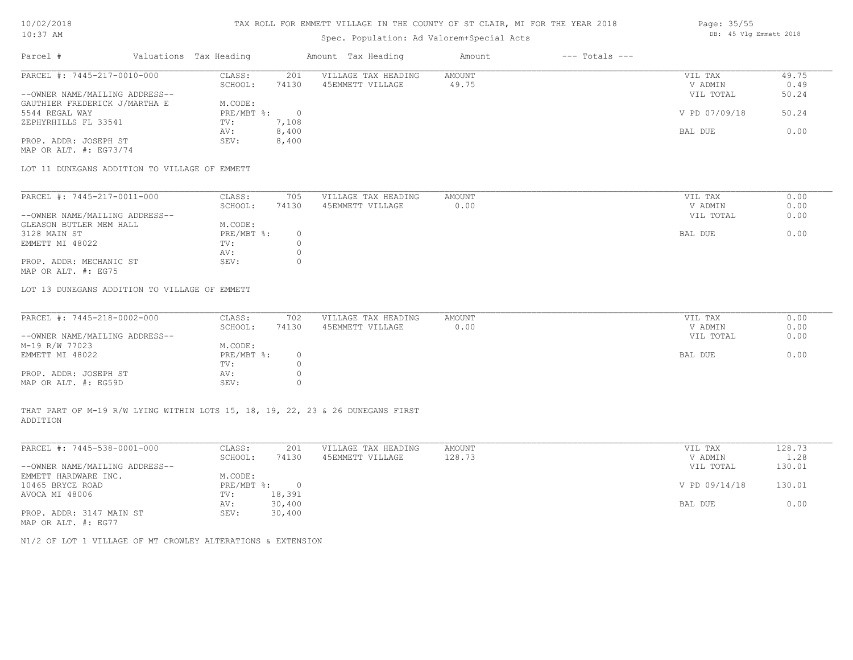#### TAX ROLL FOR EMMETT VILLAGE IN THE COUNTY OF ST CLAIR, MI FOR THE YEAR 2018

# Spec. Population: Ad Valorem+Special Acts

| Parcel #                       | Valuations Tax Heading |       | Amount Tax Heading  | Amount | $---$ Totals $---$ |               |       |
|--------------------------------|------------------------|-------|---------------------|--------|--------------------|---------------|-------|
| PARCEL #: 7445-217-0010-000    | CLASS:                 | 201   | VILLAGE TAX HEADING | AMOUNT |                    | VIL TAX       | 49.75 |
|                                | SCHOOL:                | 74130 | 45EMMETT VILLAGE    | 49.75  |                    | V ADMIN       | 0.49  |
| --OWNER NAME/MAILING ADDRESS-- |                        |       |                     |        |                    | VIL TOTAL     | 50.24 |
| GAUTHIER FREDERICK J/MARTHA E  | M.CODE:                |       |                     |        |                    |               |       |
| 5544 REGAL WAY                 | PRE/MBT %:             |       |                     |        |                    | V PD 07/09/18 | 50.24 |
| ZEPHYRHILLS FL 33541           | TV:                    | 7,108 |                     |        |                    |               |       |
|                                | AV:                    | 8,400 |                     |        |                    | BAL DUE       | 0.00  |
| PROP. ADDR: JOSEPH ST          | SEV:                   | 8,400 |                     |        |                    |               |       |

MAP OR ALT. #: EG73/74

LOT 11 DUNEGANS ADDITION TO VILLAGE OF EMMETT

| PARCEL #: 7445-217-0011-000    | CLASS:     | 705   | VILLAGE TAX HEADING | AMOUNT | VIL TAX   | 0.00 |
|--------------------------------|------------|-------|---------------------|--------|-----------|------|
|                                | SCHOOL:    | 74130 | 45EMMETT VILLAGE    | 0.00   | V ADMIN   | 0.00 |
| --OWNER NAME/MAILING ADDRESS-- |            |       |                     |        | VIL TOTAL | 0.00 |
| GLEASON BUTLER MEM HALL        | M.CODE:    |       |                     |        |           |      |
| 3128 MAIN ST                   | PRE/MBT %: |       |                     |        | BAL DUE   | 0.00 |
| EMMETT MI 48022                | TV:        |       |                     |        |           |      |
|                                | AV:        |       |                     |        |           |      |
| PROP. ADDR: MECHANIC ST        | SEV:       |       |                     |        |           |      |
| MAP OR ALT. #: EG75            |            |       |                     |        |           |      |

LOT 13 DUNEGANS ADDITION TO VILLAGE OF EMMETT

| PARCEL #: 7445-218-0002-000    | CLASS:       | 702   | VILLAGE TAX HEADING | AMOUNT | VIL TAX   | 0.00 |
|--------------------------------|--------------|-------|---------------------|--------|-----------|------|
|                                | SCHOOL:      | 74130 | 45EMMETT VILLAGE    | 0.00   | V ADMIN   | 0.00 |
| --OWNER NAME/MAILING ADDRESS-- |              |       |                     |        | VIL TOTAL | 0.00 |
| M-19 R/W 77023                 | M.CODE:      |       |                     |        |           |      |
| EMMETT MI 48022                | $PRE/MBT$ %: |       |                     |        | BAL DUE   | 0.00 |
|                                | TV:          |       |                     |        |           |      |
| PROP. ADDR: JOSEPH ST          | AV:          |       |                     |        |           |      |
| MAP OR ALT. #: EG59D           | SEV:         |       |                     |        |           |      |

ADDITION THAT PART OF M-19 R/W LYING WITHIN LOTS 15, 18, 19, 22, 23 & 26 DUNEGANS FIRST

| PARCEL #: 7445-538-0001-000    | CLASS:     | 201    | VILLAGE TAX HEADING | AMOUNT | VIL TAX       | 128.73 |
|--------------------------------|------------|--------|---------------------|--------|---------------|--------|
|                                | SCHOOL:    | 74130  | 45EMMETT VILLAGE    | 128.73 | V ADMIN       | 1.28   |
| --OWNER NAME/MAILING ADDRESS-- |            |        |                     |        | VIL TOTAL     | 130.01 |
| EMMETT HARDWARE INC.           | M.CODE:    |        |                     |        |               |        |
| 10465 BRYCE ROAD               | PRE/MBT %: | $\Box$ |                     |        | V PD 09/14/18 | 130.01 |
| AVOCA MI 48006                 | TV:        | 18,391 |                     |        |               |        |
|                                | AV:        | 30,400 |                     |        | BAL DUE       | 0.00   |
| PROP. ADDR: 3147 MAIN ST       | SEV:       | 30,400 |                     |        |               |        |
| MAP OR ALT. #: EG77            |            |        |                     |        |               |        |

 $\mathcal{L}_\mathcal{L} = \mathcal{L}_\mathcal{L} = \mathcal{L}_\mathcal{L} = \mathcal{L}_\mathcal{L} = \mathcal{L}_\mathcal{L} = \mathcal{L}_\mathcal{L} = \mathcal{L}_\mathcal{L} = \mathcal{L}_\mathcal{L} = \mathcal{L}_\mathcal{L} = \mathcal{L}_\mathcal{L} = \mathcal{L}_\mathcal{L} = \mathcal{L}_\mathcal{L} = \mathcal{L}_\mathcal{L} = \mathcal{L}_\mathcal{L} = \mathcal{L}_\mathcal{L} = \mathcal{L}_\mathcal{L} = \mathcal{L}_\mathcal{L}$ 

N1/2 OF LOT 1 VILLAGE OF MT CROWLEY ALTERATIONS & EXTENSION

Page: 35/55 DB: 45 Vlg Emmett 2018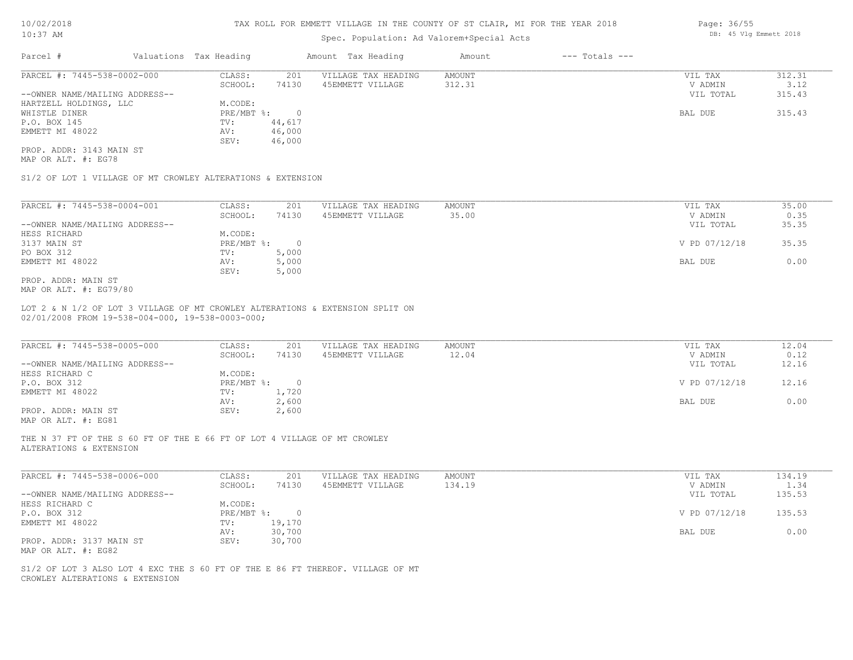# Spec. Population: Ad Valorem+Special Acts

| Parcel #                       | Valuations Tax Heading |        | Amount Tax Heading  | Amount | $---$ Totals $---$ |           |        |
|--------------------------------|------------------------|--------|---------------------|--------|--------------------|-----------|--------|
| PARCEL #: 7445-538-0002-000    | CLASS:                 | 201    | VILLAGE TAX HEADING | AMOUNT |                    | VIL TAX   | 312.31 |
|                                | SCHOOL:                | 74130  | 45EMMETT VILLAGE    | 312.31 |                    | V ADMIN   | 3.12   |
| --OWNER NAME/MAILING ADDRESS-- |                        |        |                     |        |                    | VIL TOTAL | 315.43 |
| HARTZELL HOLDINGS, LLC         | M.CODE:                |        |                     |        |                    |           |        |
| WHISTLE DINER                  | PRE/MBT %:             |        |                     |        |                    | BAL DUE   | 315.43 |
| P.O. BOX 145                   | TV:                    | 44,617 |                     |        |                    |           |        |
| EMMETT MI 48022                | AV:                    | 46,000 |                     |        |                    |           |        |
|                                | SEV:                   | 46,000 |                     |        |                    |           |        |

MAP OR ALT. #: EG78 PROP. ADDR: 3143 MAIN ST

S1/2 OF LOT 1 VILLAGE OF MT CROWLEY ALTERATIONS & EXTENSION

| PARCEL #: 7445-538-0004-001    | CLASS:     | 201   | VILLAGE TAX HEADING | AMOUNT | VIL TAX       | 35.00 |
|--------------------------------|------------|-------|---------------------|--------|---------------|-------|
|                                | SCHOOL:    | 74130 | 45EMMETT VILLAGE    | 35.00  | V ADMIN       | 0.35  |
| --OWNER NAME/MAILING ADDRESS-- |            |       |                     |        | VIL TOTAL     | 35.35 |
| HESS RICHARD                   | M.CODE:    |       |                     |        |               |       |
| 3137 MAIN ST                   | PRE/MBT %: |       |                     |        | V PD 07/12/18 | 35.35 |
| PO BOX 312                     | TV:        | 5,000 |                     |        |               |       |
| EMMETT MI 48022                | AV:        | 5,000 |                     |        | BAL DUE       | 0.00  |
|                                | SEV:       | 5,000 |                     |        |               |       |
| PROP. ADDR: MAIN ST            |            |       |                     |        |               |       |

MAP OR ALT. #: EG79/80

02/01/2008 FROM 19-538-004-000, 19-538-0003-000; LOT 2 & N 1/2 OF LOT 3 VILLAGE OF MT CROWLEY ALTERATIONS & EXTENSION SPLIT ON

| PARCEL #: 7445-538-0005-000                           | CLASS:     | 201   | VILLAGE TAX HEADING | AMOUNT | VIL TAX       | 12.04 |
|-------------------------------------------------------|------------|-------|---------------------|--------|---------------|-------|
|                                                       | SCHOOL:    | 74130 | 45EMMETT VILLAGE    | 12.04  | V ADMIN       | 0.12  |
| --OWNER NAME/MAILING ADDRESS--                        |            |       |                     |        | VIL TOTAL     | 12.16 |
| HESS RICHARD C                                        | M.CODE:    |       |                     |        |               |       |
| P.O. BOX 312                                          | PRE/MBT %: |       |                     |        | V PD 07/12/18 | 12.16 |
| EMMETT MI 48022                                       | TV:        | 1,720 |                     |        |               |       |
|                                                       | AV:        | 2,600 |                     |        | BAL DUE       | 0.00  |
| PROP. ADDR: MAIN ST                                   | SEV:       | 2,600 |                     |        |               |       |
| $\cdots$ $\cdots$ $\cdots$ $\cdots$ $\cdots$ $\cdots$ |            |       |                     |        |               |       |

 $\mathcal{L}_\mathcal{L} = \mathcal{L}_\mathcal{L} = \mathcal{L}_\mathcal{L} = \mathcal{L}_\mathcal{L} = \mathcal{L}_\mathcal{L} = \mathcal{L}_\mathcal{L} = \mathcal{L}_\mathcal{L} = \mathcal{L}_\mathcal{L} = \mathcal{L}_\mathcal{L} = \mathcal{L}_\mathcal{L} = \mathcal{L}_\mathcal{L} = \mathcal{L}_\mathcal{L} = \mathcal{L}_\mathcal{L} = \mathcal{L}_\mathcal{L} = \mathcal{L}_\mathcal{L} = \mathcal{L}_\mathcal{L} = \mathcal{L}_\mathcal{L}$ 

MAP OR ALT. #: EG81

ALTERATIONS & EXTENSION THE N 37 FT OF THE S 60 FT OF THE E 66 FT OF LOT 4 VILLAGE OF MT CROWLEY

| PARCEL #: 7445-538-0006-000    | CLASS:     | 201    | VILLAGE TAX HEADING | AMOUNT | VIL TAX       | 134.19 |
|--------------------------------|------------|--------|---------------------|--------|---------------|--------|
|                                | SCHOOL:    | 74130  | 45EMMETT VILLAGE    | 134.19 | V ADMIN       | 1.34   |
| --OWNER NAME/MAILING ADDRESS-- |            |        |                     |        | VIL TOTAL     | 135.53 |
| HESS RICHARD C                 | M.CODE:    |        |                     |        |               |        |
| P.O. BOX 312                   | PRE/MBT %: |        |                     |        | V PD 07/12/18 | 135.53 |
| EMMETT MI 48022                | TV:        | 19,170 |                     |        |               |        |
|                                | AV:        | 30,700 |                     |        | BAL DUE       | 0.00   |
| PROP. ADDR: 3137 MAIN ST       | SEV:       | 30,700 |                     |        |               |        |
| MAP OR ALT. #: EG82            |            |        |                     |        |               |        |

CROWLEY ALTERATIONS & EXTENSION S1/2 OF LOT 3 ALSO LOT 4 EXC THE S 60 FT OF THE E 86 FT THEREOF. VILLAGE OF MT Page: 36/55 DB: 45 Vlg Emmett 2018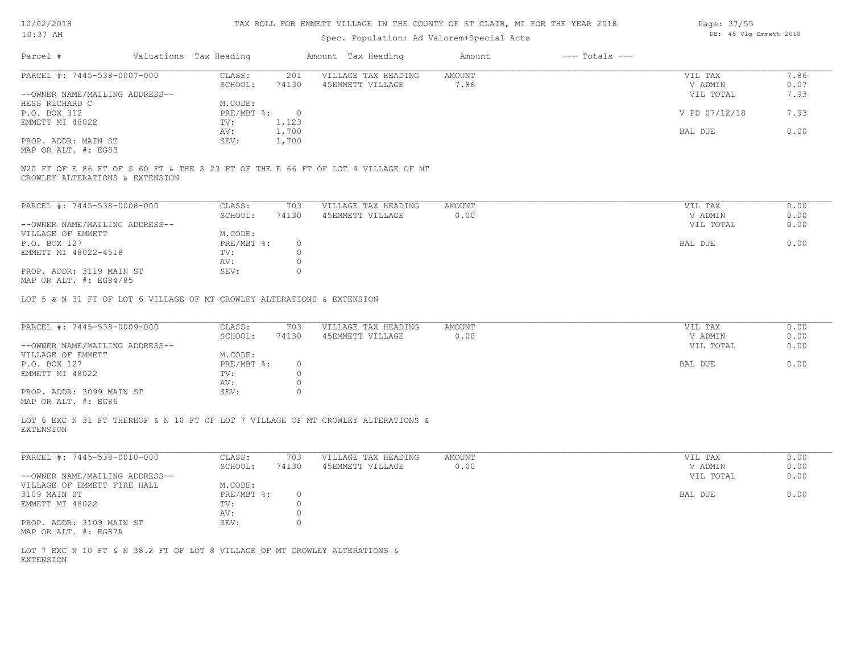| 10/02/2018 |  |
|------------|--|
| $10:37$ AM |  |

# Spec. Population: Ad Valorem+Special Acts

| Parcel #                        | Valuations Tax Heading |          | Amount Tax Heading                                                               | Amount | $---$ Totals $---$ |               |      |
|---------------------------------|------------------------|----------|----------------------------------------------------------------------------------|--------|--------------------|---------------|------|
| PARCEL #: 7445-538-0007-000     | CLASS:                 | 201      | VILLAGE TAX HEADING                                                              | AMOUNT |                    | VIL TAX       | 7.86 |
|                                 | SCHOOL:                | 74130    | 45EMMETT VILLAGE                                                                 | 7.86   |                    | V ADMIN       | 0.07 |
| --OWNER NAME/MAILING ADDRESS--  |                        |          |                                                                                  |        |                    | VIL TOTAL     | 7.93 |
| HESS RICHARD C                  | M.CODE:                |          |                                                                                  |        |                    |               |      |
| P.O. BOX 312                    | PRE/MBT %:             | $\sim$ 0 |                                                                                  |        |                    | V PD 07/12/18 | 7.93 |
| EMMETT MI 48022                 | TV:                    | 1,123    |                                                                                  |        |                    |               |      |
|                                 | AV:                    | 1,700    |                                                                                  |        |                    | BAL DUE       | 0.00 |
| PROP. ADDR: MAIN ST             | SEV:                   | 1,700    |                                                                                  |        |                    |               |      |
| MAP OR ALT. #: EG83             |                        |          |                                                                                  |        |                    |               |      |
|                                 |                        |          |                                                                                  |        |                    |               |      |
|                                 |                        |          | W20 FT OF E 86 FT OF S 60 FT & THE S 23 FT OF THE E 66 FT OF LOT 4 VILLAGE OF MT |        |                    |               |      |
| CROWLEY ALTERATIONS & EXTENSION |                        |          |                                                                                  |        |                    |               |      |
|                                 |                        |          |                                                                                  |        |                    |               |      |

| PARCEL #: 7445-538-0008-000    | CLASS:     | 703   | VILLAGE TAX HEADING | AMOUNT | VIL TAX   | 0.00 |
|--------------------------------|------------|-------|---------------------|--------|-----------|------|
|                                | SCHOOL:    | 74130 | 45EMMETT VILLAGE    | 0.00   | V ADMIN   | 0.00 |
| --OWNER NAME/MAILING ADDRESS-- |            |       |                     |        | VIL TOTAL | 0.00 |
| VILLAGE OF EMMETT              | M.CODE:    |       |                     |        |           |      |
| P.O. BOX 127                   | PRE/MBT %: |       |                     |        | BAL DUE   | 0.00 |
| EMMETT MI 48022-4518           | TV:        |       |                     |        |           |      |
|                                | AV:        |       |                     |        |           |      |
| PROP. ADDR: 3119 MAIN ST       | SEV:       |       |                     |        |           |      |
| $\frac{1}{2}$                  |            |       |                     |        |           |      |

MAP OR ALT. #: EG84/85

LOT 5 & N 31 FT OF LOT 6 VILLAGE OF MT CROWLEY ALTERATIONS & EXTENSION

| PARCEL #: 7445-538-0009-000          | CLASS:     | 703   | VILLAGE TAX HEADING | AMOUNT | VIL TAX   | 0.00 |
|--------------------------------------|------------|-------|---------------------|--------|-----------|------|
|                                      | SCHOOL:    | 74130 | 45EMMETT VILLAGE    | 0.00   | V ADMIN   | 0.00 |
| --OWNER NAME/MAILING ADDRESS--       |            |       |                     |        | VIL TOTAL | 0.00 |
| VILLAGE OF EMMETT                    | M.CODE:    |       |                     |        |           |      |
| P.O. BOX 127                         | PRE/MBT %: |       |                     |        | BAL DUE   | 0.00 |
| EMMETT MI 48022                      | TV:        |       |                     |        |           |      |
|                                      | AV:        |       |                     |        |           |      |
| PROP. ADDR: 3099 MAIN ST             | SEV:       |       |                     |        |           |      |
| $M3D$ $CD$ $3T$ $m$ $\pm$ , $DQ$ $C$ |            |       |                     |        |           |      |

MAP OR ALT. #: EG86

EXTENSION LOT 6 EXC N 31 FT THEREOF & N 10 FT OF LOT 7 VILLAGE OF MT CROWLEY ALTERATIONS &

| PARCEL #: 7445-538-0010-000    | CLASS:     | 703   | VILLAGE TAX HEADING | AMOUNT | 0.00<br>VIL TAX   |
|--------------------------------|------------|-------|---------------------|--------|-------------------|
|                                | SCHOOL:    | 74130 | 45EMMETT VILLAGE    | 0.00   | 0.00<br>V ADMIN   |
| --OWNER NAME/MAILING ADDRESS-- |            |       |                     |        | 0.00<br>VIL TOTAL |
| VILLAGE OF EMMETT FIRE HALL    | M.CODE:    |       |                     |        |                   |
| 3109 MAIN ST                   | PRE/MBT %: |       |                     |        | 0.00<br>BAL DUE   |
| EMMETT MI 48022                | TV:        |       |                     |        |                   |
|                                | AV:        |       |                     |        |                   |
| PROP. ADDR: 3109 MAIN ST       | SEV:       |       |                     |        |                   |
| MAP OR ALT. #: EG87A           |            |       |                     |        |                   |

EXTENSION LOT 7 EXC N 10 FT & N 38.2 FT OF LOT 8 VILLAGE OF MT CROWLEY ALTERATIONS & Page: 37/55 DB: 45 Vlg Emmett 2018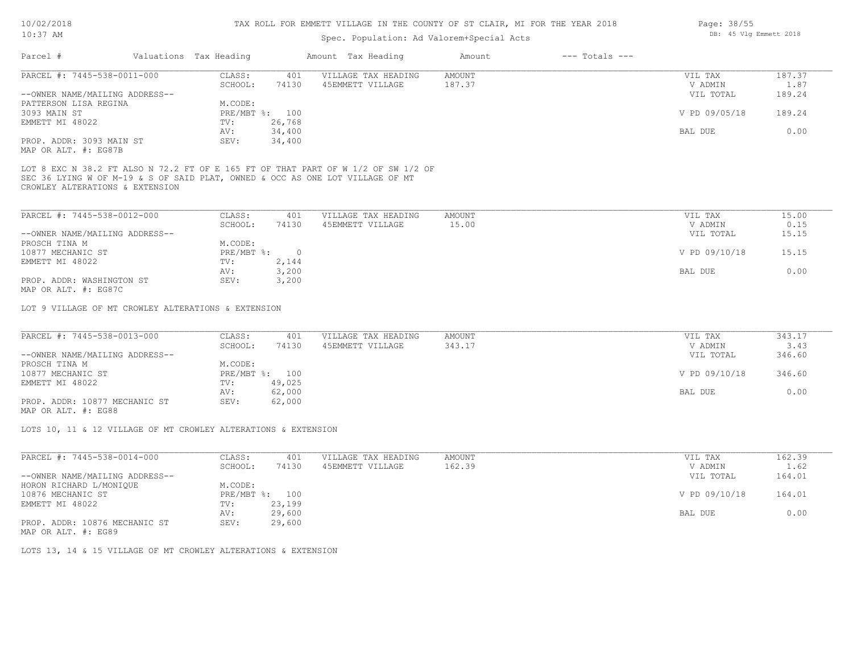# Spec. Population: Ad Valorem+Special Acts

| Parcel #                       | Valuations Tax Heading |        | Amount Tax Heading  | Amount | $---$ Totals $---$ |               |        |
|--------------------------------|------------------------|--------|---------------------|--------|--------------------|---------------|--------|
| PARCEL #: 7445-538-0011-000    | CLASS:                 | 401    | VILLAGE TAX HEADING | AMOUNT |                    | VIL TAX       | 187.37 |
|                                | SCHOOL:                | 74130  | 45EMMETT VILLAGE    | 187.37 |                    | V ADMIN       | 1.87   |
| --OWNER NAME/MAILING ADDRESS-- |                        |        |                     |        |                    | VIL TOTAL     | 189.24 |
| PATTERSON LISA REGINA          | M.CODE:                |        |                     |        |                    |               |        |
| 3093 MAIN ST                   | PRE/MBT %: 100         |        |                     |        |                    | V PD 09/05/18 | 189.24 |
| EMMETT MI 48022                | TV:                    | 26,768 |                     |        |                    |               |        |
|                                | AV:                    | 34,400 |                     |        |                    | BAL DUE       | 0.00   |
| PROP. ADDR: 3093 MAIN ST       | SEV:                   | 34,400 |                     |        |                    |               |        |

MAP OR ALT. #: EG87B

CROWLEY ALTERATIONS & EXTENSION SEC 36 LYING W OF M-19 & S OF SAID PLAT, OWNED & OCC AS ONE LOT VILLAGE OF MT LOT 8 EXC N 38.2 FT ALSO N 72.2 FT OF E 165 FT OF THAT PART OF W 1/2 OF SW 1/2 OF

| PARCEL #: 7445-538-0012-000    | CLASS:       | 401   | VILLAGE TAX HEADING | AMOUNT | VIL TAX       | 15.00 |
|--------------------------------|--------------|-------|---------------------|--------|---------------|-------|
|                                | SCHOOL:      | 74130 | 45EMMETT VILLAGE    | 15.00  | V ADMIN       | 0.15  |
| --OWNER NAME/MAILING ADDRESS-- |              |       |                     |        | VIL TOTAL     | 15.15 |
| PROSCH TINA M                  | M.CODE:      |       |                     |        |               |       |
| 10877 MECHANIC ST              | $PRE/MBT$ %: |       |                     |        | V PD 09/10/18 | 15.15 |
| EMMETT MI 48022                | TV:          | 2,144 |                     |        |               |       |
|                                | AV:          | 3,200 |                     |        | BAL DUE       | 0.00  |
| PROP. ADDR: WASHINGTON ST      | SEV:         | 3,200 |                     |        |               |       |
| $\cdots$                       |              |       |                     |        |               |       |

MAP OR ALT. #: EG87C

LOT 9 VILLAGE OF MT CROWLEY ALTERATIONS & EXTENSION

| PARCEL #: 7445-538-0013-000    | CLASS:         | 401    | VILLAGE TAX HEADING | AMOUNT | VIL TAX       | 343.17 |
|--------------------------------|----------------|--------|---------------------|--------|---------------|--------|
|                                | SCHOOL:        | 74130  | 45EMMETT VILLAGE    | 343.17 | V ADMIN       | 3.43   |
| --OWNER NAME/MAILING ADDRESS-- |                |        |                     |        | VIL TOTAL     | 346.60 |
| PROSCH TINA M                  | M.CODE:        |        |                     |        |               |        |
| 10877 MECHANIC ST              | PRE/MBT %: 100 |        |                     |        | V PD 09/10/18 | 346.60 |
| EMMETT MI 48022                | TV:            | 49,025 |                     |        |               |        |
|                                | AV:            | 62,000 |                     |        | BAL DUE       | 0.00   |
| PROP. ADDR: 10877 MECHANIC ST  | SEV:           | 62,000 |                     |        |               |        |

MAP OR ALT. #: EG88

LOTS 10, 11 & 12 VILLAGE OF MT CROWLEY ALTERATIONS & EXTENSION

| PARCEL #: 7445-538-0014-000    | CLASS:       | 401    | VILLAGE TAX HEADING | AMOUNT | VIL TAX       | 162.39 |
|--------------------------------|--------------|--------|---------------------|--------|---------------|--------|
|                                | SCHOOL:      | 74130  | 45EMMETT VILLAGE    | 162.39 | V ADMIN       | 1.62   |
| --OWNER NAME/MAILING ADDRESS-- |              |        |                     |        | VIL TOTAL     | 164.01 |
| HORON RICHARD L/MONIOUE        | M.CODE:      |        |                     |        |               |        |
| 10876 MECHANIC ST              | $PRE/MBT$ %: | 100    |                     |        | V PD 09/10/18 | 164.01 |
| EMMETT MI 48022                | TV:          | 23,199 |                     |        |               |        |
|                                | AV:          | 29,600 |                     |        | BAL DUE       | 0.00   |
| PROP. ADDR: 10876 MECHANIC ST  | SEV:         | 29,600 |                     |        |               |        |
|                                |              |        |                     |        |               |        |

MAP OR ALT. #: EG89

LOTS 13, 14 & 15 VILLAGE OF MT CROWLEY ALTERATIONS & EXTENSION

Page: 38/55 DB: 45 Vlg Emmett 2018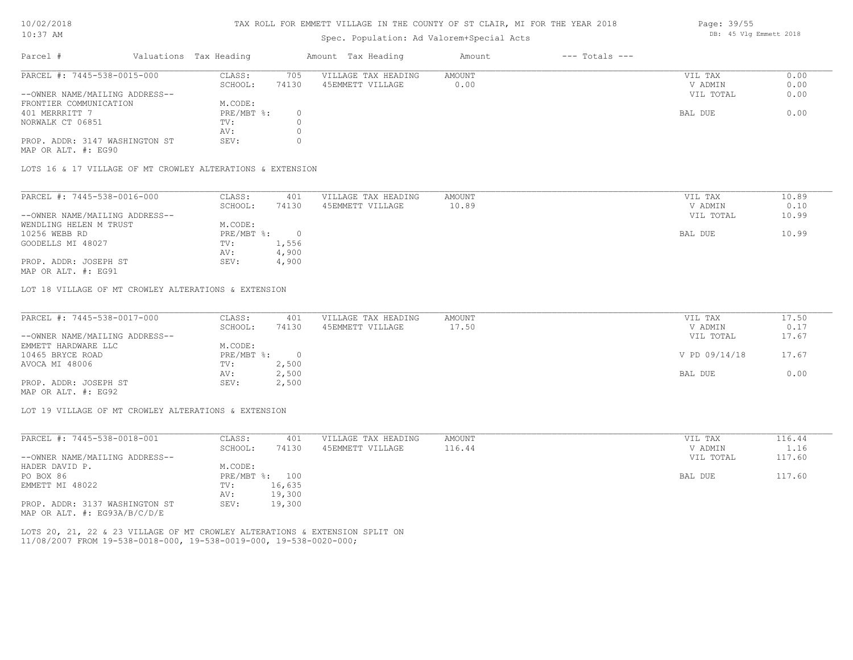#### TAX ROLL FOR EMMETT VILLAGE IN THE COUNTY OF ST CLAIR, MI FOR THE YEAR 2018

## Spec. Population: Ad Valorem+Special Acts

| Parcel #                       | Valuations Tax Heading |       | Amount Tax Heading  | Amount | $---$ Totals $---$ |           |      |
|--------------------------------|------------------------|-------|---------------------|--------|--------------------|-----------|------|
| PARCEL #: 7445-538-0015-000    | CLASS:                 | 705   | VILLAGE TAX HEADING | AMOUNT |                    | VIL TAX   | 0.00 |
|                                | SCHOOL:                | 74130 | 45EMMETT VILLAGE    | 0.00   |                    | V ADMIN   | 0.00 |
| --OWNER NAME/MAILING ADDRESS-- |                        |       |                     |        |                    | VIL TOTAL | 0.00 |
| FRONTIER COMMUNICATION         | M.CODE:                |       |                     |        |                    |           |      |
| 401 MERRRITT 7                 | PRE/MBT %:             |       |                     |        |                    | BAL DUE   | 0.00 |
| NORWALK CT 06851               | TV:                    |       |                     |        |                    |           |      |
|                                | AV:                    |       |                     |        |                    |           |      |
| PROP. ADDR: 3147 WASHINGTON ST | SEV:                   |       |                     |        |                    |           |      |
|                                |                        |       |                     |        |                    |           |      |

MAP OR ALT. #: EG90

LOTS 16 & 17 VILLAGE OF MT CROWLEY ALTERATIONS & EXTENSION

| PARCEL #: 7445-538-0016-000    | CLASS:     | 401   | VILLAGE TAX HEADING | AMOUNT | VIL TAX   | 10.89 |
|--------------------------------|------------|-------|---------------------|--------|-----------|-------|
|                                | SCHOOL:    | 74130 | 45EMMETT VILLAGE    | 10.89  | V ADMIN   | 0.10  |
| --OWNER NAME/MAILING ADDRESS-- |            |       |                     |        | VIL TOTAL | 10.99 |
| WENDLING HELEN M TRUST         | M.CODE:    |       |                     |        |           |       |
| 10256 WEBB RD                  | PRE/MBT %: |       |                     |        | BAL DUE   | 10.99 |
| GOODELLS MI 48027              | TV:        | 1,556 |                     |        |           |       |
|                                | AV:        | 4,900 |                     |        |           |       |
| PROP. ADDR: JOSEPH ST          | SEV:       | 4,900 |                     |        |           |       |
| MAP OR ALT. #: EG91            |            |       |                     |        |           |       |

LOT 18 VILLAGE OF MT CROWLEY ALTERATIONS & EXTENSION

| PARCEL #: 7445-538-0017-000    | CLASS:       | 401   | VILLAGE TAX HEADING | AMOUNT | VIL TAX       | 17.50 |
|--------------------------------|--------------|-------|---------------------|--------|---------------|-------|
|                                | SCHOOL:      | 74130 | 45EMMETT VILLAGE    | 17.50  | V ADMIN       | 0.17  |
| --OWNER NAME/MAILING ADDRESS-- |              |       |                     |        | VIL TOTAL     | 17.67 |
| EMMETT HARDWARE LLC            | M.CODE:      |       |                     |        |               |       |
| 10465 BRYCE ROAD               | $PRE/MBT$ %: |       |                     |        | V PD 09/14/18 | 17.67 |
| AVOCA MI 48006                 | TV:          | 2,500 |                     |        |               |       |
|                                | AV:          | 2,500 |                     |        | BAL DUE       | 0.00  |
| PROP. ADDR: JOSEPH ST          | SEV:         | 2,500 |                     |        |               |       |
|                                |              |       |                     |        |               |       |

MAP OR ALT. #: EG92

LOT 19 VILLAGE OF MT CROWLEY ALTERATIONS & EXTENSION

| PARCEL #: 7445-538-0018-001    | CLASS:       | 401    | VILLAGE TAX HEADING | AMOUNT | 116.44<br>VIL TAX   |
|--------------------------------|--------------|--------|---------------------|--------|---------------------|
|                                | SCHOOL:      | 74130  | 45EMMETT VILLAGE    | 116.44 | 1.16<br>V ADMIN     |
| --OWNER NAME/MAILING ADDRESS-- |              |        |                     |        | 117.60<br>VIL TOTAL |
| HADER DAVID P.                 | M.CODE:      |        |                     |        |                     |
| PO BOX 86                      | $PRE/MBT$ %: | 100    |                     |        | 117.60<br>BAL DUE   |
| EMMETT MI 48022                | TV:          | 16,635 |                     |        |                     |
|                                | AV:          | 19,300 |                     |        |                     |
| PROP. ADDR: 3137 WASHINGTON ST | SEV:         | 19,300 |                     |        |                     |
| MAP OR ALT. #: EG93A/B/C/D/E   |              |        |                     |        |                     |

11/08/2007 FROM 19-538-0018-000, 19-538-0019-000, 19-538-0020-000; LOTS 20, 21, 22 & 23 VILLAGE OF MT CROWLEY ALTERATIONS & EXTENSION SPLIT ON Page: 39/55 DB: 45 Vlg Emmett 2018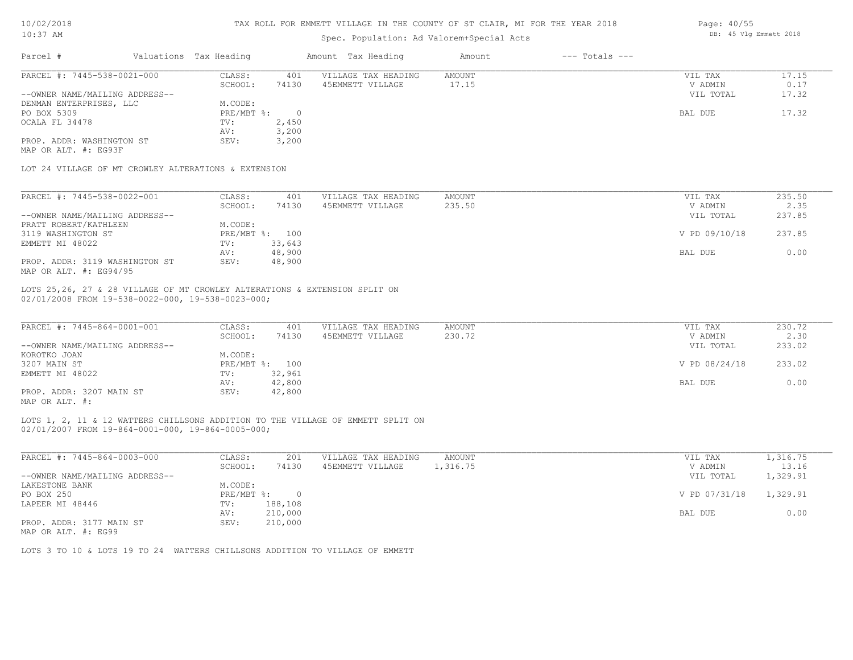| 10/02/2018 |      |
|------------|------|
|            | 71 M |

| TATI / CIAN                                                                                                                     |                        | Spec. Population: Ad Valorem+Special Acts |                     |               |                    |               |        |  |
|---------------------------------------------------------------------------------------------------------------------------------|------------------------|-------------------------------------------|---------------------|---------------|--------------------|---------------|--------|--|
| Parcel #                                                                                                                        | Valuations Tax Heading |                                           | Amount Tax Heading  | Amount        | $---$ Totals $---$ |               |        |  |
| PARCEL #: 7445-538-0021-000                                                                                                     | CLASS:                 | 401                                       | VILLAGE TAX HEADING | <b>AMOUNT</b> |                    | VIL TAX       | 17.15  |  |
|                                                                                                                                 | SCHOOL:                | 74130                                     | 45EMMETT VILLAGE    | 17.15         |                    | V ADMIN       | 0.17   |  |
| --OWNER NAME/MAILING ADDRESS--                                                                                                  |                        |                                           |                     |               |                    | VIL TOTAL     | 17.32  |  |
| DENMAN ENTERPRISES, LLC                                                                                                         | M.CODE:                |                                           |                     |               |                    |               |        |  |
| PO BOX 5309                                                                                                                     | PRE/MBT %:             | $\overline{0}$                            |                     |               |                    | BAL DUE       | 17.32  |  |
| OCALA FL 34478                                                                                                                  | TV:                    | 2,450                                     |                     |               |                    |               |        |  |
|                                                                                                                                 | AV:                    | 3,200                                     |                     |               |                    |               |        |  |
| PROP. ADDR: WASHINGTON ST<br>MAP OR ALT. #: EG93F                                                                               | SEV:                   | 3,200                                     |                     |               |                    |               |        |  |
| LOT 24 VILLAGE OF MT CROWLEY ALTERATIONS & EXTENSION                                                                            |                        |                                           |                     |               |                    |               |        |  |
| PARCEL #: 7445-538-0022-001                                                                                                     | CLASS:                 | 401                                       | VILLAGE TAX HEADING | <b>AMOUNT</b> |                    | VIL TAX       | 235.50 |  |
|                                                                                                                                 | SCHOOL:                | 74130                                     | 45EMMETT VILLAGE    | 235.50        |                    | V ADMIN       | 2.35   |  |
| --OWNER NAME/MAILING ADDRESS--                                                                                                  |                        |                                           |                     |               |                    | VIL TOTAL     | 237.85 |  |
| PRATT ROBERT/KATHLEEN                                                                                                           | M.CODE:                |                                           |                     |               |                    |               |        |  |
| 3119 WASHINGTON ST                                                                                                              | PRE/MBT %: 100         |                                           |                     |               |                    | V PD 09/10/18 | 237.85 |  |
| EMMETT MI 48022                                                                                                                 | TV:                    | 33,643                                    |                     |               |                    |               |        |  |
|                                                                                                                                 | AV:                    | 48,900                                    |                     |               |                    | BAL DUE       | 0.00   |  |
| PROP. ADDR: 3119 WASHINGTON ST<br>MAP OR ALT. #: EG94/95                                                                        | SEV:                   | 48,900                                    |                     |               |                    |               |        |  |
| LOTS 25,26, 27 & 28 VILLAGE OF MT CROWLEY ALTERATIONS & EXTENSION SPLIT ON<br>02/01/2008 FROM 19-538-0022-000, 19-538-0023-000; |                        |                                           |                     |               |                    |               |        |  |
| PARCEL #: 7445-864-0001-001                                                                                                     | CLASS:                 | 401                                       | VILLAGE TAX HEADING | AMOUNT        |                    | VIL TAX       | 230.72 |  |
|                                                                                                                                 | SCHOOL:                | 74130                                     | 45EMMETT VILLAGE    | 230.72        |                    | V ADMIN       | 2.30   |  |
| --OWNER NAME/MAILING ADDRESS--                                                                                                  |                        |                                           |                     |               |                    | VIL TOTAL     | 233.02 |  |
| KOROTKO JOAN                                                                                                                    | M.CODE:                |                                           |                     |               |                    |               |        |  |
| 3207 MAIN ST                                                                                                                    | PRE/MBT %: 100         |                                           |                     |               |                    | V PD 08/24/18 | 233.02 |  |
| EMMETT MI 48022                                                                                                                 | TV:                    | 32,961                                    |                     |               |                    |               |        |  |
|                                                                                                                                 | AV:                    | 42,800                                    |                     |               |                    | BAL DUE       | 0.00   |  |
|                                                                                                                                 |                        |                                           |                     |               |                    |               |        |  |

MAP OR ALT. #: PROP. ADDR: 3207 MAIN ST SEV: 42,800

02/01/2007 FROM 19-864-0001-000, 19-864-0005-000; LOTS 1, 2, 11 & 12 WATTERS CHILLSONS ADDITION TO THE VILLAGE OF EMMETT SPLIT ON

| PARCEL #: 7445-864-0003-000    | CLASS:     | 201     | VILLAGE TAX HEADING | AMOUNT   | VIL TAX       | 1,316.75 |
|--------------------------------|------------|---------|---------------------|----------|---------------|----------|
|                                | SCHOOL:    | 74130   | 45EMMETT VILLAGE    | 1,316.75 | V ADMIN       | 13.16    |
| --OWNER NAME/MAILING ADDRESS-- |            |         |                     |          | VIL TOTAL     | 1,329.91 |
| LAKESTONE BANK                 | M.CODE:    |         |                     |          |               |          |
| PO BOX 250                     | PRE/MBT %: |         |                     |          | V PD 07/31/18 | 1,329.91 |
| LAPEER MI 48446                | TV:        | 188,108 |                     |          |               |          |
|                                | AV:        | 210,000 |                     |          | BAL DUE       | 0.00     |
| PROP. ADDR: 3177 MAIN ST       | SEV:       | 210,000 |                     |          |               |          |

MAP OR ALT. #: EG99

LOTS 3 TO 10 & LOTS 19 TO 24 WATTERS CHILLSONS ADDITION TO VILLAGE OF EMMETT

Page: 40/55 DB: 45 Vlg Emmett 2018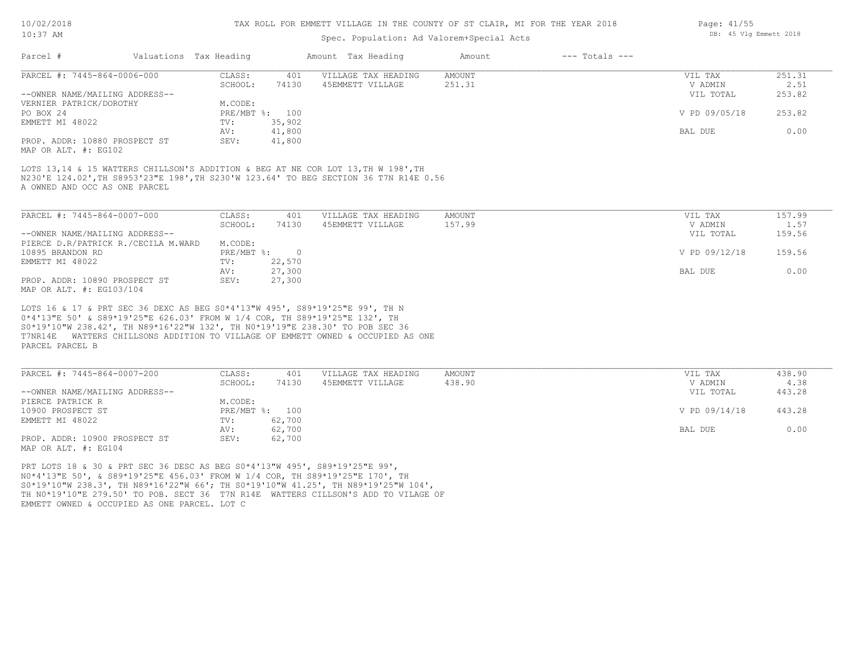#### TAX ROLL FOR EMMETT VILLAGE IN THE COUNTY OF ST CLAIR, MI FOR THE YEAR 2018

## Spec. Population: Ad Valorem+Special Acts

| Parcel #                                                  | Valuations Tax Heading |                | Amount Tax Heading  | Amount | $---$ Totals $---$ |               |        |
|-----------------------------------------------------------|------------------------|----------------|---------------------|--------|--------------------|---------------|--------|
| PARCEL #: 7445-864-0006-000                               | CLASS:                 | 401            | VILLAGE TAX HEADING | AMOUNT |                    | VIL TAX       | 251.31 |
|                                                           | SCHOOL:                | 74130          | 45EMMETT VILLAGE    | 251.31 |                    | V ADMIN       | 2.51   |
| --OWNER NAME/MAILING ADDRESS--<br>VERNIER PATRICK/DOROTHY | M.CODE:                |                |                     |        |                    | VIL TOTAL     | 253.82 |
| PO BOX 24                                                 |                        | PRE/MBT %: 100 |                     |        |                    | V PD 09/05/18 | 253.82 |
| EMMETT MI 48022                                           | TV:                    | 35,902         |                     |        |                    |               |        |
|                                                           | AV:                    | 41,800         |                     |        |                    | BAL DUE       | 0.00   |
| PROP. ADDR: 10880 PROSPECT ST                             | SEV:                   | 41,800         |                     |        |                    |               |        |
|                                                           |                        |                |                     |        |                    |               |        |

MAP OR ALT. #: EG102

A OWNED AND OCC AS ONE PARCEL N230'E 124.02',TH S8953'23"E 198',TH S230'W 123.64' TO BEG SECTION 36 T7N R14E 0.56 LOTS 13,14 & 15 WATTERS CHILLSON'S ADDITION & BEG AT NE COR LOT 13, TH W 198', TH

| PARCEL #: 7445-864-0007-000         | CLASS:     | 401    | VILLAGE TAX HEADING | AMOUNT | VIL TAX       | 157.99 |
|-------------------------------------|------------|--------|---------------------|--------|---------------|--------|
|                                     | SCHOOL:    | 74130  | 45EMMETT VILLAGE    | 157.99 | V ADMIN       | 1.57   |
| --OWNER NAME/MAILING ADDRESS--      |            |        |                     |        | VIL TOTAL     | 159.56 |
| PIERCE D.R/PATRICK R./CECILA M.WARD | M.CODE:    |        |                     |        |               |        |
| 10895 BRANDON RD                    | PRE/MBT %: |        |                     |        | V PD 09/12/18 | 159.56 |
| EMMETT MI 48022                     | TV:        | 22,570 |                     |        |               |        |
|                                     | AV:        | 27,300 |                     |        | BAL DUE       | 0.00   |
| PROP. ADDR: 10890 PROSPECT ST       | SEV:       | 27,300 |                     |        |               |        |
| MAP OR ALT. #: EG103/104            |            |        |                     |        |               |        |

PARCEL PARCEL B T7NR14E WATTERS CHILLSONS ADDITION TO VILLAGE OF EMMETT OWNED & OCCUPIED AS ONE S0\*19'10"W 238.42', TH N89\*16'22"W 132', TH N0\*19'19"E 238.30' TO POB SEC 36 0\*4'13"E 50' & S89\*19'25"E 626.03' FROM W 1/4 COR, TH S89\*19'25"E 132', TH LOTS 16 & 17 & PRT SEC 36 DEXC AS BEG S0\*4'13"W 495', S89\*19'25"E 99', TH N

| PARCEL #: 7445-864-0007-200    | CLASS:  | 401            | VILLAGE TAX HEADING | AMOUNT | VIL TAX       | 438.90 |
|--------------------------------|---------|----------------|---------------------|--------|---------------|--------|
|                                | SCHOOL: | 74130          | 45EMMETT VILLAGE    | 438.90 | V ADMIN       | 4.38   |
| --OWNER NAME/MAILING ADDRESS-- |         |                |                     |        | VIL TOTAL     | 443.28 |
| PIERCE PATRICK R               | M.CODE: |                |                     |        |               |        |
| 10900 PROSPECT ST              |         | PRE/MBT %: 100 |                     |        | V PD 09/14/18 | 443.28 |
| EMMETT MI 48022                | TV:     | 62,700         |                     |        |               |        |
|                                | AV:     | 62,700         |                     |        | BAL DUE       | 0.00   |
| PROP. ADDR: 10900 PROSPECT ST  | SEV:    | 62,700         |                     |        |               |        |
| MAP OR ALT. #: EG104           |         |                |                     |        |               |        |

EMMETT OWNED & OCCUPIED AS ONE PARCEL. LOT C TH N0\*19'10"E 279.50' TO POB. SECT 36 T7N R14E WATTERS CILLSON'S ADD TO VILAGE OF S0\*19'10"W 238.3', TH N89\*16'22"W 66'; TH S0\*19'10"W 41.25', TH N89\*19'25"W 104', N0\*4'13"E 50', & S89\*19'25"E 456.03' FROM W 1/4 COR, TH S89\*19'25"E 170', TH PRT LOTS 18 & 30 & PRT SEC 36 DESC AS BEG S0\*4'13"W 495', S89\*19'25"E 99',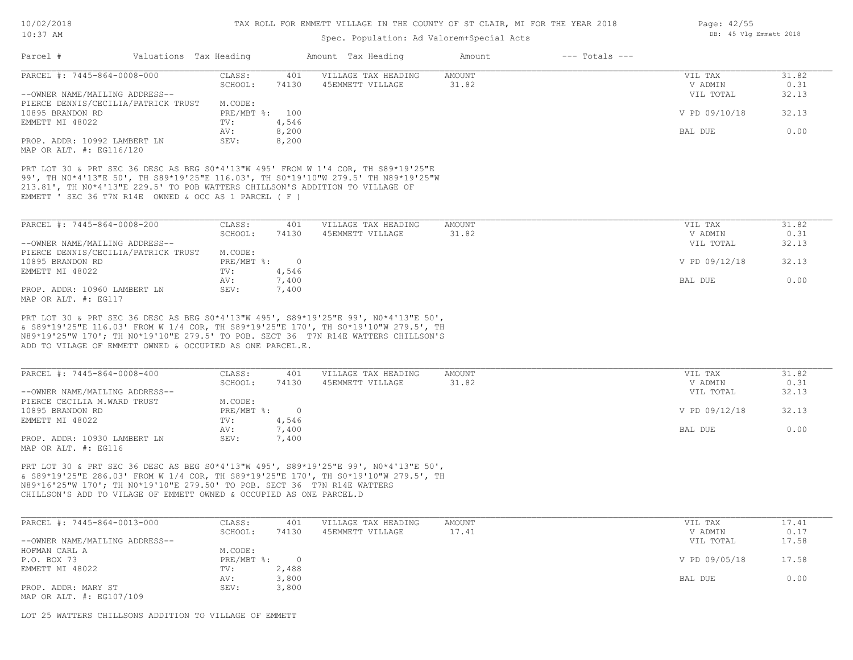## Spec. Population: Ad Valorem+Special Acts

| PARCEL #: 7445-864-0008-000                                                                                                                                                                            | CLASS:            | 401            | VILLAGE TAX HEADING                     | <b>AMOUNT</b>   | VIL TAX                         | 31.82                  |
|--------------------------------------------------------------------------------------------------------------------------------------------------------------------------------------------------------|-------------------|----------------|-----------------------------------------|-----------------|---------------------------------|------------------------|
|                                                                                                                                                                                                        | SCHOOL:           | 74130          | 45EMMETT VILLAGE                        | 31.82           | V ADMIN                         | 0.31                   |
| --OWNER NAME/MAILING ADDRESS--                                                                                                                                                                         |                   |                |                                         |                 | VIL TOTAL                       | 32.13                  |
| PIERCE DENNIS/CECILIA/PATRICK TRUST                                                                                                                                                                    | M.CODE:           |                |                                         |                 |                                 |                        |
| 10895 BRANDON RD                                                                                                                                                                                       | PRE/MBT %:        | 100            |                                         |                 | V PD 09/10/18                   | 32.13                  |
| EMMETT MI 48022                                                                                                                                                                                        | TV:               | 4,546          |                                         |                 |                                 |                        |
|                                                                                                                                                                                                        | AV:               | 8,200          |                                         |                 | BAL DUE                         | 0.00                   |
| PROP. ADDR: 10992 LAMBERT LN<br>MAP OR ALT. #: EG116/120                                                                                                                                               | SEV:              | 8,200          |                                         |                 |                                 |                        |
| 213.81', TH NO*4'13"E 229.5' TO POB WATTERS CHILLSON'S ADDITION TO VILLAGE OF<br>EMMETT ' SEC 36 T7N R14E OWNED & OCC AS 1 PARCEL (F)<br>PARCEL #: 7445-864-0008-200<br>--OWNER NAME/MAILING ADDRESS-- | CLASS:<br>SCHOOL: | 401<br>74130   | VILLAGE TAX HEADING<br>45EMMETT VILLAGE | AMOUNT<br>31.82 | VIL TAX<br>V ADMIN<br>VIL TOTAL | 31.82<br>0.31<br>32.13 |
| PIERCE DENNIS/CECILIA/PATRICK TRUST                                                                                                                                                                    | M.CODE:           |                |                                         |                 |                                 |                        |
| 10895 BRANDON RD                                                                                                                                                                                       | PRE/MBT %:        | $\overline{0}$ |                                         |                 | V PD 09/12/18                   | 32.13                  |
| EMMETT MI 48022                                                                                                                                                                                        | TV:               | 4,546          |                                         |                 |                                 |                        |
|                                                                                                                                                                                                        | AV:               | 7,400          |                                         |                 | BAL DUE                         | 0.00                   |
| PROP. ADDR: 10960 LAMBERT LN<br>MAP OR ALT. #: EG117                                                                                                                                                   | SEV:              | 7,400          |                                         |                 |                                 |                        |
| PRT LOT 30 & PRT SEC 36 DESC AS BEG S0*4'13"W 495', S89*19'25"E 99', N0*4'13"E 50',                                                                                                                    |                   |                |                                         |                 |                                 |                        |
| & S89*19'25"E 116.03' FROM W 1/4 COR, TH S89*19'25"E 170', TH S0*19'10"W 279.5', TH                                                                                                                    |                   |                |                                         |                 |                                 |                        |
|                                                                                                                                                                                                        |                   |                |                                         |                 |                                 |                        |
| N89*19'25"W 170': TH N0*19'10"E 279.5' TO POB. SECT 36 T7N R14E WATTERS CHILLSON'S                                                                                                                     |                   |                |                                         |                 |                                 |                        |
| ADD TO VILAGE OF EMMETT OWNED & OCCUPIED AS ONE PARCEL.E.                                                                                                                                              |                   |                |                                         |                 |                                 |                        |
|                                                                                                                                                                                                        |                   |                |                                         |                 |                                 |                        |

| PARCEL #: 7445-864-0008-400    | CLASS:     | 401    | VILLAGE TAX HEADING | AMOUNT | VIL TAX       | 31.82 |
|--------------------------------|------------|--------|---------------------|--------|---------------|-------|
|                                | SCHOOL:    | 74130  | 45EMMETT VILLAGE    | 31.82  | V ADMIN       | 0.31  |
| --OWNER NAME/MAILING ADDRESS-- |            |        |                     |        | VIL TOTAL     | 32.13 |
| PIERCE CECILIA M.WARD TRUST    | M.CODE:    |        |                     |        |               |       |
| 10895 BRANDON RD               | PRE/MBT %: | $\cap$ |                     |        | V PD 09/12/18 | 32.13 |
| EMMETT MI 48022                | TV:        | 4,546  |                     |        |               |       |
|                                | AV:        | 7,400  |                     |        | BAL DUE       | 0.00  |
| PROP. ADDR: 10930 LAMBERT LN   | SEV:       | 7,400  |                     |        |               |       |
| MAP OR ALT. #: EG116           |            |        |                     |        |               |       |

CHILLSON'S ADD TO VILAGE OF EMMETT OWNED & OCCUPIED AS ONE PARCEL.D N89\*16'25"W 170'; TH N0\*19'10"E 279.50' TO POB. SECT 36 T7N R14E WATTERS & S89\*19'25"E 286.03' FROM W 1/4 COR, TH S89\*19'25"E 170', TH S0\*19'10"W 279.5', TH PRT LOT 30 & PRT SEC 36 DESC AS BEG S0\*4'13"W 495', S89\*19'25"E 99', N0\*4'13"E 50',

| PARCEL #: 7445-864-0013-000    | CLASS:     | 401   | VILLAGE TAX HEADING | AMOUNT | VIL TAX       | 17.41 |
|--------------------------------|------------|-------|---------------------|--------|---------------|-------|
|                                | SCHOOL:    | 74130 | 45EMMETT VILLAGE    | 17.41  | V ADMIN       | 0.17  |
| --OWNER NAME/MAILING ADDRESS-- |            |       |                     |        | VIL TOTAL     | 17.58 |
| HOFMAN CARL A                  | M.CODE:    |       |                     |        |               |       |
| P.O. BOX 73                    | PRE/MBT %: |       |                     |        | V PD 09/05/18 | 17.58 |
| EMMETT MI 48022                | TV:        | 2,488 |                     |        |               |       |
|                                | AV:        | 3,800 |                     |        | BAL DUE       | 0.00  |
| PROP. ADDR: MARY ST            | SEV:       | 3,800 |                     |        |               |       |
| MAP OR ALT. #: EG107/109       |            |       |                     |        |               |       |

LOT 25 WATTERS CHILLSONS ADDITION TO VILLAGE OF EMMETT

Page: 42/55 DB: 45 Vlg Emmett 2018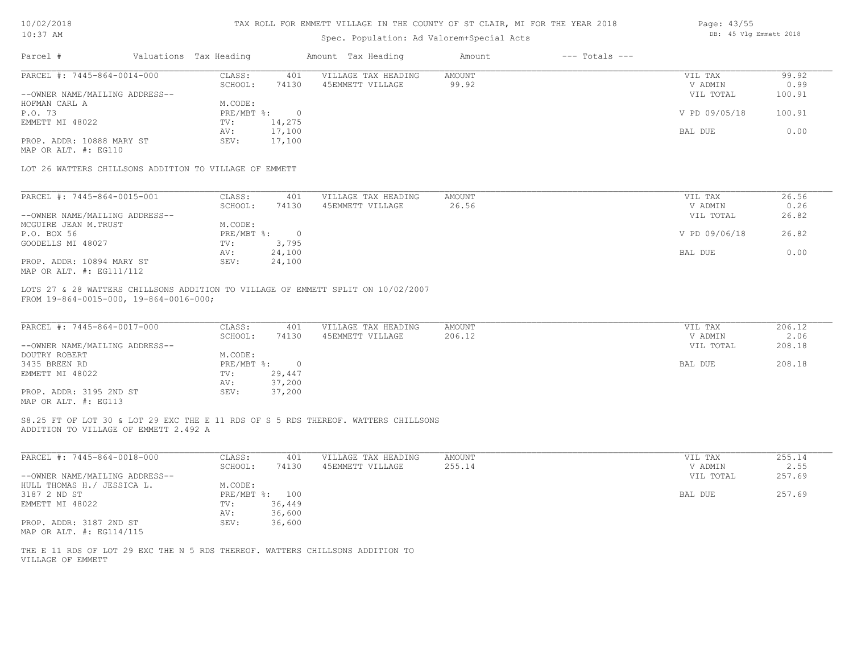| 10/02/2018 |
|------------|
|            |

| 10/02/2018                                                                                                                  | TAX ROLL FOR EMMETT VILLAGE IN THE COUNTY OF ST CLAIR, MI FOR THE YEAR 2018 |                                           |               |                    |                        |        |  |
|-----------------------------------------------------------------------------------------------------------------------------|-----------------------------------------------------------------------------|-------------------------------------------|---------------|--------------------|------------------------|--------|--|
| $10:37$ AM                                                                                                                  |                                                                             | Spec. Population: Ad Valorem+Special Acts |               |                    | DB: 45 Vlg Emmett 2018 |        |  |
| Parcel #                                                                                                                    | Valuations Tax Heading                                                      | Amount Tax Heading                        | Amount        | $---$ Totals $---$ |                        |        |  |
| PARCEL #: 7445-864-0014-000                                                                                                 | CLASS:<br>401                                                               | VILLAGE TAX HEADING                       | <b>AMOUNT</b> |                    | VIL TAX                | 99.92  |  |
|                                                                                                                             | 74130<br>SCHOOL:                                                            | 45EMMETT VILLAGE                          | 99.92         |                    | V ADMIN                | 0.99   |  |
| --OWNER NAME/MAILING ADDRESS--                                                                                              |                                                                             |                                           |               |                    | VIL TOTAL              | 100.91 |  |
| HOFMAN CARL A                                                                                                               | M.CODE:                                                                     |                                           |               |                    |                        |        |  |
| P.O. 73                                                                                                                     | PRE/MBT %:<br>$\circ$                                                       |                                           |               |                    | V PD 09/05/18          | 100.91 |  |
| EMMETT MI 48022                                                                                                             | 14,275<br>TV:                                                               |                                           |               |                    |                        |        |  |
|                                                                                                                             | 17,100<br>AV:                                                               |                                           |               |                    | BAL DUE                | 0.00   |  |
| PROP. ADDR: 10888 MARY ST                                                                                                   | 17,100<br>SEV:                                                              |                                           |               |                    |                        |        |  |
| MAP OR ALT. #: EG110                                                                                                        |                                                                             |                                           |               |                    |                        |        |  |
| LOT 26 WATTERS CHILLSONS ADDITION TO VILLAGE OF EMMETT                                                                      |                                                                             |                                           |               |                    |                        |        |  |
| PARCEL #: 7445-864-0015-001                                                                                                 | CLASS:<br>401                                                               | VILLAGE TAX HEADING                       | <b>AMOUNT</b> |                    | VIL TAX                | 26.56  |  |
|                                                                                                                             | 74130<br>SCHOOL:                                                            | 45EMMETT VILLAGE                          | 26.56         |                    | V ADMIN                | 0.26   |  |
| --OWNER NAME/MAILING ADDRESS--                                                                                              |                                                                             |                                           |               |                    | VIL TOTAL              | 26.82  |  |
| MCGUIRE JEAN M.TRUST                                                                                                        | M.CODE:                                                                     |                                           |               |                    |                        |        |  |
| P.O. BOX 56                                                                                                                 | PRE/MBT %:<br>$\overline{0}$                                                |                                           |               |                    | V PD 09/06/18          | 26.82  |  |
| GOODELLS MI 48027                                                                                                           | 3,795                                                                       |                                           |               |                    |                        |        |  |
|                                                                                                                             | TV:                                                                         |                                           |               |                    |                        |        |  |
|                                                                                                                             | 24,100<br>AV:                                                               |                                           |               |                    | BAL DUE                | 0.00   |  |
| PROP. ADDR: 10894 MARY ST<br>MAP OR ALT. #: EG111/112                                                                       | SEV:<br>24,100                                                              |                                           |               |                    |                        |        |  |
| LOTS 27 & 28 WATTERS CHILLSONS ADDITION TO VILLAGE OF EMMETT SPLIT ON 10/02/2007<br>FROM 19-864-0015-000, 19-864-0016-000;  |                                                                             |                                           |               |                    |                        |        |  |
| PARCEL #: 7445-864-0017-000                                                                                                 | CLASS:<br>401                                                               | VILLAGE TAX HEADING                       | <b>AMOUNT</b> |                    | VIL TAX                | 206.12 |  |
|                                                                                                                             | SCHOOL:<br>74130                                                            | 45EMMETT VILLAGE                          | 206.12        |                    | V ADMIN                | 2.06   |  |
| --OWNER NAME/MAILING ADDRESS--                                                                                              |                                                                             |                                           |               |                    | VIL TOTAL              | 208.18 |  |
| DOUTRY ROBERT                                                                                                               | M.CODE:                                                                     |                                           |               |                    |                        |        |  |
| 3435 BREEN RD                                                                                                               | PRE/MBT %:<br>$\overline{0}$                                                |                                           |               |                    | BAL DUE                | 208.18 |  |
| EMMETT MI 48022                                                                                                             | 29,447<br>TV:                                                               |                                           |               |                    |                        |        |  |
|                                                                                                                             | 37,200<br>AV:                                                               |                                           |               |                    |                        |        |  |
| PROP. ADDR: 3195 2ND ST                                                                                                     | SEV:<br>37,200                                                              |                                           |               |                    |                        |        |  |
| MAP OR ALT. #: EG113                                                                                                        |                                                                             |                                           |               |                    |                        |        |  |
| S8.25 FT OF LOT 30 & LOT 29 EXC THE E 11 RDS OF S 5 RDS THEREOF. WATTERS CHILLSONS<br>ADDITION TO VILLAGE OF EMMETT 2.492 A |                                                                             |                                           |               |                    |                        |        |  |

| PARCEL #: 7445-864-0018-000    | CLASS:       | 401    | VILLAGE TAX HEADING | AMOUNT | VIL TAX   | 255.14 |
|--------------------------------|--------------|--------|---------------------|--------|-----------|--------|
|                                | SCHOOL:      | 74130  | 45EMMETT VILLAGE    | 255.14 | V ADMIN   | 2.55   |
| --OWNER NAME/MAILING ADDRESS-- |              |        |                     |        | VIL TOTAL | 257.69 |
| HULL THOMAS H./ JESSICA L.     | M.CODE:      |        |                     |        |           |        |
| 3187 2 ND ST                   | $PRE/MBT$ %: | 100    |                     |        | BAL DUE   | 257.69 |
| EMMETT MI 48022                | TV:          | 36,449 |                     |        |           |        |
|                                | AV:          | 36,600 |                     |        |           |        |
| PROP. ADDR: 3187 2ND ST        | SEV:         | 36,600 |                     |        |           |        |
| MAP OR ALT. #: EG114/115       |              |        |                     |        |           |        |

VILLAGE OF EMMETT THE E 11 RDS OF LOT 29 EXC THE N 5 RDS THEREOF. WATTERS CHILLSONS ADDITION TO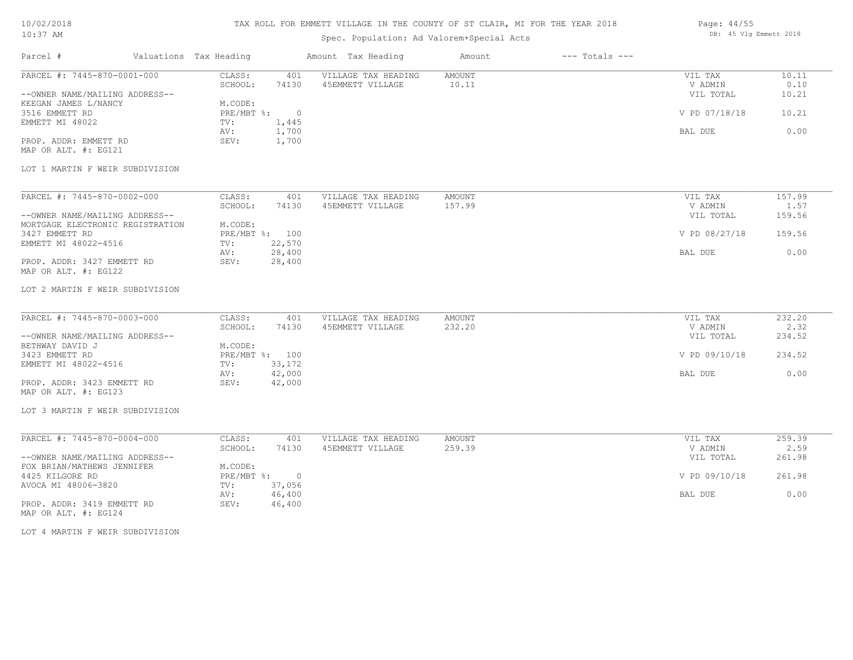# TAX ROLL FOR EMMETT VILLAGE IN THE COUNTY OF ST CLAIR, MI FOR THE YEAR 2018

# Spec. Population: Ad Valorem+Special Acts

| Page: 44/55 |  |                        |  |
|-------------|--|------------------------|--|
|             |  | DB: 45 Vlg Emmett 2018 |  |

| Parcel #                                                      | Valuations Tax Heading            | Amount Tax Heading                      | Amount           | $---$ Totals $---$ |                                 |                        |
|---------------------------------------------------------------|-----------------------------------|-----------------------------------------|------------------|--------------------|---------------------------------|------------------------|
| PARCEL #: 7445-870-0001-000<br>--OWNER NAME/MAILING ADDRESS-- | CLASS:<br>401<br>SCHOOL:<br>74130 | VILLAGE TAX HEADING<br>45EMMETT VILLAGE | AMOUNT<br>10.11  |                    | VIL TAX<br>V ADMIN<br>VIL TOTAL | 10.11<br>0.10<br>10.21 |
| KEEGAN JAMES L/NANCY<br>3516 EMMETT RD                        | M.CODE:<br>PRE/MBT %: 0           |                                         |                  |                    | V PD 07/18/18                   | 10.21                  |
| EMMETT MI 48022                                               | TV:<br>1,445<br>1,700<br>AV:      |                                         |                  |                    | BAL DUE                         | 0.00                   |
| PROP. ADDR: EMMETT RD<br>MAP OR ALT. #: EG121                 | SEV:<br>1,700                     |                                         |                  |                    |                                 |                        |
| LOT 1 MARTIN F WEIR SUBDIVISION                               |                                   |                                         |                  |                    |                                 |                        |
| PARCEL #: 7445-870-0002-000                                   | CLASS:<br>401<br>SCHOOL:<br>74130 | VILLAGE TAX HEADING<br>45EMMETT VILLAGE | AMOUNT<br>157.99 |                    | VIL TAX<br>V ADMIN              | 157.99<br>1.57         |
| --OWNER NAME/MAILING ADDRESS--                                |                                   |                                         |                  |                    | VIL TOTAL                       | 159.56                 |
| MORTGAGE ELECTRONIC REGISTRATION<br>3427 EMMETT RD            | M.CODE:<br>PRE/MBT %: 100         |                                         |                  |                    | V PD 08/27/18                   | 159.56                 |
| EMMETT MI 48022-4516                                          | 22,570<br>TV:<br>28,400<br>AV:    |                                         |                  |                    | BAL DUE                         | 0.00                   |
| PROP. ADDR: 3427 EMMETT RD<br>MAP OR ALT. #: EG122            | 28,400<br>SEV:                    |                                         |                  |                    |                                 |                        |
| LOT 2 MARTIN F WEIR SUBDIVISION                               |                                   |                                         |                  |                    |                                 |                        |
| PARCEL #: 7445-870-0003-000                                   | CLASS:<br>401                     | VILLAGE TAX HEADING                     | AMOUNT           |                    | VIL TAX                         | 232.20                 |
| --OWNER NAME/MAILING ADDRESS--                                | SCHOOL:<br>74130                  | 45EMMETT VILLAGE                        | 232.20           |                    | V ADMIN<br>VIL TOTAL            | 2.32<br>234.52         |
| BETHWAY DAVID J<br>3423 EMMETT RD                             | M.CODE:<br>PRE/MBT %: 100         |                                         |                  |                    | V PD 09/10/18                   | 234.52                 |
| EMMETT MI 48022-4516                                          | 33,172<br>TV:<br>42,000<br>AV:    |                                         |                  |                    | BAL DUE                         | 0.00                   |
| PROP. ADDR: 3423 EMMETT RD<br>MAP OR ALT. #: EG123            | 42,000<br>SEV:                    |                                         |                  |                    |                                 |                        |
| LOT 3 MARTIN F WEIR SUBDIVISION                               |                                   |                                         |                  |                    |                                 |                        |
| PARCEL #: 7445-870-0004-000                                   | CLASS:<br>401                     | VILLAGE TAX HEADING                     | AMOUNT           |                    | VIL TAX                         | 259.39                 |
| --OWNER NAME/MAILING ADDRESS--                                | SCHOOL:<br>74130                  | 45EMMETT VILLAGE                        | 259.39           |                    | V ADMIN<br>VIL TOTAL            | 2.59<br>261.98         |
| FOX BRIAN/MATHEWS JENNIFER<br>4425 KILGORE RD                 | M.CODE:<br>PRE/MBT %: 0           |                                         |                  |                    | V PD 09/10/18                   | 261.98                 |
| AVOCA MI 48006-3820                                           | 37,056<br>TV:<br>46,400<br>AV:    |                                         |                  |                    | BAL DUE                         | 0.00                   |
| PROP. ADDR: 3419 EMMETT RD<br>MAP OR ALT. #: EG124            | SEV:<br>46,400                    |                                         |                  |                    |                                 |                        |
| LOT 4 MARTIN F WEIR SUBDIVISION                               |                                   |                                         |                  |                    |                                 |                        |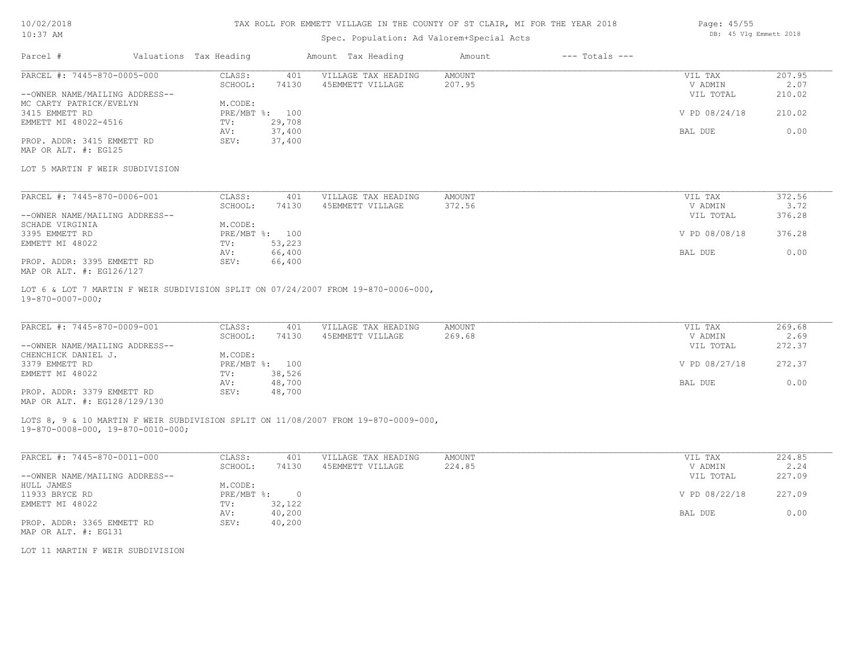# TAX ROLL FOR EMMETT VILLAGE IN THE COUNTY OF ST CLAIR, MI FOR THE YEAR 2018

# Spec. Population: Ad Valorem+Special Acts

| Parcel #                       | Valuations Tax Heading |        | Amount Tax Heading  | Amount | $---$ Totals $---$ |               |        |
|--------------------------------|------------------------|--------|---------------------|--------|--------------------|---------------|--------|
| PARCEL #: 7445-870-0005-000    | CLASS:                 | 401    | VILLAGE TAX HEADING | AMOUNT |                    | VIL TAX       | 207.95 |
|                                | SCHOOL:                | 74130  | 45EMMETT VILLAGE    | 207.95 |                    | V ADMIN       | 2.07   |
| --OWNER NAME/MAILING ADDRESS-- |                        |        |                     |        |                    | VIL TOTAL     | 210.02 |
| MC CARTY PATRICK/EVELYN        | M.CODE:                |        |                     |        |                    |               |        |
| 3415 EMMETT RD                 | PRE/MBT %: 100         |        |                     |        |                    | V PD 08/24/18 | 210.02 |
| EMMETT MI 48022-4516           | TV:                    | 29,708 |                     |        |                    |               |        |
|                                | AV:                    | 37,400 |                     |        |                    | BAL DUE       | 0.00   |
| PROP. ADDR: 3415 EMMETT RD     | SEV:                   | 37,400 |                     |        |                    |               |        |
| MAP OR ALT. #: EG125           |                        |        |                     |        |                    |               |        |

#### LOT 5 MARTIN F WEIR SUBDIVISION

| PARCEL #: 7445-870-0006-001    | CLASS:  | 401            | VILLAGE TAX HEADING | AMOUNT | VIL TAX       | 372.56 |
|--------------------------------|---------|----------------|---------------------|--------|---------------|--------|
|                                | SCHOOL: | 74130          | 45EMMETT VILLAGE    | 372.56 | V ADMIN       | 3.72   |
| --OWNER NAME/MAILING ADDRESS-- |         |                |                     |        | VIL TOTAL     | 376.28 |
| SCHADE VIRGINIA                | M.CODE: |                |                     |        |               |        |
| 3395 EMMETT RD                 |         | PRE/MBT %: 100 |                     |        | V PD 08/08/18 | 376.28 |
| EMMETT MI 48022                | TV:     | 53,223         |                     |        |               |        |
|                                | AV:     | 66,400         |                     |        | BAL DUE       | 0.00   |
| PROP. ADDR: 3395 EMMETT RD     | SEV:    | 66,400         |                     |        |               |        |
| MAP OR ALT. #: EG126/127       |         |                |                     |        |               |        |

19-870-0007-000; LOT 6 & LOT 7 MARTIN F WEIR SUBDIVISION SPLIT ON 07/24/2007 FROM 19-870-0006-000,

| PARCEL #: 7445-870-0009-001    | CLASS:  | 401            | VILLAGE TAX HEADING | AMOUNT | VIL TAX       | 269.68 |
|--------------------------------|---------|----------------|---------------------|--------|---------------|--------|
|                                | SCHOOL: | 74130          | 45EMMETT VILLAGE    | 269.68 | V ADMIN       | 2.69   |
| --OWNER NAME/MAILING ADDRESS-- |         |                |                     |        | VIL TOTAL     | 272.37 |
| CHENCHICK DANIEL J.            | M.CODE: |                |                     |        |               |        |
| 3379 EMMETT RD                 |         | PRE/MBT %: 100 |                     |        | V PD 08/27/18 | 272.37 |
| EMMETT MI 48022                | TV:     | 38,526         |                     |        |               |        |
|                                | AV:     | 48,700         |                     |        | BAL DUE       | 0.00   |
| PROP. ADDR: 3379 EMMETT RD     | SEV:    | 48,700         |                     |        |               |        |
| MAP OR ALT. #: EG128/129/130   |         |                |                     |        |               |        |

LOTS 8, 9 & 10 MARTIN F WEIR SUBDIVISION SPLIT ON 11/08/2007 FROM 19-870-0009-000,

19-870-0008-000, 19-870-0010-000;

| PARCEL #: 7445-870-0011-000    | CLASS:     | 401    | VILLAGE TAX HEADING | AMOUNT | VIL TAX       | 224.85 |
|--------------------------------|------------|--------|---------------------|--------|---------------|--------|
|                                | SCHOOL:    | 74130  | 45EMMETT VILLAGE    | 224.85 | V ADMIN       | 2.24   |
| --OWNER NAME/MAILING ADDRESS-- |            |        |                     |        | VIL TOTAL     | 227.09 |
| HULL JAMES                     | M.CODE:    |        |                     |        |               |        |
| 11933 BRYCE RD                 | PRE/MBT %: |        |                     |        | V PD 08/22/18 | 227.09 |
| EMMETT MI 48022                | TV:        | 32,122 |                     |        |               |        |
|                                | AV:        | 40,200 |                     |        | BAL DUE       | 0.00   |
| PROP. ADDR: 3365 EMMETT RD     | SEV:       | 40,200 |                     |        |               |        |
| MAP OR ALT. #: EG131           |            |        |                     |        |               |        |

LOT 11 MARTIN F WEIR SUBDIVISION

Page: 45/55 DB: 45 Vlg Emmett 2018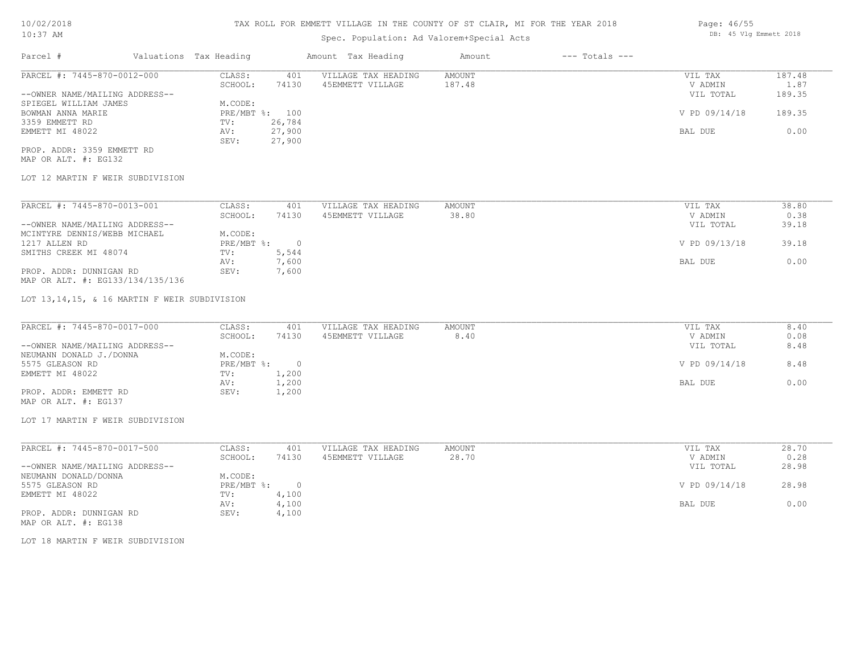# Spec. Population: Ad Valorem+Special Acts

| Parcel #                       | Valuations Tax Heading |        | Amount Tax Heading  | Amount | $---$ Totals $---$ |               |        |
|--------------------------------|------------------------|--------|---------------------|--------|--------------------|---------------|--------|
| PARCEL #: 7445-870-0012-000    | CLASS:                 | 401    | VILLAGE TAX HEADING | AMOUNT |                    | VIL TAX       | 187.48 |
|                                | SCHOOL:                | 74130  | 45EMMETT VILLAGE    | 187.48 |                    | V ADMIN       | 1.87   |
| --OWNER NAME/MAILING ADDRESS-- |                        |        |                     |        |                    | VIL TOTAL     | 189.35 |
| SPIEGEL WILLIAM JAMES          | M.CODE:                |        |                     |        |                    |               |        |
| BOWMAN ANNA MARIE              | PRE/MBT %: 100         |        |                     |        |                    | V PD 09/14/18 | 189.35 |
| 3359 EMMETT RD                 | TV:                    | 26,784 |                     |        |                    |               |        |
| EMMETT MI 48022                | AV:                    | 27,900 |                     |        |                    | BAL DUE       | 0.00   |
|                                | SEV:                   | 27,900 |                     |        |                    |               |        |
|                                |                        |        |                     |        |                    |               |        |

MAP OR ALT. #: EG132 PROP. ADDR: 3359 EMMETT RD

## LOT 12 MARTIN F WEIR SUBDIVISION

| PARCEL #: 7445-870-0013-001      | CLASS:     | 401   | VILLAGE TAX HEADING | AMOUNT | 38.80<br>VIL TAX       |
|----------------------------------|------------|-------|---------------------|--------|------------------------|
|                                  | SCHOOL:    | 74130 | 45EMMETT VILLAGE    | 38.80  | 0.38<br>V ADMIN        |
| --OWNER NAME/MAILING ADDRESS--   |            |       |                     |        | 39.18<br>VIL TOTAL     |
| MCINTYRE DENNIS/WEBB MICHAEL     | M.CODE:    |       |                     |        |                        |
| 1217 ALLEN RD                    | PRE/MBT %: |       |                     |        | V PD 09/13/18<br>39.18 |
| SMITHS CREEK MI 48074            | TV:        | 5,544 |                     |        |                        |
|                                  | AV:        | 7,600 |                     |        | 0.00<br>BAL DUE        |
| PROP. ADDR: DUNNIGAN RD          | SEV:       | 7,600 |                     |        |                        |
| MAP OR ALT. #: EG133/134/135/136 |            |       |                     |        |                        |

LOT 13,14,15, & 16 MARTIN F WEIR SUBDIVISION

| PARCEL #: 7445-870-0017-000    | CLASS:       | 401   | VILLAGE TAX HEADING | AMOUNT | VIL TAX       | 8.40 |
|--------------------------------|--------------|-------|---------------------|--------|---------------|------|
|                                | SCHOOL:      | 74130 | 45EMMETT VILLAGE    | 8.40   | V ADMIN       | 0.08 |
| --OWNER NAME/MAILING ADDRESS-- |              |       |                     |        | VIL TOTAL     | 8.48 |
| NEUMANN DONALD J./DONNA        | M.CODE:      |       |                     |        |               |      |
| 5575 GLEASON RD                | $PRE/MBT$ %: |       |                     |        | V PD 09/14/18 | 8.48 |
| EMMETT MI 48022                | TV:          | 1,200 |                     |        |               |      |
|                                | AV:          | 1,200 |                     |        | BAL DUE       | 0.00 |
| PROP. ADDR: EMMETT RD          | SEV:         | 1,200 |                     |        |               |      |
| MAP OR ALT. #: EG137           |              |       |                     |        |               |      |

# LOT 17 MARTIN F WEIR SUBDIVISION

| PARCEL #: 7445-870-0017-500    | CLASS:     | 401   | VILLAGE TAX HEADING | AMOUNT | VIL TAX       | 28.70 |
|--------------------------------|------------|-------|---------------------|--------|---------------|-------|
|                                | SCHOOL:    | 74130 | 45EMMETT VILLAGE    | 28.70  | V ADMIN       | 0.28  |
| --OWNER NAME/MAILING ADDRESS-- |            |       |                     |        | VIL TOTAL     | 28.98 |
| NEUMANN DONALD/DONNA           | M.CODE:    |       |                     |        |               |       |
| 5575 GLEASON RD                | PRE/MBT %: |       |                     |        | V PD 09/14/18 | 28.98 |
| EMMETT MI 48022                | TV:        | 4,100 |                     |        |               |       |
|                                | AV:        | 4,100 |                     |        | BAL DUE       | 0.00  |
| PROP. ADDR: DUNNIGAN RD        | SEV:       | 4,100 |                     |        |               |       |

MAP OR ALT. #: EG138

LOT 18 MARTIN F WEIR SUBDIVISION

Page: 46/55 DB: 45 Vlg Emmett 2018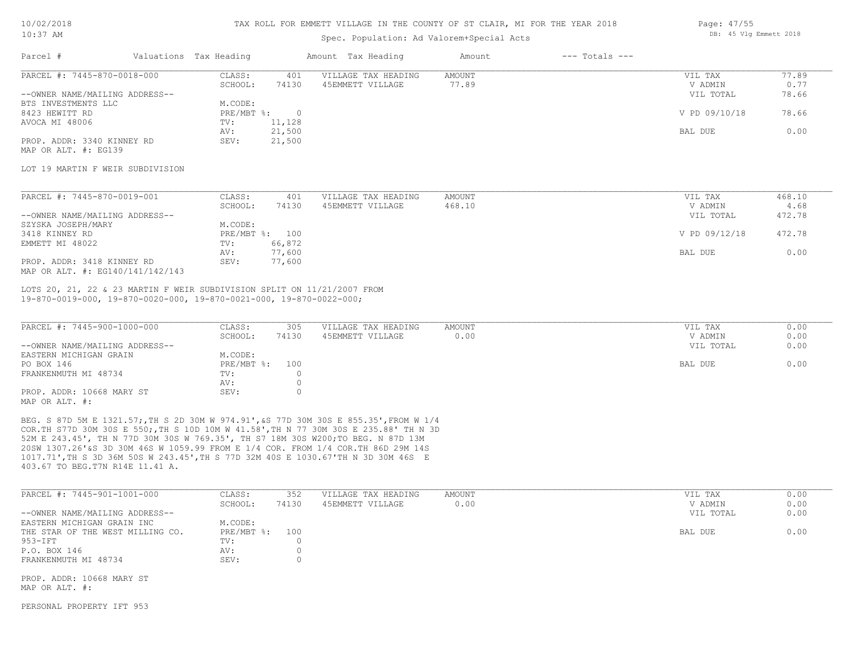# TAX ROLL FOR EMMETT VILLAGE IN THE COUNTY OF ST CLAIR, MI FOR THE YEAR 2018

# Spec. Population: Ad Valorem+Special Acts

| Page: 47/55 |  |                        |  |
|-------------|--|------------------------|--|
|             |  | DB: 45 Vlg Emmett 2018 |  |

| Parcel #                         | Valuations Tax Heading |                | Amount Tax Heading  | Amount | $---$ Totals $---$ |               |        |
|----------------------------------|------------------------|----------------|---------------------|--------|--------------------|---------------|--------|
| PARCEL #: 7445-870-0018-000      | CLASS:                 | 401            | VILLAGE TAX HEADING | AMOUNT |                    | VIL TAX       | 77.89  |
|                                  | SCHOOL:                | 74130          | 45EMMETT VILLAGE    | 77.89  |                    | V ADMIN       | 0.77   |
| --OWNER NAME/MAILING ADDRESS--   |                        |                |                     |        |                    | VIL TOTAL     | 78.66  |
| BTS INVESTMENTS LLC              | M.CODE:                |                |                     |        |                    |               |        |
| 8423 HEWITT RD                   | $PRE/MBT$ $\div$       | $\circ$        |                     |        |                    | V PD 09/10/18 | 78.66  |
| AVOCA MI 48006                   | TV:                    | 11,128         |                     |        |                    |               |        |
|                                  | AV:                    | 21,500         |                     |        |                    | BAL DUE       | 0.00   |
| PROP. ADDR: 3340 KINNEY RD       | SEV:                   | 21,500         |                     |        |                    |               |        |
| MAP OR ALT. #: EG139             |                        |                |                     |        |                    |               |        |
| LOT 19 MARTIN F WEIR SUBDIVISION |                        |                |                     |        |                    |               |        |
| PARCEL #: 7445-870-0019-001      | CLASS:                 | 401            | VILLAGE TAX HEADING | AMOUNT |                    | VIL TAX       | 468.10 |
|                                  | SCHOOL:                | 74130          | 45EMMETT VILLAGE    | 468.10 |                    | V ADMIN       | 4.68   |
| --OWNER NAME/MAILING ADDRESS--   |                        |                |                     |        |                    | VIL TOTAL     | 472.78 |
| SZYSKA JOSEPH/MARY               | M.CODE:                |                |                     |        |                    |               |        |
| 3418 KINNEY RD                   |                        | PRE/MBT %: 100 |                     |        |                    | V PD 09/12/18 | 472.78 |
| EMMETT MI 48022                  | TV:                    | 66,872         |                     |        |                    |               |        |
|                                  | AV:                    | 77,600         |                     |        |                    | BAL DUE       | 0.00   |

MAP OR ALT. #: EG140/141/142/143 PROP. ADDR: 3418 KINNEY RD SEV: 77,600

19-870-0019-000, 19-870-0020-000, 19-870-0021-000, 19-870-0022-000; LOTS 20, 21, 22 & 23 MARTIN F WEIR SUBDIVISION SPLIT ON 11/21/2007 FROM

| PARCEL #: 7445-900-1000-000    | CLASS:         | 305   | VILLAGE TAX HEADING | AMOUNT | VIL TAX   | 0.00 |
|--------------------------------|----------------|-------|---------------------|--------|-----------|------|
|                                | SCHOOL:        | 74130 | 45EMMETT VILLAGE    | 0.00   | V ADMIN   | 0.00 |
| --OWNER NAME/MAILING ADDRESS-- |                |       |                     |        | VIL TOTAL | 0.00 |
| EASTERN MICHIGAN GRAIN         | M.CODE:        |       |                     |        |           |      |
| PO BOX 146                     | PRE/MBT %: 100 |       |                     |        | BAL DUE   | 0.00 |
| FRANKENMUTH MI 48734           | TV:            |       |                     |        |           |      |
|                                | AV:            |       |                     |        |           |      |
| PROP. ADDR: 10668 MARY ST      | SEV:           |       |                     |        |           |      |
| MAP OR ALT. #:                 |                |       |                     |        |           |      |

AV: 77,600 BAL DUE 0.00

403.67 TO BEG.T7N R14E 11.41 A. 1017.71',TH S 3D 36M 50S W 243.45',TH S 77D 32M 40S E 1030.67'TH N 3D 30M 46S E 20SW 1307.26'&S 3D 30M 46S W 1059.99 FROM E 1/4 COR. FROM 1/4 COR.TH 86D 29M 14S 52M E 243.45', TH N 77D 30M 30S W 769.35', TH S7 18M 30S W200;TO BEG. N 87D 13M COR.TH S77D 30M 30S E 550;,TH S 10D 10M W 41.58',TH N 77 30M 30S E 235.88' TH N 3D BEG. S 87D 5M E 1321.57;,TH S 2D 30M W 974.91',&S 77D 30M 30S E 855.35',FROM W 1/4

| PARCEL #: 7445-901-1001-000      | CLASS:         | 352   | VILLAGE TAX HEADING | AMOUNT | VIL TAX   | 0.00 |
|----------------------------------|----------------|-------|---------------------|--------|-----------|------|
|                                  | SCHOOL:        | 74130 | 45EMMETT VILLAGE    | 0.00   | V ADMIN   | 0.00 |
| --OWNER NAME/MAILING ADDRESS--   |                |       |                     |        | VIL TOTAL | 0.00 |
| EASTERN MICHIGAN GRAIN INC       | M.CODE:        |       |                     |        |           |      |
| THE STAR OF THE WEST MILLING CO. | PRE/MBT %: 100 |       |                     |        | BAL DUE   | 0.00 |
| 953-IFT                          | TV:            |       |                     |        |           |      |
| P.O. BOX 146                     | AV:            |       |                     |        |           |      |
| FRANKENMUTH MI 48734             | SEV:           |       |                     |        |           |      |

MAP OR ALT. #:

PERSONAL PROPERTY IFT 953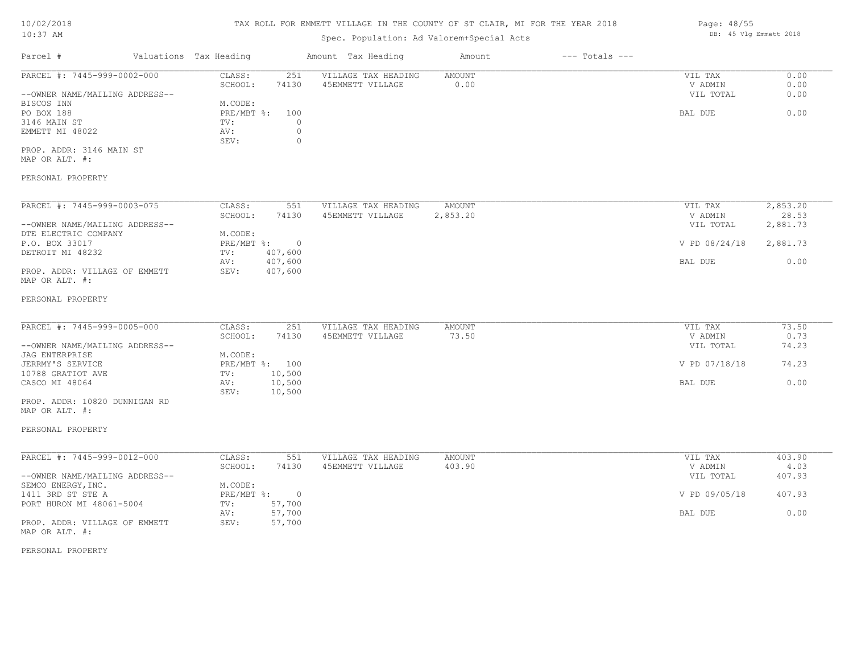# 10/02/2018

# TAX ROLL FOR EMMETT VILLAGE IN THE COUNTY OF ST CLAIR, MI FOR THE YEAR 2018

| $\frac{1}{2}$ $\frac{1}{2}$ $\frac{1}{2}$ $\frac{1}{2}$ $\frac{1}{2}$ $\frac{1}{2}$ $\frac{1}{2}$ $\frac{1}{2}$ $\frac{1}{2}$ |                                   | inn noise fon shimile vissings in file coonit of of centry, hi fon file fenn sofo |               |                    |                      |                   |  |  |
|-------------------------------------------------------------------------------------------------------------------------------|-----------------------------------|-----------------------------------------------------------------------------------|---------------|--------------------|----------------------|-------------------|--|--|
| 10:37 AM                                                                                                                      |                                   | Spec. Population: Ad Valorem+Special Acts                                         |               |                    |                      |                   |  |  |
| Parcel #                                                                                                                      | Valuations Tax Heading            | Amount Tax Heading                                                                | Amount        | $---$ Totals $---$ |                      |                   |  |  |
| PARCEL #: 7445-999-0002-000                                                                                                   | CLASS:<br>251                     | VILLAGE TAX HEADING                                                               | <b>AMOUNT</b> |                    | VIL TAX              | 0.00              |  |  |
|                                                                                                                               | SCHOOL:<br>74130                  | 45EMMETT VILLAGE                                                                  | 0.00          |                    | V ADMIN              | 0.00              |  |  |
| --OWNER NAME/MAILING ADDRESS--                                                                                                |                                   |                                                                                   |               |                    | VIL TOTAL            | 0.00              |  |  |
| BISCOS INN                                                                                                                    | M.CODE:                           |                                                                                   |               |                    |                      |                   |  |  |
| PO BOX 188                                                                                                                    | PRE/MBT %:<br>100                 |                                                                                   |               |                    | BAL DUE              | 0.00              |  |  |
| 3146 MAIN ST                                                                                                                  | TV:<br>$\circ$                    |                                                                                   |               |                    |                      |                   |  |  |
| EMMETT MI 48022                                                                                                               | $\circ$<br>AV:<br>SEV:<br>$\circ$ |                                                                                   |               |                    |                      |                   |  |  |
| PROP. ADDR: 3146 MAIN ST<br>MAP OR ALT. #:                                                                                    |                                   |                                                                                   |               |                    |                      |                   |  |  |
| PERSONAL PROPERTY                                                                                                             |                                   |                                                                                   |               |                    |                      |                   |  |  |
| PARCEL #: 7445-999-0003-075                                                                                                   | 551                               |                                                                                   |               |                    |                      |                   |  |  |
|                                                                                                                               | CLASS:                            | VILLAGE TAX HEADING                                                               | AMOUNT        |                    | VIL TAX              | 2,853.20          |  |  |
| --OWNER NAME/MAILING ADDRESS--                                                                                                | SCHOOL:<br>74130                  | 45EMMETT VILLAGE                                                                  | 2,853.20      |                    | V ADMIN<br>VIL TOTAL | 28.53<br>2,881.73 |  |  |
| DTE ELECTRIC COMPANY                                                                                                          | M.CODE:                           |                                                                                   |               |                    |                      |                   |  |  |
| P.O. BOX 33017                                                                                                                | PRE/MBT %:<br>$\overline{0}$      |                                                                                   |               |                    | V PD 08/24/18        | 2,881.73          |  |  |
| DETROIT MI 48232                                                                                                              | 407,600                           |                                                                                   |               |                    |                      |                   |  |  |
|                                                                                                                               | TV:<br>407,600<br>AV:             |                                                                                   |               |                    | BAL DUE              | 0.00              |  |  |
| PROP. ADDR: VILLAGE OF EMMETT                                                                                                 | 407,600<br>SEV:                   |                                                                                   |               |                    |                      |                   |  |  |
| MAP OR ALT. #:                                                                                                                |                                   |                                                                                   |               |                    |                      |                   |  |  |
| PERSONAL PROPERTY                                                                                                             |                                   |                                                                                   |               |                    |                      |                   |  |  |
| PARCEL #: 7445-999-0005-000                                                                                                   | CLASS:<br>251                     | VILLAGE TAX HEADING                                                               | <b>AMOUNT</b> |                    | VIL TAX              | 73.50             |  |  |
|                                                                                                                               | SCHOOL:<br>74130                  | 45EMMETT VILLAGE                                                                  | 73.50         |                    | V ADMIN              | 0.73              |  |  |
| --OWNER NAME/MAILING ADDRESS--                                                                                                |                                   |                                                                                   |               |                    | VIL TOTAL            | 74.23             |  |  |
| <b>JAG ENTERPRISE</b>                                                                                                         | M.CODE:                           |                                                                                   |               |                    |                      |                   |  |  |
| JERRMY'S SERVICE                                                                                                              | PRE/MBT %: 100                    |                                                                                   |               |                    | V PD 07/18/18        | 74.23             |  |  |
| 10788 GRATIOT AVE                                                                                                             | 10,500<br>TV:                     |                                                                                   |               |                    |                      |                   |  |  |
| CASCO MI 48064                                                                                                                | 10,500<br>AV:                     |                                                                                   |               |                    | BAL DUE              | 0.00              |  |  |
|                                                                                                                               | 10,500<br>SEV:                    |                                                                                   |               |                    |                      |                   |  |  |
| PROP. ADDR: 10820 DUNNIGAN RD<br>MAP OR ALT. #:                                                                               |                                   |                                                                                   |               |                    |                      |                   |  |  |
| PERSONAL PROPERTY                                                                                                             |                                   |                                                                                   |               |                    |                      |                   |  |  |
| PARCEL #: 7445-999-0012-000                                                                                                   | CLASS:<br>551                     | VILLAGE TAX HEADING                                                               | <b>AMOUNT</b> |                    | VIL TAX              | 403.90            |  |  |
|                                                                                                                               | SCHOOL:<br>74130                  | 45EMMETT VILLAGE                                                                  | 403.90        |                    | V ADMIN              | 4.03              |  |  |

|                                | SCHOOL:    | 74130    | 45EMMETT VILLAGE | 403.90 | V ADMIN       | 4.03   |
|--------------------------------|------------|----------|------------------|--------|---------------|--------|
| --OWNER NAME/MAILING ADDRESS-- |            |          |                  |        | VIL TOTAL     | 407.93 |
| SEMCO ENERGY, INC.             | M.CODE:    |          |                  |        |               |        |
| 1411 3RD ST STE A              | PRE/MBT %: | $\Omega$ |                  |        | V PD 09/05/18 | 407.93 |
| PORT HURON MI 48061-5004       | TV:        | 57,700   |                  |        |               |        |
|                                | AV:        | 57,700   |                  |        | BAL DUE       | 0.00   |
| PROP. ADDR: VILLAGE OF EMMETT  | SEV:       | 57,700   |                  |        |               |        |
| MAP OR ALT. #:                 |            |          |                  |        |               |        |

PERSONAL PROPERTY

Page: 48/55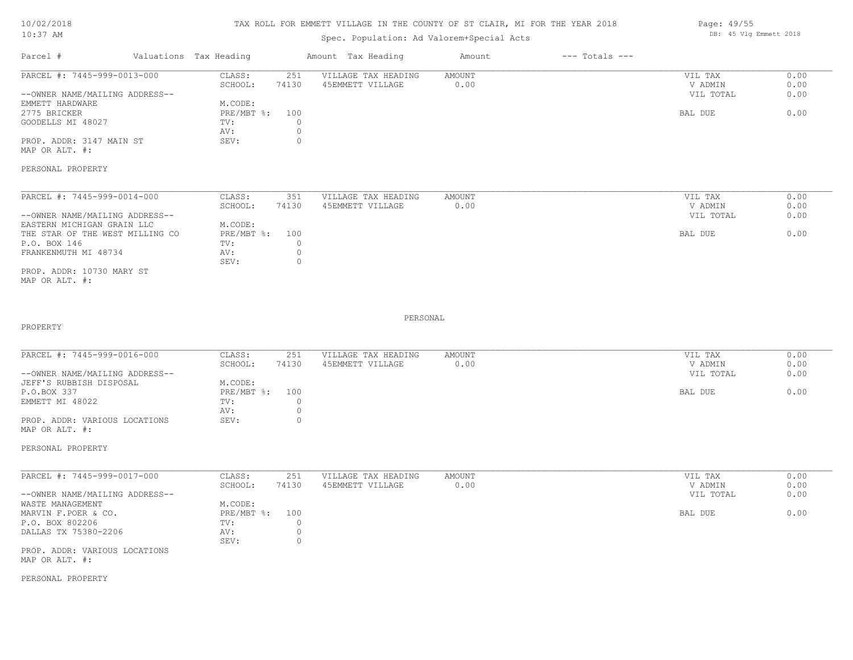#### TAX ROLL FOR EMMETT VILLAGE IN THE COUNTY OF ST CLAIR, MI FOR THE YEAR 2018

# Spec. Population: Ad Valorem+Special Acts

| Parcel #                       | Valuations Tax Heading |       | Amount Tax Heading  | Amount | $---$ Totals $---$ |           |      |
|--------------------------------|------------------------|-------|---------------------|--------|--------------------|-----------|------|
| PARCEL #: 7445-999-0013-000    | CLASS:                 | 251   | VILLAGE TAX HEADING | AMOUNT |                    | VIL TAX   | 0.00 |
|                                | SCHOOL:                | 74130 | 45EMMETT VILLAGE    | 0.00   |                    | V ADMIN   | 0.00 |
| --OWNER NAME/MAILING ADDRESS-- |                        |       |                     |        |                    | VIL TOTAL | 0.00 |
| EMMETT HARDWARE                | M.CODE:                |       |                     |        |                    |           |      |
| 2775 BRICKER                   | PRE/MBT %: 100         |       |                     |        |                    | BAL DUE   | 0.00 |
| GOODELLS MI 48027              | TV:                    |       |                     |        |                    |           |      |
|                                | AV:                    |       |                     |        |                    |           |      |
| PROP. ADDR: 3147 MAIN ST       | SEV:                   |       |                     |        |                    |           |      |
|                                |                        |       |                     |        |                    |           |      |

MAP OR ALT. #:

PERSONAL PROPERTY

| PARCEL #: 7445-999-0014-000     | CLASS:         | 351   | VILLAGE TAX HEADING | AMOUNT | VIL TAX   | 0.00 |
|---------------------------------|----------------|-------|---------------------|--------|-----------|------|
|                                 | SCHOOL:        | 74130 | 45EMMETT VILLAGE    | 0.00   | V ADMIN   | 0.00 |
| --OWNER NAME/MAILING ADDRESS--  |                |       |                     |        | VIL TOTAL | 0.00 |
| EASTERN MICHIGAN GRAIN LLC      | M.CODE:        |       |                     |        |           |      |
| THE STAR OF THE WEST MILLING CO | PRE/MBT %: 100 |       |                     |        | BAL DUE   | 0.00 |
| P.O. BOX 146                    | TV:            |       |                     |        |           |      |
| FRANKENMUTH MI 48734            | AV:            |       |                     |        |           |      |
|                                 | SEV:           |       |                     |        |           |      |
| PROP. ADDR: 10730 MARY ST       |                |       |                     |        |           |      |

MAP OR ALT. #:

PROPERTY

PERSONAL

 $\mathcal{L}_\mathcal{L} = \mathcal{L}_\mathcal{L} = \mathcal{L}_\mathcal{L} = \mathcal{L}_\mathcal{L} = \mathcal{L}_\mathcal{L} = \mathcal{L}_\mathcal{L} = \mathcal{L}_\mathcal{L} = \mathcal{L}_\mathcal{L} = \mathcal{L}_\mathcal{L} = \mathcal{L}_\mathcal{L} = \mathcal{L}_\mathcal{L} = \mathcal{L}_\mathcal{L} = \mathcal{L}_\mathcal{L} = \mathcal{L}_\mathcal{L} = \mathcal{L}_\mathcal{L} = \mathcal{L}_\mathcal{L} = \mathcal{L}_\mathcal{L}$ 

| PARCEL #: 7445-999-0016-000    | CLASS:       | 251   | VILLAGE TAX HEADING | AMOUNT | VIL TAX   | 0.00 |
|--------------------------------|--------------|-------|---------------------|--------|-----------|------|
|                                | SCHOOL:      | 74130 | 45EMMETT VILLAGE    | 0.00   | V ADMIN   | 0.00 |
| --OWNER NAME/MAILING ADDRESS-- |              |       |                     |        | VIL TOTAL | 0.00 |
| JEFF'S RUBBISH DISPOSAL        | M.CODE:      |       |                     |        |           |      |
| P.O.BOX 337                    | $PRE/MBT$ %: | 100   |                     |        | BAL DUE   | 0.00 |
| EMMETT MI 48022                | TV:          |       |                     |        |           |      |
|                                | AV:          |       |                     |        |           |      |
| PROP. ADDR: VARIOUS LOCATIONS  | SEV:         |       |                     |        |           |      |
| MAP OR ALT. #:                 |              |       |                     |        |           |      |

PERSONAL PROPERTY

PROP. ADDR: VARIOUS LOCATIONS SEV: 0 DALLAS TX 75380-2206 AV: 0<br>
SEV: 0 P.O. BOX 802206 TV: 0 MARVIN F.POER & CO. PRE/MBT %: 100 BAL DUE 0.00 WASTE MANAGEMENT M.CODE: --OWNER NAME/MAILING ADDRESS-- VIL TOTAL 0.00 SCHOOL: 74130 45EMMETT VILLAGE 0.00 0.00 0.00 V ADMIN 0.00 PARCEL #: 7445-999-0017-000 CLASS: 251 VILLAGE TAX HEADING AMOUNT AMOUNT VIL TAX 0.00<br>SCHOOL: 74130 45EMMETT VILLAGE 0.00 0 VADMIN 0.00 \_\_\_\_\_\_\_\_\_\_\_\_\_\_\_\_\_\_\_\_\_\_\_\_\_\_\_\_\_\_\_\_\_\_\_\_\_\_\_\_\_\_\_\_\_\_\_\_\_\_\_\_\_\_\_\_\_\_\_\_\_\_\_\_\_\_\_\_\_\_\_\_\_\_\_\_\_\_\_\_\_\_\_\_\_\_\_\_\_\_\_\_\_\_\_\_\_\_\_\_\_\_\_\_\_\_\_\_\_\_\_\_\_\_\_\_\_\_\_\_\_\_\_\_\_\_\_\_\_\_\_\_\_\_\_\_\_\_\_\_\_\_\_\_\_\_\_\_\_\_\_\_\_\_\_\_\_\_\_\_\_\_\_\_\_\_\_\_\_\_\_\_\_\_\_

MAP OR ALT. #:

PERSONAL PROPERTY

Page: 49/55 DB: 45 Vlg Emmett 2018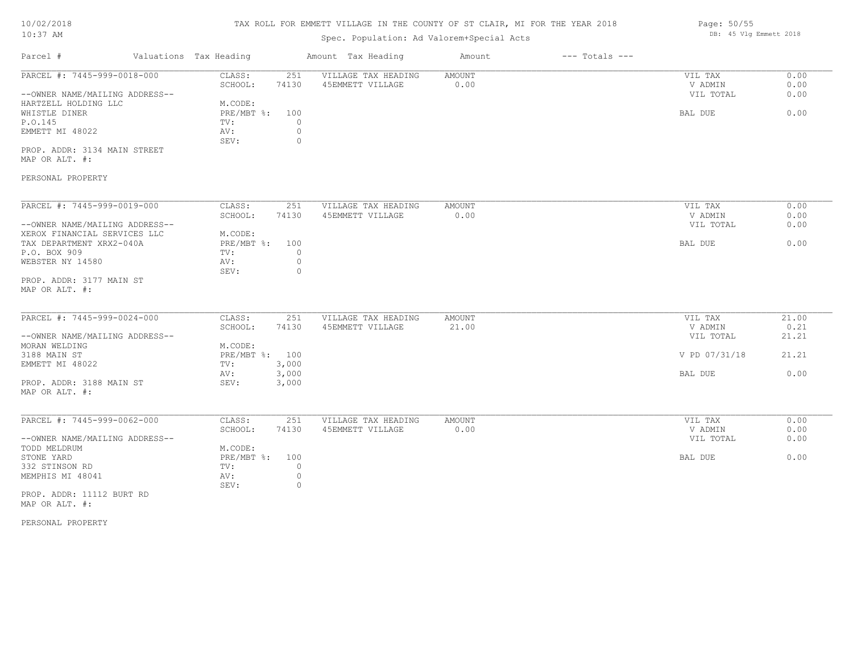# TAX ROLL FOR EMMETT VILLAGE IN THE COUNTY OF ST CLAIR, MI FOR THE YEAR 2018

# Spec. Population: Ad Valorem+Special Acts

| Parcel #                                   | Valuations Tax Heading |                | Amount Tax Heading  | Amount | $---$ Totals $---$ |               |       |
|--------------------------------------------|------------------------|----------------|---------------------|--------|--------------------|---------------|-------|
| PARCEL #: 7445-999-0018-000                | CLASS:                 | 251            | VILLAGE TAX HEADING | AMOUNT |                    | VIL TAX       | 0.00  |
|                                            | SCHOOL:                | 74130          | 45EMMETT VILLAGE    | 0.00   |                    | V ADMIN       | 0.00  |
| --OWNER NAME/MAILING ADDRESS--             |                        |                |                     |        |                    | VIL TOTAL     | 0.00  |
| HARTZELL HOLDING LLC                       | M.CODE:                |                |                     |        |                    |               |       |
| WHISTLE DINER                              |                        | PRE/MBT %: 100 |                     |        |                    | BAL DUE       | 0.00  |
| P.O.145                                    | TV:                    | $\circ$        |                     |        |                    |               |       |
| EMMETT MI 48022                            | AV:                    | $\circ$        |                     |        |                    |               |       |
|                                            | SEV:                   | $\circ$        |                     |        |                    |               |       |
| PROP. ADDR: 3134 MAIN STREET               |                        |                |                     |        |                    |               |       |
| MAP OR ALT. #:                             |                        |                |                     |        |                    |               |       |
|                                            |                        |                |                     |        |                    |               |       |
| PERSONAL PROPERTY                          |                        |                |                     |        |                    |               |       |
|                                            |                        |                |                     |        |                    |               |       |
| PARCEL #: 7445-999-0019-000                | CLASS:                 | 251            | VILLAGE TAX HEADING | AMOUNT |                    | VIL TAX       | 0.00  |
|                                            | SCHOOL:                | 74130          | 45EMMETT VILLAGE    | 0.00   |                    | V ADMIN       | 0.00  |
| --OWNER NAME/MAILING ADDRESS--             |                        |                |                     |        |                    | VIL TOTAL     | 0.00  |
| XEROX FINANCIAL SERVICES LLC               | M.CODE:                |                |                     |        |                    |               |       |
| TAX DEPARTMENT XRX2-040A                   |                        | PRE/MBT %: 100 |                     |        |                    | BAL DUE       | 0.00  |
| P.O. BOX 909                               | TV:                    | $\overline{0}$ |                     |        |                    |               |       |
| WEBSTER NY 14580                           | AV:                    | 0              |                     |        |                    |               |       |
|                                            | SEV:                   | $\overline{0}$ |                     |        |                    |               |       |
| PROP. ADDR: 3177 MAIN ST                   |                        |                |                     |        |                    |               |       |
| MAP OR ALT. #:                             |                        |                |                     |        |                    |               |       |
|                                            |                        |                |                     |        |                    |               |       |
| PARCEL #: 7445-999-0024-000                | CLASS:                 | 251            | VILLAGE TAX HEADING | AMOUNT |                    | VIL TAX       | 21.00 |
|                                            | SCHOOL:                | 74130          | 45EMMETT VILLAGE    | 21.00  |                    | V ADMIN       | 0.21  |
| --OWNER NAME/MAILING ADDRESS--             |                        |                |                     |        |                    | VIL TOTAL     | 21.21 |
| MORAN WELDING                              | M.CODE:                |                |                     |        |                    |               |       |
| 3188 MAIN ST                               |                        | PRE/MBT %: 100 |                     |        |                    | V PD 07/31/18 | 21.21 |
| EMMETT MI 48022                            | TV:                    | 3,000          |                     |        |                    |               |       |
|                                            | AV:                    | 3,000          |                     |        |                    | BAL DUE       | 0.00  |
|                                            | SEV:                   | 3,000          |                     |        |                    |               |       |
| PROP. ADDR: 3188 MAIN ST<br>MAP OR ALT. #: |                        |                |                     |        |                    |               |       |
|                                            |                        |                |                     |        |                    |               |       |
| PARCEL #: 7445-999-0062-000                | CLASS:                 | 251            | VILLAGE TAX HEADING | AMOUNT |                    | VIL TAX       | 0.00  |
|                                            | SCHOOL:                | 74130          | 45EMMETT VILLAGE    | 0.00   |                    | V ADMIN       | 0.00  |
| --OWNER NAME/MAILING ADDRESS--             |                        |                |                     |        |                    | VIL TOTAL     | 0.00  |
| TODD MELDRUM                               | M.CODE:                |                |                     |        |                    |               |       |
|                                            |                        |                |                     |        |                    |               |       |
| STONE YARD                                 |                        | PRE/MBT %: 100 |                     |        |                    | BAL DUE       | 0.00  |
| 332 STINSON RD                             | TV:                    | $\circ$        |                     |        |                    |               |       |
| MEMPHIS MI 48041                           | AV:                    | $\circ$        |                     |        |                    |               |       |
|                                            | SEV:                   | $\circ$        |                     |        |                    |               |       |
| PROP. ADDR: 11112 BURT RD                  |                        |                |                     |        |                    |               |       |
| MAP OR ALT. #:                             |                        |                |                     |        |                    |               |       |

PERSONAL PROPERTY

Page: 50/55 DB: 45 Vlg Emmett 2018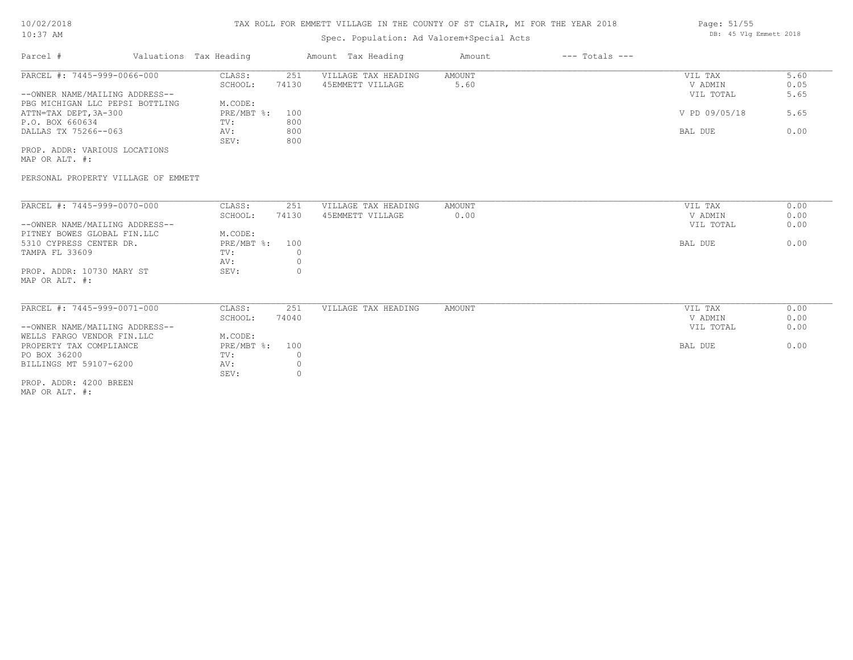# TAX ROLL FOR EMMETT VILLAGE IN THE COUNTY OF ST CLAIR, MI FOR THE YEAR 2018

# Spec. Population: Ad Valorem+Special Acts

| Parcel #                        | Valuations Tax Heading |       | Amount Tax Heading  | Amount | $---$ Totals $---$ |               |      |
|---------------------------------|------------------------|-------|---------------------|--------|--------------------|---------------|------|
| PARCEL #: 7445-999-0066-000     | CLASS:                 | 251   | VILLAGE TAX HEADING | AMOUNT |                    | VIL TAX       | 5.60 |
|                                 | SCHOOL:                | 74130 | 45EMMETT VILLAGE    | 5.60   |                    | V ADMIN       | 0.05 |
| --OWNER NAME/MAILING ADDRESS--  |                        |       |                     |        |                    | VIL TOTAL     | 5.65 |
| PBG MICHIGAN LLC PEPSI BOTTLING | M.CODE:                |       |                     |        |                    |               |      |
| ATTN=TAX DEPT,3A-300            | PRE/MBT %: 100         |       |                     |        |                    | V PD 09/05/18 | 5.65 |
| P.O. BOX 660634                 | TV:                    | 800   |                     |        |                    |               |      |
| DALLAS TX 75266--063            | AV:                    | 800   |                     |        |                    | BAL DUE       | 0.00 |
|                                 | SEV:                   | 800   |                     |        |                    |               |      |
| PROP. ADDR: VARIOUS LOCATIONS   |                        |       |                     |        |                    |               |      |
|                                 |                        |       |                     |        |                    |               |      |

MAP OR ALT. #:

MAP OR ALT. #:

PROP. ADDR: 4200 BREEN

## PERSONAL PROPERTY VILLAGE OF EMMETT

| PARCEL #: 7445-999-0070-000    | CLASS:       | 251   | VILLAGE TAX HEADING | AMOUNT | VIL TAX   | 0.00 |
|--------------------------------|--------------|-------|---------------------|--------|-----------|------|
|                                | SCHOOL:      | 74130 | 45EMMETT VILLAGE    | 0.00   | V ADMIN   | 0.00 |
| --OWNER NAME/MAILING ADDRESS-- |              |       |                     |        | VIL TOTAL | 0.00 |
| PITNEY BOWES GLOBAL FIN.LLC    | M.CODE:      |       |                     |        |           |      |
| 5310 CYPRESS CENTER DR.        | $PRE/MBT$ %: | 100   |                     |        | BAL DUE   | 0.00 |
| TAMPA FL 33609                 | TV:          |       |                     |        |           |      |
|                                | AV:          |       |                     |        |           |      |
| PROP. ADDR: 10730 MARY ST      | SEV:         |       |                     |        |           |      |
| MAP OR ALT. #:                 |              |       |                     |        |           |      |
|                                |              |       |                     |        |           |      |
|                                |              |       |                     |        |           |      |
|                                |              |       |                     |        |           |      |
| PARCEL #: 7445-999-0071-000    | CLASS:       | 251   | VILLAGE TAX HEADING | AMOUNT | VIL TAX   | 0.00 |
|                                | SCHOOL:      | 74040 |                     |        | V ADMIN   | 0.00 |
| --OWNER NAME/MAILING ADDRESS-- |              |       |                     |        | VIL TOTAL | 0.00 |
| WELLS FARGO VENDOR FIN.LLC     | M.CODE:      |       |                     |        |           |      |
| PROPERTY TAX COMPLIANCE        | PRE/MBT %:   | 100   |                     |        | BAL DUE   | 0.00 |
| PO BOX 36200                   | TV:          |       |                     |        |           |      |
| BILLINGS MT 59107-6200         | AV:          |       |                     |        |           |      |

Page: 51/55 DB: 45 Vlg Emmett 2018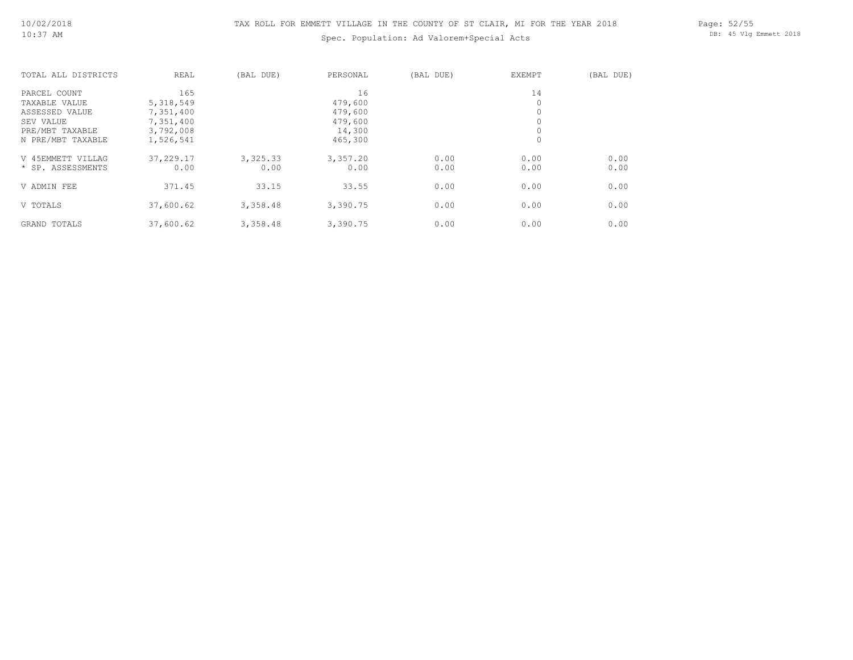# Spec. Population: Ad Valorem+Special Acts

Page: 52/55 DB: 45 Vlg Emmett 2018

| TOTAL ALL DISTRICTS | REAL      | (BAL DUE) | PERSONAL | (BAL DUE) | EXEMPT  | (BAL DUE) |
|---------------------|-----------|-----------|----------|-----------|---------|-----------|
| PARCEL COUNT        | 165       |           | 16       |           | 14      |           |
| TAXABLE VALUE       | 5,318,549 |           | 479,600  |           | 0       |           |
| ASSESSED VALUE      | 7,351,400 |           | 479,600  |           | $\circ$ |           |
| SEV VALUE           | 7,351,400 |           | 479,600  |           | $\circ$ |           |
| PRE/MBT TAXABLE     | 3,792,008 |           | 14,300   |           | 0       |           |
| N PRE/MBT TAXABLE   | 1,526,541 |           | 465,300  |           | $\circ$ |           |
| V 45EMMETT VILLAG   | 37,229.17 | 3,325.33  | 3,357.20 | 0.00      | 0.00    | 0.00      |
| * SP. ASSESSMENTS   | 0.00      | 0.00      | 0.00     | 0.00      | 0.00    | 0.00      |
| V ADMIN FEE         | 371.45    | 33.15     | 33.55    | 0.00      | 0.00    | 0.00      |
| V TOTALS            | 37,600.62 | 3,358.48  | 3,390.75 | 0.00      | 0.00    | 0.00      |
| GRAND TOTALS        | 37,600.62 | 3,358.48  | 3,390.75 | 0.00      | 0.00    | 0.00      |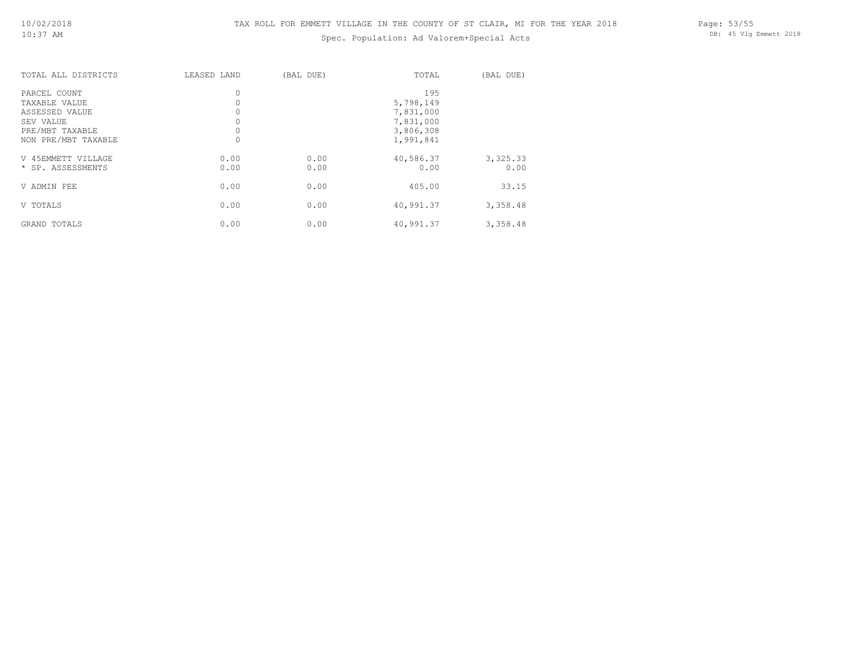# Spec. Population: Ad Valorem+Special Acts

Page: 53/55 DB: 45 Vlg Emmett 2018

| TOTAL ALL DISTRICTS                                                                                    | LEASED LAND                        | (BAL DUE)    | TOTAL                                                                | (BAL DUE)        |
|--------------------------------------------------------------------------------------------------------|------------------------------------|--------------|----------------------------------------------------------------------|------------------|
| PARCEL COUNT<br>TAXABLE VALUE<br>ASSESSED VALUE<br>SEV VALUE<br>PRE/MBT TAXABLE<br>NON PRE/MBT TAXABLE | 0<br>0<br>0<br>$\circ$<br>$\Omega$ |              | 195<br>5,798,149<br>7,831,000<br>7,831,000<br>3,806,308<br>1,991,841 |                  |
| V 45EMMETT VILLAGE<br>* SP. ASSESSMENTS                                                                | 0.00<br>0.00                       | 0.00<br>0.00 | 40,586.37<br>0.00                                                    | 3,325.33<br>0.00 |
| V ADMIN FEE                                                                                            | 0.00                               | 0.00         | 405.00                                                               | 33.15            |
| V TOTALS                                                                                               | 0.00                               | 0.00         | 40,991.37                                                            | 3,358.48         |
| GRAND TOTALS                                                                                           | 0.00                               | 0.00         | 40,991.37                                                            | 3,358.48         |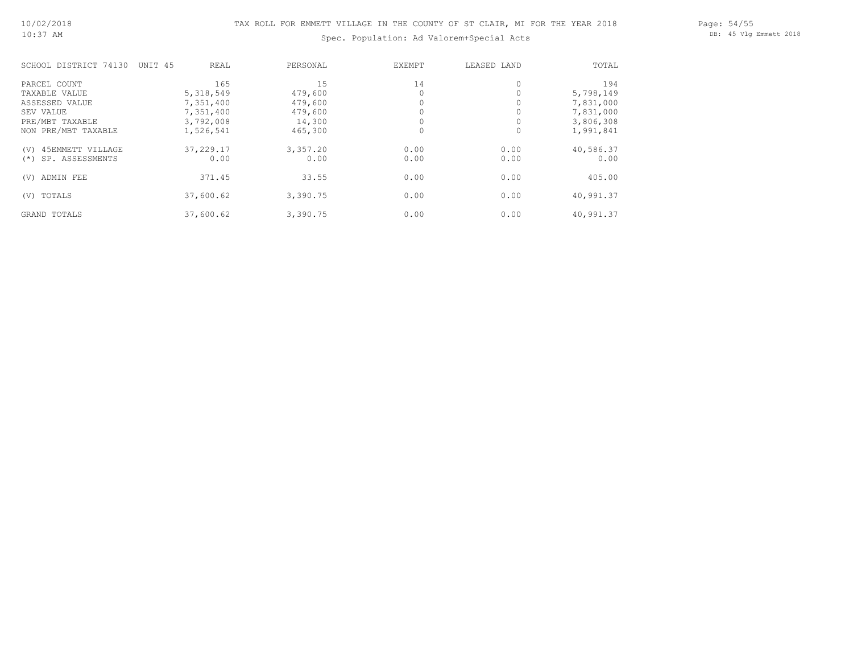Page: 54/55 DB: 45 Vlg Emmett 2018

# Spec. Population: Ad Valorem+Special Acts

| SCHOOL DISTRICT 74130     | UNIT 45<br>REAL | PERSONAL | EXEMPT | LEASED LAND | TOTAL     |
|---------------------------|-----------------|----------|--------|-------------|-----------|
| PARCEL COUNT              | 165             | 15       | 14     | 0           | 194       |
| TAXABLE VALUE             | 5,318,549       | 479,600  |        |             | 5,798,149 |
| ASSESSED VALUE            | 7,351,400       | 479,600  |        |             | 7,831,000 |
| SEV VALUE                 | 7,351,400       | 479,600  |        |             | 7,831,000 |
| PRE/MBT TAXABLE           | 3,792,008       | 14,300   |        |             | 3,806,308 |
| NON PRE/MBT TAXABLE       | 1,526,541       | 465,300  |        | 0           | 1,991,841 |
| 45EMMETT VILLAGE<br>(V)   | 37,229.17       | 3,357.20 | 0.00   | 0.00        | 40,586.37 |
| SP. ASSESSMENTS<br>$(* )$ | 0.00            | 0.00     | 0.00   | 0.00        | 0.00      |
| ADMIN FEE<br>(V)          | 371.45          | 33.55    | 0.00   | 0.00        | 405.00    |
| TOTALS<br>(V)             | 37,600.62       | 3,390.75 | 0.00   | 0.00        | 40,991.37 |
| GRAND TOTALS              | 37,600.62       | 3,390.75 | 0.00   | 0.00        | 40,991.37 |